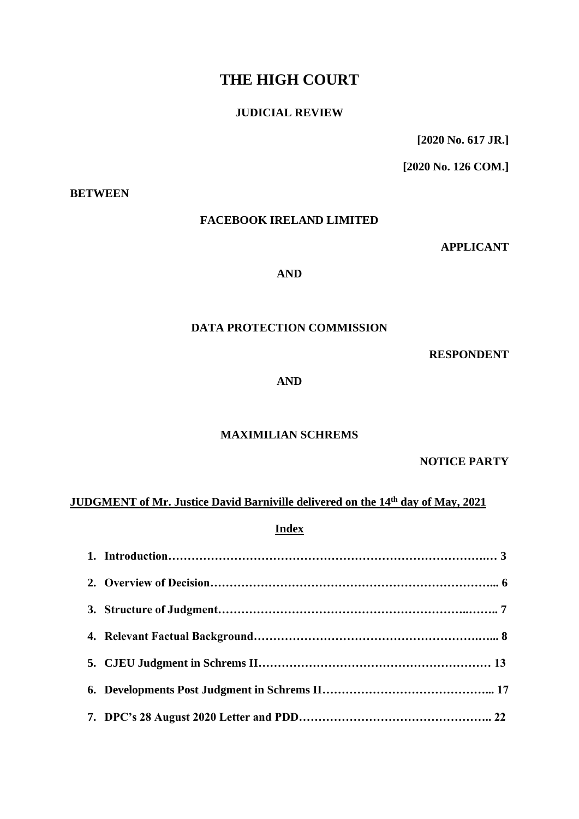# **THE HIGH COURT**

## **JUDICIAL REVIEW**

**[2020 No. 617 JR.]**

**[2020 No. 126 COM.]**

#### **BETWEEN**

### **FACEBOOK IRELAND LIMITED**

**APPLICANT**

### **AND**

# **DATA PROTECTION COMMISSION**

**RESPONDENT**

**AND**

### **MAXIMILIAN SCHREMS**

**NOTICE PARTY**

# **JUDGMENT of Mr. Justice David Barniville delivered on the 14th day of May, 2021**

**Index**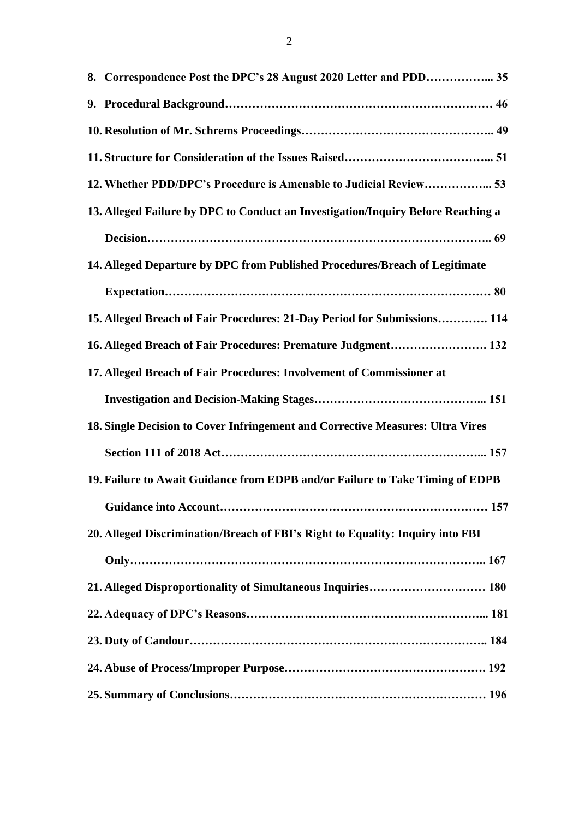| 8. Correspondence Post the DPC's 28 August 2020 Letter and PDD 35                |
|----------------------------------------------------------------------------------|
|                                                                                  |
|                                                                                  |
|                                                                                  |
| 12. Whether PDD/DPC's Procedure is Amenable to Judicial Review 53                |
| 13. Alleged Failure by DPC to Conduct an Investigation/Inquiry Before Reaching a |
|                                                                                  |
| 14. Alleged Departure by DPC from Published Procedures/Breach of Legitimate      |
|                                                                                  |
| 15. Alleged Breach of Fair Procedures: 21-Day Period for Submissions 114         |
| 16. Alleged Breach of Fair Procedures: Premature Judgment 132                    |
| 17. Alleged Breach of Fair Procedures: Involvement of Commissioner at            |
|                                                                                  |
| 18. Single Decision to Cover Infringement and Corrective Measures: Ultra Vires   |
|                                                                                  |
| 19. Failure to Await Guidance from EDPB and/or Failure to Take Timing of EDPB    |
|                                                                                  |
| 20. Alleged Discrimination/Breach of FBI's Right to Equality: Inquiry into FBI   |
|                                                                                  |
|                                                                                  |
|                                                                                  |
|                                                                                  |
|                                                                                  |
|                                                                                  |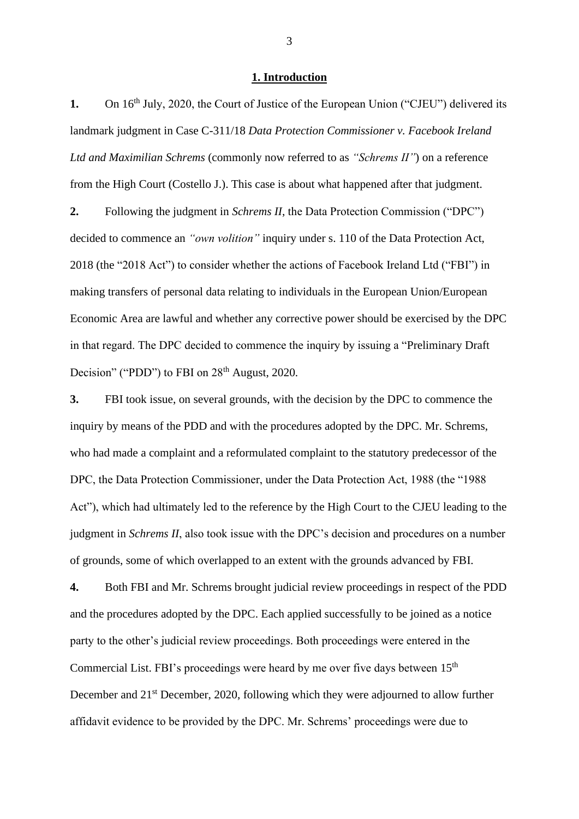#### **1. Introduction**

1. On 16<sup>th</sup> July, 2020, the Court of Justice of the European Union ("CJEU") delivered its landmark judgment in Case C-311/18 *Data Protection Commissioner v. Facebook Ireland Ltd and Maximilian Schrems* (commonly now referred to as *"Schrems II"*) on a reference from the High Court (Costello J.). This case is about what happened after that judgment.

**2.** Following the judgment in *Schrems II*, the Data Protection Commission ("DPC") decided to commence an *"own volition"* inquiry under s. 110 of the Data Protection Act, 2018 (the "2018 Act") to consider whether the actions of Facebook Ireland Ltd ("FBI") in making transfers of personal data relating to individuals in the European Union/European Economic Area are lawful and whether any corrective power should be exercised by the DPC in that regard. The DPC decided to commence the inquiry by issuing a "Preliminary Draft Decision" ("PDD") to FBI on  $28<sup>th</sup>$  August, 2020.

**3.** FBI took issue, on several grounds, with the decision by the DPC to commence the inquiry by means of the PDD and with the procedures adopted by the DPC. Mr. Schrems, who had made a complaint and a reformulated complaint to the statutory predecessor of the DPC, the Data Protection Commissioner, under the Data Protection Act, 1988 (the "1988 Act"), which had ultimately led to the reference by the High Court to the CJEU leading to the judgment in *Schrems II*, also took issue with the DPC's decision and procedures on a number of grounds, some of which overlapped to an extent with the grounds advanced by FBI.

**4.** Both FBI and Mr. Schrems brought judicial review proceedings in respect of the PDD and the procedures adopted by the DPC. Each applied successfully to be joined as a notice party to the other's judicial review proceedings. Both proceedings were entered in the Commercial List. FBI's proceedings were heard by me over five days between 15<sup>th</sup> December and 21<sup>st</sup> December, 2020, following which they were adjourned to allow further affidavit evidence to be provided by the DPC. Mr. Schrems' proceedings were due to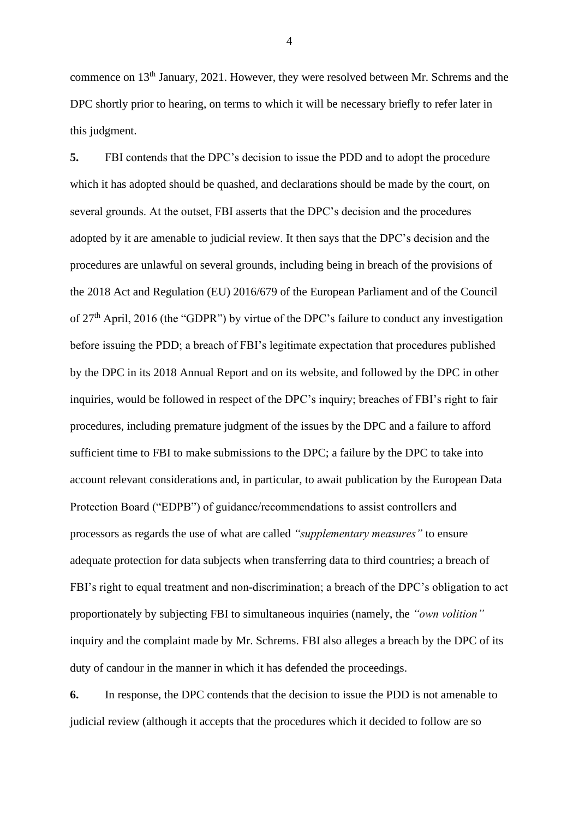commence on 13th January, 2021. However, they were resolved between Mr. Schrems and the DPC shortly prior to hearing, on terms to which it will be necessary briefly to refer later in this judgment.

**5.** FBI contends that the DPC's decision to issue the PDD and to adopt the procedure which it has adopted should be quashed, and declarations should be made by the court, on several grounds. At the outset, FBI asserts that the DPC's decision and the procedures adopted by it are amenable to judicial review. It then says that the DPC's decision and the procedures are unlawful on several grounds, including being in breach of the provisions of the 2018 Act and Regulation (EU) 2016/679 of the European Parliament and of the Council of 27th April, 2016 (the "GDPR") by virtue of the DPC's failure to conduct any investigation before issuing the PDD; a breach of FBI's legitimate expectation that procedures published by the DPC in its 2018 Annual Report and on its website, and followed by the DPC in other inquiries, would be followed in respect of the DPC's inquiry; breaches of FBI's right to fair procedures, including premature judgment of the issues by the DPC and a failure to afford sufficient time to FBI to make submissions to the DPC; a failure by the DPC to take into account relevant considerations and, in particular, to await publication by the European Data Protection Board ("EDPB") of guidance/recommendations to assist controllers and processors as regards the use of what are called *"supplementary measures"* to ensure adequate protection for data subjects when transferring data to third countries; a breach of FBI's right to equal treatment and non-discrimination; a breach of the DPC's obligation to act proportionately by subjecting FBI to simultaneous inquiries (namely, the *"own volition"* inquiry and the complaint made by Mr. Schrems. FBI also alleges a breach by the DPC of its duty of candour in the manner in which it has defended the proceedings.

**6.** In response, the DPC contends that the decision to issue the PDD is not amenable to judicial review (although it accepts that the procedures which it decided to follow are so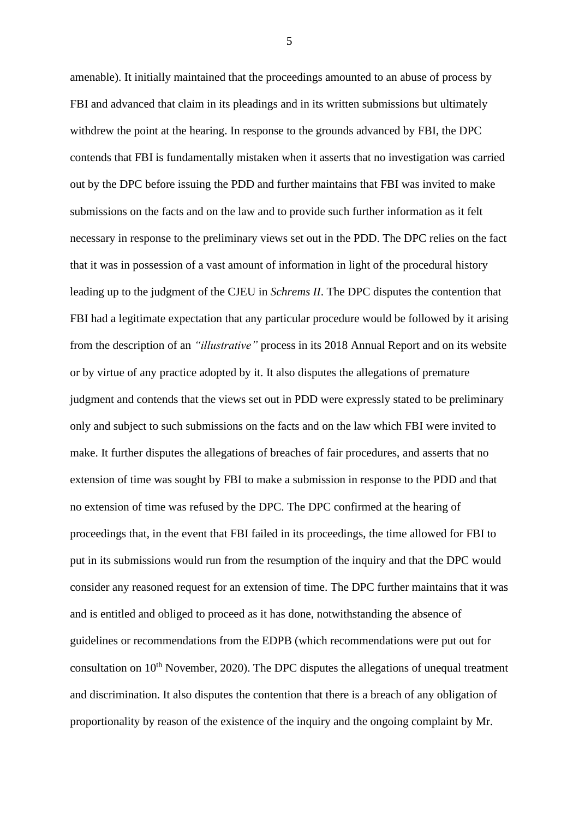amenable). It initially maintained that the proceedings amounted to an abuse of process by FBI and advanced that claim in its pleadings and in its written submissions but ultimately withdrew the point at the hearing. In response to the grounds advanced by FBI, the DPC contends that FBI is fundamentally mistaken when it asserts that no investigation was carried out by the DPC before issuing the PDD and further maintains that FBI was invited to make submissions on the facts and on the law and to provide such further information as it felt necessary in response to the preliminary views set out in the PDD. The DPC relies on the fact that it was in possession of a vast amount of information in light of the procedural history leading up to the judgment of the CJEU in *Schrems II*. The DPC disputes the contention that FBI had a legitimate expectation that any particular procedure would be followed by it arising from the description of an *"illustrative"* process in its 2018 Annual Report and on its website or by virtue of any practice adopted by it. It also disputes the allegations of premature judgment and contends that the views set out in PDD were expressly stated to be preliminary only and subject to such submissions on the facts and on the law which FBI were invited to make. It further disputes the allegations of breaches of fair procedures, and asserts that no extension of time was sought by FBI to make a submission in response to the PDD and that no extension of time was refused by the DPC. The DPC confirmed at the hearing of proceedings that, in the event that FBI failed in its proceedings, the time allowed for FBI to put in its submissions would run from the resumption of the inquiry and that the DPC would consider any reasoned request for an extension of time. The DPC further maintains that it was and is entitled and obliged to proceed as it has done, notwithstanding the absence of guidelines or recommendations from the EDPB (which recommendations were put out for consultation on 10<sup>th</sup> November, 2020). The DPC disputes the allegations of unequal treatment and discrimination. It also disputes the contention that there is a breach of any obligation of proportionality by reason of the existence of the inquiry and the ongoing complaint by Mr.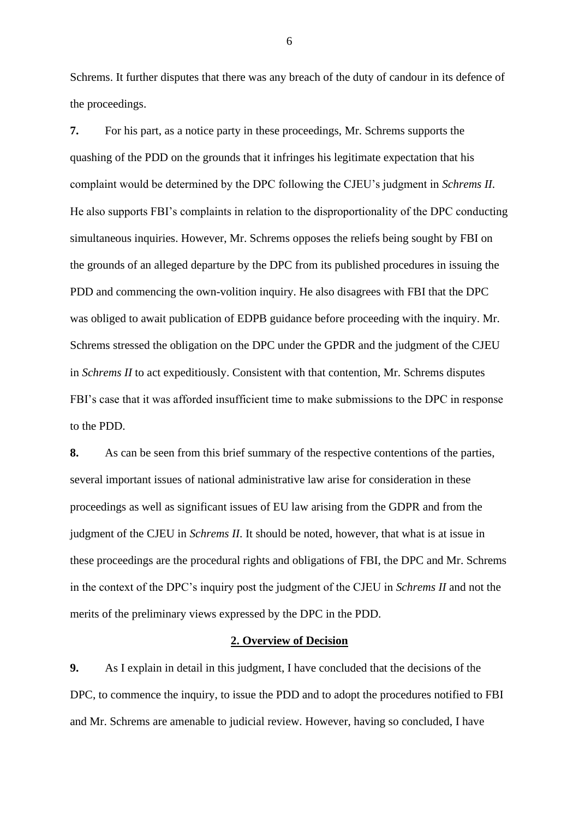Schrems. It further disputes that there was any breach of the duty of candour in its defence of the proceedings.

**7.** For his part, as a notice party in these proceedings, Mr. Schrems supports the quashing of the PDD on the grounds that it infringes his legitimate expectation that his complaint would be determined by the DPC following the CJEU's judgment in *Schrems II*. He also supports FBI's complaints in relation to the disproportionality of the DPC conducting simultaneous inquiries. However, Mr. Schrems opposes the reliefs being sought by FBI on the grounds of an alleged departure by the DPC from its published procedures in issuing the PDD and commencing the own-volition inquiry. He also disagrees with FBI that the DPC was obliged to await publication of EDPB guidance before proceeding with the inquiry. Mr. Schrems stressed the obligation on the DPC under the GPDR and the judgment of the CJEU in *Schrems II* to act expeditiously. Consistent with that contention, Mr. Schrems disputes FBI's case that it was afforded insufficient time to make submissions to the DPC in response to the PDD.

**8.** As can be seen from this brief summary of the respective contentions of the parties, several important issues of national administrative law arise for consideration in these proceedings as well as significant issues of EU law arising from the GDPR and from the judgment of the CJEU in *Schrems II*. It should be noted, however, that what is at issue in these proceedings are the procedural rights and obligations of FBI, the DPC and Mr. Schrems in the context of the DPC's inquiry post the judgment of the CJEU in *Schrems II* and not the merits of the preliminary views expressed by the DPC in the PDD.

#### **2. Overview of Decision**

**9.** As I explain in detail in this judgment, I have concluded that the decisions of the DPC, to commence the inquiry, to issue the PDD and to adopt the procedures notified to FBI and Mr. Schrems are amenable to judicial review. However, having so concluded, I have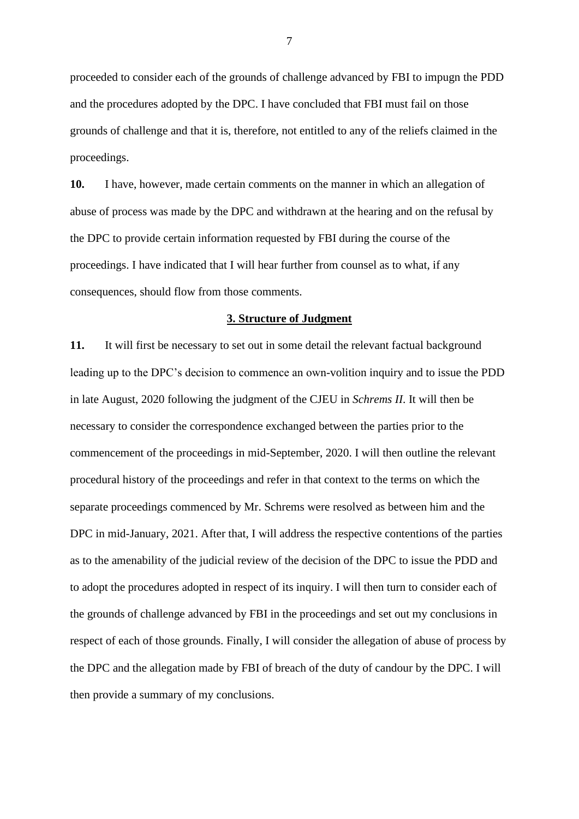proceeded to consider each of the grounds of challenge advanced by FBI to impugn the PDD and the procedures adopted by the DPC. I have concluded that FBI must fail on those grounds of challenge and that it is, therefore, not entitled to any of the reliefs claimed in the proceedings.

**10.** I have, however, made certain comments on the manner in which an allegation of abuse of process was made by the DPC and withdrawn at the hearing and on the refusal by the DPC to provide certain information requested by FBI during the course of the proceedings. I have indicated that I will hear further from counsel as to what, if any consequences, should flow from those comments.

#### **3. Structure of Judgment**

**11.** It will first be necessary to set out in some detail the relevant factual background leading up to the DPC's decision to commence an own-volition inquiry and to issue the PDD in late August, 2020 following the judgment of the CJEU in *Schrems II*. It will then be necessary to consider the correspondence exchanged between the parties prior to the commencement of the proceedings in mid-September, 2020. I will then outline the relevant procedural history of the proceedings and refer in that context to the terms on which the separate proceedings commenced by Mr. Schrems were resolved as between him and the DPC in mid-January, 2021. After that, I will address the respective contentions of the parties as to the amenability of the judicial review of the decision of the DPC to issue the PDD and to adopt the procedures adopted in respect of its inquiry. I will then turn to consider each of the grounds of challenge advanced by FBI in the proceedings and set out my conclusions in respect of each of those grounds. Finally, I will consider the allegation of abuse of process by the DPC and the allegation made by FBI of breach of the duty of candour by the DPC. I will then provide a summary of my conclusions.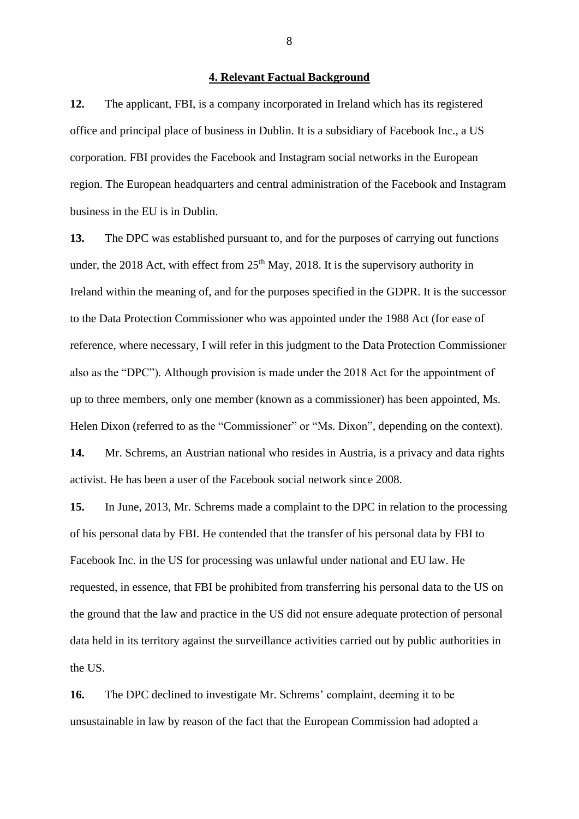#### **4. Relevant Factual Background**

**12.** The applicant, FBI, is a company incorporated in Ireland which has its registered office and principal place of business in Dublin. It is a subsidiary of Facebook Inc., a US corporation. FBI provides the Facebook and Instagram social networks in the European region. The European headquarters and central administration of the Facebook and Instagram business in the EU is in Dublin.

**13.** The DPC was established pursuant to, and for the purposes of carrying out functions under, the 2018 Act, with effect from  $25<sup>th</sup>$  May, 2018. It is the supervisory authority in Ireland within the meaning of, and for the purposes specified in the GDPR. It is the successor to the Data Protection Commissioner who was appointed under the 1988 Act (for ease of reference, where necessary, I will refer in this judgment to the Data Protection Commissioner also as the "DPC"). Although provision is made under the 2018 Act for the appointment of up to three members, only one member (known as a commissioner) has been appointed, Ms. Helen Dixon (referred to as the "Commissioner" or "Ms. Dixon", depending on the context). **14.** Mr. Schrems, an Austrian national who resides in Austria, is a privacy and data rights activist. He has been a user of the Facebook social network since 2008.

**15.** In June, 2013, Mr. Schrems made a complaint to the DPC in relation to the processing of his personal data by FBI. He contended that the transfer of his personal data by FBI to Facebook Inc. in the US for processing was unlawful under national and EU law. He requested, in essence, that FBI be prohibited from transferring his personal data to the US on the ground that the law and practice in the US did not ensure adequate protection of personal data held in its territory against the surveillance activities carried out by public authorities in the US.

**16.** The DPC declined to investigate Mr. Schrems' complaint, deeming it to be unsustainable in law by reason of the fact that the European Commission had adopted a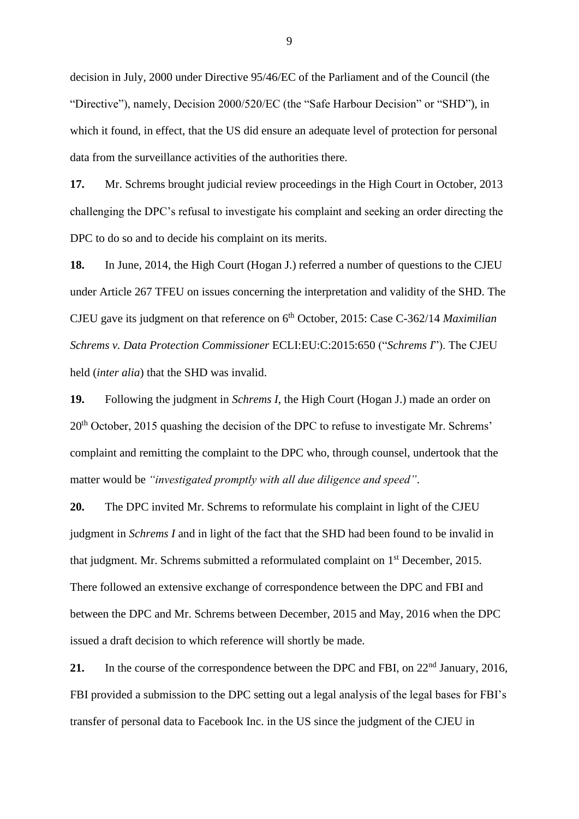decision in July, 2000 under Directive 95/46/EC of the Parliament and of the Council (the "Directive"), namely, Decision 2000/520/EC (the "Safe Harbour Decision" or "SHD"), in which it found, in effect, that the US did ensure an adequate level of protection for personal data from the surveillance activities of the authorities there.

**17.** Mr. Schrems brought judicial review proceedings in the High Court in October, 2013 challenging the DPC's refusal to investigate his complaint and seeking an order directing the DPC to do so and to decide his complaint on its merits.

**18.** In June, 2014, the High Court (Hogan J.) referred a number of questions to the CJEU under Article 267 TFEU on issues concerning the interpretation and validity of the SHD. The CJEU gave its judgment on that reference on 6th October, 2015: Case C-362/14 *Maximilian Schrems v. Data Protection Commissioner* ECLI:EU:C:2015:650 ("*Schrems I*"). The CJEU held (*inter alia*) that the SHD was invalid.

**19.** Following the judgment in *Schrems I*, the High Court (Hogan J.) made an order on 20<sup>th</sup> October, 2015 quashing the decision of the DPC to refuse to investigate Mr. Schrems' complaint and remitting the complaint to the DPC who, through counsel, undertook that the matter would be *"investigated promptly with all due diligence and speed"*.

**20.** The DPC invited Mr. Schrems to reformulate his complaint in light of the CJEU judgment in *Schrems I* and in light of the fact that the SHD had been found to be invalid in that judgment. Mr. Schrems submitted a reformulated complaint on 1st December, 2015. There followed an extensive exchange of correspondence between the DPC and FBI and between the DPC and Mr. Schrems between December, 2015 and May, 2016 when the DPC issued a draft decision to which reference will shortly be made.

21. In the course of the correspondence between the DPC and FBI, on 22<sup>nd</sup> January, 2016, FBI provided a submission to the DPC setting out a legal analysis of the legal bases for FBI's transfer of personal data to Facebook Inc. in the US since the judgment of the CJEU in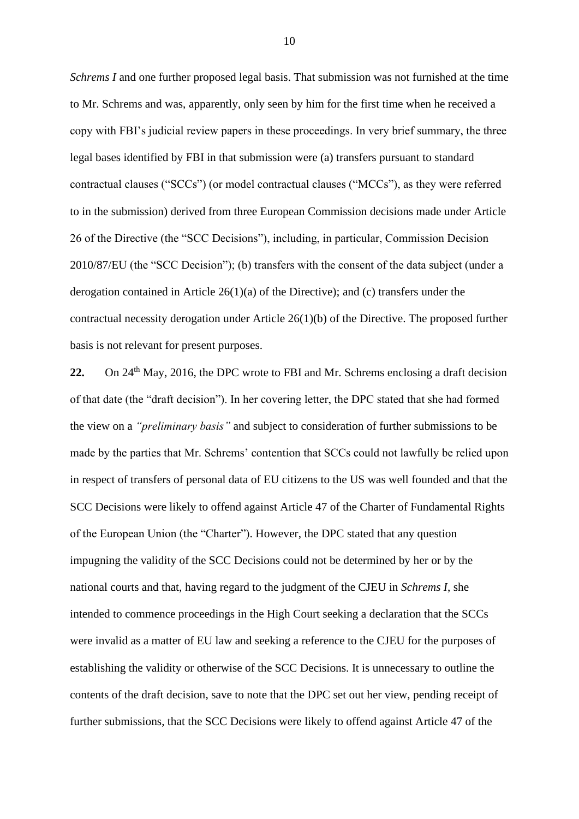*Schrems I* and one further proposed legal basis. That submission was not furnished at the time to Mr. Schrems and was, apparently, only seen by him for the first time when he received a copy with FBI's judicial review papers in these proceedings. In very brief summary, the three legal bases identified by FBI in that submission were (a) transfers pursuant to standard contractual clauses ("SCCs") (or model contractual clauses ("MCCs"), as they were referred to in the submission) derived from three European Commission decisions made under Article 26 of the Directive (the "SCC Decisions"), including, in particular, Commission Decision 2010/87/EU (the "SCC Decision"); (b) transfers with the consent of the data subject (under a derogation contained in Article 26(1)(a) of the Directive); and (c) transfers under the contractual necessity derogation under Article 26(1)(b) of the Directive. The proposed further basis is not relevant for present purposes.

22. On 24<sup>th</sup> May, 2016, the DPC wrote to FBI and Mr. Schrems enclosing a draft decision of that date (the "draft decision"). In her covering letter, the DPC stated that she had formed the view on a *"preliminary basis"* and subject to consideration of further submissions to be made by the parties that Mr. Schrems' contention that SCCs could not lawfully be relied upon in respect of transfers of personal data of EU citizens to the US was well founded and that the SCC Decisions were likely to offend against Article 47 of the Charter of Fundamental Rights of the European Union (the "Charter"). However, the DPC stated that any question impugning the validity of the SCC Decisions could not be determined by her or by the national courts and that, having regard to the judgment of the CJEU in *Schrems I*, she intended to commence proceedings in the High Court seeking a declaration that the SCCs were invalid as a matter of EU law and seeking a reference to the CJEU for the purposes of establishing the validity or otherwise of the SCC Decisions. It is unnecessary to outline the contents of the draft decision, save to note that the DPC set out her view, pending receipt of further submissions, that the SCC Decisions were likely to offend against Article 47 of the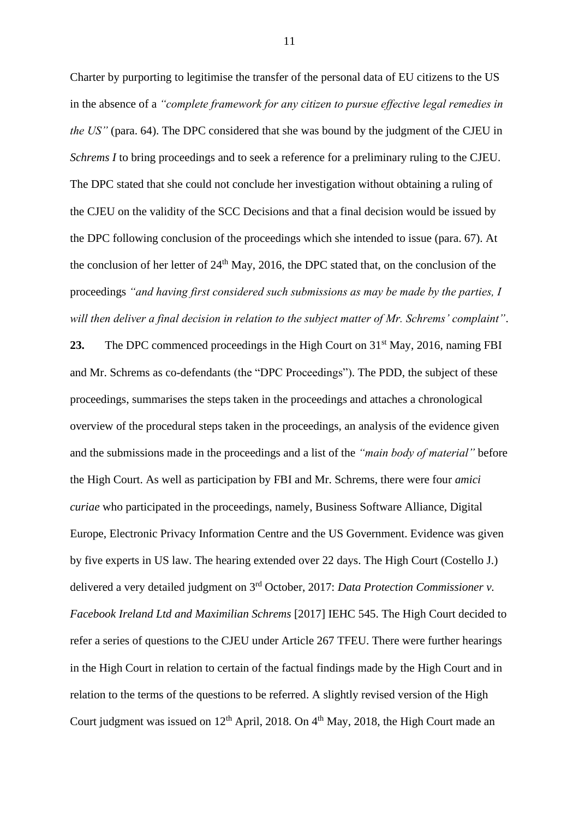Charter by purporting to legitimise the transfer of the personal data of EU citizens to the US in the absence of a *"complete framework for any citizen to pursue effective legal remedies in the US"* (para. 64). The DPC considered that she was bound by the judgment of the CJEU in *Schrems I* to bring proceedings and to seek a reference for a preliminary ruling to the CJEU. The DPC stated that she could not conclude her investigation without obtaining a ruling of the CJEU on the validity of the SCC Decisions and that a final decision would be issued by the DPC following conclusion of the proceedings which she intended to issue (para. 67). At the conclusion of her letter of  $24<sup>th</sup>$  May, 2016, the DPC stated that, on the conclusion of the proceedings *"and having first considered such submissions as may be made by the parties, I will then deliver a final decision in relation to the subject matter of Mr. Schrems' complaint"*.

23. The DPC commenced proceedings in the High Court on 31<sup>st</sup> May, 2016, naming FBI and Mr. Schrems as co-defendants (the "DPC Proceedings"). The PDD, the subject of these proceedings, summarises the steps taken in the proceedings and attaches a chronological overview of the procedural steps taken in the proceedings, an analysis of the evidence given and the submissions made in the proceedings and a list of the *"main body of material"* before the High Court. As well as participation by FBI and Mr. Schrems, there were four *amici curiae* who participated in the proceedings, namely, Business Software Alliance, Digital Europe, Electronic Privacy Information Centre and the US Government. Evidence was given by five experts in US law. The hearing extended over 22 days. The High Court (Costello J.) delivered a very detailed judgment on 3rd October, 2017: *Data Protection Commissioner v. Facebook Ireland Ltd and Maximilian Schrems* [2017] IEHC 545. The High Court decided to refer a series of questions to the CJEU under Article 267 TFEU. There were further hearings in the High Court in relation to certain of the factual findings made by the High Court and in relation to the terms of the questions to be referred. A slightly revised version of the High Court judgment was issued on  $12<sup>th</sup>$  April, 2018. On  $4<sup>th</sup>$  May, 2018, the High Court made an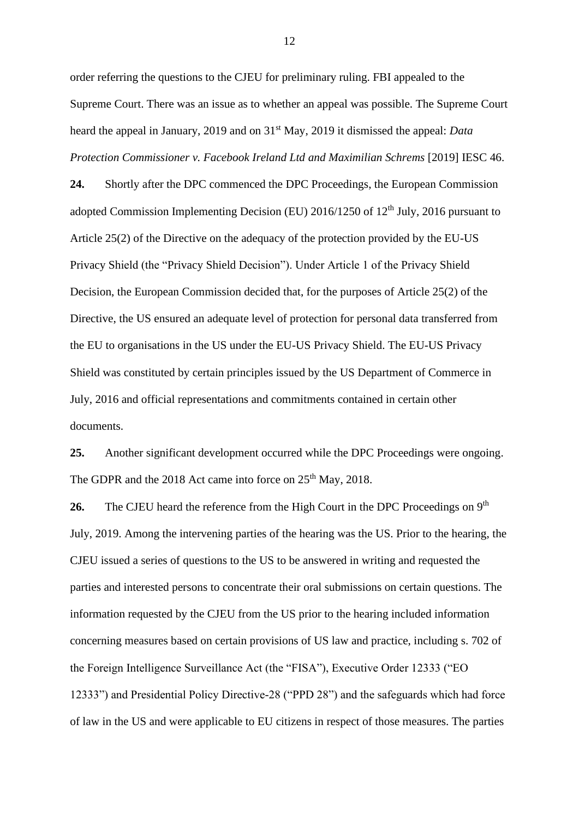order referring the questions to the CJEU for preliminary ruling. FBI appealed to the Supreme Court. There was an issue as to whether an appeal was possible. The Supreme Court heard the appeal in January, 2019 and on 31st May, 2019 it dismissed the appeal: *Data Protection Commissioner v. Facebook Ireland Ltd and Maximilian Schrems* [2019] IESC 46.

**24.** Shortly after the DPC commenced the DPC Proceedings, the European Commission adopted Commission Implementing Decision (EU)  $2016/1250$  of  $12<sup>th</sup>$  July,  $2016$  pursuant to Article 25(2) of the Directive on the adequacy of the protection provided by the EU-US Privacy Shield (the "Privacy Shield Decision"). Under Article 1 of the Privacy Shield Decision, the European Commission decided that, for the purposes of Article 25(2) of the Directive, the US ensured an adequate level of protection for personal data transferred from the EU to organisations in the US under the EU-US Privacy Shield. The EU-US Privacy Shield was constituted by certain principles issued by the US Department of Commerce in July, 2016 and official representations and commitments contained in certain other documents.

**25.** Another significant development occurred while the DPC Proceedings were ongoing. The GDPR and the 2018 Act came into force on  $25<sup>th</sup>$  May, 2018.

26. The CJEU heard the reference from the High Court in the DPC Proceedings on 9<sup>th</sup> July, 2019. Among the intervening parties of the hearing was the US. Prior to the hearing, the CJEU issued a series of questions to the US to be answered in writing and requested the parties and interested persons to concentrate their oral submissions on certain questions. The information requested by the CJEU from the US prior to the hearing included information concerning measures based on certain provisions of US law and practice, including s. 702 of the Foreign Intelligence Surveillance Act (the "FISA"), Executive Order 12333 ("EO 12333") and Presidential Policy Directive-28 ("PPD 28") and the safeguards which had force of law in the US and were applicable to EU citizens in respect of those measures. The parties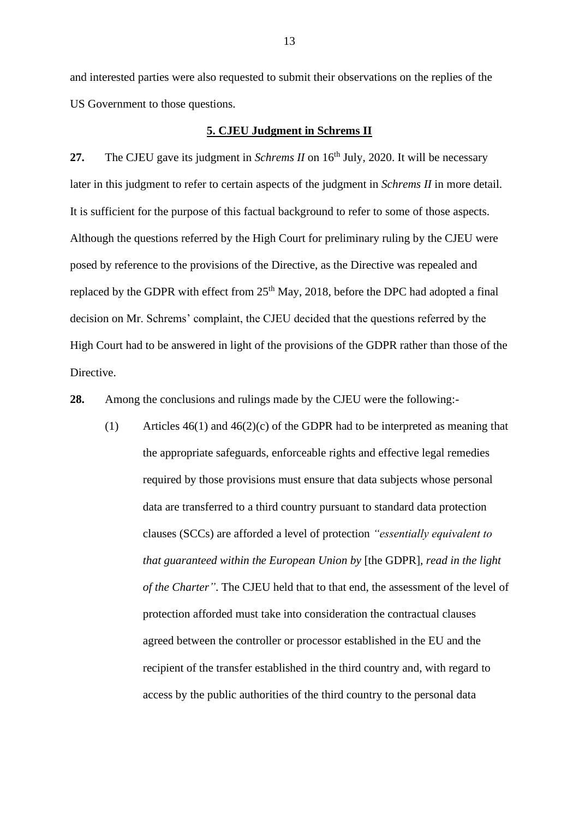and interested parties were also requested to submit their observations on the replies of the US Government to those questions.

#### **5. CJEU Judgment in Schrems II**

27. The CJEU gave its judgment in *Schrems II* on 16<sup>th</sup> July, 2020. It will be necessary later in this judgment to refer to certain aspects of the judgment in *Schrems II* in more detail. It is sufficient for the purpose of this factual background to refer to some of those aspects. Although the questions referred by the High Court for preliminary ruling by the CJEU were posed by reference to the provisions of the Directive, as the Directive was repealed and replaced by the GDPR with effect from 25<sup>th</sup> May, 2018, before the DPC had adopted a final decision on Mr. Schrems' complaint, the CJEU decided that the questions referred by the High Court had to be answered in light of the provisions of the GDPR rather than those of the Directive.

**28.** Among the conclusions and rulings made by the CJEU were the following:-

(1) Articles  $46(1)$  and  $46(2)(c)$  of the GDPR had to be interpreted as meaning that the appropriate safeguards, enforceable rights and effective legal remedies required by those provisions must ensure that data subjects whose personal data are transferred to a third country pursuant to standard data protection clauses (SCCs) are afforded a level of protection *"essentially equivalent to that guaranteed within the European Union by* [the GDPR]*, read in the light of the Charter"*. The CJEU held that to that end, the assessment of the level of protection afforded must take into consideration the contractual clauses agreed between the controller or processor established in the EU and the recipient of the transfer established in the third country and, with regard to access by the public authorities of the third country to the personal data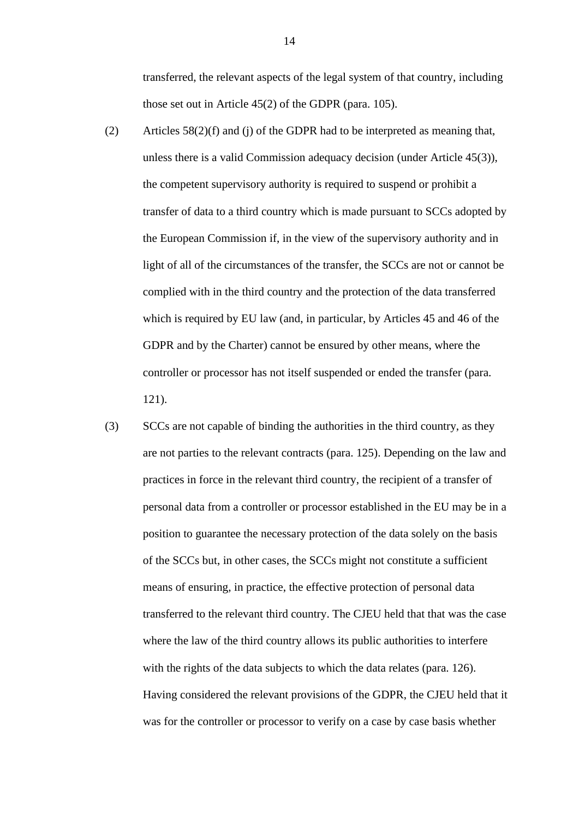transferred, the relevant aspects of the legal system of that country, including those set out in Article 45(2) of the GDPR (para. 105).

- (2) Articles  $58(2)(f)$  and (j) of the GDPR had to be interpreted as meaning that, unless there is a valid Commission adequacy decision (under Article 45(3)), the competent supervisory authority is required to suspend or prohibit a transfer of data to a third country which is made pursuant to SCCs adopted by the European Commission if, in the view of the supervisory authority and in light of all of the circumstances of the transfer, the SCCs are not or cannot be complied with in the third country and the protection of the data transferred which is required by EU law (and, in particular, by Articles 45 and 46 of the GDPR and by the Charter) cannot be ensured by other means, where the controller or processor has not itself suspended or ended the transfer (para. 121).
- (3) SCCs are not capable of binding the authorities in the third country, as they are not parties to the relevant contracts (para. 125). Depending on the law and practices in force in the relevant third country, the recipient of a transfer of personal data from a controller or processor established in the EU may be in a position to guarantee the necessary protection of the data solely on the basis of the SCCs but, in other cases, the SCCs might not constitute a sufficient means of ensuring, in practice, the effective protection of personal data transferred to the relevant third country. The CJEU held that that was the case where the law of the third country allows its public authorities to interfere with the rights of the data subjects to which the data relates (para. 126). Having considered the relevant provisions of the GDPR, the CJEU held that it was for the controller or processor to verify on a case by case basis whether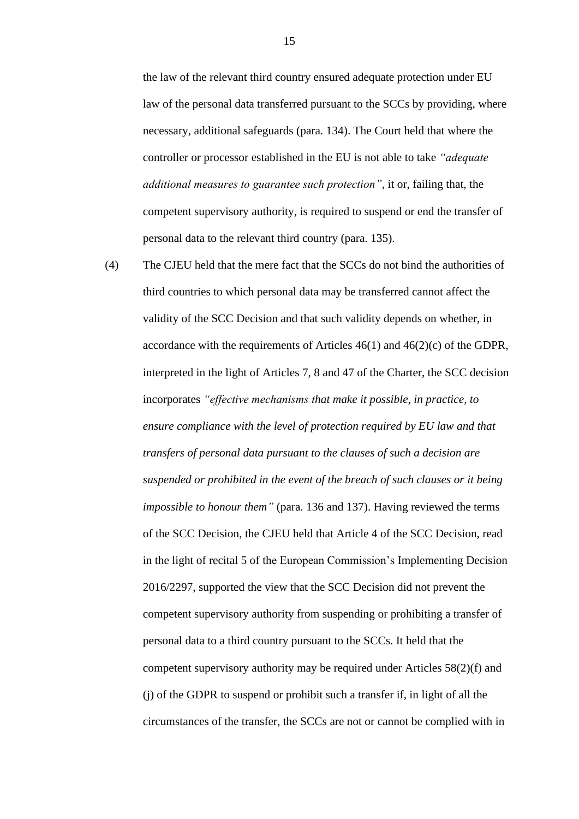the law of the relevant third country ensured adequate protection under EU law of the personal data transferred pursuant to the SCCs by providing, where necessary, additional safeguards (para. 134). The Court held that where the controller or processor established in the EU is not able to take *"adequate additional measures to guarantee such protection"*, it or, failing that, the competent supervisory authority, is required to suspend or end the transfer of personal data to the relevant third country (para. 135).

(4) The CJEU held that the mere fact that the SCCs do not bind the authorities of third countries to which personal data may be transferred cannot affect the validity of the SCC Decision and that such validity depends on whether, in accordance with the requirements of Articles  $46(1)$  and  $46(2)(c)$  of the GDPR, interpreted in the light of Articles 7, 8 and 47 of the Charter, the SCC decision incorporates *"effective mechanisms that make it possible, in practice, to ensure compliance with the level of protection required by EU law and that transfers of personal data pursuant to the clauses of such a decision are suspended or prohibited in the event of the breach of such clauses or it being impossible to honour them"* (para. 136 and 137). Having reviewed the terms of the SCC Decision, the CJEU held that Article 4 of the SCC Decision, read in the light of recital 5 of the European Commission's Implementing Decision 2016/2297, supported the view that the SCC Decision did not prevent the competent supervisory authority from suspending or prohibiting a transfer of personal data to a third country pursuant to the SCCs. It held that the competent supervisory authority may be required under Articles 58(2)(f) and (j) of the GDPR to suspend or prohibit such a transfer if, in light of all the circumstances of the transfer, the SCCs are not or cannot be complied with in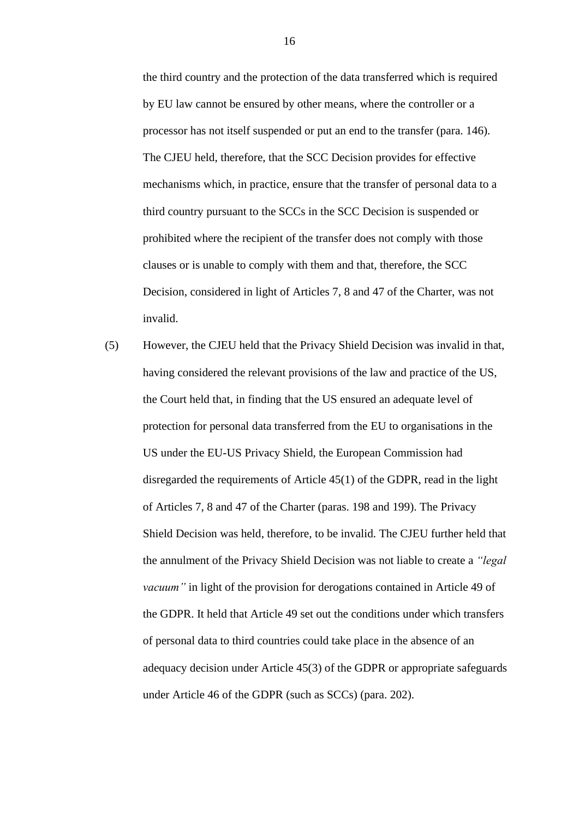the third country and the protection of the data transferred which is required by EU law cannot be ensured by other means, where the controller or a processor has not itself suspended or put an end to the transfer (para. 146). The CJEU held, therefore, that the SCC Decision provides for effective mechanisms which, in practice, ensure that the transfer of personal data to a third country pursuant to the SCCs in the SCC Decision is suspended or prohibited where the recipient of the transfer does not comply with those clauses or is unable to comply with them and that, therefore, the SCC Decision, considered in light of Articles 7, 8 and 47 of the Charter, was not invalid.

(5) However, the CJEU held that the Privacy Shield Decision was invalid in that, having considered the relevant provisions of the law and practice of the US, the Court held that, in finding that the US ensured an adequate level of protection for personal data transferred from the EU to organisations in the US under the EU-US Privacy Shield, the European Commission had disregarded the requirements of Article 45(1) of the GDPR, read in the light of Articles 7, 8 and 47 of the Charter (paras. 198 and 199). The Privacy Shield Decision was held, therefore, to be invalid. The CJEU further held that the annulment of the Privacy Shield Decision was not liable to create a *"legal vacuum"* in light of the provision for derogations contained in Article 49 of the GDPR. It held that Article 49 set out the conditions under which transfers of personal data to third countries could take place in the absence of an adequacy decision under Article 45(3) of the GDPR or appropriate safeguards under Article 46 of the GDPR (such as SCCs) (para. 202).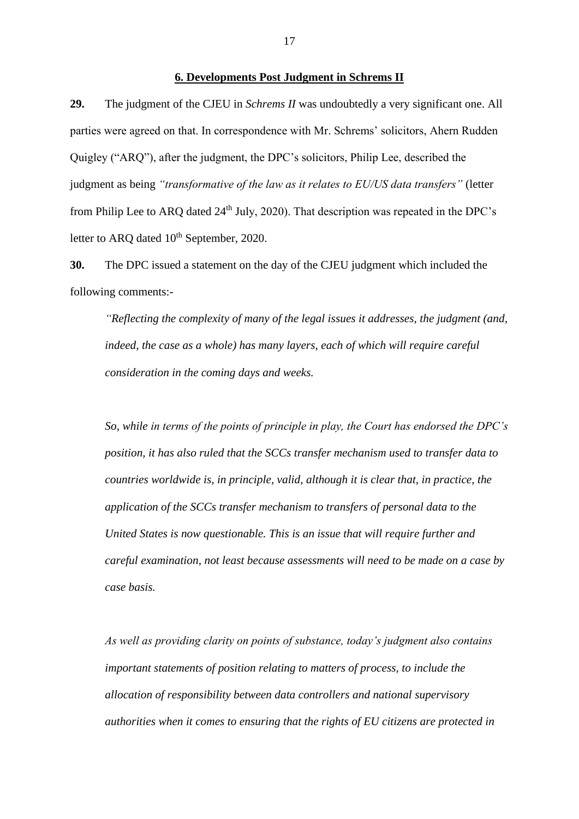#### **6. Developments Post Judgment in Schrems II**

**29.** The judgment of the CJEU in *Schrems II* was undoubtedly a very significant one. All parties were agreed on that. In correspondence with Mr. Schrems' solicitors, Ahern Rudden Quigley ("ARQ"), after the judgment, the DPC's solicitors, Philip Lee, described the judgment as being *"transformative of the law as it relates to EU/US data transfers"* (letter from Philip Lee to ARO dated  $24<sup>th</sup>$  July, 2020). That description was repeated in the DPC's letter to ARQ dated 10<sup>th</sup> September, 2020.

**30.** The DPC issued a statement on the day of the CJEU judgment which included the following comments:-

*"Reflecting the complexity of many of the legal issues it addresses, the judgment (and, indeed, the case as a whole) has many layers, each of which will require careful consideration in the coming days and weeks.*

*So, while in terms of the points of principle in play, the Court has endorsed the DPC's position, it has also ruled that the SCCs transfer mechanism used to transfer data to countries worldwide is, in principle, valid, although it is clear that, in practice, the application of the SCCs transfer mechanism to transfers of personal data to the United States is now questionable. This is an issue that will require further and careful examination, not least because assessments will need to be made on a case by case basis.*

*As well as providing clarity on points of substance, today's judgment also contains important statements of position relating to matters of process, to include the allocation of responsibility between data controllers and national supervisory authorities when it comes to ensuring that the rights of EU citizens are protected in*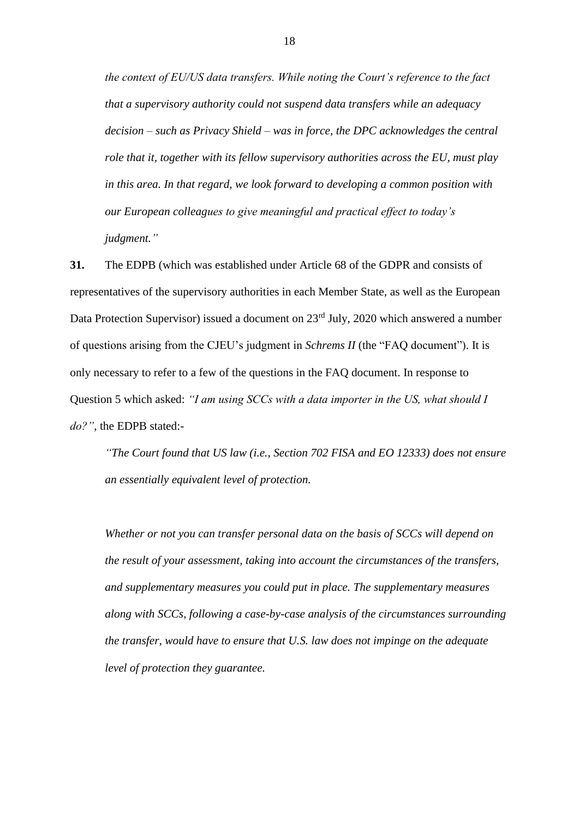*the context of EU/US data transfers. While noting the Court's reference to the fact that a supervisory authority could not suspend data transfers while an adequacy decision – such as Privacy Shield – was in force, the DPC acknowledges the central role that it, together with its fellow supervisory authorities across the EU, must play in this area. In that regard, we look forward to developing a common position with our European colleagues to give meaningful and practical effect to today's judgment."*

**31.** The EDPB (which was established under Article 68 of the GDPR and consists of representatives of the supervisory authorities in each Member State, as well as the European Data Protection Supervisor) issued a document on 23<sup>rd</sup> July, 2020 which answered a number of questions arising from the CJEU's judgment in *Schrems II* (the "FAQ document"). It is only necessary to refer to a few of the questions in the FAQ document. In response to Question 5 which asked: *"I am using SCCs with a data importer in the US, what should I do?"*, the EDPB stated:-

*"The Court found that US law (i.e., Section 702 FISA and EO 12333) does not ensure an essentially equivalent level of protection.*

*Whether or not you can transfer personal data on the basis of SCCs will depend on the result of your assessment, taking into account the circumstances of the transfers, and supplementary measures you could put in place. The supplementary measures along with SCCs, following a case-by-case analysis of the circumstances surrounding the transfer, would have to ensure that U.S. law does not impinge on the adequate level of protection they guarantee.*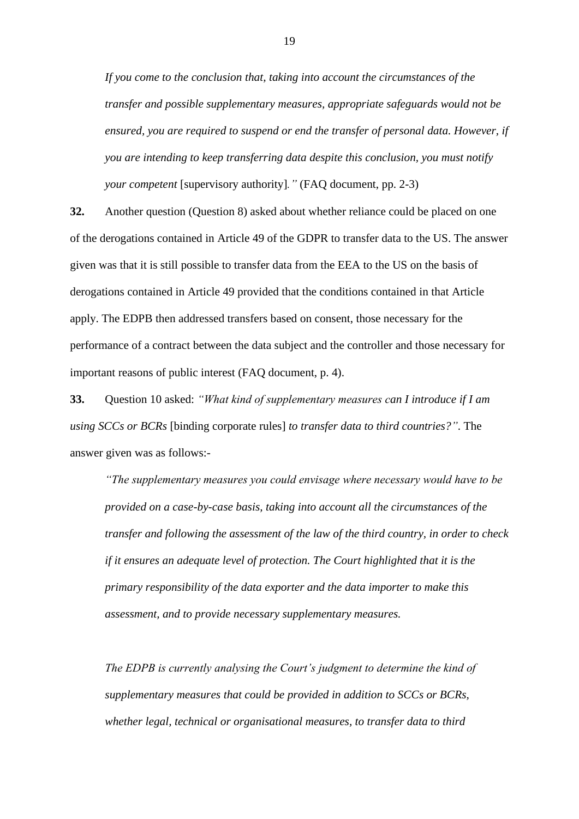*If you come to the conclusion that, taking into account the circumstances of the transfer and possible supplementary measures, appropriate safeguards would not be ensured, you are required to suspend or end the transfer of personal data. However, if you are intending to keep transferring data despite this conclusion, you must notify your competent* [supervisory authority]*."* (FAQ document, pp. 2-3)

**32.** Another question (Question 8) asked about whether reliance could be placed on one of the derogations contained in Article 49 of the GDPR to transfer data to the US. The answer given was that it is still possible to transfer data from the EEA to the US on the basis of derogations contained in Article 49 provided that the conditions contained in that Article apply. The EDPB then addressed transfers based on consent, those necessary for the performance of a contract between the data subject and the controller and those necessary for important reasons of public interest (FAQ document, p. 4).

**33.** Question 10 asked: *"What kind of supplementary measures can I introduce if I am using SCCs or BCRs* [binding corporate rules] *to transfer data to third countries?"*. The answer given was as follows:-

*"The supplementary measures you could envisage where necessary would have to be provided on a case-by-case basis, taking into account all the circumstances of the transfer and following the assessment of the law of the third country, in order to check if it ensures an adequate level of protection. The Court highlighted that it is the primary responsibility of the data exporter and the data importer to make this assessment, and to provide necessary supplementary measures.* 

*The EDPB is currently analysing the Court's judgment to determine the kind of supplementary measures that could be provided in addition to SCCs or BCRs, whether legal, technical or organisational measures, to transfer data to third*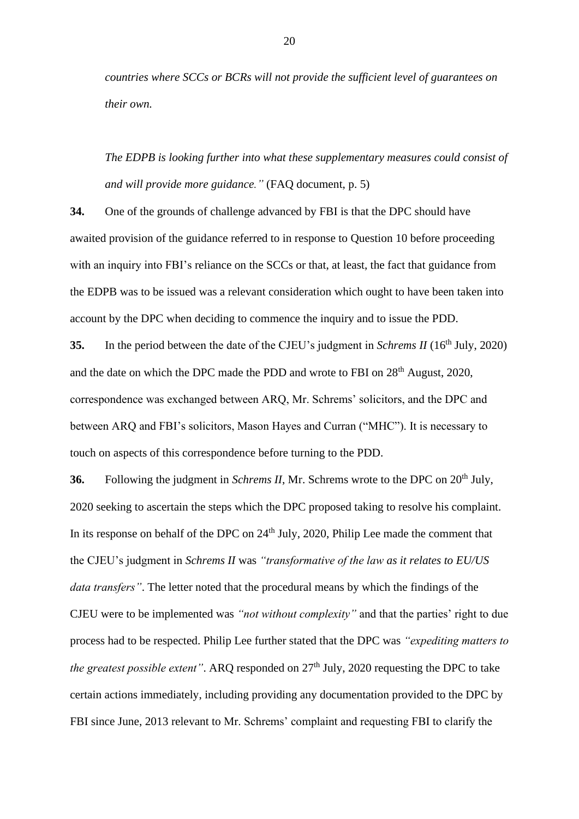*countries where SCCs or BCRs will not provide the sufficient level of guarantees on their own.* 

*The EDPB is looking further into what these supplementary measures could consist of and will provide more guidance."* (FAQ document, p. 5)

**34.** One of the grounds of challenge advanced by FBI is that the DPC should have awaited provision of the guidance referred to in response to Question 10 before proceeding with an inquiry into FBI's reliance on the SCCs or that, at least, the fact that guidance from the EDPB was to be issued was a relevant consideration which ought to have been taken into account by the DPC when deciding to commence the inquiry and to issue the PDD.

**35.** In the period between the date of the CJEU's judgment in *Schrems II* (16<sup>th</sup> July, 2020) and the date on which the DPC made the PDD and wrote to FBI on 28<sup>th</sup> August, 2020, correspondence was exchanged between ARQ, Mr. Schrems' solicitors, and the DPC and between ARQ and FBI's solicitors, Mason Hayes and Curran ("MHC"). It is necessary to touch on aspects of this correspondence before turning to the PDD.

**36.** Following the judgment in *Schrems II*, Mr. Schrems wrote to the DPC on 20<sup>th</sup> July, 2020 seeking to ascertain the steps which the DPC proposed taking to resolve his complaint. In its response on behalf of the DPC on  $24<sup>th</sup>$  July, 2020, Philip Lee made the comment that the CJEU's judgment in *Schrems II* was *"transformative of the law as it relates to EU/US data transfers"*. The letter noted that the procedural means by which the findings of the CJEU were to be implemented was *"not without complexity"* and that the parties' right to due process had to be respected. Philip Lee further stated that the DPC was *"expediting matters to the greatest possible extent"*. ARQ responded on  $27<sup>th</sup>$  July, 2020 requesting the DPC to take certain actions immediately, including providing any documentation provided to the DPC by FBI since June, 2013 relevant to Mr. Schrems' complaint and requesting FBI to clarify the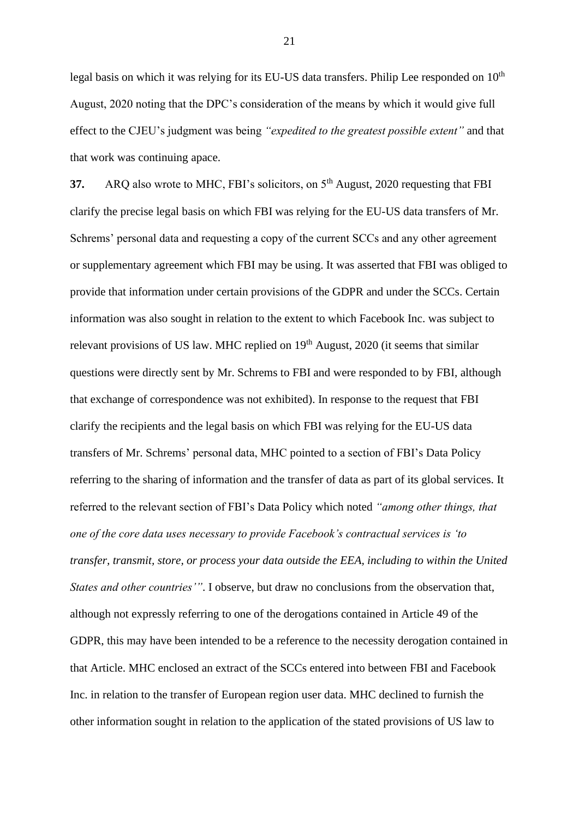legal basis on which it was relying for its EU-US data transfers. Philip Lee responded on  $10<sup>th</sup>$ August, 2020 noting that the DPC's consideration of the means by which it would give full effect to the CJEU's judgment was being *"expedited to the greatest possible extent"* and that that work was continuing apace.

**37.** ARQ also wrote to MHC, FBI's solicitors, on 5<sup>th</sup> August, 2020 requesting that FBI clarify the precise legal basis on which FBI was relying for the EU-US data transfers of Mr. Schrems' personal data and requesting a copy of the current SCCs and any other agreement or supplementary agreement which FBI may be using. It was asserted that FBI was obliged to provide that information under certain provisions of the GDPR and under the SCCs. Certain information was also sought in relation to the extent to which Facebook Inc. was subject to relevant provisions of US law. MHC replied on  $19<sup>th</sup>$  August, 2020 (it seems that similar questions were directly sent by Mr. Schrems to FBI and were responded to by FBI, although that exchange of correspondence was not exhibited). In response to the request that FBI clarify the recipients and the legal basis on which FBI was relying for the EU-US data transfers of Mr. Schrems' personal data, MHC pointed to a section of FBI's Data Policy referring to the sharing of information and the transfer of data as part of its global services. It referred to the relevant section of FBI's Data Policy which noted *"among other things, that one of the core data uses necessary to provide Facebook's contractual services is 'to transfer, transmit, store, or process your data outside the EEA, including to within the United States and other countries'"*. I observe, but draw no conclusions from the observation that, although not expressly referring to one of the derogations contained in Article 49 of the GDPR, this may have been intended to be a reference to the necessity derogation contained in that Article. MHC enclosed an extract of the SCCs entered into between FBI and Facebook Inc. in relation to the transfer of European region user data. MHC declined to furnish the other information sought in relation to the application of the stated provisions of US law to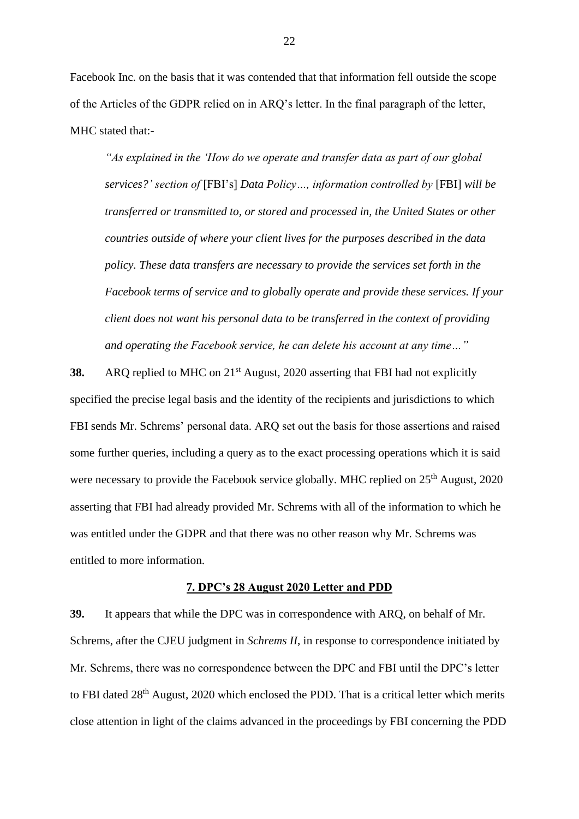Facebook Inc. on the basis that it was contended that that information fell outside the scope of the Articles of the GDPR relied on in ARQ's letter. In the final paragraph of the letter, MHC stated that:-

*"As explained in the 'How do we operate and transfer data as part of our global services?' section of* [FBI's] *Data Policy…, information controlled by* [FBI] *will be transferred or transmitted to, or stored and processed in, the United States or other countries outside of where your client lives for the purposes described in the data policy. These data transfers are necessary to provide the services set forth in the Facebook terms of service and to globally operate and provide these services. If your client does not want his personal data to be transferred in the context of providing and operating the Facebook service, he can delete his account at any time…"*

**38.** ARQ replied to MHC on 21<sup>st</sup> August, 2020 asserting that FBI had not explicitly specified the precise legal basis and the identity of the recipients and jurisdictions to which FBI sends Mr. Schrems' personal data. ARQ set out the basis for those assertions and raised some further queries, including a query as to the exact processing operations which it is said were necessary to provide the Facebook service globally. MHC replied on 25<sup>th</sup> August, 2020 asserting that FBI had already provided Mr. Schrems with all of the information to which he was entitled under the GDPR and that there was no other reason why Mr. Schrems was entitled to more information.

#### **7. DPC's 28 August 2020 Letter and PDD**

**39.** It appears that while the DPC was in correspondence with ARQ, on behalf of Mr. Schrems, after the CJEU judgment in *Schrems II*, in response to correspondence initiated by Mr. Schrems, there was no correspondence between the DPC and FBI until the DPC's letter to FBI dated  $28<sup>th</sup>$  August, 2020 which enclosed the PDD. That is a critical letter which merits close attention in light of the claims advanced in the proceedings by FBI concerning the PDD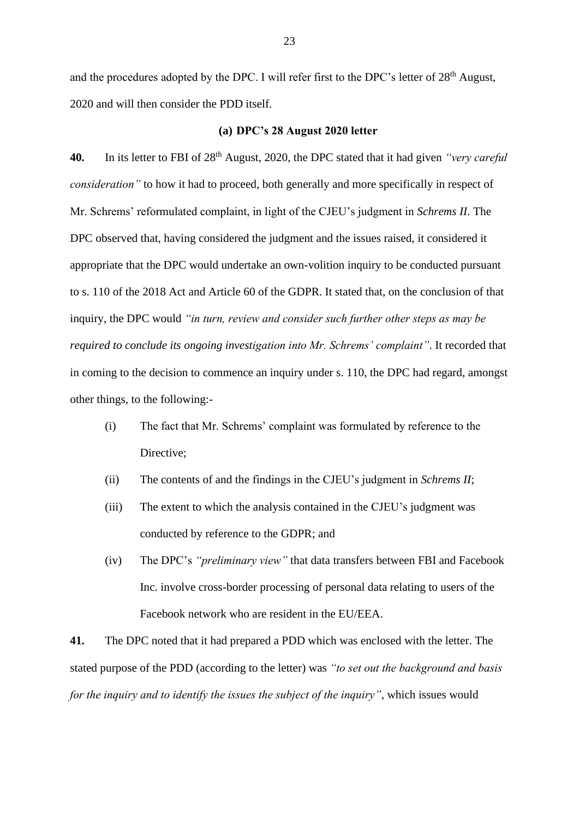and the procedures adopted by the DPC. I will refer first to the DPC's letter of 28<sup>th</sup> August, 2020 and will then consider the PDD itself.

#### **(a) DPC's 28 August 2020 letter**

**40.** In its letter to FBI of 28th August, 2020, the DPC stated that it had given *"very careful consideration"* to how it had to proceed, both generally and more specifically in respect of Mr. Schrems' reformulated complaint, in light of the CJEU's judgment in *Schrems II*. The DPC observed that, having considered the judgment and the issues raised, it considered it appropriate that the DPC would undertake an own-volition inquiry to be conducted pursuant to s. 110 of the 2018 Act and Article 60 of the GDPR. It stated that, on the conclusion of that inquiry, the DPC would *"in turn, review and consider such further other steps as may be required to conclude its ongoing investigation into Mr. Schrems' complaint"*. It recorded that in coming to the decision to commence an inquiry under s. 110, the DPC had regard, amongst other things, to the following:-

- (i) The fact that Mr. Schrems' complaint was formulated by reference to the Directive:
- (ii) The contents of and the findings in the CJEU's judgment in *Schrems II*;
- (iii) The extent to which the analysis contained in the CJEU's judgment was conducted by reference to the GDPR; and
- (iv) The DPC's *"preliminary view"* that data transfers between FBI and Facebook Inc. involve cross-border processing of personal data relating to users of the Facebook network who are resident in the EU/EEA.

**41.** The DPC noted that it had prepared a PDD which was enclosed with the letter. The stated purpose of the PDD (according to the letter) was *"to set out the background and basis for the inquiry and to identify the issues the subject of the inquiry"*, which issues would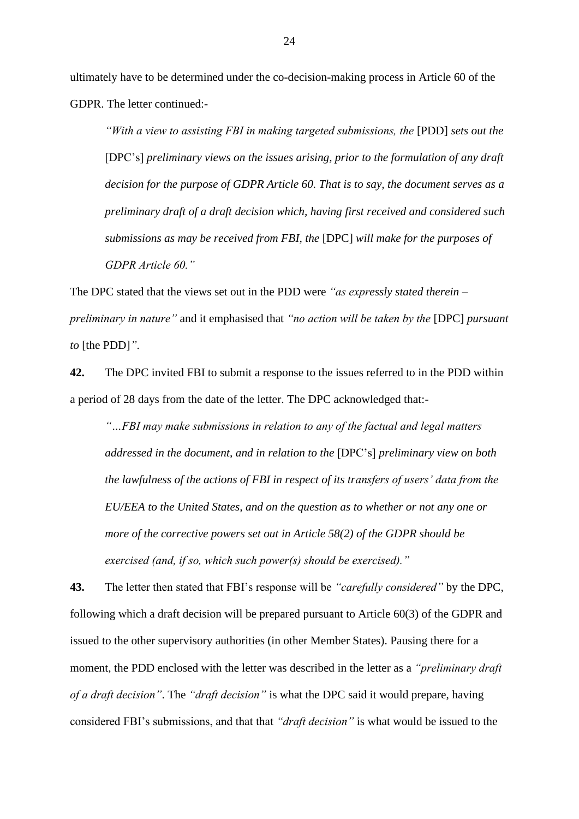ultimately have to be determined under the co-decision-making process in Article 60 of the GDPR. The letter continued:-

*"With a view to assisting FBI in making targeted submissions, the* [PDD] *sets out the* [DPC's] *preliminary views on the issues arising, prior to the formulation of any draft decision for the purpose of GDPR Article 60. That is to say, the document serves as a preliminary draft of a draft decision which, having first received and considered such submissions as may be received from FBI, the* [DPC] *will make for the purposes of GDPR Article 60."*

The DPC stated that the views set out in the PDD were *"as expressly stated therein – preliminary in nature"* and it emphasised that *"no action will be taken by the* [DPC] *pursuant to* [the PDD]*"*.

**42.** The DPC invited FBI to submit a response to the issues referred to in the PDD within a period of 28 days from the date of the letter. The DPC acknowledged that:-

*"…FBI may make submissions in relation to any of the factual and legal matters addressed in the document, and in relation to the* [DPC's] *preliminary view on both the lawfulness of the actions of FBI in respect of its transfers of users' data from the EU/EEA to the United States, and on the question as to whether or not any one or more of the corrective powers set out in Article 58(2) of the GDPR should be exercised (and, if so, which such power(s) should be exercised)."*

**43.** The letter then stated that FBI's response will be *"carefully considered"* by the DPC, following which a draft decision will be prepared pursuant to Article 60(3) of the GDPR and issued to the other supervisory authorities (in other Member States). Pausing there for a moment, the PDD enclosed with the letter was described in the letter as a *"preliminary draft of a draft decision"*. The *"draft decision"* is what the DPC said it would prepare, having considered FBI's submissions, and that that *"draft decision"* is what would be issued to the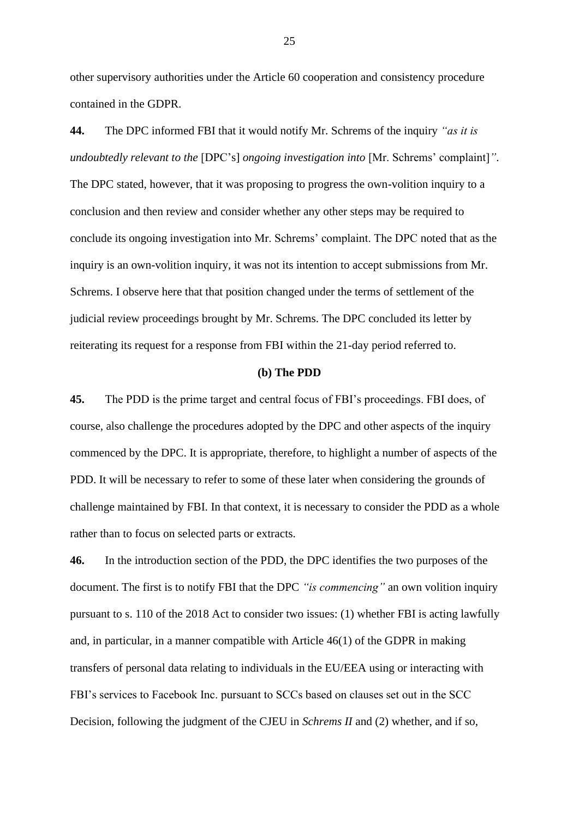other supervisory authorities under the Article 60 cooperation and consistency procedure contained in the GDPR.

**44.** The DPC informed FBI that it would notify Mr. Schrems of the inquiry *"as it is undoubtedly relevant to the* [DPC's] *ongoing investigation into* [Mr. Schrems' complaint]*"*. The DPC stated, however, that it was proposing to progress the own-volition inquiry to a conclusion and then review and consider whether any other steps may be required to conclude its ongoing investigation into Mr. Schrems' complaint. The DPC noted that as the inquiry is an own-volition inquiry, it was not its intention to accept submissions from Mr. Schrems. I observe here that that position changed under the terms of settlement of the judicial review proceedings brought by Mr. Schrems. The DPC concluded its letter by reiterating its request for a response from FBI within the 21-day period referred to.

#### **(b) The PDD**

**45.** The PDD is the prime target and central focus of FBI's proceedings. FBI does, of course, also challenge the procedures adopted by the DPC and other aspects of the inquiry commenced by the DPC. It is appropriate, therefore, to highlight a number of aspects of the PDD. It will be necessary to refer to some of these later when considering the grounds of challenge maintained by FBI. In that context, it is necessary to consider the PDD as a whole rather than to focus on selected parts or extracts.

**46.** In the introduction section of the PDD, the DPC identifies the two purposes of the document. The first is to notify FBI that the DPC *"is commencing"* an own volition inquiry pursuant to s. 110 of the 2018 Act to consider two issues: (1) whether FBI is acting lawfully and, in particular, in a manner compatible with Article 46(1) of the GDPR in making transfers of personal data relating to individuals in the EU/EEA using or interacting with FBI's services to Facebook Inc. pursuant to SCCs based on clauses set out in the SCC Decision, following the judgment of the CJEU in *Schrems II* and (2) whether, and if so,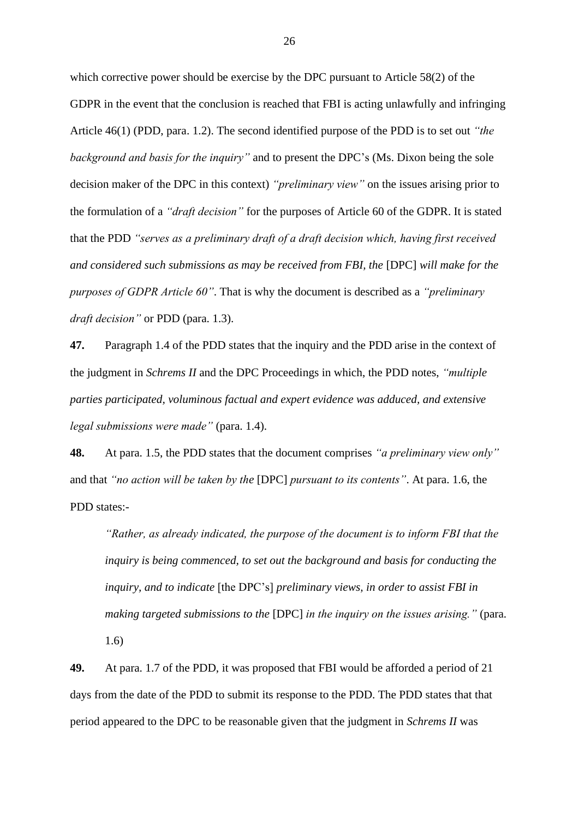which corrective power should be exercise by the DPC pursuant to Article 58(2) of the GDPR in the event that the conclusion is reached that FBI is acting unlawfully and infringing Article 46(1) (PDD, para. 1.2). The second identified purpose of the PDD is to set out *"the background and basis for the inquiry"* and to present the DPC's (Ms. Dixon being the sole decision maker of the DPC in this context) *"preliminary view"* on the issues arising prior to the formulation of a *"draft decision"* for the purposes of Article 60 of the GDPR. It is stated that the PDD *"serves as a preliminary draft of a draft decision which, having first received and considered such submissions as may be received from FBI, the [DPC] will make for the purposes of GDPR Article 60"*. That is why the document is described as a *"preliminary draft decision"* or PDD (para. 1.3).

**47.** Paragraph 1.4 of the PDD states that the inquiry and the PDD arise in the context of the judgment in *Schrems II* and the DPC Proceedings in which, the PDD notes, *"multiple parties participated, voluminous factual and expert evidence was adduced, and extensive legal submissions were made"* (para. 1.4).

**48.** At para. 1.5, the PDD states that the document comprises *"a preliminary view only"* and that *"no action will be taken by the* [DPC] *pursuant to its contents"*. At para. 1.6, the PDD states:-

*"Rather, as already indicated, the purpose of the document is to inform FBI that the inquiry is being commenced, to set out the background and basis for conducting the inquiry, and to indicate* [the DPC's] *preliminary views, in order to assist FBI in making targeted submissions to the* [DPC] *in the inquiry on the issues arising."* (para. 1.6)

**49.** At para. 1.7 of the PDD, it was proposed that FBI would be afforded a period of 21 days from the date of the PDD to submit its response to the PDD. The PDD states that that period appeared to the DPC to be reasonable given that the judgment in *Schrems II* was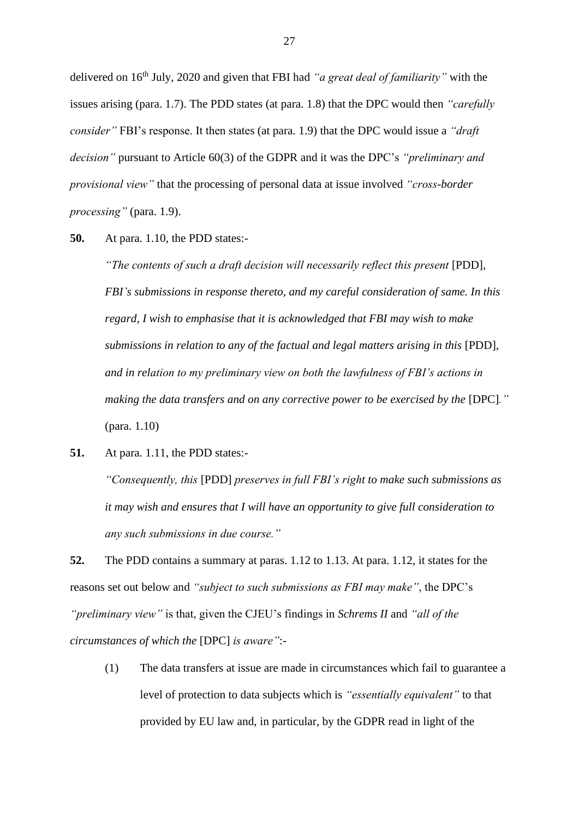delivered on 16th July, 2020 and given that FBI had *"a great deal of familiarity"* with the issues arising (para. 1.7). The PDD states (at para. 1.8) that the DPC would then *"carefully consider"* FBI's response. It then states (at para. 1.9) that the DPC would issue a *"draft decision"* pursuant to Article 60(3) of the GDPR and it was the DPC's *"preliminary and provisional view"* that the processing of personal data at issue involved *"cross-border processing"* (para. 1.9).

**50.** At para. 1.10, the PDD states:-

*"The contents of such a draft decision will necessarily reflect this present* [PDD], *FBI's submissions in response thereto, and my careful consideration of same. In this regard, I wish to emphasise that it is acknowledged that FBI may wish to make submissions in relation to any of the factual and legal matters arising in this* [PDD]*, and in relation to my preliminary view on both the lawfulness of FBI's actions in making the data transfers and on any corrective power to be exercised by the [DPC].*" (para. 1.10)

**51.** At para. 1.11, the PDD states:-

*"Consequently, this* [PDD] *preserves in full FBI's right to make such submissions as it may wish and ensures that I will have an opportunity to give full consideration to any such submissions in due course."*

**52.** The PDD contains a summary at paras. 1.12 to 1.13. At para. 1.12, it states for the reasons set out below and *"subject to such submissions as FBI may make"*, the DPC's *"preliminary view"* is that, given the CJEU's findings in *Schrems II* and *"all of the circumstances of which the* [DPC] *is aware"*:-

(1) The data transfers at issue are made in circumstances which fail to guarantee a level of protection to data subjects which is *"essentially equivalent"* to that provided by EU law and, in particular, by the GDPR read in light of the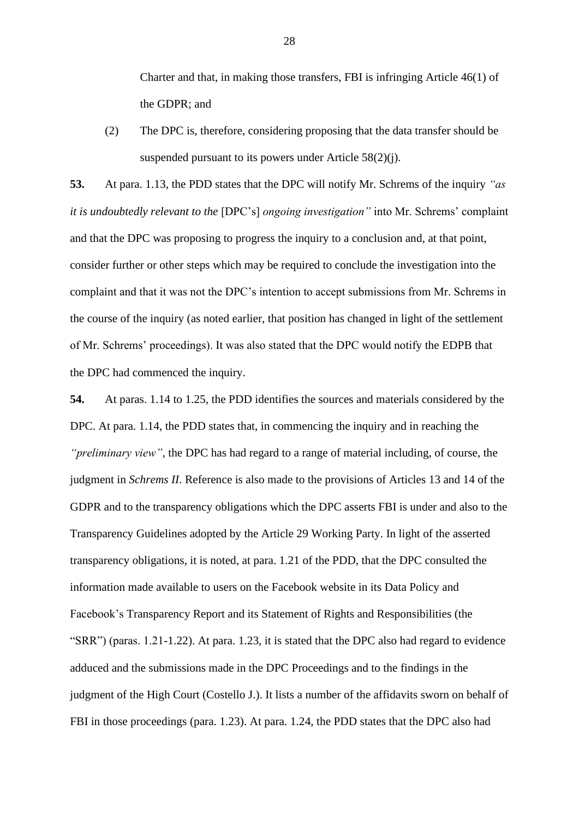Charter and that, in making those transfers, FBI is infringing Article 46(1) of the GDPR; and

(2) The DPC is, therefore, considering proposing that the data transfer should be suspended pursuant to its powers under Article 58(2)(j).

**53.** At para. 1.13, the PDD states that the DPC will notify Mr. Schrems of the inquiry *"as it is undoubtedly relevant to the* [DPC's] *ongoing investigation"* into Mr. Schrems' complaint and that the DPC was proposing to progress the inquiry to a conclusion and, at that point, consider further or other steps which may be required to conclude the investigation into the complaint and that it was not the DPC's intention to accept submissions from Mr. Schrems in the course of the inquiry (as noted earlier, that position has changed in light of the settlement of Mr. Schrems' proceedings). It was also stated that the DPC would notify the EDPB that the DPC had commenced the inquiry.

**54.** At paras. 1.14 to 1.25, the PDD identifies the sources and materials considered by the DPC. At para. 1.14, the PDD states that, in commencing the inquiry and in reaching the *"preliminary view"*, the DPC has had regard to a range of material including, of course, the judgment in *Schrems II*. Reference is also made to the provisions of Articles 13 and 14 of the GDPR and to the transparency obligations which the DPC asserts FBI is under and also to the Transparency Guidelines adopted by the Article 29 Working Party. In light of the asserted transparency obligations, it is noted, at para. 1.21 of the PDD, that the DPC consulted the information made available to users on the Facebook website in its Data Policy and Facebook's Transparency Report and its Statement of Rights and Responsibilities (the "SRR") (paras. 1.21-1.22). At para. 1.23, it is stated that the DPC also had regard to evidence adduced and the submissions made in the DPC Proceedings and to the findings in the judgment of the High Court (Costello J.). It lists a number of the affidavits sworn on behalf of FBI in those proceedings (para. 1.23). At para. 1.24, the PDD states that the DPC also had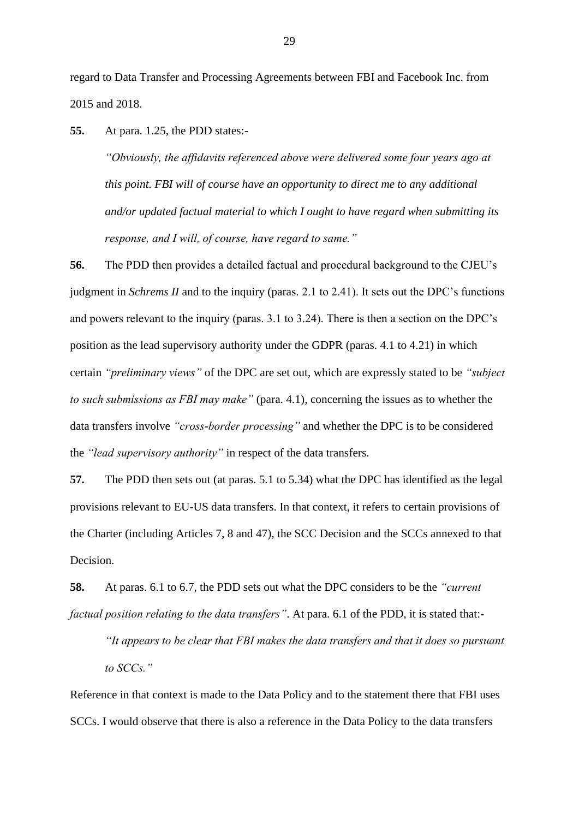regard to Data Transfer and Processing Agreements between FBI and Facebook Inc. from 2015 and 2018.

**55.** At para. 1.25, the PDD states:-

*"Obviously, the affidavits referenced above were delivered some four years ago at this point. FBI will of course have an opportunity to direct me to any additional and/or updated factual material to which I ought to have regard when submitting its response, and I will, of course, have regard to same."*

**56.** The PDD then provides a detailed factual and procedural background to the CJEU's judgment in *Schrems II* and to the inquiry (paras. 2.1 to 2.41). It sets out the DPC's functions and powers relevant to the inquiry (paras. 3.1 to 3.24). There is then a section on the DPC's position as the lead supervisory authority under the GDPR (paras. 4.1 to 4.21) in which certain *"preliminary views"* of the DPC are set out, which are expressly stated to be *"subject to such submissions as FBI may make"* (para. 4.1), concerning the issues as to whether the data transfers involve *"cross-border processing"* and whether the DPC is to be considered the *"lead supervisory authority"* in respect of the data transfers.

**57.** The PDD then sets out (at paras. 5.1 to 5.34) what the DPC has identified as the legal provisions relevant to EU-US data transfers. In that context, it refers to certain provisions of the Charter (including Articles 7, 8 and 47), the SCC Decision and the SCCs annexed to that Decision.

**58.** At paras. 6.1 to 6.7, the PDD sets out what the DPC considers to be the *"current factual position relating to the data transfers"*. At para. 6.1 of the PDD, it is stated that:-

*"It appears to be clear that FBI makes the data transfers and that it does so pursuant to SCCs."*

Reference in that context is made to the Data Policy and to the statement there that FBI uses SCCs. I would observe that there is also a reference in the Data Policy to the data transfers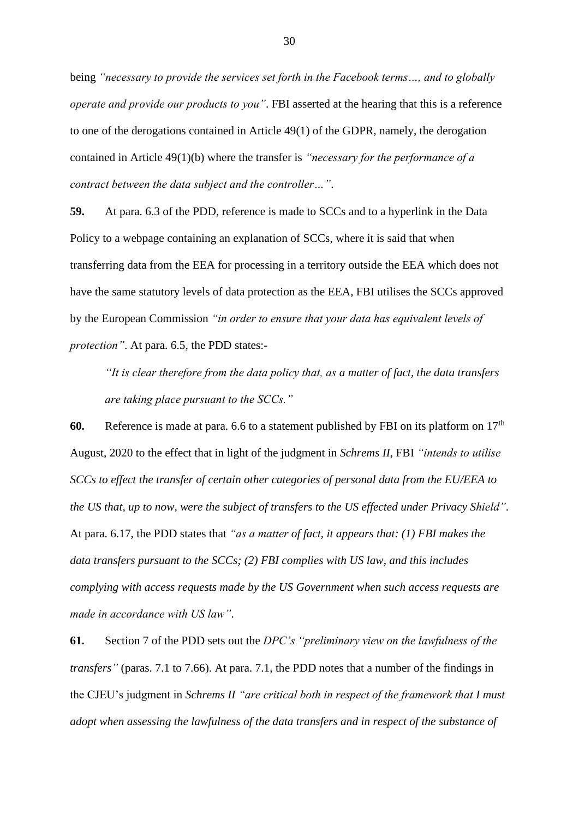being *"necessary to provide the services set forth in the Facebook terms…, and to globally operate and provide our products to you"*. FBI asserted at the hearing that this is a reference to one of the derogations contained in Article 49(1) of the GDPR, namely, the derogation contained in Article 49(1)(b) where the transfer is *"necessary for the performance of a contract between the data subject and the controller…"*.

**59.** At para. 6.3 of the PDD, reference is made to SCCs and to a hyperlink in the Data Policy to a webpage containing an explanation of SCCs, where it is said that when transferring data from the EEA for processing in a territory outside the EEA which does not have the same statutory levels of data protection as the EEA, FBI utilises the SCCs approved by the European Commission *"in order to ensure that your data has equivalent levels of protection"*. At para. 6.5, the PDD states:-

*"It is clear therefore from the data policy that, as a matter of fact, the data transfers are taking place pursuant to the SCCs."*

**60.** Reference is made at para. 6.6 to a statement published by FBI on its platform on  $17<sup>th</sup>$ August, 2020 to the effect that in light of the judgment in *Schrems II*, FBI *"intends to utilise SCCs to effect the transfer of certain other categories of personal data from the EU/EEA to the US that, up to now, were the subject of transfers to the US effected under Privacy Shield"*. At para. 6.17, the PDD states that *"as a matter of fact, it appears that: (1) FBI makes the data transfers pursuant to the SCCs; (2) FBI complies with US law, and this includes complying with access requests made by the US Government when such access requests are made in accordance with US law"*.

**61.** Section 7 of the PDD sets out the *DPC's "preliminary view on the lawfulness of the transfers"* (paras. 7.1 to 7.66). At para. 7.1, the PDD notes that a number of the findings in the CJEU's judgment in *Schrems II "are critical both in respect of the framework that I must adopt when assessing the lawfulness of the data transfers and in respect of the substance of*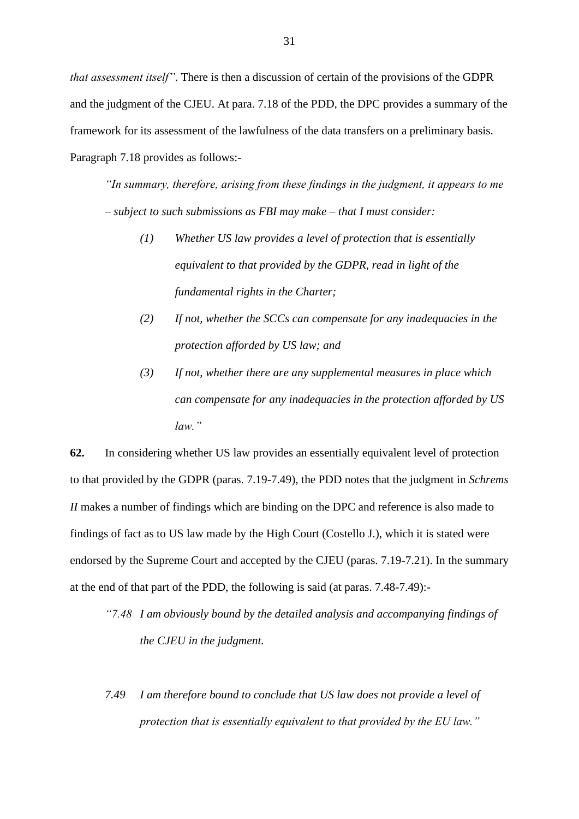*that assessment itself"*. There is then a discussion of certain of the provisions of the GDPR and the judgment of the CJEU. At para. 7.18 of the PDD, the DPC provides a summary of the framework for its assessment of the lawfulness of the data transfers on a preliminary basis. Paragraph 7.18 provides as follows:-

*"In summary, therefore, arising from these findings in the judgment, it appears to me – subject to such submissions as FBI may make – that I must consider:*

- *(1) Whether US law provides a level of protection that is essentially equivalent to that provided by the GDPR, read in light of the fundamental rights in the Charter;*
- *(2) If not, whether the SCCs can compensate for any inadequacies in the protection afforded by US law; and*
- *(3) If not, whether there are any supplemental measures in place which can compensate for any inadequacies in the protection afforded by US law."*

**62.** In considering whether US law provides an essentially equivalent level of protection to that provided by the GDPR (paras. 7.19-7.49), the PDD notes that the judgment in *Schrems II* makes a number of findings which are binding on the DPC and reference is also made to findings of fact as to US law made by the High Court (Costello J.), which it is stated were endorsed by the Supreme Court and accepted by the CJEU (paras. 7.19-7.21). In the summary at the end of that part of the PDD, the following is said (at paras. 7.48-7.49):-

- *"7.48 I am obviously bound by the detailed analysis and accompanying findings of the CJEU in the judgment.*
- *7.49 I am therefore bound to conclude that US law does not provide a level of protection that is essentially equivalent to that provided by the EU law."*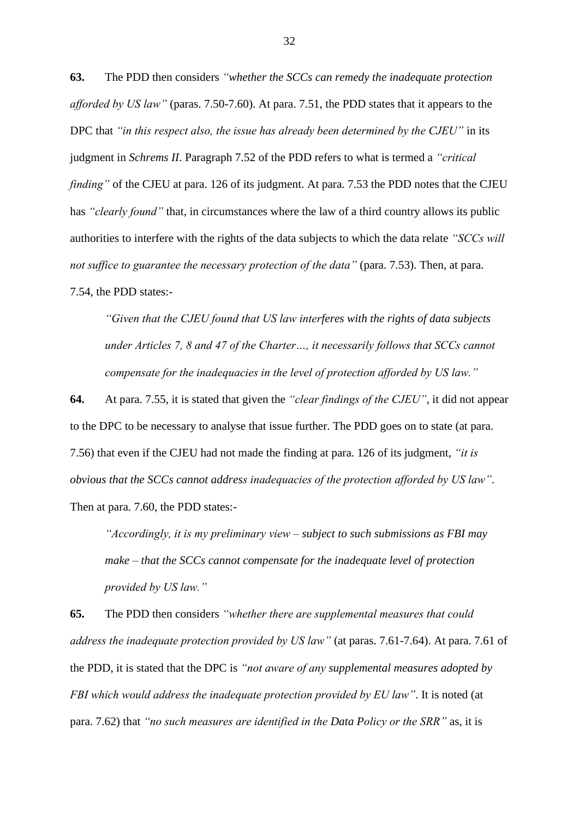**63.** The PDD then considers *"whether the SCCs can remedy the inadequate protection afforded by US law"* (paras. 7.50-7.60). At para. 7.51, the PDD states that it appears to the DPC that *"in this respect also, the issue has already been determined by the CJEU"* in its judgment in *Schrems II*. Paragraph 7.52 of the PDD refers to what is termed a *"critical finding*" of the CJEU at para. 126 of its judgment. At para. 7.53 the PDD notes that the CJEU has *"clearly found"* that, in circumstances where the law of a third country allows its public authorities to interfere with the rights of the data subjects to which the data relate *"SCCs will not suffice to guarantee the necessary protection of the data"* (para. 7.53). Then, at para. 7.54, the PDD states:-

*"Given that the CJEU found that US law interferes with the rights of data subjects under Articles 7, 8 and 47 of the Charter…, it necessarily follows that SCCs cannot compensate for the inadequacies in the level of protection afforded by US law."*

**64.** At para. 7.55, it is stated that given the *"clear findings of the CJEU"*, it did not appear to the DPC to be necessary to analyse that issue further. The PDD goes on to state (at para. 7.56) that even if the CJEU had not made the finding at para. 126 of its judgment, *"it is obvious that the SCCs cannot address inadequacies of the protection afforded by US law"*. Then at para. 7.60, the PDD states:-

*"Accordingly, it is my preliminary view – subject to such submissions as FBI may make – that the SCCs cannot compensate for the inadequate level of protection provided by US law."*

**65.** The PDD then considers *"whether there are supplemental measures that could address the inadequate protection provided by US law"* (at paras. 7.61-7.64). At para. 7.61 of the PDD, it is stated that the DPC is *"not aware of any supplemental measures adopted by FBI which would address the inadequate protection provided by EU law"*. It is noted (at para. 7.62) that *"no such measures are identified in the Data Policy or the SRR"* as, it is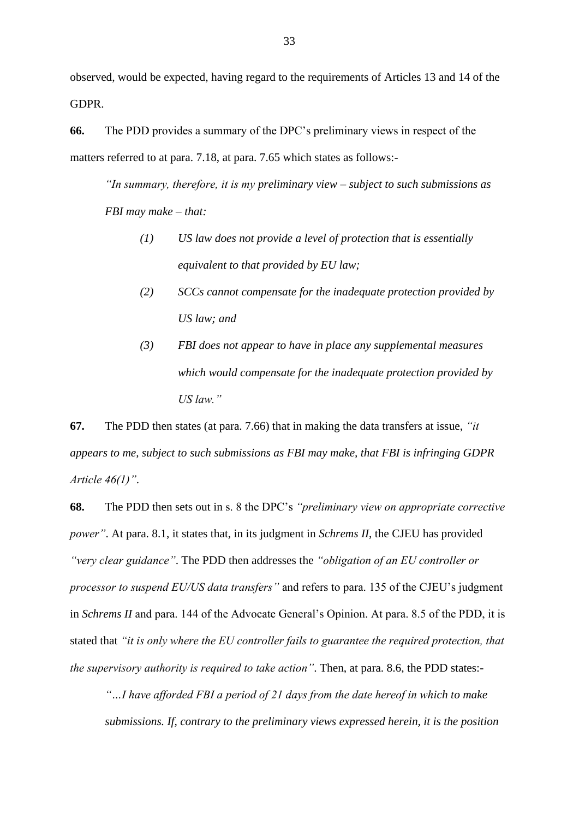observed, would be expected, having regard to the requirements of Articles 13 and 14 of the GDPR.

**66.** The PDD provides a summary of the DPC's preliminary views in respect of the matters referred to at para. 7.18, at para. 7.65 which states as follows:-

*"In summary, therefore, it is my preliminary view – subject to such submissions as FBI may make – that:*

- *(1) US law does not provide a level of protection that is essentially equivalent to that provided by EU law;*
- *(2) SCCs cannot compensate for the inadequate protection provided by US law; and*
- *(3) FBI does not appear to have in place any supplemental measures which would compensate for the inadequate protection provided by US law."*

**67.** The PDD then states (at para. 7.66) that in making the data transfers at issue, *"it appears to me, subject to such submissions as FBI may make, that FBI is infringing GDPR Article 46(1)"*.

**68.** The PDD then sets out in s. 8 the DPC's *"preliminary view on appropriate corrective power"*. At para. 8.1, it states that, in its judgment in *Schrems II*, the CJEU has provided *"very clear guidance"*. The PDD then addresses the *"obligation of an EU controller or processor to suspend EU/US data transfers"* and refers to para. 135 of the CJEU's judgment in *Schrems II* and para. 144 of the Advocate General's Opinion. At para. 8.5 of the PDD, it is stated that *"it is only where the EU controller fails to guarantee the required protection, that the supervisory authority is required to take action"*. Then, at para. 8.6, the PDD states:-

*"…I have afforded FBI a period of 21 days from the date hereof in which to make submissions. If, contrary to the preliminary views expressed herein, it is the position*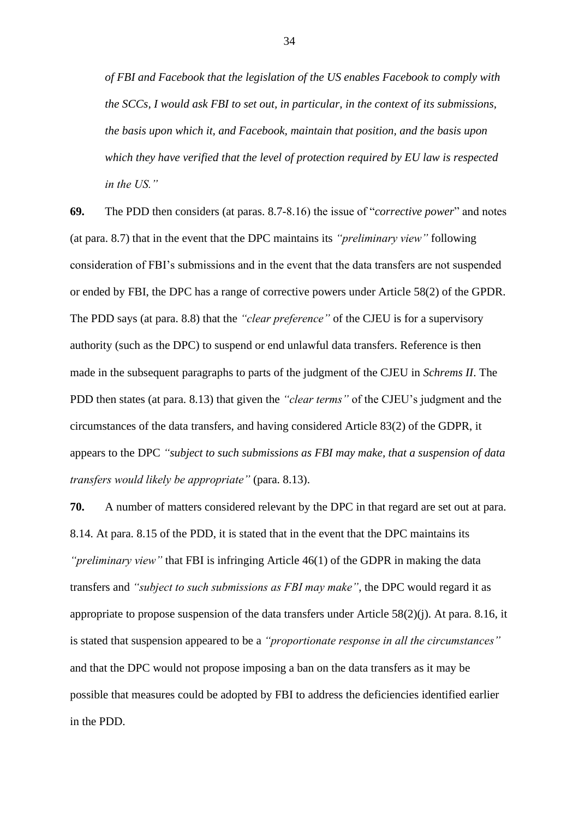*of FBI and Facebook that the legislation of the US enables Facebook to comply with the SCCs, I would ask FBI to set out, in particular, in the context of its submissions, the basis upon which it, and Facebook, maintain that position, and the basis upon which they have verified that the level of protection required by EU law is respected in the US."*

**69.** The PDD then considers (at paras. 8.7-8.16) the issue of "*corrective power*" and notes (at para. 8.7) that in the event that the DPC maintains its *"preliminary view"* following consideration of FBI's submissions and in the event that the data transfers are not suspended or ended by FBI, the DPC has a range of corrective powers under Article 58(2) of the GPDR. The PDD says (at para. 8.8) that the *"clear preference"* of the CJEU is for a supervisory authority (such as the DPC) to suspend or end unlawful data transfers. Reference is then made in the subsequent paragraphs to parts of the judgment of the CJEU in *Schrems II*. The PDD then states (at para. 8.13) that given the *"clear terms"* of the CJEU's judgment and the circumstances of the data transfers, and having considered Article 83(2) of the GDPR, it appears to the DPC *"subject to such submissions as FBI may make, that a suspension of data transfers would likely be appropriate"* (para. 8.13).

**70.** A number of matters considered relevant by the DPC in that regard are set out at para. 8.14. At para. 8.15 of the PDD, it is stated that in the event that the DPC maintains its *"preliminary view"* that FBI is infringing Article 46(1) of the GDPR in making the data transfers and *"subject to such submissions as FBI may make"*, the DPC would regard it as appropriate to propose suspension of the data transfers under Article 58(2)(j). At para. 8.16, it is stated that suspension appeared to be a *"proportionate response in all the circumstances"* and that the DPC would not propose imposing a ban on the data transfers as it may be possible that measures could be adopted by FBI to address the deficiencies identified earlier in the PDD.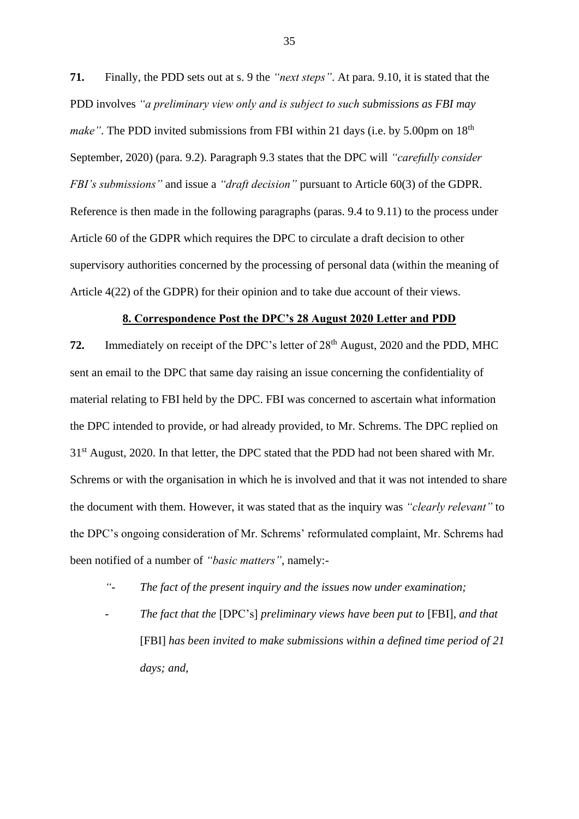**71.** Finally, the PDD sets out at s. 9 the *"next steps"*. At para. 9.10, it is stated that the PDD involves *"a preliminary view only and is subject to such submissions as FBI may make"*. The PDD invited submissions from FBI within 21 days (i.e. by 5.00pm on 18<sup>th</sup>) September, 2020) (para. 9.2). Paragraph 9.3 states that the DPC will *"carefully consider FBI's submissions"* and issue a *"draft decision"* pursuant to Article 60(3) of the GDPR. Reference is then made in the following paragraphs (paras. 9.4 to 9.11) to the process under Article 60 of the GDPR which requires the DPC to circulate a draft decision to other supervisory authorities concerned by the processing of personal data (within the meaning of Article 4(22) of the GDPR) for their opinion and to take due account of their views.

#### **8. Correspondence Post the DPC's 28 August 2020 Letter and PDD**

**72.** Immediately on receipt of the DPC's letter of 28<sup>th</sup> August, 2020 and the PDD, MHC sent an email to the DPC that same day raising an issue concerning the confidentiality of material relating to FBI held by the DPC. FBI was concerned to ascertain what information the DPC intended to provide, or had already provided, to Mr. Schrems. The DPC replied on 31<sup>st</sup> August, 2020. In that letter, the DPC stated that the PDD had not been shared with Mr. Schrems or with the organisation in which he is involved and that it was not intended to share the document with them. However, it was stated that as the inquiry was *"clearly relevant"* to the DPC's ongoing consideration of Mr. Schrems' reformulated complaint, Mr. Schrems had been notified of a number of *"basic matters"*, namely:-

- *"- The fact of the present inquiry and the issues now under examination;*
- *- The fact that the* [DPC's] *preliminary views have been put to* [FBI]*, and that*  [FBI] *has been invited to make submissions within a defined time period of 21 days; and,*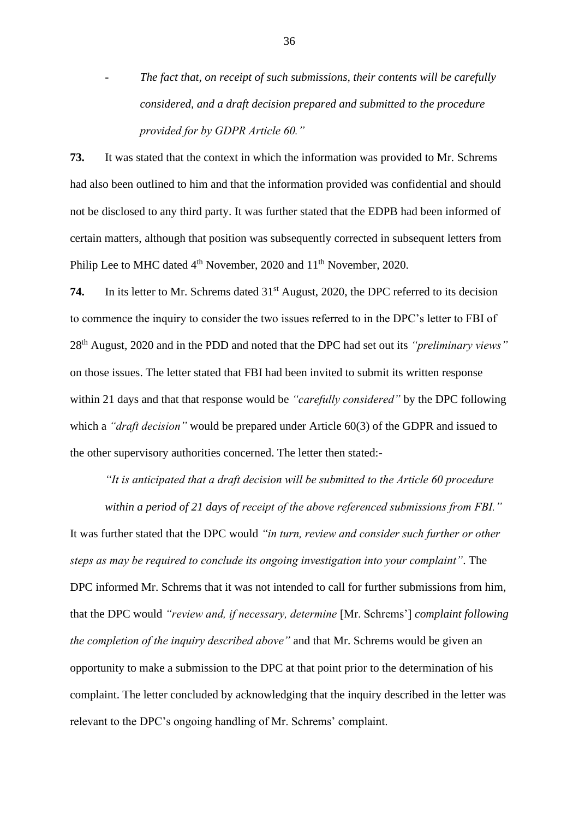*The fact that, on receipt of such submissions, their contents will be carefully considered, and a draft decision prepared and submitted to the procedure provided for by GDPR Article 60."*

**73.** It was stated that the context in which the information was provided to Mr. Schrems had also been outlined to him and that the information provided was confidential and should not be disclosed to any third party. It was further stated that the EDPB had been informed of certain matters, although that position was subsequently corrected in subsequent letters from Philip Lee to MHC dated 4<sup>th</sup> November, 2020 and 11<sup>th</sup> November, 2020.

74. In its letter to Mr. Schrems dated 31<sup>st</sup> August, 2020, the DPC referred to its decision to commence the inquiry to consider the two issues referred to in the DPC's letter to FBI of 28th August, 2020 and in the PDD and noted that the DPC had set out its *"preliminary views"* on those issues. The letter stated that FBI had been invited to submit its written response within 21 days and that that response would be *"carefully considered"* by the DPC following which a *"draft decision"* would be prepared under Article 60(3) of the GDPR and issued to the other supervisory authorities concerned. The letter then stated:-

*"It is anticipated that a draft decision will be submitted to the Article 60 procedure within a period of 21 days of receipt of the above referenced submissions from FBI."*

It was further stated that the DPC would *"in turn, review and consider such further or other steps as may be required to conclude its ongoing investigation into your complaint"*. The DPC informed Mr. Schrems that it was not intended to call for further submissions from him, that the DPC would *"review and, if necessary, determine* [Mr. Schrems'] *complaint following the completion of the inquiry described above"* and that Mr. Schrems would be given an opportunity to make a submission to the DPC at that point prior to the determination of his complaint. The letter concluded by acknowledging that the inquiry described in the letter was relevant to the DPC's ongoing handling of Mr. Schrems' complaint.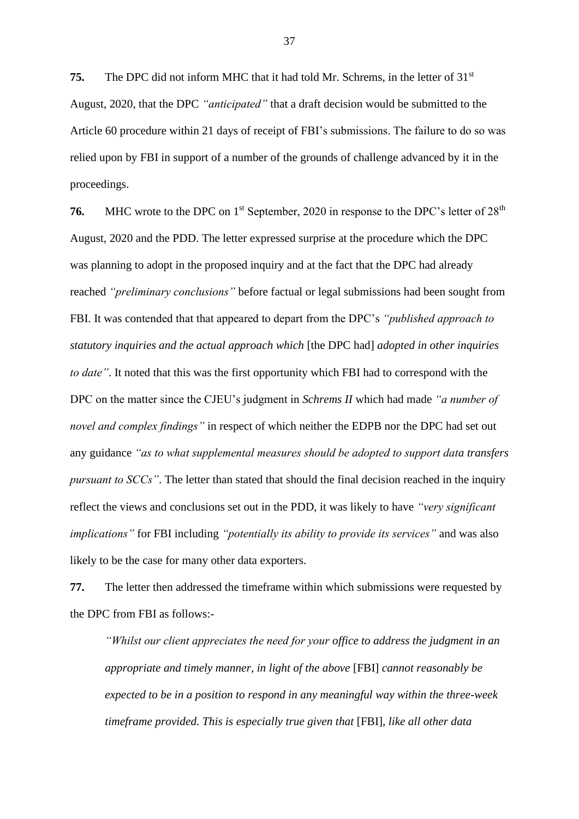**75.** The DPC did not inform MHC that it had told Mr. Schrems, in the letter of 31<sup>st</sup> August, 2020, that the DPC *"anticipated"* that a draft decision would be submitted to the Article 60 procedure within 21 days of receipt of FBI's submissions. The failure to do so was relied upon by FBI in support of a number of the grounds of challenge advanced by it in the proceedings.

**76.** MHC wrote to the DPC on 1<sup>st</sup> September, 2020 in response to the DPC's letter of 28<sup>th</sup> August, 2020 and the PDD. The letter expressed surprise at the procedure which the DPC was planning to adopt in the proposed inquiry and at the fact that the DPC had already reached *"preliminary conclusions"* before factual or legal submissions had been sought from FBI. It was contended that that appeared to depart from the DPC's *"published approach to statutory inquiries and the actual approach which* [the DPC had] *adopted in other inquiries to date"*. It noted that this was the first opportunity which FBI had to correspond with the DPC on the matter since the CJEU's judgment in *Schrems II* which had made *"a number of novel and complex findings"* in respect of which neither the EDPB nor the DPC had set out any guidance *"as to what supplemental measures should be adopted to support data transfers pursuant to SCCs"*. The letter than stated that should the final decision reached in the inquiry reflect the views and conclusions set out in the PDD, it was likely to have *"very significant implications"* for FBI including *"potentially its ability to provide its services"* and was also likely to be the case for many other data exporters.

**77.** The letter then addressed the timeframe within which submissions were requested by the DPC from FBI as follows:-

*"Whilst our client appreciates the need for your office to address the judgment in an appropriate and timely manner, in light of the above* [FBI] *cannot reasonably be expected to be in a position to respond in any meaningful way within the three-week timeframe provided. This is especially true given that* [FBI]*, like all other data*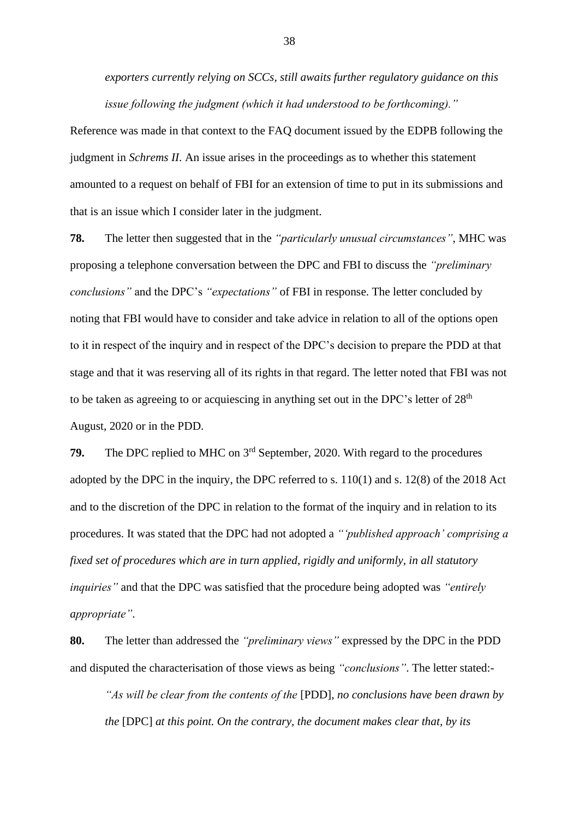*exporters currently relying on SCCs, still awaits further regulatory guidance on this issue following the judgment (which it had understood to be forthcoming)."*

Reference was made in that context to the FAQ document issued by the EDPB following the judgment in *Schrems II*. An issue arises in the proceedings as to whether this statement amounted to a request on behalf of FBI for an extension of time to put in its submissions and that is an issue which I consider later in the judgment.

**78.** The letter then suggested that in the *"particularly unusual circumstances"*, MHC was proposing a telephone conversation between the DPC and FBI to discuss the *"preliminary conclusions"* and the DPC's *"expectations"* of FBI in response. The letter concluded by noting that FBI would have to consider and take advice in relation to all of the options open to it in respect of the inquiry and in respect of the DPC's decision to prepare the PDD at that stage and that it was reserving all of its rights in that regard. The letter noted that FBI was not to be taken as agreeing to or acquiescing in anything set out in the DPC's letter of  $28<sup>th</sup>$ August, 2020 or in the PDD.

**79.** The DPC replied to MHC on 3rd September, 2020. With regard to the procedures adopted by the DPC in the inquiry, the DPC referred to s. 110(1) and s. 12(8) of the 2018 Act and to the discretion of the DPC in relation to the format of the inquiry and in relation to its procedures. It was stated that the DPC had not adopted a *"'published approach' comprising a fixed set of procedures which are in turn applied, rigidly and uniformly, in all statutory inquiries"* and that the DPC was satisfied that the procedure being adopted was *"entirely appropriate"*.

**80.** The letter than addressed the *"preliminary views"* expressed by the DPC in the PDD and disputed the characterisation of those views as being *"conclusions"*. The letter stated:-

*"As will be clear from the contents of the* [PDD]*, no conclusions have been drawn by the* [DPC] *at this point. On the contrary, the document makes clear that, by its*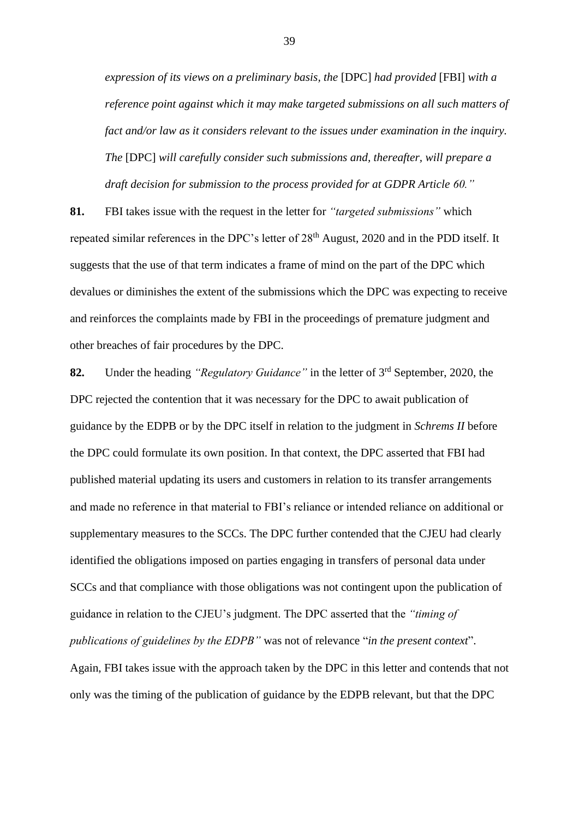*expression of its views on a preliminary basis, the* [DPC] *had provided* [FBI] *with a reference point against which it may make targeted submissions on all such matters of fact and/or law as it considers relevant to the issues under examination in the inquiry. The* [DPC] *will carefully consider such submissions and, thereafter, will prepare a draft decision for submission to the process provided for at GDPR Article 60."*

**81.** FBI takes issue with the request in the letter for *"targeted submissions"* which repeated similar references in the DPC's letter of 28<sup>th</sup> August, 2020 and in the PDD itself. It suggests that the use of that term indicates a frame of mind on the part of the DPC which devalues or diminishes the extent of the submissions which the DPC was expecting to receive and reinforces the complaints made by FBI in the proceedings of premature judgment and other breaches of fair procedures by the DPC.

**82.** Under the heading *"Regulatory Guidance"* in the letter of 3rd September, 2020, the DPC rejected the contention that it was necessary for the DPC to await publication of guidance by the EDPB or by the DPC itself in relation to the judgment in *Schrems II* before the DPC could formulate its own position. In that context, the DPC asserted that FBI had published material updating its users and customers in relation to its transfer arrangements and made no reference in that material to FBI's reliance or intended reliance on additional or supplementary measures to the SCCs. The DPC further contended that the CJEU had clearly identified the obligations imposed on parties engaging in transfers of personal data under SCCs and that compliance with those obligations was not contingent upon the publication of guidance in relation to the CJEU's judgment. The DPC asserted that the *"timing of publications of guidelines by the EDPB"* was not of relevance "*in the present context*". Again, FBI takes issue with the approach taken by the DPC in this letter and contends that not only was the timing of the publication of guidance by the EDPB relevant, but that the DPC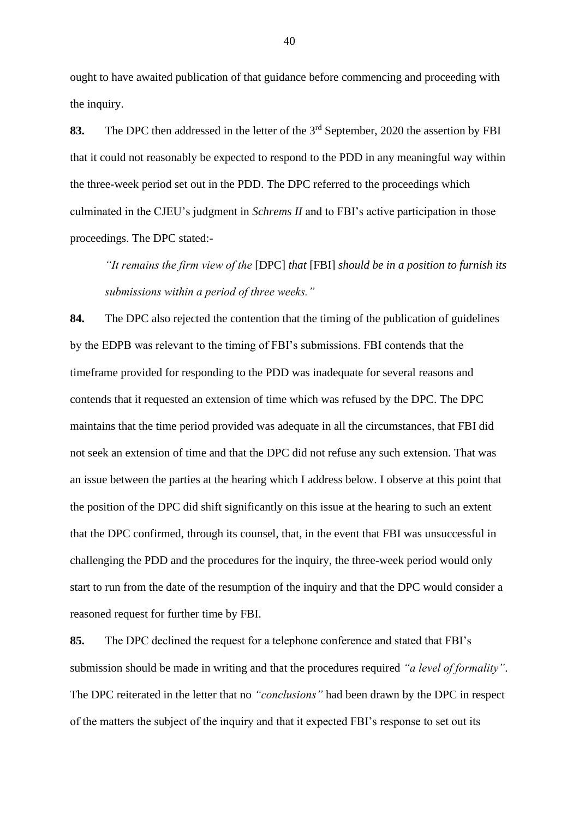ought to have awaited publication of that guidance before commencing and proceeding with the inquiry.

83. The DPC then addressed in the letter of the 3<sup>rd</sup> September, 2020 the assertion by FBI that it could not reasonably be expected to respond to the PDD in any meaningful way within the three-week period set out in the PDD. The DPC referred to the proceedings which culminated in the CJEU's judgment in *Schrems II* and to FBI's active participation in those proceedings. The DPC stated:-

*"It remains the firm view of the* [DPC] *that* [FBI] *should be in a position to furnish its submissions within a period of three weeks."*

**84.** The DPC also rejected the contention that the timing of the publication of guidelines by the EDPB was relevant to the timing of FBI's submissions. FBI contends that the timeframe provided for responding to the PDD was inadequate for several reasons and contends that it requested an extension of time which was refused by the DPC. The DPC maintains that the time period provided was adequate in all the circumstances, that FBI did not seek an extension of time and that the DPC did not refuse any such extension. That was an issue between the parties at the hearing which I address below. I observe at this point that the position of the DPC did shift significantly on this issue at the hearing to such an extent that the DPC confirmed, through its counsel, that, in the event that FBI was unsuccessful in challenging the PDD and the procedures for the inquiry, the three-week period would only start to run from the date of the resumption of the inquiry and that the DPC would consider a reasoned request for further time by FBI.

**85.** The DPC declined the request for a telephone conference and stated that FBI's submission should be made in writing and that the procedures required *"a level of formality"*. The DPC reiterated in the letter that no *"conclusions"* had been drawn by the DPC in respect of the matters the subject of the inquiry and that it expected FBI's response to set out its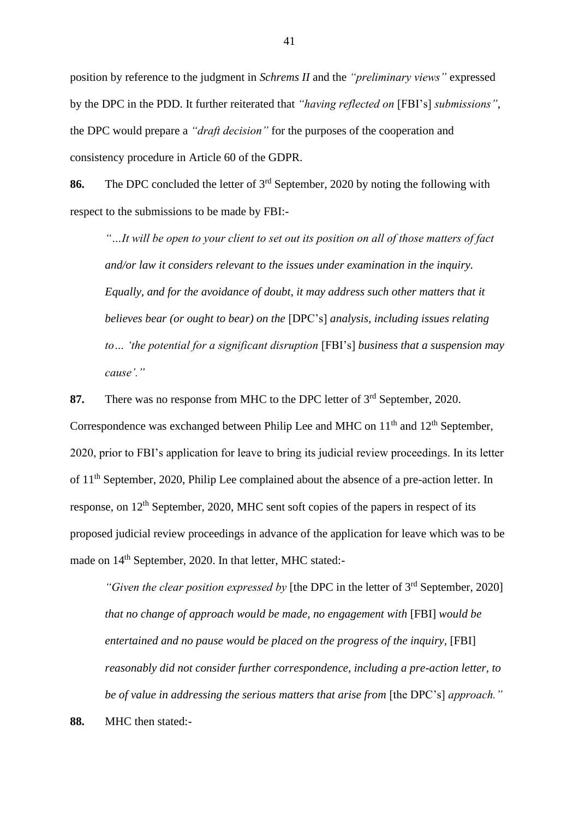position by reference to the judgment in *Schrems II* and the *"preliminary views"* expressed by the DPC in the PDD. It further reiterated that *"having reflected on* [FBI's] *submissions"*, the DPC would prepare a *"draft decision"* for the purposes of the cooperation and consistency procedure in Article 60 of the GDPR.

**86.** The DPC concluded the letter of 3rd September, 2020 by noting the following with respect to the submissions to be made by FBI:-

*"…It will be open to your client to set out its position on all of those matters of fact and/or law it considers relevant to the issues under examination in the inquiry. Equally, and for the avoidance of doubt, it may address such other matters that it believes bear (or ought to bear) on the* [DPC's] *analysis, including issues relating to… 'the potential for a significant disruption* [FBI's] *business that a suspension may cause'."*

87. There was no response from MHC to the DPC letter of 3<sup>rd</sup> September, 2020. Correspondence was exchanged between Philip Lee and MHC on  $11<sup>th</sup>$  and  $12<sup>th</sup>$  September, 2020, prior to FBI's application for leave to bring its judicial review proceedings. In its letter of 11th September, 2020, Philip Lee complained about the absence of a pre-action letter. In response, on 12<sup>th</sup> September, 2020, MHC sent soft copies of the papers in respect of its proposed judicial review proceedings in advance of the application for leave which was to be made on  $14<sup>th</sup>$  September, 2020. In that letter, MHC stated:-

*"Given the clear position expressed by* [the DPC in the letter of 3<sup>rd</sup> September, 2020] *that no change of approach would be made, no engagement with* [FBI] *would be entertained and no pause would be placed on the progress of the inquiry,* [FBI] *reasonably did not consider further correspondence, including a pre-action letter, to be of value in addressing the serious matters that arise from [the DPC's] approach."* 

**88.** MHC then stated:-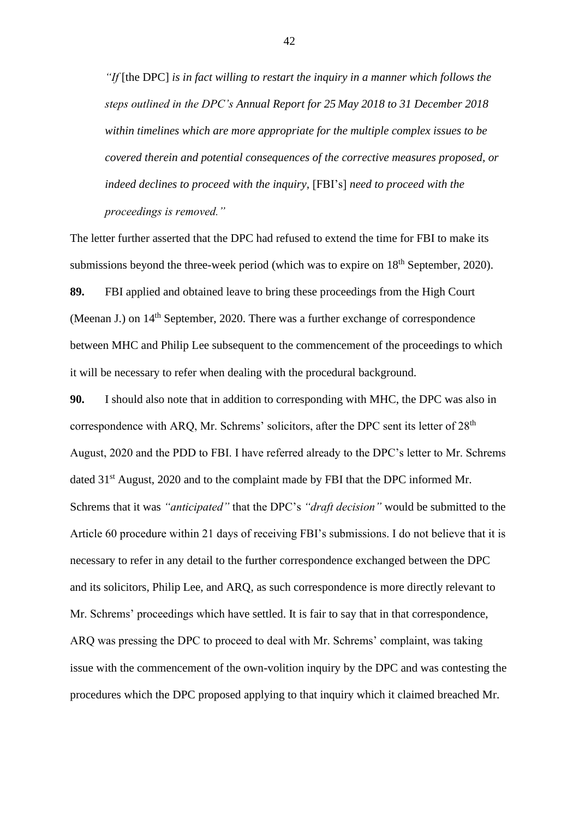*"If* [the DPC] *is in fact willing to restart the inquiry in a manner which follows the steps outlined in the DPC's Annual Report for 25 May 2018 to 31 December 2018 within timelines which are more appropriate for the multiple complex issues to be covered therein and potential consequences of the corrective measures proposed, or indeed declines to proceed with the inquiry,* [FBI's] *need to proceed with the proceedings is removed."*

The letter further asserted that the DPC had refused to extend the time for FBI to make its submissions beyond the three-week period (which was to expire on  $18<sup>th</sup>$  September, 2020).

**89.** FBI applied and obtained leave to bring these proceedings from the High Court (Meenan J.) on  $14<sup>th</sup>$  September, 2020. There was a further exchange of correspondence between MHC and Philip Lee subsequent to the commencement of the proceedings to which it will be necessary to refer when dealing with the procedural background.

**90.** I should also note that in addition to corresponding with MHC, the DPC was also in correspondence with ARQ, Mr. Schrems' solicitors, after the DPC sent its letter of 28<sup>th</sup> August, 2020 and the PDD to FBI. I have referred already to the DPC's letter to Mr. Schrems dated 31<sup>st</sup> August, 2020 and to the complaint made by FBI that the DPC informed Mr. Schrems that it was *"anticipated"* that the DPC's *"draft decision"* would be submitted to the Article 60 procedure within 21 days of receiving FBI's submissions. I do not believe that it is necessary to refer in any detail to the further correspondence exchanged between the DPC and its solicitors, Philip Lee, and ARQ, as such correspondence is more directly relevant to Mr. Schrems' proceedings which have settled. It is fair to say that in that correspondence, ARQ was pressing the DPC to proceed to deal with Mr. Schrems' complaint, was taking issue with the commencement of the own-volition inquiry by the DPC and was contesting the procedures which the DPC proposed applying to that inquiry which it claimed breached Mr.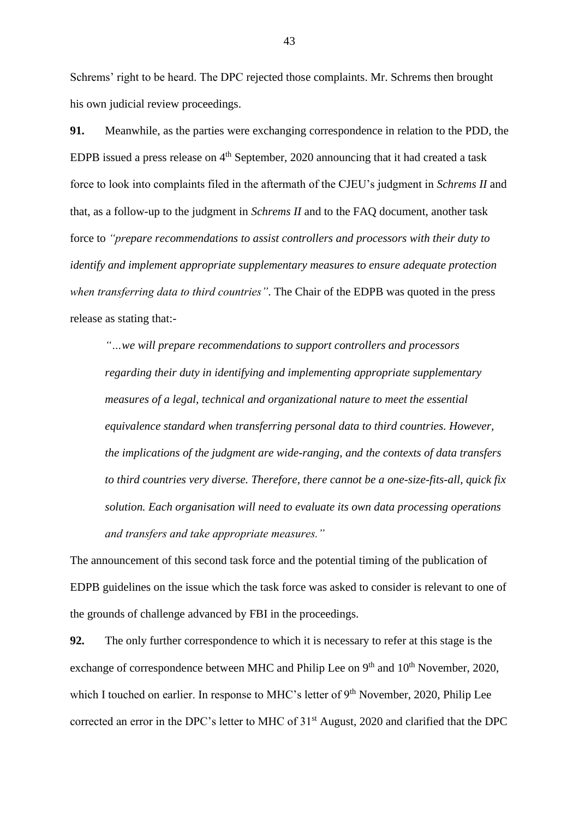Schrems' right to be heard. The DPC rejected those complaints. Mr. Schrems then brought his own judicial review proceedings.

**91.** Meanwhile, as the parties were exchanging correspondence in relation to the PDD, the EDPB issued a press release on  $4<sup>th</sup>$  September, 2020 announcing that it had created a task force to look into complaints filed in the aftermath of the CJEU's judgment in *Schrems II* and that, as a follow-up to the judgment in *Schrems II* and to the FAQ document, another task force to *"prepare recommendations to assist controllers and processors with their duty to identify and implement appropriate supplementary measures to ensure adequate protection when transferring data to third countries"*. The Chair of the EDPB was quoted in the press release as stating that:-

*"…we will prepare recommendations to support controllers and processors regarding their duty in identifying and implementing appropriate supplementary measures of a legal, technical and organizational nature to meet the essential equivalence standard when transferring personal data to third countries. However, the implications of the judgment are wide-ranging, and the contexts of data transfers to third countries very diverse. Therefore, there cannot be a one-size-fits-all, quick fix solution. Each organisation will need to evaluate its own data processing operations and transfers and take appropriate measures."*

The announcement of this second task force and the potential timing of the publication of EDPB guidelines on the issue which the task force was asked to consider is relevant to one of the grounds of challenge advanced by FBI in the proceedings.

**92.** The only further correspondence to which it is necessary to refer at this stage is the exchange of correspondence between MHC and Philip Lee on  $9<sup>th</sup>$  and  $10<sup>th</sup>$  November, 2020, which I touched on earlier. In response to MHC's letter of 9<sup>th</sup> November, 2020, Philip Lee corrected an error in the DPC's letter to MHC of 31<sup>st</sup> August, 2020 and clarified that the DPC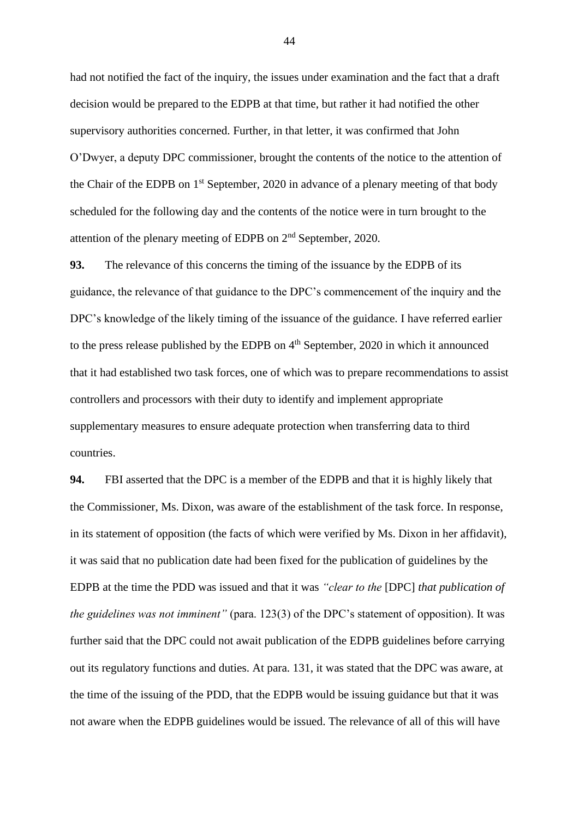had not notified the fact of the inquiry, the issues under examination and the fact that a draft decision would be prepared to the EDPB at that time, but rather it had notified the other supervisory authorities concerned. Further, in that letter, it was confirmed that John O'Dwyer, a deputy DPC commissioner, brought the contents of the notice to the attention of the Chair of the EDPB on 1<sup>st</sup> September, 2020 in advance of a plenary meeting of that body scheduled for the following day and the contents of the notice were in turn brought to the attention of the plenary meeting of EDPB on 2nd September, 2020.

**93.** The relevance of this concerns the timing of the issuance by the EDPB of its guidance, the relevance of that guidance to the DPC's commencement of the inquiry and the DPC's knowledge of the likely timing of the issuance of the guidance. I have referred earlier to the press release published by the EDPB on  $4<sup>th</sup>$  September, 2020 in which it announced that it had established two task forces, one of which was to prepare recommendations to assist controllers and processors with their duty to identify and implement appropriate supplementary measures to ensure adequate protection when transferring data to third countries.

**94.** FBI asserted that the DPC is a member of the EDPB and that it is highly likely that the Commissioner, Ms. Dixon, was aware of the establishment of the task force. In response, in its statement of opposition (the facts of which were verified by Ms. Dixon in her affidavit), it was said that no publication date had been fixed for the publication of guidelines by the EDPB at the time the PDD was issued and that it was *"clear to the* [DPC] *that publication of the guidelines was not imminent"* (para. 123(3) of the DPC's statement of opposition). It was further said that the DPC could not await publication of the EDPB guidelines before carrying out its regulatory functions and duties. At para. 131, it was stated that the DPC was aware, at the time of the issuing of the PDD, that the EDPB would be issuing guidance but that it was not aware when the EDPB guidelines would be issued. The relevance of all of this will have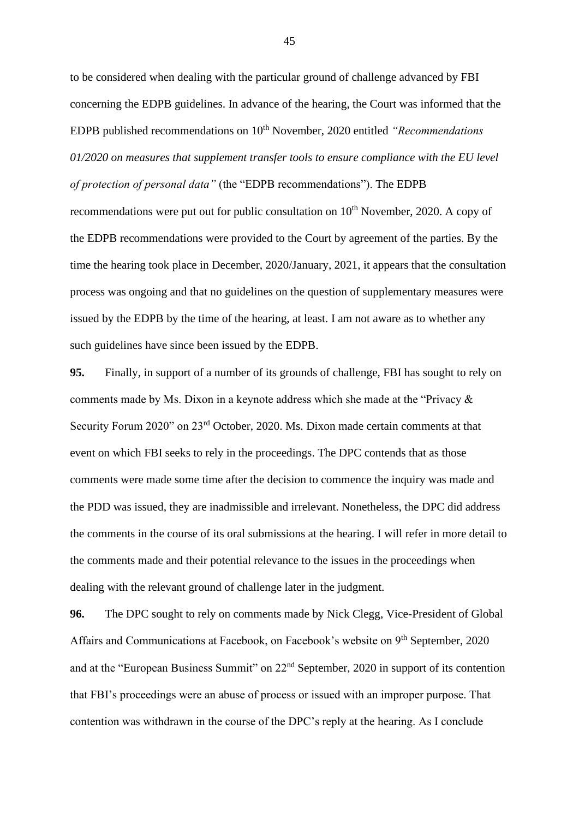to be considered when dealing with the particular ground of challenge advanced by FBI concerning the EDPB guidelines. In advance of the hearing, the Court was informed that the EDPB published recommendations on 10<sup>th</sup> November, 2020 entitled *"Recommendations 01/2020 on measures that supplement transfer tools to ensure compliance with the EU level of protection of personal data"* (the "EDPB recommendations"). The EDPB recommendations were put out for public consultation on  $10<sup>th</sup>$  November, 2020. A copy of the EDPB recommendations were provided to the Court by agreement of the parties. By the time the hearing took place in December, 2020/January, 2021, it appears that the consultation process was ongoing and that no guidelines on the question of supplementary measures were issued by the EDPB by the time of the hearing, at least. I am not aware as to whether any such guidelines have since been issued by the EDPB.

**95.** Finally, in support of a number of its grounds of challenge, FBI has sought to rely on comments made by Ms. Dixon in a keynote address which she made at the "Privacy & Security Forum 2020" on 23rd October, 2020. Ms. Dixon made certain comments at that event on which FBI seeks to rely in the proceedings. The DPC contends that as those comments were made some time after the decision to commence the inquiry was made and the PDD was issued, they are inadmissible and irrelevant. Nonetheless, the DPC did address the comments in the course of its oral submissions at the hearing. I will refer in more detail to the comments made and their potential relevance to the issues in the proceedings when dealing with the relevant ground of challenge later in the judgment.

**96.** The DPC sought to rely on comments made by Nick Clegg, Vice-President of Global Affairs and Communications at Facebook, on Facebook's website on 9<sup>th</sup> September, 2020 and at the "European Business Summit" on 22nd September, 2020 in support of its contention that FBI's proceedings were an abuse of process or issued with an improper purpose. That contention was withdrawn in the course of the DPC's reply at the hearing. As I conclude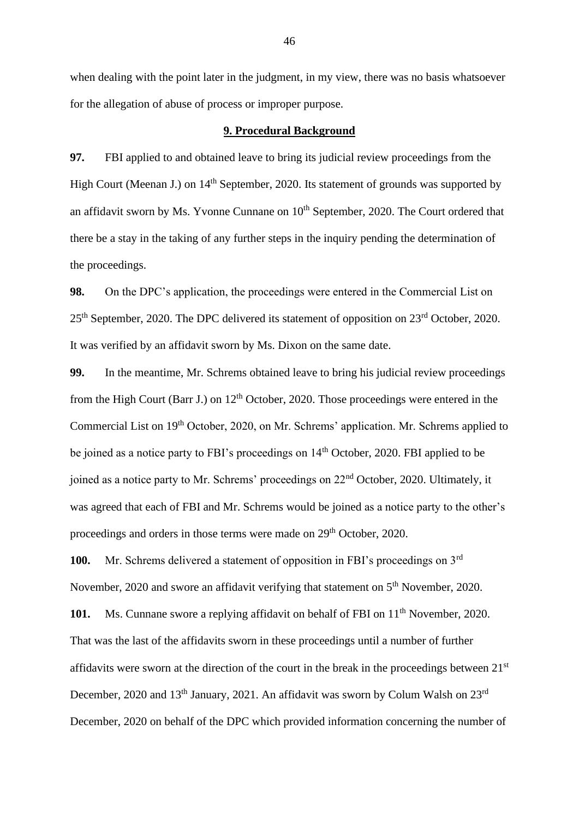when dealing with the point later in the judgment, in my view, there was no basis whatsoever for the allegation of abuse of process or improper purpose.

#### **9. Procedural Background**

**97.** FBI applied to and obtained leave to bring its judicial review proceedings from the High Court (Meenan J.) on 14<sup>th</sup> September, 2020. Its statement of grounds was supported by an affidavit sworn by Ms. Yvonne Cunnane on  $10<sup>th</sup>$  September, 2020. The Court ordered that there be a stay in the taking of any further steps in the inquiry pending the determination of the proceedings.

**98.** On the DPC's application, the proceedings were entered in the Commercial List on 25<sup>th</sup> September, 2020. The DPC delivered its statement of opposition on 23<sup>rd</sup> October, 2020. It was verified by an affidavit sworn by Ms. Dixon on the same date.

**99.** In the meantime, Mr. Schrems obtained leave to bring his judicial review proceedings from the High Court (Barr J.) on  $12<sup>th</sup>$  October, 2020. Those proceedings were entered in the Commercial List on 19th October, 2020, on Mr. Schrems' application. Mr. Schrems applied to be joined as a notice party to FBI's proceedings on 14<sup>th</sup> October, 2020. FBI applied to be joined as a notice party to Mr. Schrems' proceedings on 22nd October, 2020. Ultimately, it was agreed that each of FBI and Mr. Schrems would be joined as a notice party to the other's proceedings and orders in those terms were made on 29<sup>th</sup> October, 2020.

**100.** Mr. Schrems delivered a statement of opposition in FBI's proceedings on 3rd November, 2020 and swore an affidavit verifying that statement on 5<sup>th</sup> November, 2020.

**101.** Ms. Cunnane swore a replying affidavit on behalf of FBI on 11<sup>th</sup> November, 2020. That was the last of the affidavits sworn in these proceedings until a number of further affidavits were sworn at the direction of the court in the break in the proceedings between 21<sup>st</sup> December, 2020 and 13<sup>th</sup> January, 2021. An affidavit was sworn by Colum Walsh on 23<sup>rd</sup> December, 2020 on behalf of the DPC which provided information concerning the number of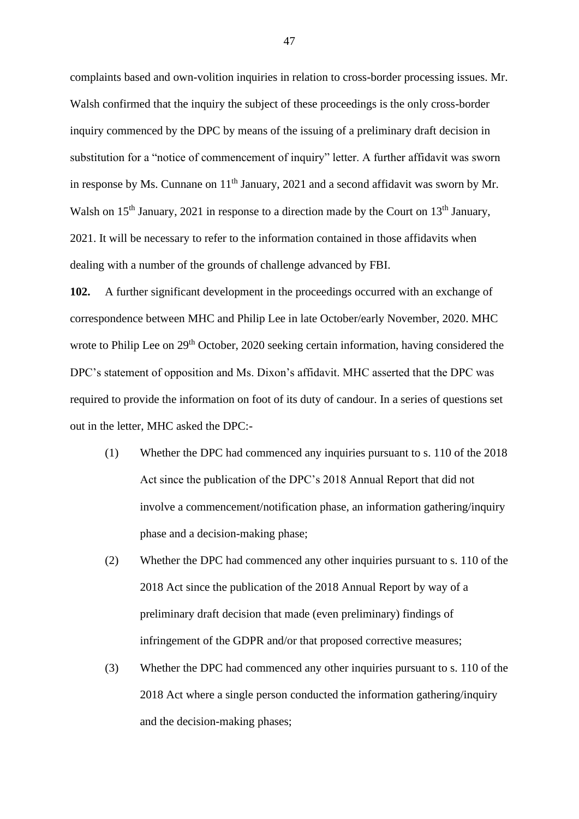complaints based and own-volition inquiries in relation to cross-border processing issues. Mr. Walsh confirmed that the inquiry the subject of these proceedings is the only cross-border inquiry commenced by the DPC by means of the issuing of a preliminary draft decision in substitution for a "notice of commencement of inquiry" letter. A further affidavit was sworn in response by Ms. Cunnane on  $11<sup>th</sup>$  January, 2021 and a second affidavit was sworn by Mr. Walsh on 15<sup>th</sup> January, 2021 in response to a direction made by the Court on 13<sup>th</sup> January, 2021. It will be necessary to refer to the information contained in those affidavits when dealing with a number of the grounds of challenge advanced by FBI.

**102.** A further significant development in the proceedings occurred with an exchange of correspondence between MHC and Philip Lee in late October/early November, 2020. MHC wrote to Philip Lee on 29<sup>th</sup> October, 2020 seeking certain information, having considered the DPC's statement of opposition and Ms. Dixon's affidavit. MHC asserted that the DPC was required to provide the information on foot of its duty of candour. In a series of questions set out in the letter, MHC asked the DPC:-

- (1) Whether the DPC had commenced any inquiries pursuant to s. 110 of the 2018 Act since the publication of the DPC's 2018 Annual Report that did not involve a commencement/notification phase, an information gathering/inquiry phase and a decision-making phase;
- (2) Whether the DPC had commenced any other inquiries pursuant to s. 110 of the 2018 Act since the publication of the 2018 Annual Report by way of a preliminary draft decision that made (even preliminary) findings of infringement of the GDPR and/or that proposed corrective measures;
- (3) Whether the DPC had commenced any other inquiries pursuant to s. 110 of the 2018 Act where a single person conducted the information gathering/inquiry and the decision-making phases;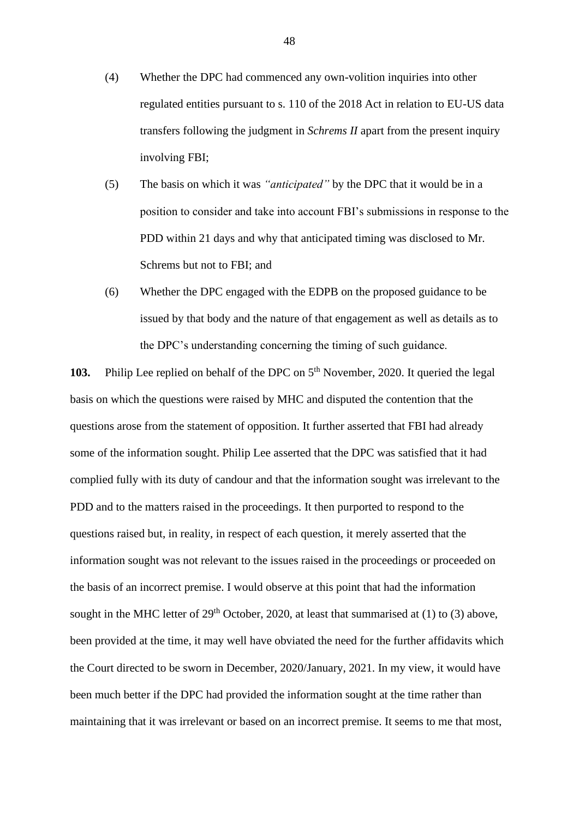- (4) Whether the DPC had commenced any own-volition inquiries into other regulated entities pursuant to s. 110 of the 2018 Act in relation to EU-US data transfers following the judgment in *Schrems II* apart from the present inquiry involving FBI;
- (5) The basis on which it was *"anticipated"* by the DPC that it would be in a position to consider and take into account FBI's submissions in response to the PDD within 21 days and why that anticipated timing was disclosed to Mr. Schrems but not to FBI; and
- (6) Whether the DPC engaged with the EDPB on the proposed guidance to be issued by that body and the nature of that engagement as well as details as to the DPC's understanding concerning the timing of such guidance.

**103.** Philip Lee replied on behalf of the DPC on 5<sup>th</sup> November, 2020. It queried the legal basis on which the questions were raised by MHC and disputed the contention that the questions arose from the statement of opposition. It further asserted that FBI had already some of the information sought. Philip Lee asserted that the DPC was satisfied that it had complied fully with its duty of candour and that the information sought was irrelevant to the PDD and to the matters raised in the proceedings. It then purported to respond to the questions raised but, in reality, in respect of each question, it merely asserted that the information sought was not relevant to the issues raised in the proceedings or proceeded on the basis of an incorrect premise. I would observe at this point that had the information sought in the MHC letter of  $29<sup>th</sup>$  October, 2020, at least that summarised at (1) to (3) above, been provided at the time, it may well have obviated the need for the further affidavits which the Court directed to be sworn in December, 2020/January, 2021. In my view, it would have been much better if the DPC had provided the information sought at the time rather than maintaining that it was irrelevant or based on an incorrect premise. It seems to me that most,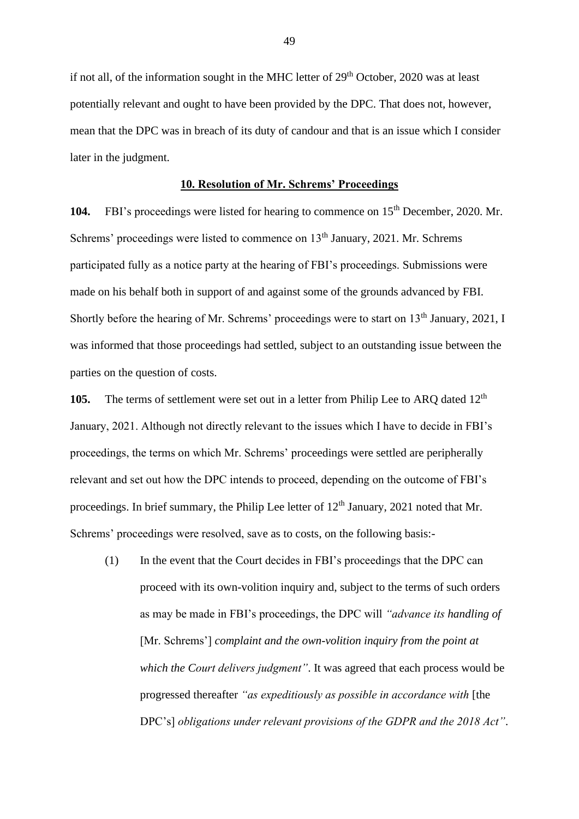if not all, of the information sought in the MHC letter of  $29<sup>th</sup>$  October, 2020 was at least potentially relevant and ought to have been provided by the DPC. That does not, however, mean that the DPC was in breach of its duty of candour and that is an issue which I consider later in the judgment.

### **10. Resolution of Mr. Schrems' Proceedings**

104. FBI's proceedings were listed for hearing to commence on 15<sup>th</sup> December, 2020. Mr. Schrems' proceedings were listed to commence on 13<sup>th</sup> January, 2021. Mr. Schrems participated fully as a notice party at the hearing of FBI's proceedings. Submissions were made on his behalf both in support of and against some of the grounds advanced by FBI. Shortly before the hearing of Mr. Schrems' proceedings were to start on  $13<sup>th</sup>$  January, 2021, I was informed that those proceedings had settled, subject to an outstanding issue between the parties on the question of costs.

**105.** The terms of settlement were set out in a letter from Philip Lee to ARO dated 12<sup>th</sup> January, 2021. Although not directly relevant to the issues which I have to decide in FBI's proceedings, the terms on which Mr. Schrems' proceedings were settled are peripherally relevant and set out how the DPC intends to proceed, depending on the outcome of FBI's proceedings. In brief summary, the Philip Lee letter of  $12<sup>th</sup>$  January, 2021 noted that Mr. Schrems' proceedings were resolved, save as to costs, on the following basis:-

(1) In the event that the Court decides in FBI's proceedings that the DPC can proceed with its own-volition inquiry and, subject to the terms of such orders as may be made in FBI's proceedings, the DPC will *"advance its handling of*  [Mr. Schrems'] *complaint and the own-volition inquiry from the point at which the Court delivers judgment"*. It was agreed that each process would be progressed thereafter *"as expeditiously as possible in accordance with* [the DPC's] *obligations under relevant provisions of the GDPR and the 2018 Act"*.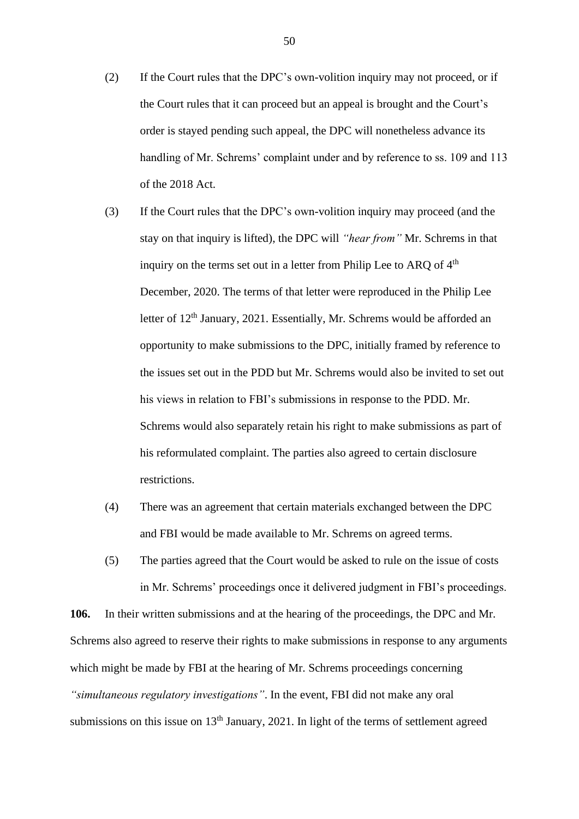- (2) If the Court rules that the DPC's own-volition inquiry may not proceed, or if the Court rules that it can proceed but an appeal is brought and the Court's order is stayed pending such appeal, the DPC will nonetheless advance its handling of Mr. Schrems' complaint under and by reference to ss. 109 and 113 of the 2018 Act.
- (3) If the Court rules that the DPC's own-volition inquiry may proceed (and the stay on that inquiry is lifted), the DPC will *"hear from"* Mr. Schrems in that inquiry on the terms set out in a letter from Philip Lee to ARQ of 4<sup>th</sup> December, 2020. The terms of that letter were reproduced in the Philip Lee letter of 12<sup>th</sup> January, 2021. Essentially, Mr. Schrems would be afforded an opportunity to make submissions to the DPC, initially framed by reference to the issues set out in the PDD but Mr. Schrems would also be invited to set out his views in relation to FBI's submissions in response to the PDD. Mr. Schrems would also separately retain his right to make submissions as part of his reformulated complaint. The parties also agreed to certain disclosure restrictions.
- (4) There was an agreement that certain materials exchanged between the DPC and FBI would be made available to Mr. Schrems on agreed terms.
- (5) The parties agreed that the Court would be asked to rule on the issue of costs in Mr. Schrems' proceedings once it delivered judgment in FBI's proceedings.

**106.** In their written submissions and at the hearing of the proceedings, the DPC and Mr. Schrems also agreed to reserve their rights to make submissions in response to any arguments which might be made by FBI at the hearing of Mr. Schrems proceedings concerning *"simultaneous regulatory investigations"*. In the event, FBI did not make any oral submissions on this issue on  $13<sup>th</sup>$  January, 2021. In light of the terms of settlement agreed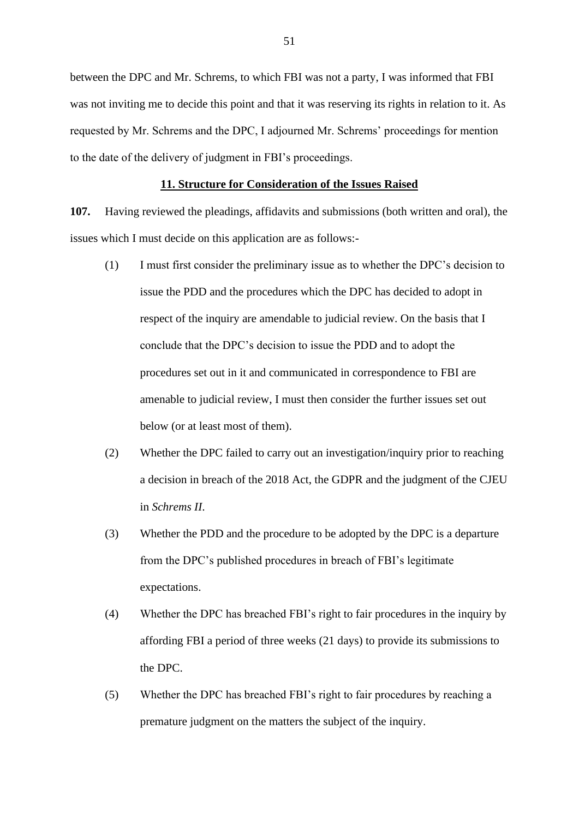between the DPC and Mr. Schrems, to which FBI was not a party, I was informed that FBI was not inviting me to decide this point and that it was reserving its rights in relation to it. As requested by Mr. Schrems and the DPC, I adjourned Mr. Schrems' proceedings for mention to the date of the delivery of judgment in FBI's proceedings.

## **11. Structure for Consideration of the Issues Raised**

**107.** Having reviewed the pleadings, affidavits and submissions (both written and oral), the issues which I must decide on this application are as follows:-

- (1) I must first consider the preliminary issue as to whether the DPC's decision to issue the PDD and the procedures which the DPC has decided to adopt in respect of the inquiry are amendable to judicial review. On the basis that I conclude that the DPC's decision to issue the PDD and to adopt the procedures set out in it and communicated in correspondence to FBI are amenable to judicial review, I must then consider the further issues set out below (or at least most of them).
- (2) Whether the DPC failed to carry out an investigation/inquiry prior to reaching a decision in breach of the 2018 Act, the GDPR and the judgment of the CJEU in *Schrems II*.
- (3) Whether the PDD and the procedure to be adopted by the DPC is a departure from the DPC's published procedures in breach of FBI's legitimate expectations.
- (4) Whether the DPC has breached FBI's right to fair procedures in the inquiry by affording FBI a period of three weeks (21 days) to provide its submissions to the DPC.
- (5) Whether the DPC has breached FBI's right to fair procedures by reaching a premature judgment on the matters the subject of the inquiry.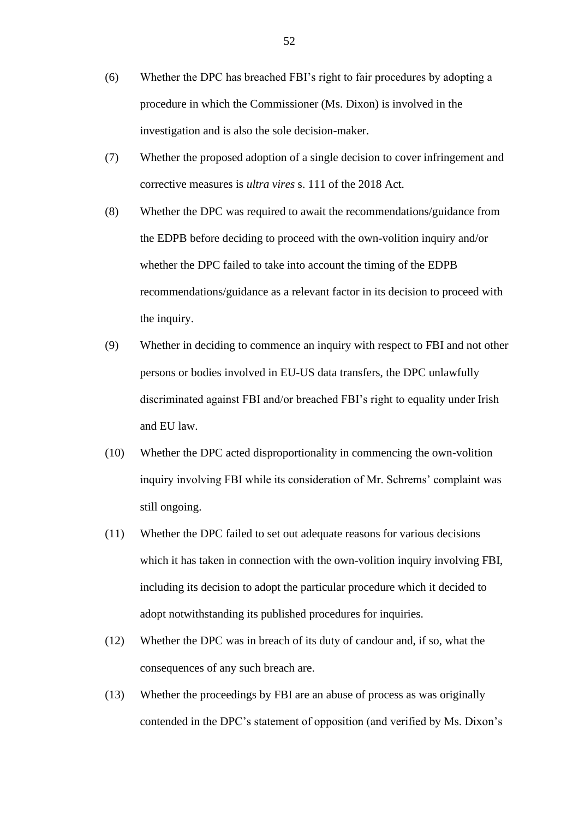- (6) Whether the DPC has breached FBI's right to fair procedures by adopting a procedure in which the Commissioner (Ms. Dixon) is involved in the investigation and is also the sole decision-maker.
- (7) Whether the proposed adoption of a single decision to cover infringement and corrective measures is *ultra vires* s. 111 of the 2018 Act.
- (8) Whether the DPC was required to await the recommendations/guidance from the EDPB before deciding to proceed with the own-volition inquiry and/or whether the DPC failed to take into account the timing of the EDPB recommendations/guidance as a relevant factor in its decision to proceed with the inquiry.
- (9) Whether in deciding to commence an inquiry with respect to FBI and not other persons or bodies involved in EU-US data transfers, the DPC unlawfully discriminated against FBI and/or breached FBI's right to equality under Irish and EU law.
- (10) Whether the DPC acted disproportionality in commencing the own-volition inquiry involving FBI while its consideration of Mr. Schrems' complaint was still ongoing.
- (11) Whether the DPC failed to set out adequate reasons for various decisions which it has taken in connection with the own-volition inquiry involving FBI, including its decision to adopt the particular procedure which it decided to adopt notwithstanding its published procedures for inquiries.
- (12) Whether the DPC was in breach of its duty of candour and, if so, what the consequences of any such breach are.
- (13) Whether the proceedings by FBI are an abuse of process as was originally contended in the DPC's statement of opposition (and verified by Ms. Dixon's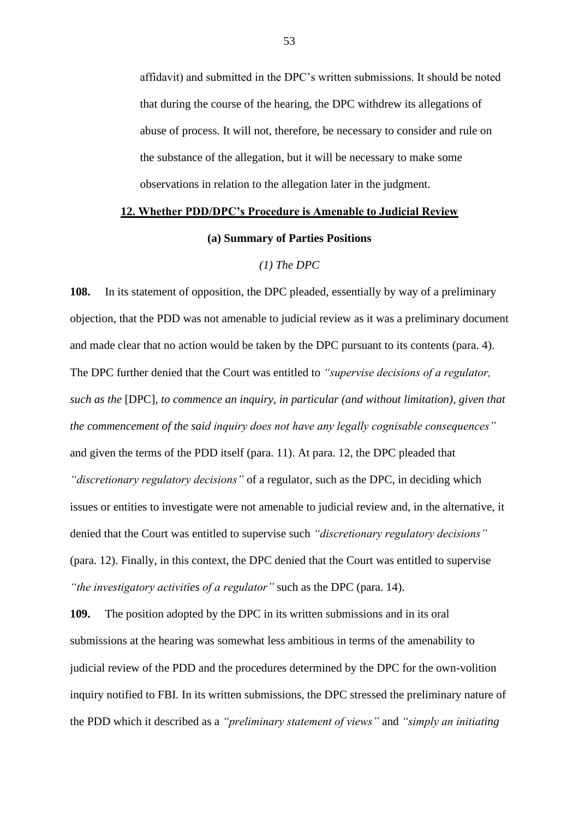affidavit) and submitted in the DPC's written submissions. It should be noted that during the course of the hearing, the DPC withdrew its allegations of abuse of process. It will not, therefore, be necessary to consider and rule on the substance of the allegation, but it will be necessary to make some observations in relation to the allegation later in the judgment.

## **12. Whether PDD/DPC's Procedure is Amenable to Judicial Review**

### **(a) Summary of Parties Positions**

## *(1) The DPC*

**108.** In its statement of opposition, the DPC pleaded, essentially by way of a preliminary objection, that the PDD was not amenable to judicial review as it was a preliminary document and made clear that no action would be taken by the DPC pursuant to its contents (para. 4). The DPC further denied that the Court was entitled to *"supervise decisions of a regulator, such as the* [DPC]*, to commence an inquiry, in particular (and without limitation), given that the commencement of the said inquiry does not have any legally cognisable consequences"* and given the terms of the PDD itself (para. 11). At para. 12, the DPC pleaded that *"discretionary regulatory decisions"* of a regulator, such as the DPC, in deciding which issues or entities to investigate were not amenable to judicial review and, in the alternative, it denied that the Court was entitled to supervise such *"discretionary regulatory decisions"* (para. 12). Finally, in this context, the DPC denied that the Court was entitled to supervise *"the investigatory activities of a regulator"* such as the DPC (para. 14).

**109.** The position adopted by the DPC in its written submissions and in its oral submissions at the hearing was somewhat less ambitious in terms of the amenability to judicial review of the PDD and the procedures determined by the DPC for the own-volition inquiry notified to FBI. In its written submissions, the DPC stressed the preliminary nature of the PDD which it described as a *"preliminary statement of views"* and *"simply an initiating*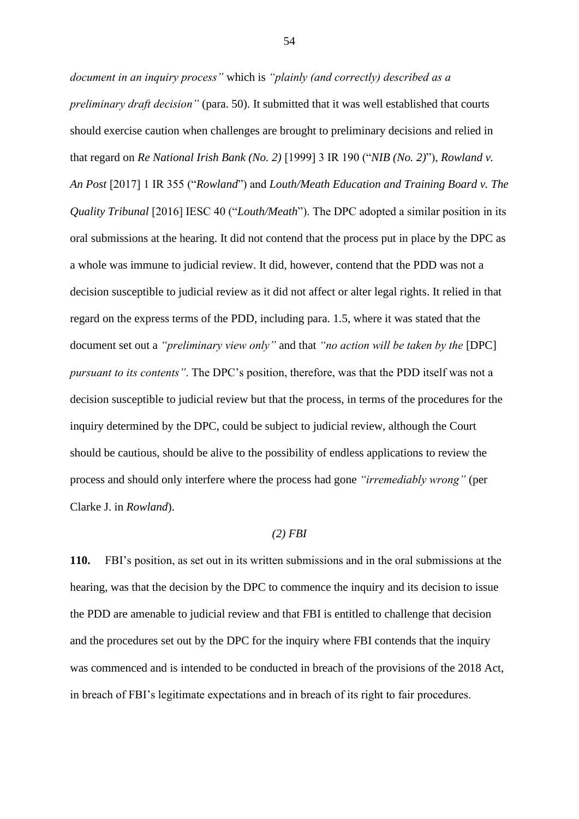*document in an inquiry process"* which is *"plainly (and correctly) described as a preliminary draft decision"* (para. 50). It submitted that it was well established that courts should exercise caution when challenges are brought to preliminary decisions and relied in that regard on *Re National Irish Bank (No. 2)* [1999] 3 IR 190 ("*NIB (No. 2)*"), *Rowland v. An Post* [2017] 1 IR 355 ("*Rowland*") and *Louth/Meath Education and Training Board v. The Quality Tribunal* [2016] IESC 40 ("*Louth/Meath*"). The DPC adopted a similar position in its oral submissions at the hearing. It did not contend that the process put in place by the DPC as a whole was immune to judicial review. It did, however, contend that the PDD was not a decision susceptible to judicial review as it did not affect or alter legal rights. It relied in that regard on the express terms of the PDD, including para. 1.5, where it was stated that the document set out a *"preliminary view only"* and that *"no action will be taken by the* [DPC] *pursuant to its contents"*. The DPC's position, therefore, was that the PDD itself was not a decision susceptible to judicial review but that the process, in terms of the procedures for the inquiry determined by the DPC, could be subject to judicial review, although the Court should be cautious, should be alive to the possibility of endless applications to review the process and should only interfere where the process had gone *"irremediably wrong"* (per Clarke J. in *Rowland*).

## *(2) FBI*

**110.** FBI's position, as set out in its written submissions and in the oral submissions at the hearing, was that the decision by the DPC to commence the inquiry and its decision to issue the PDD are amenable to judicial review and that FBI is entitled to challenge that decision and the procedures set out by the DPC for the inquiry where FBI contends that the inquiry was commenced and is intended to be conducted in breach of the provisions of the 2018 Act, in breach of FBI's legitimate expectations and in breach of its right to fair procedures.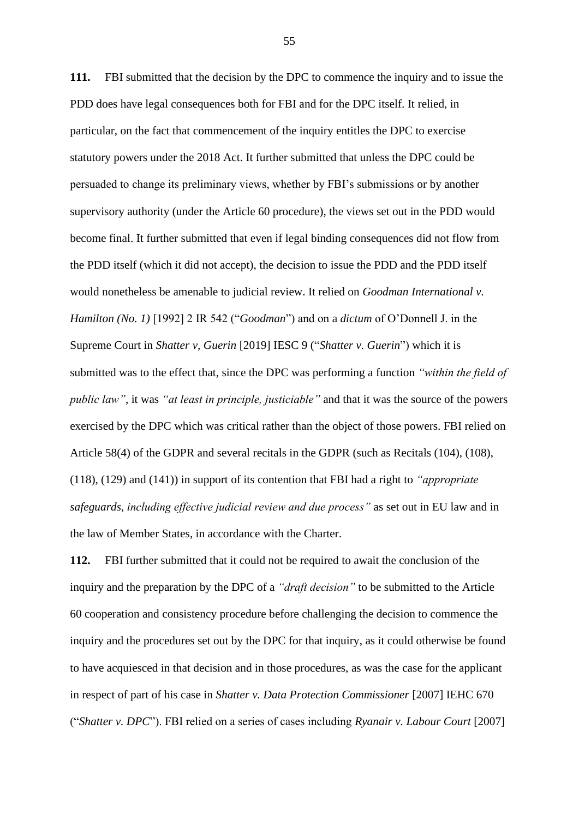**111.** FBI submitted that the decision by the DPC to commence the inquiry and to issue the PDD does have legal consequences both for FBI and for the DPC itself. It relied, in particular, on the fact that commencement of the inquiry entitles the DPC to exercise statutory powers under the 2018 Act. It further submitted that unless the DPC could be persuaded to change its preliminary views, whether by FBI's submissions or by another supervisory authority (under the Article 60 procedure), the views set out in the PDD would become final. It further submitted that even if legal binding consequences did not flow from the PDD itself (which it did not accept), the decision to issue the PDD and the PDD itself would nonetheless be amenable to judicial review. It relied on *Goodman International v. Hamilton (No. 1)* [1992] 2 IR 542 ("*Goodman*") and on a *dictum* of O'Donnell J. in the Supreme Court in *Shatter v, Guerin* [2019] IESC 9 ("*Shatter v. Guerin*") which it is submitted was to the effect that, since the DPC was performing a function *"within the field of public law"*, it was *"at least in principle, justiciable"* and that it was the source of the powers exercised by the DPC which was critical rather than the object of those powers. FBI relied on Article 58(4) of the GDPR and several recitals in the GDPR (such as Recitals (104), (108), (118), (129) and (141)) in support of its contention that FBI had a right to *"appropriate safeguards, including effective judicial review and due process"* as set out in EU law and in the law of Member States, in accordance with the Charter.

**112.** FBI further submitted that it could not be required to await the conclusion of the inquiry and the preparation by the DPC of a *"draft decision"* to be submitted to the Article 60 cooperation and consistency procedure before challenging the decision to commence the inquiry and the procedures set out by the DPC for that inquiry, as it could otherwise be found to have acquiesced in that decision and in those procedures, as was the case for the applicant in respect of part of his case in *Shatter v. Data Protection Commissioner* [2007] IEHC 670 ("*Shatter v. DPC*"). FBI relied on a series of cases including *Ryanair v. Labour Court* [2007]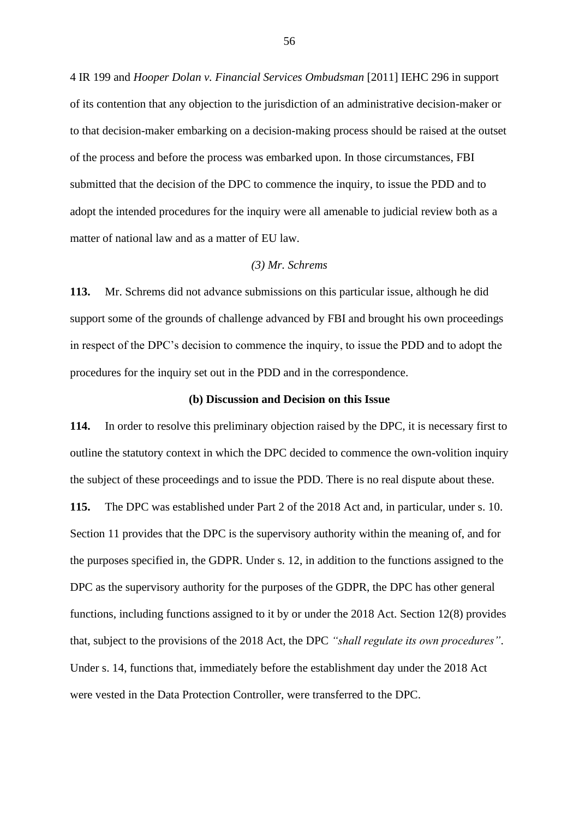4 IR 199 and *Hooper Dolan v. Financial Services Ombudsman* [2011] IEHC 296 in support of its contention that any objection to the jurisdiction of an administrative decision-maker or to that decision-maker embarking on a decision-making process should be raised at the outset of the process and before the process was embarked upon. In those circumstances, FBI submitted that the decision of the DPC to commence the inquiry, to issue the PDD and to adopt the intended procedures for the inquiry were all amenable to judicial review both as a matter of national law and as a matter of EU law.

# *(3) Mr. Schrems*

**113.** Mr. Schrems did not advance submissions on this particular issue, although he did support some of the grounds of challenge advanced by FBI and brought his own proceedings in respect of the DPC's decision to commence the inquiry, to issue the PDD and to adopt the procedures for the inquiry set out in the PDD and in the correspondence.

## **(b) Discussion and Decision on this Issue**

**114.** In order to resolve this preliminary objection raised by the DPC, it is necessary first to outline the statutory context in which the DPC decided to commence the own-volition inquiry the subject of these proceedings and to issue the PDD. There is no real dispute about these.

**115.** The DPC was established under Part 2 of the 2018 Act and, in particular, under s. 10. Section 11 provides that the DPC is the supervisory authority within the meaning of, and for the purposes specified in, the GDPR. Under s. 12, in addition to the functions assigned to the DPC as the supervisory authority for the purposes of the GDPR, the DPC has other general functions, including functions assigned to it by or under the 2018 Act. Section 12(8) provides that, subject to the provisions of the 2018 Act, the DPC *"shall regulate its own procedures"*. Under s. 14, functions that, immediately before the establishment day under the 2018 Act were vested in the Data Protection Controller, were transferred to the DPC.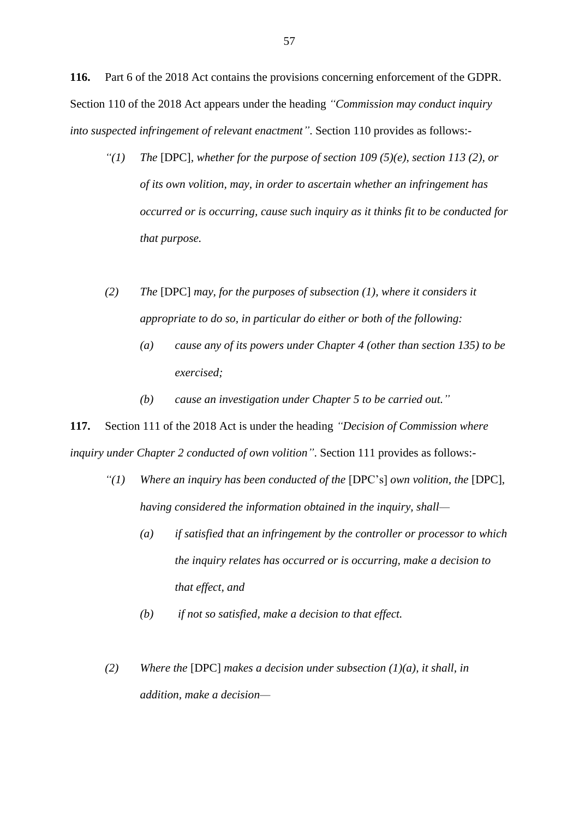**116.** Part 6 of the 2018 Act contains the provisions concerning enforcement of the GDPR. Section 110 of the 2018 Act appears under the heading *"Commission may conduct inquiry into suspected infringement of relevant enactment"*. Section 110 provides as follows:-

- *"(1) The* [DPC]*, whether for the purpose of section 109 (5)(e), section 113 (2), or of its own volition, may, in order to ascertain whether an infringement has occurred or is occurring, cause such inquiry as it thinks fit to be conducted for that purpose.*
- *(2) The* [DPC] *may, for the purposes of subsection (1), where it considers it appropriate to do so, in particular do either or both of the following:*
	- *(a) cause any of its powers under Chapter 4 (other than section 135) to be exercised;*
	- *(b) cause an investigation under Chapter 5 to be carried out."*

**117.** Section 111 of the 2018 Act is under the heading *"Decision of Commission where inquiry under Chapter 2 conducted of own volition"*. Section 111 provides as follows:-

- *"(1)* Where an inquiry has been conducted of the [DPC's] own volition, the [DPC], *having considered the information obtained in the inquiry, shall—*
	- *(a) if satisfied that an infringement by the controller or processor to which the inquiry relates has occurred or is occurring, make a decision to that effect, and*
	- *(b) if not so satisfied, make a decision to that effect.*
- *(2) Where the* [DPC] *makes a decision under subsection (1)(a), it shall, in addition, make a decision—*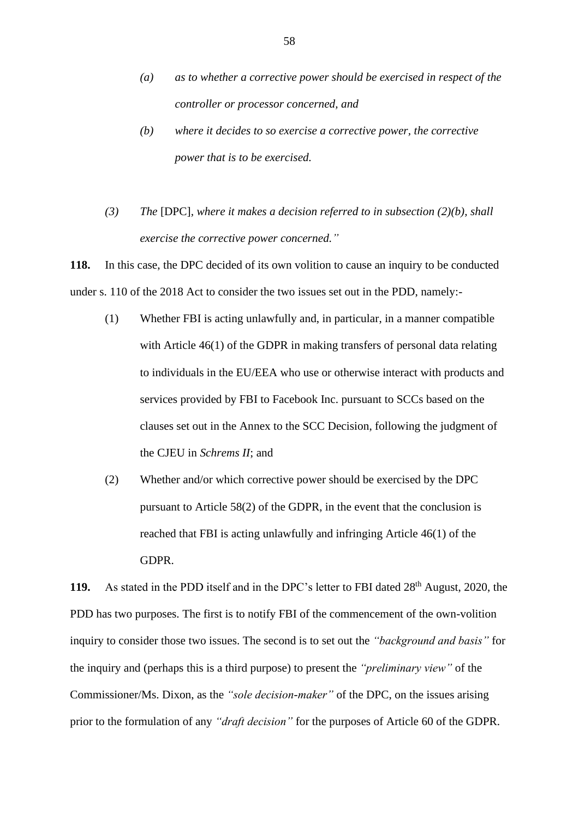- *(a) as to whether a corrective power should be exercised in respect of the controller or processor concerned, and*
- *(b) where it decides to so exercise a corrective power, the corrective power that is to be exercised.*
- *(3) The* [DPC]*, where it makes a decision referred to in subsection (2)(b), shall exercise the corrective power concerned."*

**118.** In this case, the DPC decided of its own volition to cause an inquiry to be conducted under s. 110 of the 2018 Act to consider the two issues set out in the PDD, namely:-

- (1) Whether FBI is acting unlawfully and, in particular, in a manner compatible with Article 46(1) of the GDPR in making transfers of personal data relating to individuals in the EU/EEA who use or otherwise interact with products and services provided by FBI to Facebook Inc. pursuant to SCCs based on the clauses set out in the Annex to the SCC Decision, following the judgment of the CJEU in *Schrems II*; and
- (2) Whether and/or which corrective power should be exercised by the DPC pursuant to Article 58(2) of the GDPR, in the event that the conclusion is reached that FBI is acting unlawfully and infringing Article 46(1) of the GDPR.

119. As stated in the PDD itself and in the DPC's letter to FBI dated 28<sup>th</sup> August, 2020, the PDD has two purposes. The first is to notify FBI of the commencement of the own-volition inquiry to consider those two issues. The second is to set out the *"background and basis"* for the inquiry and (perhaps this is a third purpose) to present the *"preliminary view"* of the Commissioner/Ms. Dixon, as the *"sole decision-maker"* of the DPC, on the issues arising prior to the formulation of any *"draft decision"* for the purposes of Article 60 of the GDPR.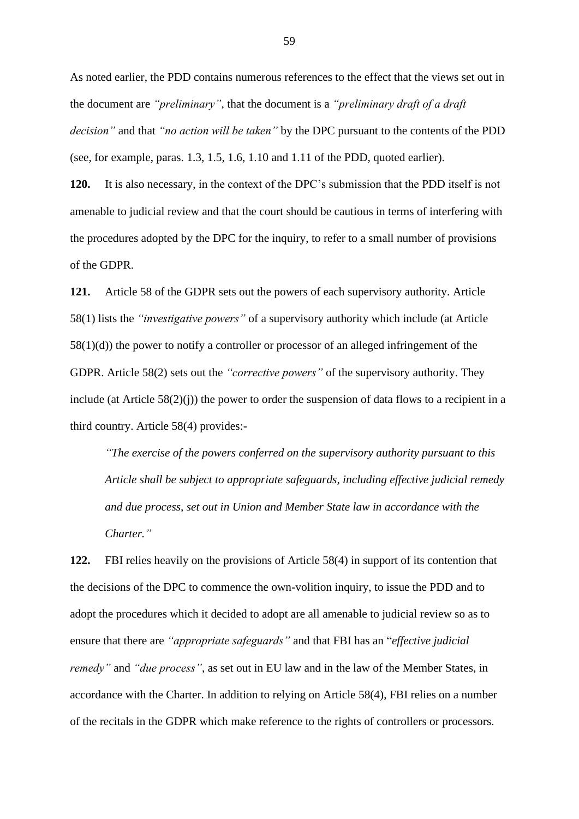As noted earlier, the PDD contains numerous references to the effect that the views set out in the document are *"preliminary"*, that the document is a *"preliminary draft of a draft decision"* and that *"no action will be taken"* by the DPC pursuant to the contents of the PDD (see, for example, paras. 1.3, 1.5, 1.6, 1.10 and 1.11 of the PDD, quoted earlier).

**120.** It is also necessary, in the context of the DPC's submission that the PDD itself is not amenable to judicial review and that the court should be cautious in terms of interfering with the procedures adopted by the DPC for the inquiry, to refer to a small number of provisions of the GDPR.

**121.** Article 58 of the GDPR sets out the powers of each supervisory authority. Article 58(1) lists the *"investigative powers"* of a supervisory authority which include (at Article 58(1)(d)) the power to notify a controller or processor of an alleged infringement of the GDPR. Article 58(2) sets out the *"corrective powers"* of the supervisory authority. They include (at Article  $58(2)(i)$ ) the power to order the suspension of data flows to a recipient in a third country. Article 58(4) provides:-

*"The exercise of the powers conferred on the supervisory authority pursuant to this Article shall be subject to appropriate safeguards, including effective judicial remedy and due process, set out in Union and Member State law in accordance with the Charter."*

**122.** FBI relies heavily on the provisions of Article 58(4) in support of its contention that the decisions of the DPC to commence the own-volition inquiry, to issue the PDD and to adopt the procedures which it decided to adopt are all amenable to judicial review so as to ensure that there are *"appropriate safeguards"* and that FBI has an "*effective judicial remedy"* and *"due process"*, as set out in EU law and in the law of the Member States, in accordance with the Charter. In addition to relying on Article 58(4), FBI relies on a number of the recitals in the GDPR which make reference to the rights of controllers or processors.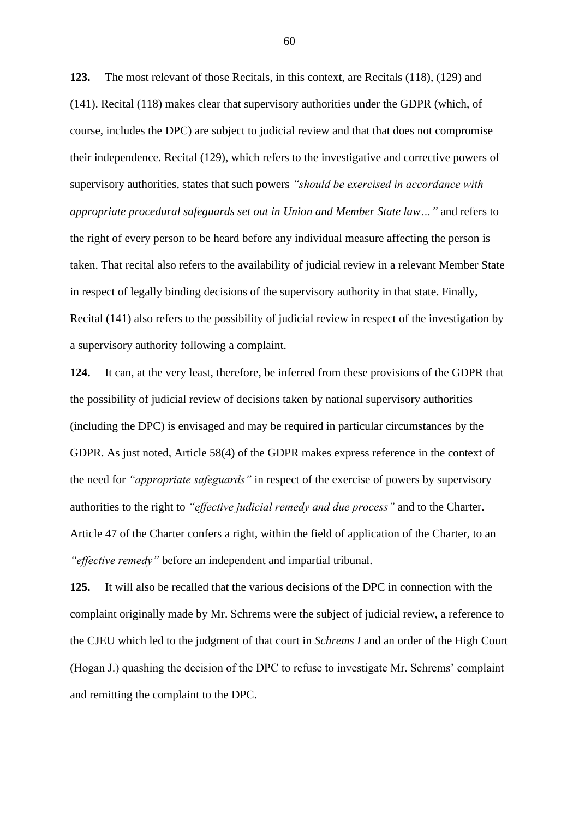**123.** The most relevant of those Recitals, in this context, are Recitals (118), (129) and (141). Recital (118) makes clear that supervisory authorities under the GDPR (which, of course, includes the DPC) are subject to judicial review and that that does not compromise their independence. Recital (129), which refers to the investigative and corrective powers of supervisory authorities, states that such powers *"should be exercised in accordance with appropriate procedural safeguards set out in Union and Member State law…"* and refers to the right of every person to be heard before any individual measure affecting the person is taken. That recital also refers to the availability of judicial review in a relevant Member State in respect of legally binding decisions of the supervisory authority in that state. Finally, Recital (141) also refers to the possibility of judicial review in respect of the investigation by a supervisory authority following a complaint.

**124.** It can, at the very least, therefore, be inferred from these provisions of the GDPR that the possibility of judicial review of decisions taken by national supervisory authorities (including the DPC) is envisaged and may be required in particular circumstances by the GDPR. As just noted, Article 58(4) of the GDPR makes express reference in the context of the need for *"appropriate safeguards"* in respect of the exercise of powers by supervisory authorities to the right to *"effective judicial remedy and due process"* and to the Charter. Article 47 of the Charter confers a right, within the field of application of the Charter, to an *"effective remedy"* before an independent and impartial tribunal.

**125.** It will also be recalled that the various decisions of the DPC in connection with the complaint originally made by Mr. Schrems were the subject of judicial review, a reference to the CJEU which led to the judgment of that court in *Schrems I* and an order of the High Court (Hogan J.) quashing the decision of the DPC to refuse to investigate Mr. Schrems' complaint and remitting the complaint to the DPC.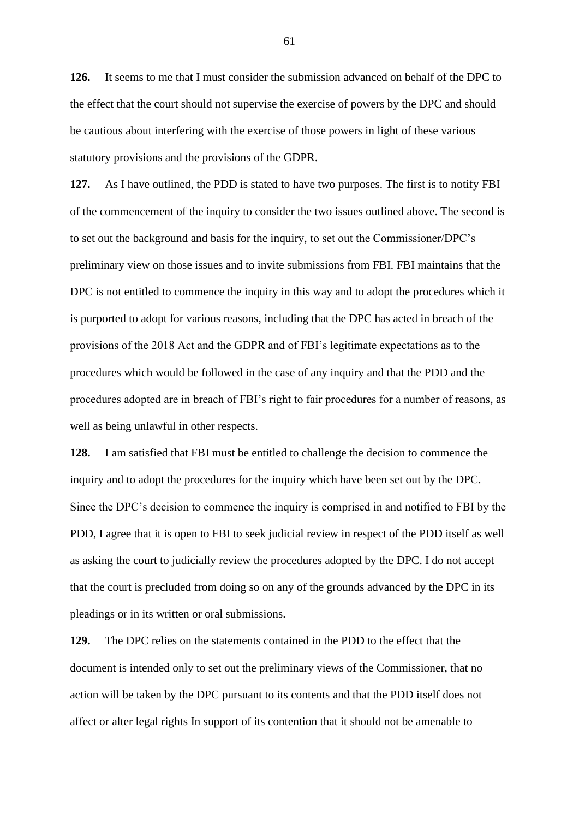**126.** It seems to me that I must consider the submission advanced on behalf of the DPC to the effect that the court should not supervise the exercise of powers by the DPC and should be cautious about interfering with the exercise of those powers in light of these various statutory provisions and the provisions of the GDPR.

**127.** As I have outlined, the PDD is stated to have two purposes. The first is to notify FBI of the commencement of the inquiry to consider the two issues outlined above. The second is to set out the background and basis for the inquiry, to set out the Commissioner/DPC's preliminary view on those issues and to invite submissions from FBI. FBI maintains that the DPC is not entitled to commence the inquiry in this way and to adopt the procedures which it is purported to adopt for various reasons, including that the DPC has acted in breach of the provisions of the 2018 Act and the GDPR and of FBI's legitimate expectations as to the procedures which would be followed in the case of any inquiry and that the PDD and the procedures adopted are in breach of FBI's right to fair procedures for a number of reasons, as well as being unlawful in other respects.

**128.** I am satisfied that FBI must be entitled to challenge the decision to commence the inquiry and to adopt the procedures for the inquiry which have been set out by the DPC. Since the DPC's decision to commence the inquiry is comprised in and notified to FBI by the PDD, I agree that it is open to FBI to seek judicial review in respect of the PDD itself as well as asking the court to judicially review the procedures adopted by the DPC. I do not accept that the court is precluded from doing so on any of the grounds advanced by the DPC in its pleadings or in its written or oral submissions.

**129.** The DPC relies on the statements contained in the PDD to the effect that the document is intended only to set out the preliminary views of the Commissioner, that no action will be taken by the DPC pursuant to its contents and that the PDD itself does not affect or alter legal rights In support of its contention that it should not be amenable to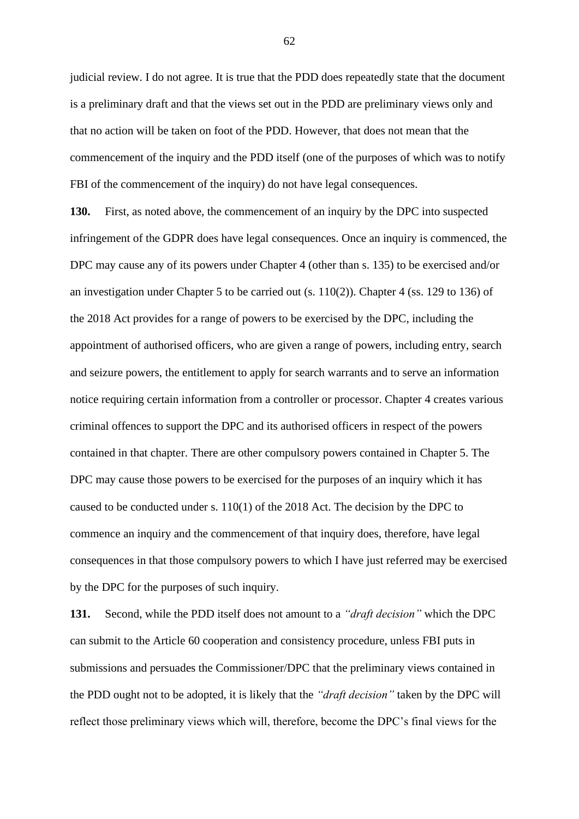judicial review. I do not agree. It is true that the PDD does repeatedly state that the document is a preliminary draft and that the views set out in the PDD are preliminary views only and that no action will be taken on foot of the PDD. However, that does not mean that the commencement of the inquiry and the PDD itself (one of the purposes of which was to notify FBI of the commencement of the inquiry) do not have legal consequences.

**130.** First, as noted above, the commencement of an inquiry by the DPC into suspected infringement of the GDPR does have legal consequences. Once an inquiry is commenced, the DPC may cause any of its powers under Chapter 4 (other than s. 135) to be exercised and/or an investigation under Chapter 5 to be carried out (s. 110(2)). Chapter 4 (ss. 129 to 136) of the 2018 Act provides for a range of powers to be exercised by the DPC, including the appointment of authorised officers, who are given a range of powers, including entry, search and seizure powers, the entitlement to apply for search warrants and to serve an information notice requiring certain information from a controller or processor. Chapter 4 creates various criminal offences to support the DPC and its authorised officers in respect of the powers contained in that chapter. There are other compulsory powers contained in Chapter 5. The DPC may cause those powers to be exercised for the purposes of an inquiry which it has caused to be conducted under s. 110(1) of the 2018 Act. The decision by the DPC to commence an inquiry and the commencement of that inquiry does, therefore, have legal consequences in that those compulsory powers to which I have just referred may be exercised by the DPC for the purposes of such inquiry.

**131.** Second, while the PDD itself does not amount to a *"draft decision"* which the DPC can submit to the Article 60 cooperation and consistency procedure, unless FBI puts in submissions and persuades the Commissioner/DPC that the preliminary views contained in the PDD ought not to be adopted, it is likely that the *"draft decision"* taken by the DPC will reflect those preliminary views which will, therefore, become the DPC's final views for the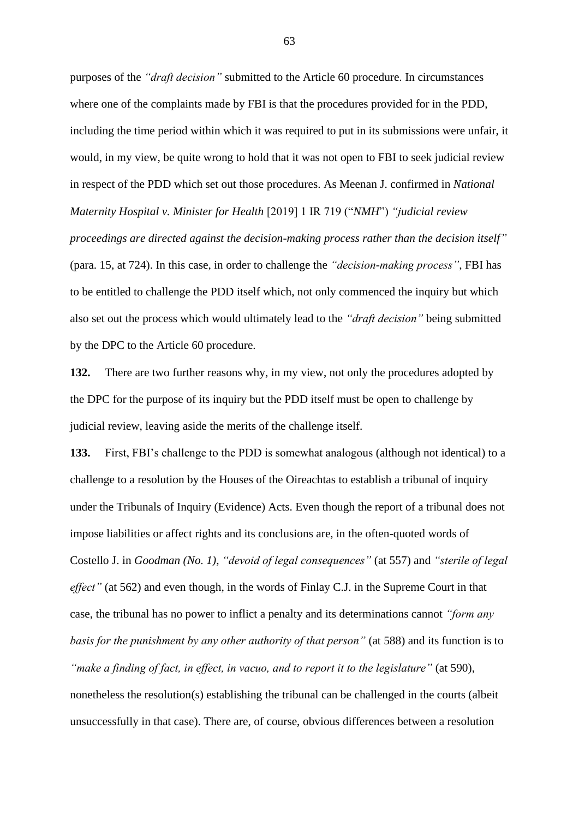purposes of the *"draft decision"* submitted to the Article 60 procedure. In circumstances where one of the complaints made by FBI is that the procedures provided for in the PDD, including the time period within which it was required to put in its submissions were unfair, it would, in my view, be quite wrong to hold that it was not open to FBI to seek judicial review in respect of the PDD which set out those procedures. As Meenan J. confirmed in *National Maternity Hospital v. Minister for Health* [2019] 1 IR 719 ("*NMH*") *"judicial review proceedings are directed against the decision-making process rather than the decision itself"* (para. 15, at 724). In this case, in order to challenge the *"decision-making process"*, FBI has to be entitled to challenge the PDD itself which, not only commenced the inquiry but which also set out the process which would ultimately lead to the *"draft decision"* being submitted by the DPC to the Article 60 procedure.

**132.** There are two further reasons why, in my view, not only the procedures adopted by the DPC for the purpose of its inquiry but the PDD itself must be open to challenge by judicial review, leaving aside the merits of the challenge itself.

**133.** First, FBI's challenge to the PDD is somewhat analogous (although not identical) to a challenge to a resolution by the Houses of the Oireachtas to establish a tribunal of inquiry under the Tribunals of Inquiry (Evidence) Acts. Even though the report of a tribunal does not impose liabilities or affect rights and its conclusions are, in the often-quoted words of Costello J. in *Goodman (No. 1)*, *"devoid of legal consequences"* (at 557) and *"sterile of legal effect*" (at 562) and even though, in the words of Finlay C.J. in the Supreme Court in that case, the tribunal has no power to inflict a penalty and its determinations cannot *"form any basis for the punishment by any other authority of that person"* (at 588) and its function is to *"make a finding of fact, in effect, in vacuo, and to report it to the legislature"* (at 590), nonetheless the resolution(s) establishing the tribunal can be challenged in the courts (albeit unsuccessfully in that case). There are, of course, obvious differences between a resolution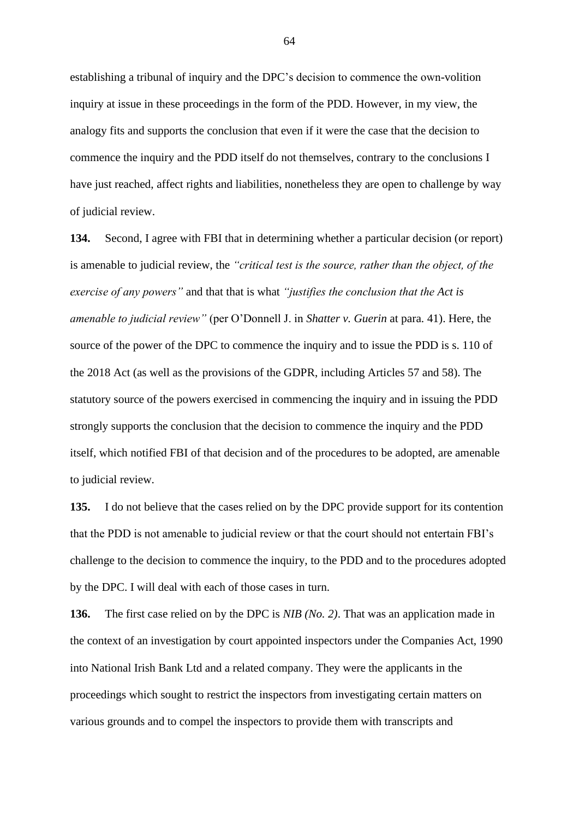establishing a tribunal of inquiry and the DPC's decision to commence the own-volition inquiry at issue in these proceedings in the form of the PDD. However, in my view, the analogy fits and supports the conclusion that even if it were the case that the decision to commence the inquiry and the PDD itself do not themselves, contrary to the conclusions I have just reached, affect rights and liabilities, nonetheless they are open to challenge by way of judicial review.

**134.** Second, I agree with FBI that in determining whether a particular decision (or report) is amenable to judicial review, the *"critical test is the source, rather than the object, of the exercise of any powers"* and that that is what *"justifies the conclusion that the Act is amenable to judicial review"* (per O'Donnell J. in *Shatter v. Guerin* at para. 41). Here, the source of the power of the DPC to commence the inquiry and to issue the PDD is s. 110 of the 2018 Act (as well as the provisions of the GDPR, including Articles 57 and 58). The statutory source of the powers exercised in commencing the inquiry and in issuing the PDD strongly supports the conclusion that the decision to commence the inquiry and the PDD itself, which notified FBI of that decision and of the procedures to be adopted, are amenable to judicial review.

**135.** I do not believe that the cases relied on by the DPC provide support for its contention that the PDD is not amenable to judicial review or that the court should not entertain FBI's challenge to the decision to commence the inquiry, to the PDD and to the procedures adopted by the DPC. I will deal with each of those cases in turn.

**136.** The first case relied on by the DPC is *NIB (No. 2)*. That was an application made in the context of an investigation by court appointed inspectors under the Companies Act, 1990 into National Irish Bank Ltd and a related company. They were the applicants in the proceedings which sought to restrict the inspectors from investigating certain matters on various grounds and to compel the inspectors to provide them with transcripts and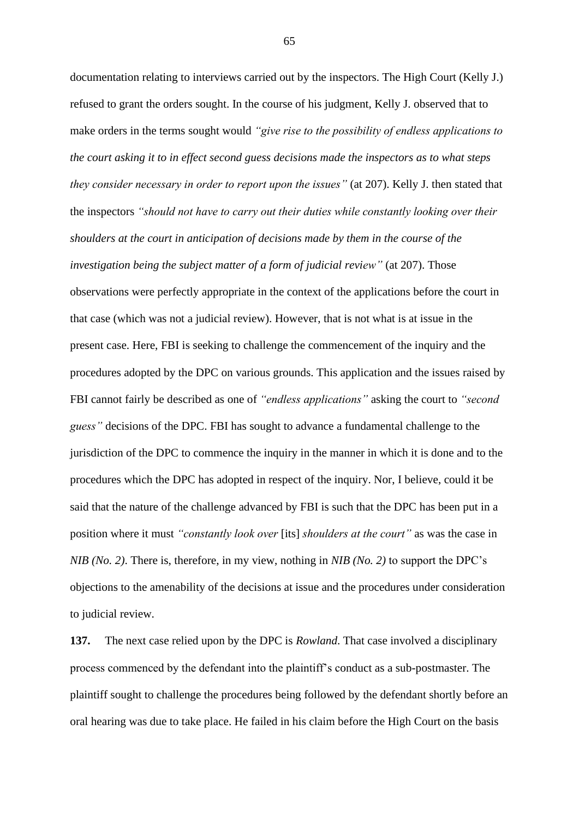documentation relating to interviews carried out by the inspectors. The High Court (Kelly J.) refused to grant the orders sought. In the course of his judgment, Kelly J. observed that to make orders in the terms sought would *"give rise to the possibility of endless applications to the court asking it to in effect second guess decisions made the inspectors as to what steps they consider necessary in order to report upon the issues"* (at 207). Kelly J. then stated that the inspectors *"should not have to carry out their duties while constantly looking over their shoulders at the court in anticipation of decisions made by them in the course of the investigation being the subject matter of a form of judicial review"* (at 207). Those observations were perfectly appropriate in the context of the applications before the court in that case (which was not a judicial review). However, that is not what is at issue in the present case. Here, FBI is seeking to challenge the commencement of the inquiry and the procedures adopted by the DPC on various grounds. This application and the issues raised by FBI cannot fairly be described as one of *"endless applications"* asking the court to *"second guess"* decisions of the DPC. FBI has sought to advance a fundamental challenge to the jurisdiction of the DPC to commence the inquiry in the manner in which it is done and to the procedures which the DPC has adopted in respect of the inquiry. Nor, I believe, could it be said that the nature of the challenge advanced by FBI is such that the DPC has been put in a position where it must *"constantly look over* [its] *shoulders at the court"* as was the case in *NIB (No. 2)*. There is, therefore, in my view, nothing in *NIB (No. 2)* to support the DPC's objections to the amenability of the decisions at issue and the procedures under consideration to judicial review.

**137.** The next case relied upon by the DPC is *Rowland*. That case involved a disciplinary process commenced by the defendant into the plaintiff's conduct as a sub-postmaster. The plaintiff sought to challenge the procedures being followed by the defendant shortly before an oral hearing was due to take place. He failed in his claim before the High Court on the basis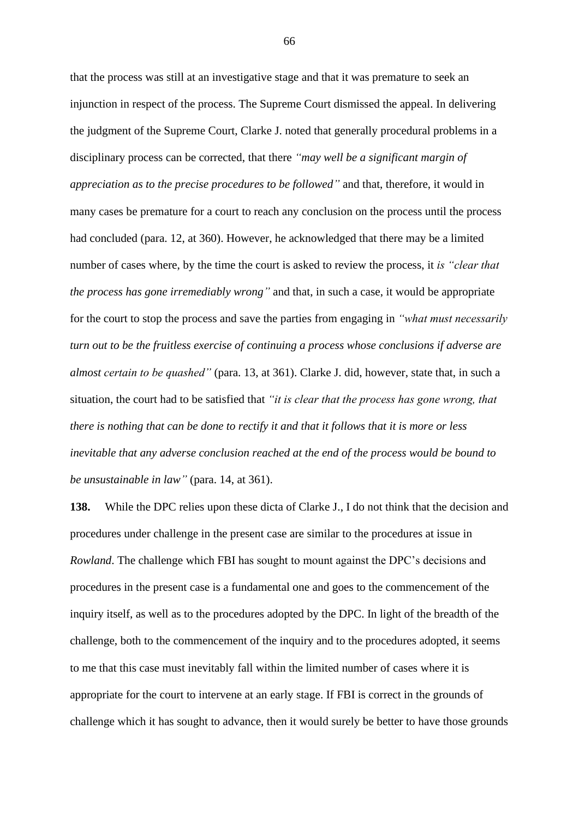that the process was still at an investigative stage and that it was premature to seek an injunction in respect of the process. The Supreme Court dismissed the appeal. In delivering the judgment of the Supreme Court, Clarke J. noted that generally procedural problems in a disciplinary process can be corrected, that there *"may well be a significant margin of appreciation as to the precise procedures to be followed"* and that, therefore, it would in many cases be premature for a court to reach any conclusion on the process until the process had concluded (para. 12, at 360). However, he acknowledged that there may be a limited number of cases where, by the time the court is asked to review the process, it *is "clear that the process has gone irremediably wrong"* and that, in such a case, it would be appropriate for the court to stop the process and save the parties from engaging in *"what must necessarily turn out to be the fruitless exercise of continuing a process whose conclusions if adverse are almost certain to be quashed"* (para. 13, at 361). Clarke J. did, however, state that, in such a situation, the court had to be satisfied that *"it is clear that the process has gone wrong, that there is nothing that can be done to rectify it and that it follows that it is more or less inevitable that any adverse conclusion reached at the end of the process would be bound to be unsustainable in law"* (para. 14, at 361).

**138.** While the DPC relies upon these dicta of Clarke J., I do not think that the decision and procedures under challenge in the present case are similar to the procedures at issue in *Rowland*. The challenge which FBI has sought to mount against the DPC's decisions and procedures in the present case is a fundamental one and goes to the commencement of the inquiry itself, as well as to the procedures adopted by the DPC. In light of the breadth of the challenge, both to the commencement of the inquiry and to the procedures adopted, it seems to me that this case must inevitably fall within the limited number of cases where it is appropriate for the court to intervene at an early stage. If FBI is correct in the grounds of challenge which it has sought to advance, then it would surely be better to have those grounds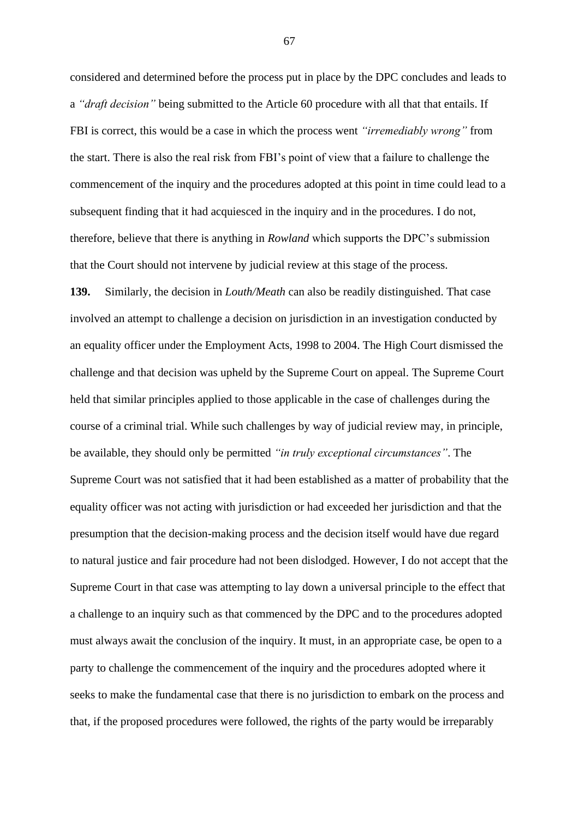considered and determined before the process put in place by the DPC concludes and leads to a *"draft decision"* being submitted to the Article 60 procedure with all that that entails. If FBI is correct, this would be a case in which the process went *"irremediably wrong"* from the start. There is also the real risk from FBI's point of view that a failure to challenge the commencement of the inquiry and the procedures adopted at this point in time could lead to a subsequent finding that it had acquiesced in the inquiry and in the procedures. I do not, therefore, believe that there is anything in *Rowland* which supports the DPC's submission that the Court should not intervene by judicial review at this stage of the process.

**139.** Similarly, the decision in *Louth/Meath* can also be readily distinguished. That case involved an attempt to challenge a decision on jurisdiction in an investigation conducted by an equality officer under the Employment Acts, 1998 to 2004. The High Court dismissed the challenge and that decision was upheld by the Supreme Court on appeal. The Supreme Court held that similar principles applied to those applicable in the case of challenges during the course of a criminal trial. While such challenges by way of judicial review may, in principle, be available, they should only be permitted *"in truly exceptional circumstances"*. The Supreme Court was not satisfied that it had been established as a matter of probability that the equality officer was not acting with jurisdiction or had exceeded her jurisdiction and that the presumption that the decision-making process and the decision itself would have due regard to natural justice and fair procedure had not been dislodged. However, I do not accept that the Supreme Court in that case was attempting to lay down a universal principle to the effect that a challenge to an inquiry such as that commenced by the DPC and to the procedures adopted must always await the conclusion of the inquiry. It must, in an appropriate case, be open to a party to challenge the commencement of the inquiry and the procedures adopted where it seeks to make the fundamental case that there is no jurisdiction to embark on the process and that, if the proposed procedures were followed, the rights of the party would be irreparably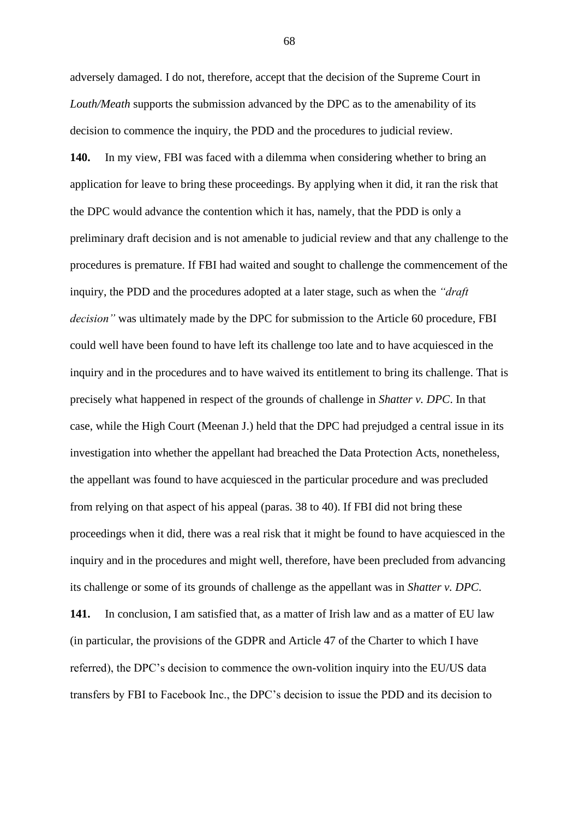adversely damaged. I do not, therefore, accept that the decision of the Supreme Court in *Louth/Meath* supports the submission advanced by the DPC as to the amenability of its decision to commence the inquiry, the PDD and the procedures to judicial review.

**140.** In my view, FBI was faced with a dilemma when considering whether to bring an application for leave to bring these proceedings. By applying when it did, it ran the risk that the DPC would advance the contention which it has, namely, that the PDD is only a preliminary draft decision and is not amenable to judicial review and that any challenge to the procedures is premature. If FBI had waited and sought to challenge the commencement of the inquiry, the PDD and the procedures adopted at a later stage, such as when the *"draft decision"* was ultimately made by the DPC for submission to the Article 60 procedure, FBI could well have been found to have left its challenge too late and to have acquiesced in the inquiry and in the procedures and to have waived its entitlement to bring its challenge. That is precisely what happened in respect of the grounds of challenge in *Shatter v. DPC*. In that case, while the High Court (Meenan J.) held that the DPC had prejudged a central issue in its investigation into whether the appellant had breached the Data Protection Acts, nonetheless, the appellant was found to have acquiesced in the particular procedure and was precluded from relying on that aspect of his appeal (paras. 38 to 40). If FBI did not bring these proceedings when it did, there was a real risk that it might be found to have acquiesced in the inquiry and in the procedures and might well, therefore, have been precluded from advancing its challenge or some of its grounds of challenge as the appellant was in *Shatter v. DPC*. **141.** In conclusion, I am satisfied that, as a matter of Irish law and as a matter of EU law (in particular, the provisions of the GDPR and Article 47 of the Charter to which I have referred), the DPC's decision to commence the own-volition inquiry into the EU/US data

transfers by FBI to Facebook Inc., the DPC's decision to issue the PDD and its decision to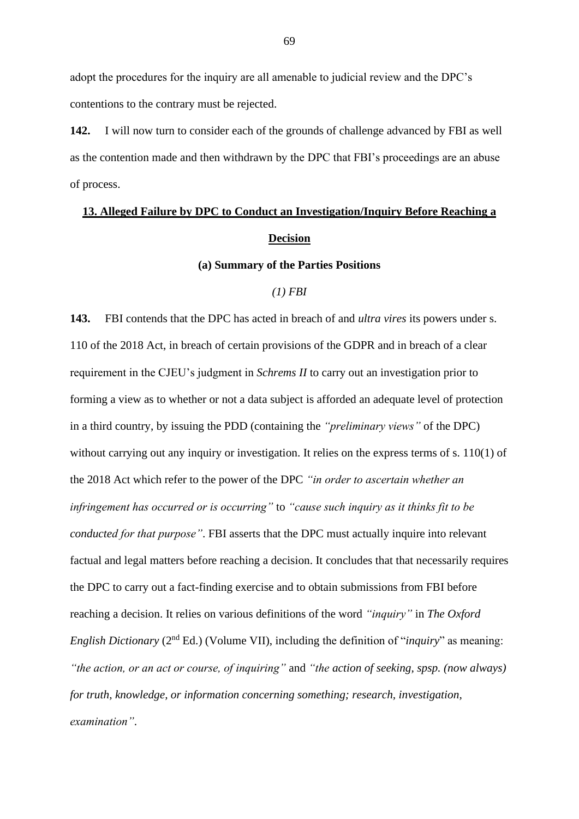adopt the procedures for the inquiry are all amenable to judicial review and the DPC's contentions to the contrary must be rejected.

**142.** I will now turn to consider each of the grounds of challenge advanced by FBI as well as the contention made and then withdrawn by the DPC that FBI's proceedings are an abuse of process.

# **13. Alleged Failure by DPC to Conduct an Investigation/Inquiry Before Reaching a Decision**

#### **(a) Summary of the Parties Positions**

## *(1) FBI*

**143.** FBI contends that the DPC has acted in breach of and *ultra vires* its powers under s. 110 of the 2018 Act, in breach of certain provisions of the GDPR and in breach of a clear requirement in the CJEU's judgment in *Schrems II* to carry out an investigation prior to forming a view as to whether or not a data subject is afforded an adequate level of protection in a third country, by issuing the PDD (containing the *"preliminary views"* of the DPC) without carrying out any inquiry or investigation. It relies on the express terms of s. 110(1) of the 2018 Act which refer to the power of the DPC *"in order to ascertain whether an infringement has occurred or is occurring"* to *"cause such inquiry as it thinks fit to be conducted for that purpose"*. FBI asserts that the DPC must actually inquire into relevant factual and legal matters before reaching a decision. It concludes that that necessarily requires the DPC to carry out a fact-finding exercise and to obtain submissions from FBI before reaching a decision. It relies on various definitions of the word *"inquiry"* in *The Oxford English Dictionary* (2<sup>nd</sup> Ed.) (Volume VII), including the definition of "*inquiry*" as meaning: *"the action, or an act or course, of inquiring"* and *"the action of seeking, spsp. (now always) for truth, knowledge, or information concerning something; research, investigation, examination"*.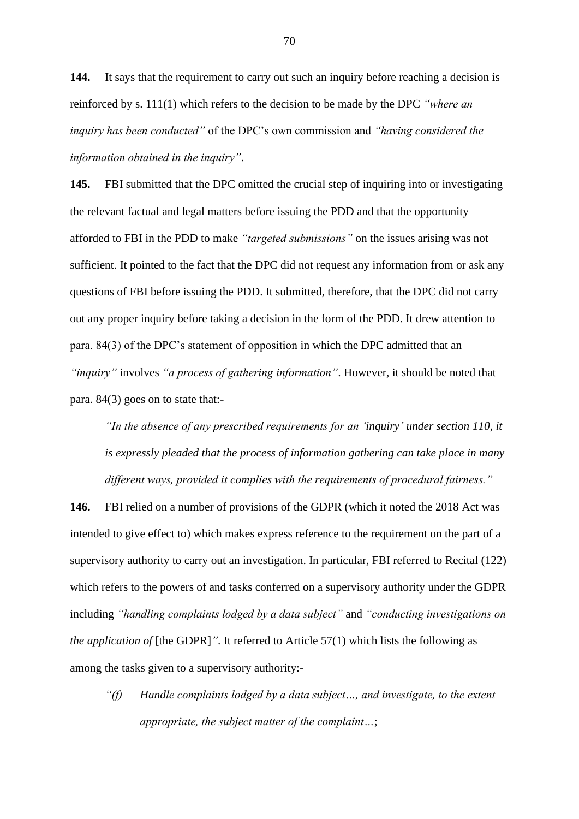**144.** It says that the requirement to carry out such an inquiry before reaching a decision is reinforced by s. 111(1) which refers to the decision to be made by the DPC *"where an inquiry has been conducted"* of the DPC's own commission and *"having considered the information obtained in the inquiry"*.

**145.** FBI submitted that the DPC omitted the crucial step of inquiring into or investigating the relevant factual and legal matters before issuing the PDD and that the opportunity afforded to FBI in the PDD to make *"targeted submissions"* on the issues arising was not sufficient. It pointed to the fact that the DPC did not request any information from or ask any questions of FBI before issuing the PDD. It submitted, therefore, that the DPC did not carry out any proper inquiry before taking a decision in the form of the PDD. It drew attention to para. 84(3) of the DPC's statement of opposition in which the DPC admitted that an *"inquiry"* involves *"a process of gathering information"*. However, it should be noted that para. 84(3) goes on to state that:-

*"In the absence of any prescribed requirements for an 'inquiry' under section 110, it is expressly pleaded that the process of information gathering can take place in many different ways, provided it complies with the requirements of procedural fairness."*

**146.** FBI relied on a number of provisions of the GDPR (which it noted the 2018 Act was intended to give effect to) which makes express reference to the requirement on the part of a supervisory authority to carry out an investigation. In particular, FBI referred to Recital (122) which refers to the powers of and tasks conferred on a supervisory authority under the GDPR including *"handling complaints lodged by a data subject"* and *"conducting investigations on the application of* [the GDPR]". It referred to Article 57(1) which lists the following as among the tasks given to a supervisory authority:-

*"(f) Handle complaints lodged by a data subject…, and investigate, to the extent appropriate, the subject matter of the complaint…*;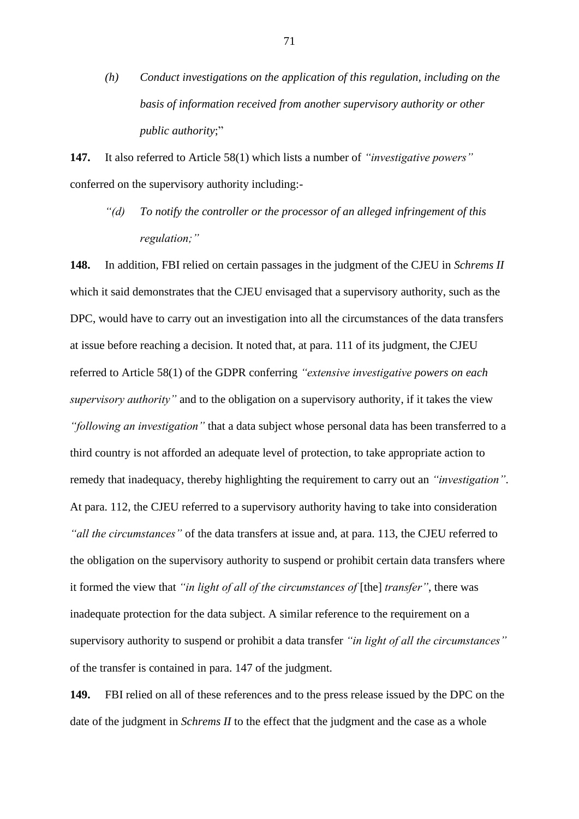*(h) Conduct investigations on the application of this regulation, including on the basis of information received from another supervisory authority or other public authority*;"

**147.** It also referred to Article 58(1) which lists a number of *"investigative powers"* conferred on the supervisory authority including:-

*"(d) To notify the controller or the processor of an alleged infringement of this regulation;"*

**148.** In addition, FBI relied on certain passages in the judgment of the CJEU in *Schrems II* which it said demonstrates that the CJEU envisaged that a supervisory authority, such as the DPC, would have to carry out an investigation into all the circumstances of the data transfers at issue before reaching a decision. It noted that, at para. 111 of its judgment, the CJEU referred to Article 58(1) of the GDPR conferring *"extensive investigative powers on each supervisory authority"* and to the obligation on a supervisory authority, if it takes the view *"following an investigation"* that a data subject whose personal data has been transferred to a third country is not afforded an adequate level of protection, to take appropriate action to remedy that inadequacy, thereby highlighting the requirement to carry out an *"investigation"*. At para. 112, the CJEU referred to a supervisory authority having to take into consideration *"all the circumstances"* of the data transfers at issue and, at para. 113, the CJEU referred to the obligation on the supervisory authority to suspend or prohibit certain data transfers where it formed the view that *"in light of all of the circumstances of* [the] *transfer"*, there was inadequate protection for the data subject. A similar reference to the requirement on a supervisory authority to suspend or prohibit a data transfer *"in light of all the circumstances"* of the transfer is contained in para. 147 of the judgment.

**149.** FBI relied on all of these references and to the press release issued by the DPC on the date of the judgment in *Schrems II* to the effect that the judgment and the case as a whole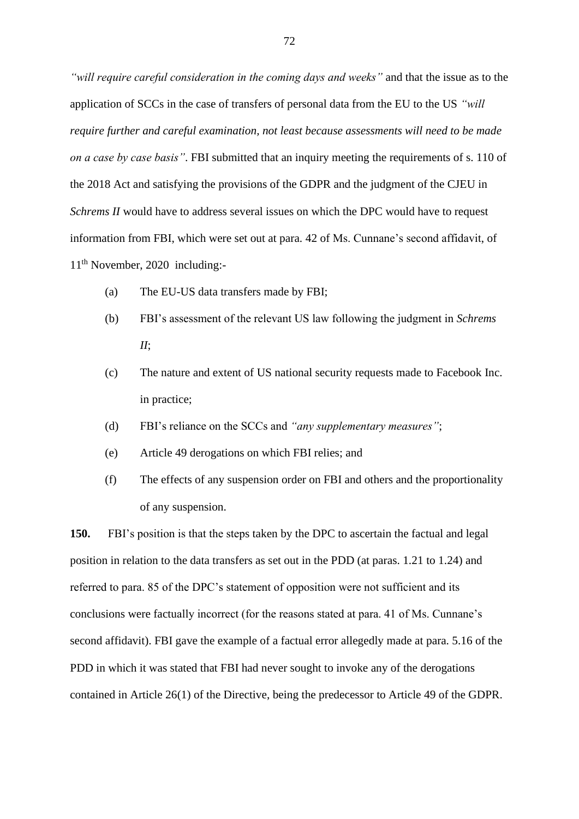*"will require careful consideration in the coming days and weeks"* and that the issue as to the application of SCCs in the case of transfers of personal data from the EU to the US *"will require further and careful examination, not least because assessments will need to be made on a case by case basis"*. FBI submitted that an inquiry meeting the requirements of s. 110 of the 2018 Act and satisfying the provisions of the GDPR and the judgment of the CJEU in *Schrems II* would have to address several issues on which the DPC would have to request information from FBI, which were set out at para. 42 of Ms. Cunnane's second affidavit, of 11th November, 2020 including:-

- (a) The EU-US data transfers made by FBI;
- (b) FBI's assessment of the relevant US law following the judgment in *Schrems II*;
- (c) The nature and extent of US national security requests made to Facebook Inc. in practice;
- (d) FBI's reliance on the SCCs and *"any supplementary measures"*;
- (e) Article 49 derogations on which FBI relies; and
- (f) The effects of any suspension order on FBI and others and the proportionality of any suspension.

**150.** FBI's position is that the steps taken by the DPC to ascertain the factual and legal position in relation to the data transfers as set out in the PDD (at paras. 1.21 to 1.24) and referred to para. 85 of the DPC's statement of opposition were not sufficient and its conclusions were factually incorrect (for the reasons stated at para. 41 of Ms. Cunnane's second affidavit). FBI gave the example of a factual error allegedly made at para. 5.16 of the PDD in which it was stated that FBI had never sought to invoke any of the derogations contained in Article 26(1) of the Directive, being the predecessor to Article 49 of the GDPR.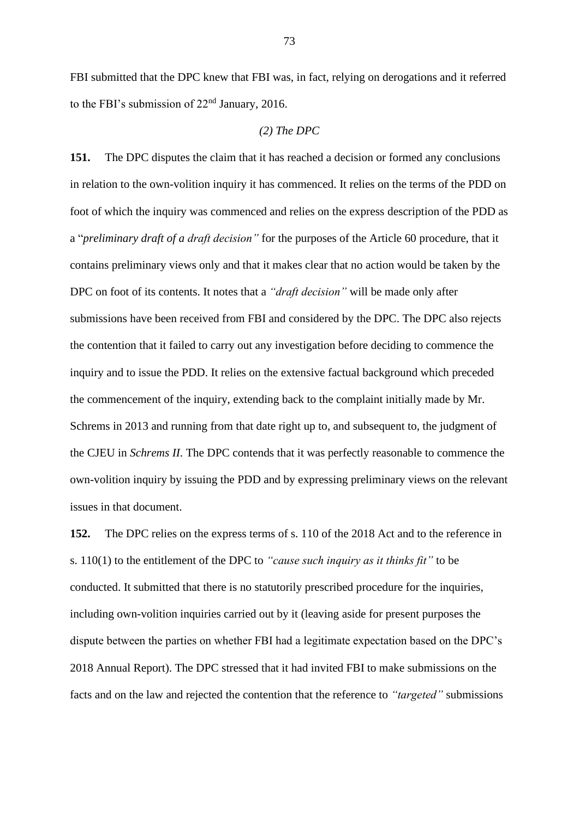FBI submitted that the DPC knew that FBI was, in fact, relying on derogations and it referred to the FBI's submission of  $22<sup>nd</sup>$  January, 2016.

#### *(2) The DPC*

**151.** The DPC disputes the claim that it has reached a decision or formed any conclusions in relation to the own-volition inquiry it has commenced. It relies on the terms of the PDD on foot of which the inquiry was commenced and relies on the express description of the PDD as a "*preliminary draft of a draft decision"* for the purposes of the Article 60 procedure, that it contains preliminary views only and that it makes clear that no action would be taken by the DPC on foot of its contents. It notes that a *"draft decision"* will be made only after submissions have been received from FBI and considered by the DPC. The DPC also rejects the contention that it failed to carry out any investigation before deciding to commence the inquiry and to issue the PDD. It relies on the extensive factual background which preceded the commencement of the inquiry, extending back to the complaint initially made by Mr. Schrems in 2013 and running from that date right up to, and subsequent to, the judgment of the CJEU in *Schrems II*. The DPC contends that it was perfectly reasonable to commence the own-volition inquiry by issuing the PDD and by expressing preliminary views on the relevant issues in that document.

**152.** The DPC relies on the express terms of s. 110 of the 2018 Act and to the reference in s. 110(1) to the entitlement of the DPC to *"cause such inquiry as it thinks fit"* to be conducted. It submitted that there is no statutorily prescribed procedure for the inquiries, including own-volition inquiries carried out by it (leaving aside for present purposes the dispute between the parties on whether FBI had a legitimate expectation based on the DPC's 2018 Annual Report). The DPC stressed that it had invited FBI to make submissions on the facts and on the law and rejected the contention that the reference to *"targeted"* submissions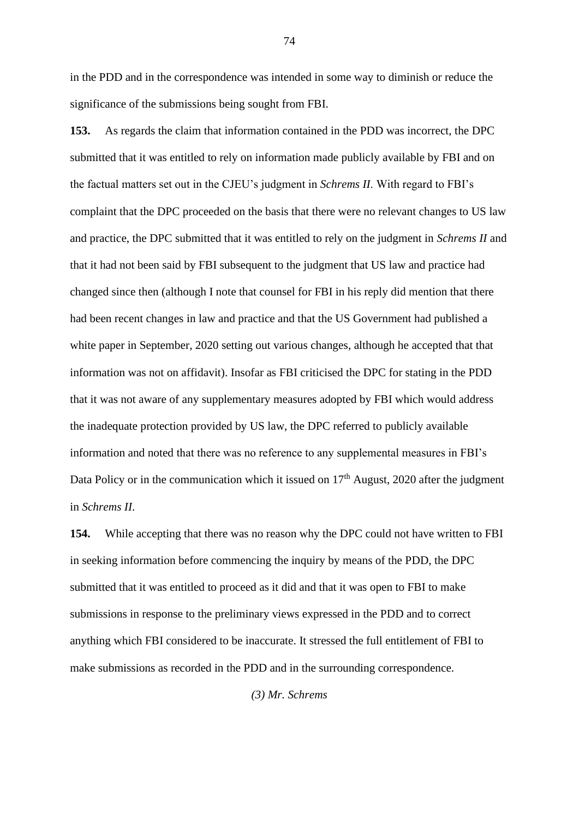in the PDD and in the correspondence was intended in some way to diminish or reduce the significance of the submissions being sought from FBI.

**153.** As regards the claim that information contained in the PDD was incorrect, the DPC submitted that it was entitled to rely on information made publicly available by FBI and on the factual matters set out in the CJEU's judgment in *Schrems II*. With regard to FBI's complaint that the DPC proceeded on the basis that there were no relevant changes to US law and practice, the DPC submitted that it was entitled to rely on the judgment in *Schrems II* and that it had not been said by FBI subsequent to the judgment that US law and practice had changed since then (although I note that counsel for FBI in his reply did mention that there had been recent changes in law and practice and that the US Government had published a white paper in September, 2020 setting out various changes, although he accepted that that information was not on affidavit). Insofar as FBI criticised the DPC for stating in the PDD that it was not aware of any supplementary measures adopted by FBI which would address the inadequate protection provided by US law, the DPC referred to publicly available information and noted that there was no reference to any supplemental measures in FBI's Data Policy or in the communication which it issued on  $17<sup>th</sup>$  August, 2020 after the judgment in *Schrems II*.

**154.** While accepting that there was no reason why the DPC could not have written to FBI in seeking information before commencing the inquiry by means of the PDD, the DPC submitted that it was entitled to proceed as it did and that it was open to FBI to make submissions in response to the preliminary views expressed in the PDD and to correct anything which FBI considered to be inaccurate. It stressed the full entitlement of FBI to make submissions as recorded in the PDD and in the surrounding correspondence.

*(3) Mr. Schrems*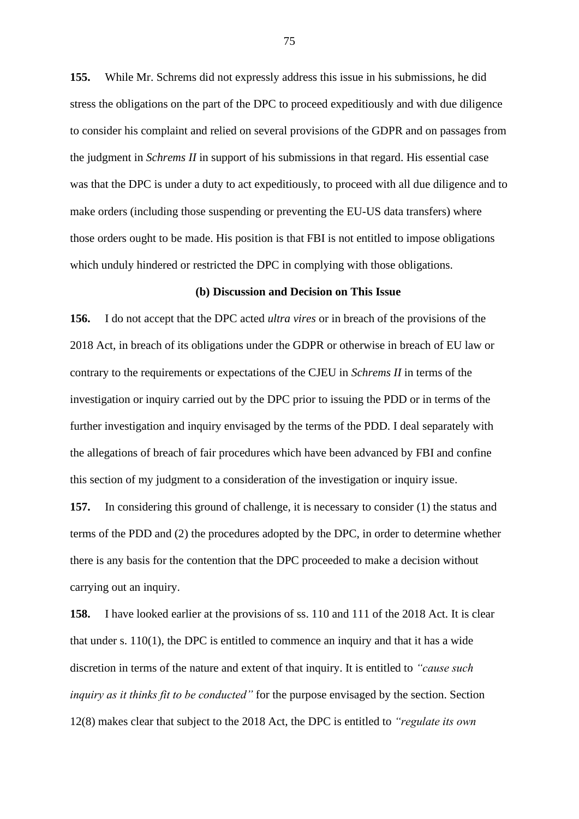**155.** While Mr. Schrems did not expressly address this issue in his submissions, he did stress the obligations on the part of the DPC to proceed expeditiously and with due diligence to consider his complaint and relied on several provisions of the GDPR and on passages from the judgment in *Schrems II* in support of his submissions in that regard. His essential case was that the DPC is under a duty to act expeditiously, to proceed with all due diligence and to make orders (including those suspending or preventing the EU-US data transfers) where those orders ought to be made. His position is that FBI is not entitled to impose obligations which unduly hindered or restricted the DPC in complying with those obligations.

## **(b) Discussion and Decision on This Issue**

**156.** I do not accept that the DPC acted *ultra vires* or in breach of the provisions of the 2018 Act, in breach of its obligations under the GDPR or otherwise in breach of EU law or contrary to the requirements or expectations of the CJEU in *Schrems II* in terms of the investigation or inquiry carried out by the DPC prior to issuing the PDD or in terms of the further investigation and inquiry envisaged by the terms of the PDD. I deal separately with the allegations of breach of fair procedures which have been advanced by FBI and confine this section of my judgment to a consideration of the investigation or inquiry issue.

**157.** In considering this ground of challenge, it is necessary to consider (1) the status and terms of the PDD and (2) the procedures adopted by the DPC, in order to determine whether there is any basis for the contention that the DPC proceeded to make a decision without carrying out an inquiry.

**158.** I have looked earlier at the provisions of ss. 110 and 111 of the 2018 Act. It is clear that under s. 110(1), the DPC is entitled to commence an inquiry and that it has a wide discretion in terms of the nature and extent of that inquiry. It is entitled to *"cause such inquiry as it thinks fit to be conducted"* for the purpose envisaged by the section. Section 12(8) makes clear that subject to the 2018 Act, the DPC is entitled to *"regulate its own*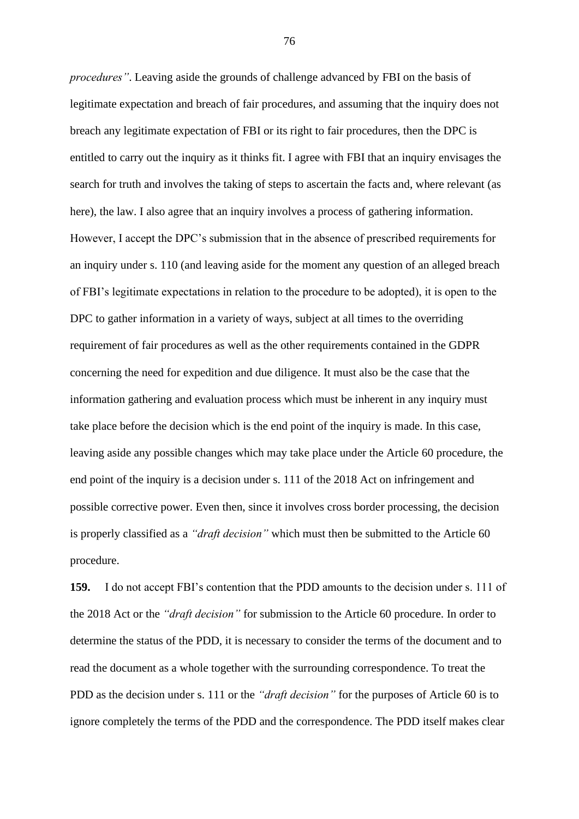*procedures"*. Leaving aside the grounds of challenge advanced by FBI on the basis of legitimate expectation and breach of fair procedures, and assuming that the inquiry does not breach any legitimate expectation of FBI or its right to fair procedures, then the DPC is entitled to carry out the inquiry as it thinks fit. I agree with FBI that an inquiry envisages the search for truth and involves the taking of steps to ascertain the facts and, where relevant (as here), the law. I also agree that an inquiry involves a process of gathering information. However, I accept the DPC's submission that in the absence of prescribed requirements for an inquiry under s. 110 (and leaving aside for the moment any question of an alleged breach of FBI's legitimate expectations in relation to the procedure to be adopted), it is open to the DPC to gather information in a variety of ways, subject at all times to the overriding requirement of fair procedures as well as the other requirements contained in the GDPR concerning the need for expedition and due diligence. It must also be the case that the information gathering and evaluation process which must be inherent in any inquiry must take place before the decision which is the end point of the inquiry is made. In this case, leaving aside any possible changes which may take place under the Article 60 procedure, the end point of the inquiry is a decision under s. 111 of the 2018 Act on infringement and possible corrective power. Even then, since it involves cross border processing, the decision is properly classified as a *"draft decision"* which must then be submitted to the Article 60 procedure.

**159.** I do not accept FBI's contention that the PDD amounts to the decision under s. 111 of the 2018 Act or the *"draft decision"* for submission to the Article 60 procedure. In order to determine the status of the PDD, it is necessary to consider the terms of the document and to read the document as a whole together with the surrounding correspondence. To treat the PDD as the decision under s. 111 or the *"draft decision"* for the purposes of Article 60 is to ignore completely the terms of the PDD and the correspondence. The PDD itself makes clear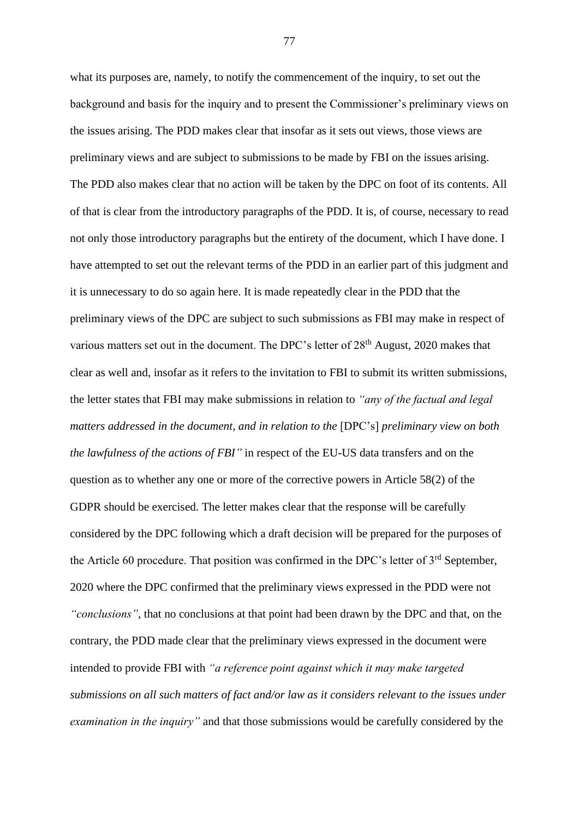what its purposes are, namely, to notify the commencement of the inquiry, to set out the background and basis for the inquiry and to present the Commissioner's preliminary views on the issues arising. The PDD makes clear that insofar as it sets out views, those views are preliminary views and are subject to submissions to be made by FBI on the issues arising. The PDD also makes clear that no action will be taken by the DPC on foot of its contents. All of that is clear from the introductory paragraphs of the PDD. It is, of course, necessary to read not only those introductory paragraphs but the entirety of the document, which I have done. I have attempted to set out the relevant terms of the PDD in an earlier part of this judgment and it is unnecessary to do so again here. It is made repeatedly clear in the PDD that the preliminary views of the DPC are subject to such submissions as FBI may make in respect of various matters set out in the document. The DPC's letter of 28<sup>th</sup> August, 2020 makes that clear as well and, insofar as it refers to the invitation to FBI to submit its written submissions, the letter states that FBI may make submissions in relation to *"any of the factual and legal matters addressed in the document, and in relation to the* [DPC's] *preliminary view on both the lawfulness of the actions of FBI"* in respect of the EU-US data transfers and on the question as to whether any one or more of the corrective powers in Article 58(2) of the GDPR should be exercised. The letter makes clear that the response will be carefully considered by the DPC following which a draft decision will be prepared for the purposes of the Article 60 procedure. That position was confirmed in the DPC's letter of  $3<sup>rd</sup>$  September, 2020 where the DPC confirmed that the preliminary views expressed in the PDD were not *"conclusions"*, that no conclusions at that point had been drawn by the DPC and that, on the contrary, the PDD made clear that the preliminary views expressed in the document were intended to provide FBI with *"a reference point against which it may make targeted submissions on all such matters of fact and/or law as it considers relevant to the issues under examination in the inquiry"* and that those submissions would be carefully considered by the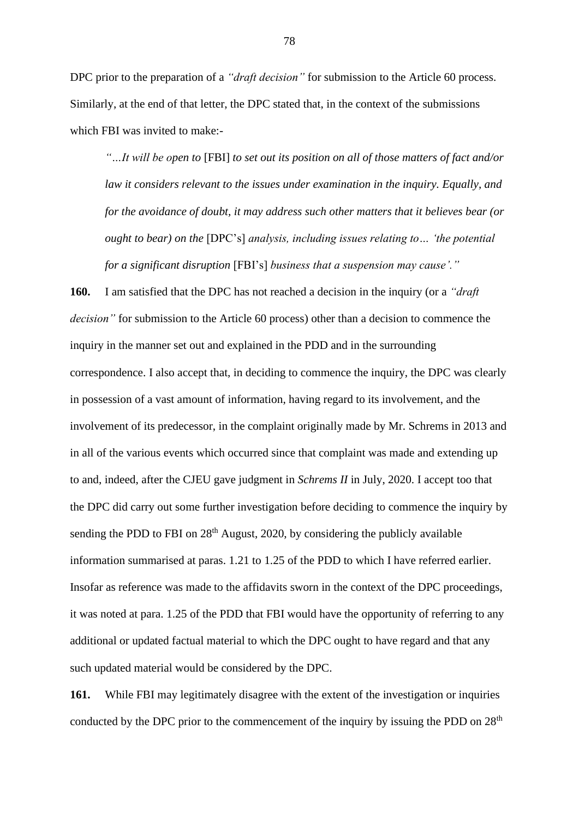DPC prior to the preparation of a *"draft decision"* for submission to the Article 60 process. Similarly, at the end of that letter, the DPC stated that, in the context of the submissions which FBI was invited to make:-

*"…It will be open to* [FBI] *to set out its position on all of those matters of fact and/or law it considers relevant to the issues under examination in the inquiry. Equally, and for the avoidance of doubt, it may address such other matters that it believes bear (or ought to bear) on the* [DPC's] *analysis, including issues relating to… 'the potential for a significant disruption* [FBI's] *business that a suspension may cause'."*

**160.** I am satisfied that the DPC has not reached a decision in the inquiry (or a *"draft decision"* for submission to the Article 60 process) other than a decision to commence the inquiry in the manner set out and explained in the PDD and in the surrounding correspondence. I also accept that, in deciding to commence the inquiry, the DPC was clearly in possession of a vast amount of information, having regard to its involvement, and the involvement of its predecessor, in the complaint originally made by Mr. Schrems in 2013 and in all of the various events which occurred since that complaint was made and extending up to and, indeed, after the CJEU gave judgment in *Schrems II* in July, 2020. I accept too that the DPC did carry out some further investigation before deciding to commence the inquiry by sending the PDD to FBI on  $28<sup>th</sup>$  August, 2020, by considering the publicly available information summarised at paras. 1.21 to 1.25 of the PDD to which I have referred earlier. Insofar as reference was made to the affidavits sworn in the context of the DPC proceedings, it was noted at para. 1.25 of the PDD that FBI would have the opportunity of referring to any additional or updated factual material to which the DPC ought to have regard and that any such updated material would be considered by the DPC.

**161.** While FBI may legitimately disagree with the extent of the investigation or inquiries conducted by the DPC prior to the commencement of the inquiry by issuing the PDD on  $28<sup>th</sup>$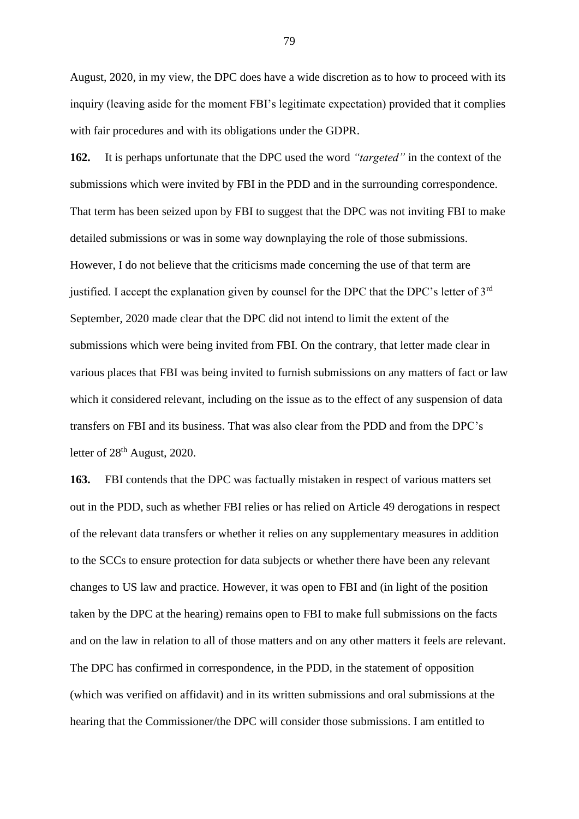August, 2020, in my view, the DPC does have a wide discretion as to how to proceed with its inquiry (leaving aside for the moment FBI's legitimate expectation) provided that it complies with fair procedures and with its obligations under the GDPR.

**162.** It is perhaps unfortunate that the DPC used the word *"targeted"* in the context of the submissions which were invited by FBI in the PDD and in the surrounding correspondence. That term has been seized upon by FBI to suggest that the DPC was not inviting FBI to make detailed submissions or was in some way downplaying the role of those submissions. However, I do not believe that the criticisms made concerning the use of that term are justified. I accept the explanation given by counsel for the DPC that the DPC's letter of 3<sup>rd</sup> September, 2020 made clear that the DPC did not intend to limit the extent of the submissions which were being invited from FBI. On the contrary, that letter made clear in various places that FBI was being invited to furnish submissions on any matters of fact or law which it considered relevant, including on the issue as to the effect of any suspension of data transfers on FBI and its business. That was also clear from the PDD and from the DPC's letter of 28<sup>th</sup> August, 2020.

**163.** FBI contends that the DPC was factually mistaken in respect of various matters set out in the PDD, such as whether FBI relies or has relied on Article 49 derogations in respect of the relevant data transfers or whether it relies on any supplementary measures in addition to the SCCs to ensure protection for data subjects or whether there have been any relevant changes to US law and practice. However, it was open to FBI and (in light of the position taken by the DPC at the hearing) remains open to FBI to make full submissions on the facts and on the law in relation to all of those matters and on any other matters it feels are relevant. The DPC has confirmed in correspondence, in the PDD, in the statement of opposition (which was verified on affidavit) and in its written submissions and oral submissions at the hearing that the Commissioner/the DPC will consider those submissions. I am entitled to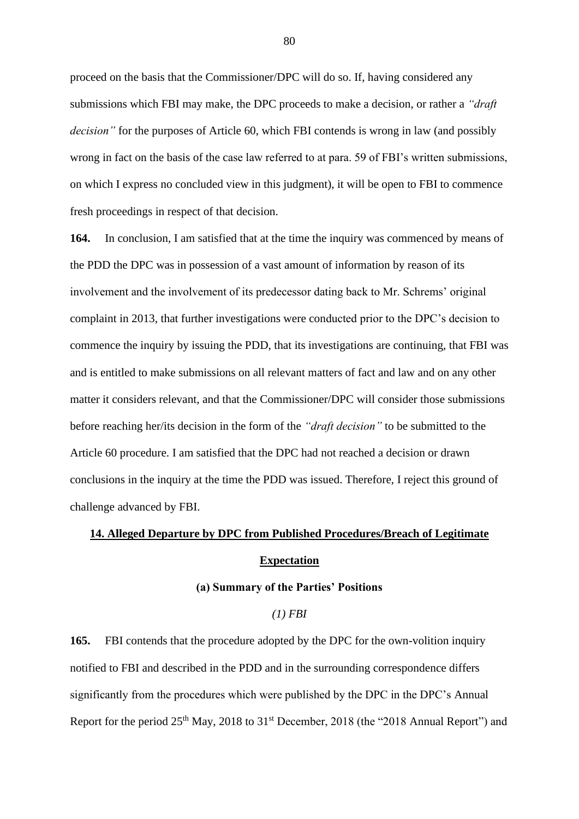proceed on the basis that the Commissioner/DPC will do so. If, having considered any submissions which FBI may make, the DPC proceeds to make a decision, or rather a *"draft decision"* for the purposes of Article 60, which FBI contends is wrong in law (and possibly wrong in fact on the basis of the case law referred to at para. 59 of FBI's written submissions, on which I express no concluded view in this judgment), it will be open to FBI to commence fresh proceedings in respect of that decision.

**164.** In conclusion, I am satisfied that at the time the inquiry was commenced by means of the PDD the DPC was in possession of a vast amount of information by reason of its involvement and the involvement of its predecessor dating back to Mr. Schrems' original complaint in 2013, that further investigations were conducted prior to the DPC's decision to commence the inquiry by issuing the PDD, that its investigations are continuing, that FBI was and is entitled to make submissions on all relevant matters of fact and law and on any other matter it considers relevant, and that the Commissioner/DPC will consider those submissions before reaching her/its decision in the form of the *"draft decision"* to be submitted to the Article 60 procedure. I am satisfied that the DPC had not reached a decision or drawn conclusions in the inquiry at the time the PDD was issued. Therefore, I reject this ground of challenge advanced by FBI.

# **14. Alleged Departure by DPC from Published Procedures/Breach of Legitimate Expectation**

#### **(a) Summary of the Parties' Positions**

# *(1) FBI*

**165.** FBI contends that the procedure adopted by the DPC for the own-volition inquiry notified to FBI and described in the PDD and in the surrounding correspondence differs significantly from the procedures which were published by the DPC in the DPC's Annual Report for the period 25<sup>th</sup> May, 2018 to 31<sup>st</sup> December, 2018 (the "2018 Annual Report") and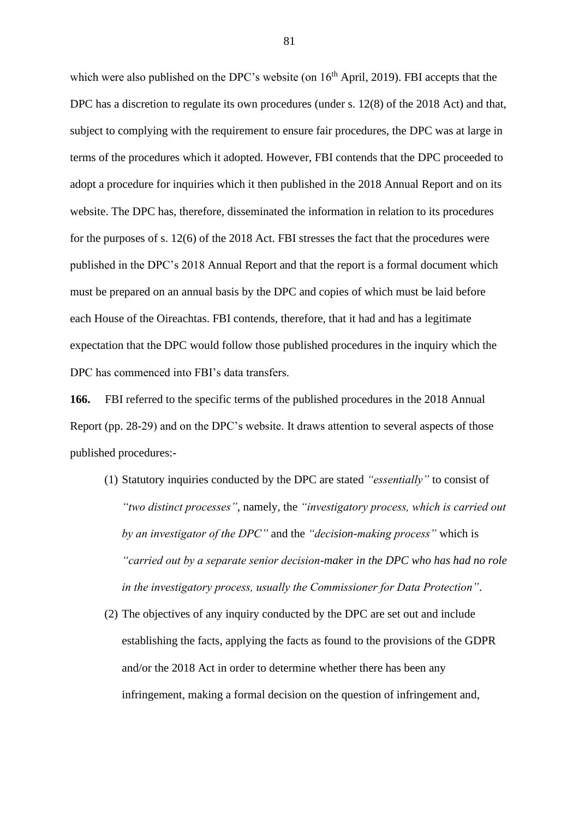which were also published on the DPC's website (on  $16<sup>th</sup>$  April, 2019). FBI accepts that the DPC has a discretion to regulate its own procedures (under s. 12(8) of the 2018 Act) and that, subject to complying with the requirement to ensure fair procedures, the DPC was at large in terms of the procedures which it adopted. However, FBI contends that the DPC proceeded to adopt a procedure for inquiries which it then published in the 2018 Annual Report and on its website. The DPC has, therefore, disseminated the information in relation to its procedures for the purposes of s. 12(6) of the 2018 Act. FBI stresses the fact that the procedures were published in the DPC's 2018 Annual Report and that the report is a formal document which must be prepared on an annual basis by the DPC and copies of which must be laid before each House of the Oireachtas. FBI contends, therefore, that it had and has a legitimate expectation that the DPC would follow those published procedures in the inquiry which the DPC has commenced into FBI's data transfers.

**166.** FBI referred to the specific terms of the published procedures in the 2018 Annual Report (pp. 28-29) and on the DPC's website. It draws attention to several aspects of those published procedures:-

- (1) Statutory inquiries conducted by the DPC are stated *"essentially"* to consist of *"two distinct processes"*, namely, the *"investigatory process, which is carried out by an investigator of the DPC"* and the *"decision-making process"* which is *"carried out by a separate senior decision-maker in the DPC who has had no role in the investigatory process, usually the Commissioner for Data Protection"*.
- (2) The objectives of any inquiry conducted by the DPC are set out and include establishing the facts, applying the facts as found to the provisions of the GDPR and/or the 2018 Act in order to determine whether there has been any infringement, making a formal decision on the question of infringement and,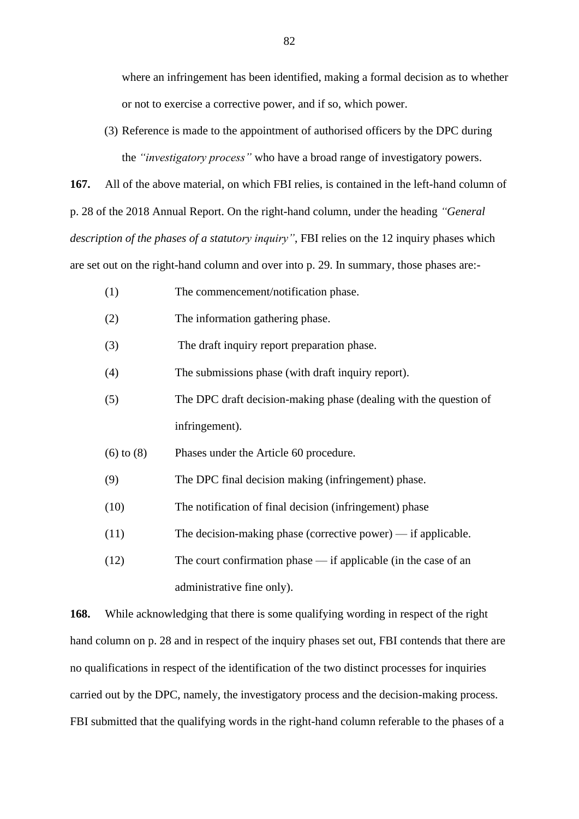where an infringement has been identified, making a formal decision as to whether or not to exercise a corrective power, and if so, which power.

(3) Reference is made to the appointment of authorised officers by the DPC during the *"investigatory process"* who have a broad range of investigatory powers.

**167.** All of the above material, on which FBI relies, is contained in the left-hand column of p. 28 of the 2018 Annual Report. On the right-hand column, under the heading *"General description of the phases of a statutory inquiry"*, FBI relies on the 12 inquiry phases which are set out on the right-hand column and over into p. 29. In summary, those phases are:-

- (1) The commencement/notification phase.
- (2) The information gathering phase.
- (3) The draft inquiry report preparation phase.

(4) The submissions phase (with draft inquiry report).

- (5) The DPC draft decision-making phase (dealing with the question of infringement).
- (6) to (8) Phases under the Article 60 procedure.
- (9) The DPC final decision making (infringement) phase.
- (10) The notification of final decision (infringement) phase
- (11) The decision-making phase (corrective power) if applicable.
- (12) The court confirmation phase if applicable (in the case of an administrative fine only).

**168.** While acknowledging that there is some qualifying wording in respect of the right hand column on p. 28 and in respect of the inquiry phases set out, FBI contends that there are no qualifications in respect of the identification of the two distinct processes for inquiries carried out by the DPC, namely, the investigatory process and the decision-making process. FBI submitted that the qualifying words in the right-hand column referable to the phases of a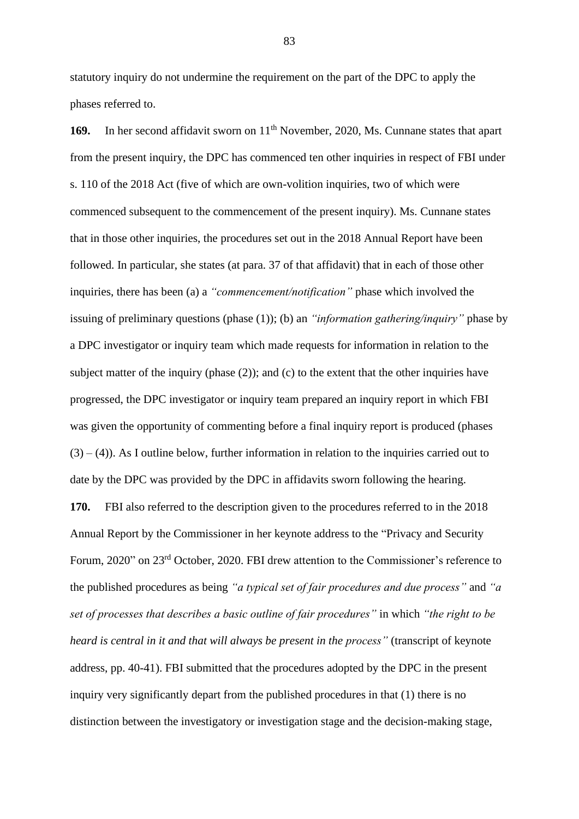statutory inquiry do not undermine the requirement on the part of the DPC to apply the phases referred to.

169. In her second affidavit sworn on 11<sup>th</sup> November, 2020, Ms. Cunnane states that apart from the present inquiry, the DPC has commenced ten other inquiries in respect of FBI under s. 110 of the 2018 Act (five of which are own-volition inquiries, two of which were commenced subsequent to the commencement of the present inquiry). Ms. Cunnane states that in those other inquiries, the procedures set out in the 2018 Annual Report have been followed. In particular, she states (at para. 37 of that affidavit) that in each of those other inquiries, there has been (a) a *"commencement/notification"* phase which involved the issuing of preliminary questions (phase (1)); (b) an *"information gathering/inquiry"* phase by a DPC investigator or inquiry team which made requests for information in relation to the subject matter of the inquiry (phase (2)); and (c) to the extent that the other inquiries have progressed, the DPC investigator or inquiry team prepared an inquiry report in which FBI was given the opportunity of commenting before a final inquiry report is produced (phases  $(3) - (4)$ ). As I outline below, further information in relation to the inquiries carried out to date by the DPC was provided by the DPC in affidavits sworn following the hearing.

**170.** FBI also referred to the description given to the procedures referred to in the 2018 Annual Report by the Commissioner in her keynote address to the "Privacy and Security Forum, 2020" on 23rd October, 2020. FBI drew attention to the Commissioner's reference to the published procedures as being *"a typical set of fair procedures and due process"* and *"a set of processes that describes a basic outline of fair procedures"* in which *"the right to be heard is central in it and that will always be present in the process"* (transcript of keynote address, pp. 40-41). FBI submitted that the procedures adopted by the DPC in the present inquiry very significantly depart from the published procedures in that (1) there is no distinction between the investigatory or investigation stage and the decision-making stage,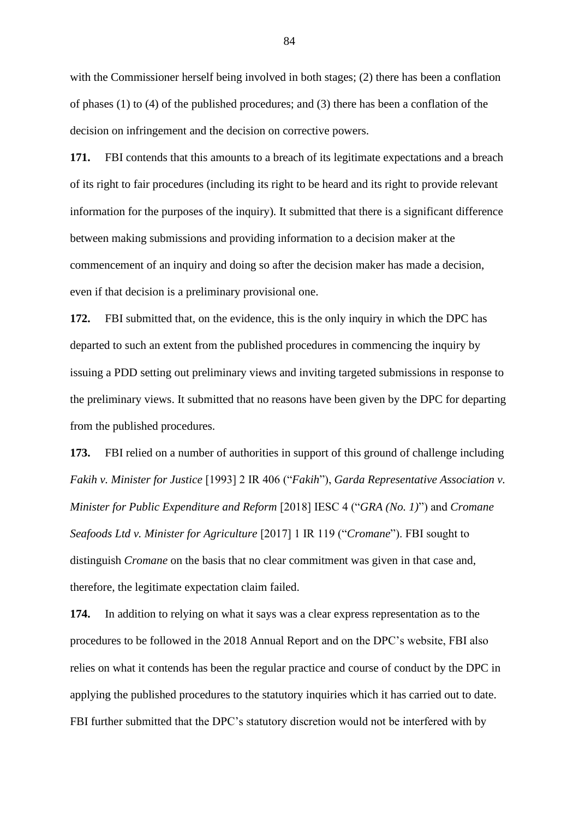with the Commissioner herself being involved in both stages; (2) there has been a conflation of phases (1) to (4) of the published procedures; and (3) there has been a conflation of the decision on infringement and the decision on corrective powers.

**171.** FBI contends that this amounts to a breach of its legitimate expectations and a breach of its right to fair procedures (including its right to be heard and its right to provide relevant information for the purposes of the inquiry). It submitted that there is a significant difference between making submissions and providing information to a decision maker at the commencement of an inquiry and doing so after the decision maker has made a decision, even if that decision is a preliminary provisional one.

**172.** FBI submitted that, on the evidence, this is the only inquiry in which the DPC has departed to such an extent from the published procedures in commencing the inquiry by issuing a PDD setting out preliminary views and inviting targeted submissions in response to the preliminary views. It submitted that no reasons have been given by the DPC for departing from the published procedures.

**173.** FBI relied on a number of authorities in support of this ground of challenge including *Fakih v. Minister for Justice* [1993] 2 IR 406 ("*Fakih*"), *Garda Representative Association v. Minister for Public Expenditure and Reform* [2018] IESC 4 ("*GRA (No. 1)*") and *Cromane Seafoods Ltd v. Minister for Agriculture* [2017] 1 IR 119 ("*Cromane*"). FBI sought to distinguish *Cromane* on the basis that no clear commitment was given in that case and, therefore, the legitimate expectation claim failed.

**174.** In addition to relying on what it says was a clear express representation as to the procedures to be followed in the 2018 Annual Report and on the DPC's website, FBI also relies on what it contends has been the regular practice and course of conduct by the DPC in applying the published procedures to the statutory inquiries which it has carried out to date. FBI further submitted that the DPC's statutory discretion would not be interfered with by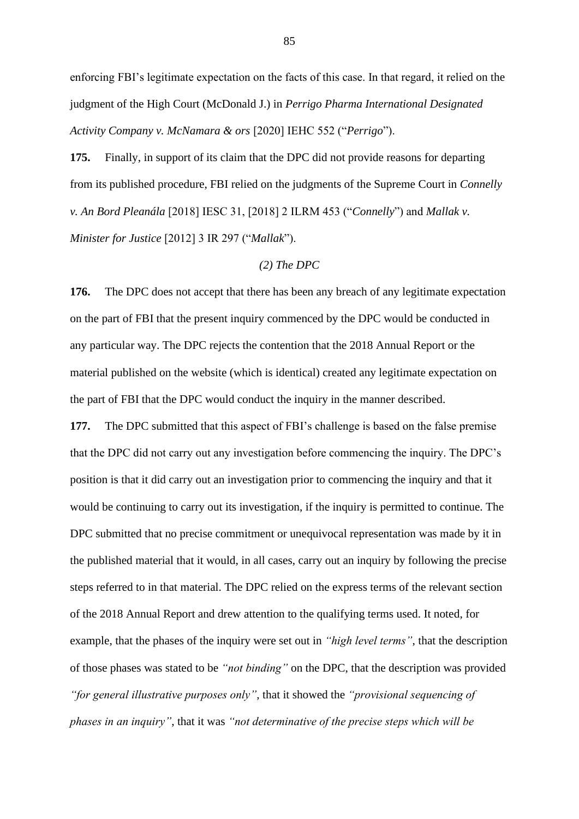enforcing FBI's legitimate expectation on the facts of this case. In that regard, it relied on the judgment of the High Court (McDonald J.) in *Perrigo Pharma International Designated Activity Company v. McNamara & ors* [2020] IEHC 552 ("*Perrigo*").

**175.** Finally, in support of its claim that the DPC did not provide reasons for departing from its published procedure, FBI relied on the judgments of the Supreme Court in *Connelly v. An Bord Pleanála* [2018] IESC 31, [2018] 2 ILRM 453 ("*Connelly*") and *Mallak v. Minister for Justice* [2012] 3 IR 297 ("*Mallak*").

# *(2) The DPC*

**176.** The DPC does not accept that there has been any breach of any legitimate expectation on the part of FBI that the present inquiry commenced by the DPC would be conducted in any particular way. The DPC rejects the contention that the 2018 Annual Report or the material published on the website (which is identical) created any legitimate expectation on the part of FBI that the DPC would conduct the inquiry in the manner described.

**177.** The DPC submitted that this aspect of FBI's challenge is based on the false premise that the DPC did not carry out any investigation before commencing the inquiry. The DPC's position is that it did carry out an investigation prior to commencing the inquiry and that it would be continuing to carry out its investigation, if the inquiry is permitted to continue. The DPC submitted that no precise commitment or unequivocal representation was made by it in the published material that it would, in all cases, carry out an inquiry by following the precise steps referred to in that material. The DPC relied on the express terms of the relevant section of the 2018 Annual Report and drew attention to the qualifying terms used. It noted, for example, that the phases of the inquiry were set out in *"high level terms"*, that the description of those phases was stated to be *"not binding"* on the DPC, that the description was provided *"for general illustrative purposes only"*, that it showed the *"provisional sequencing of phases in an inquiry"*, that it was *"not determinative of the precise steps which will be*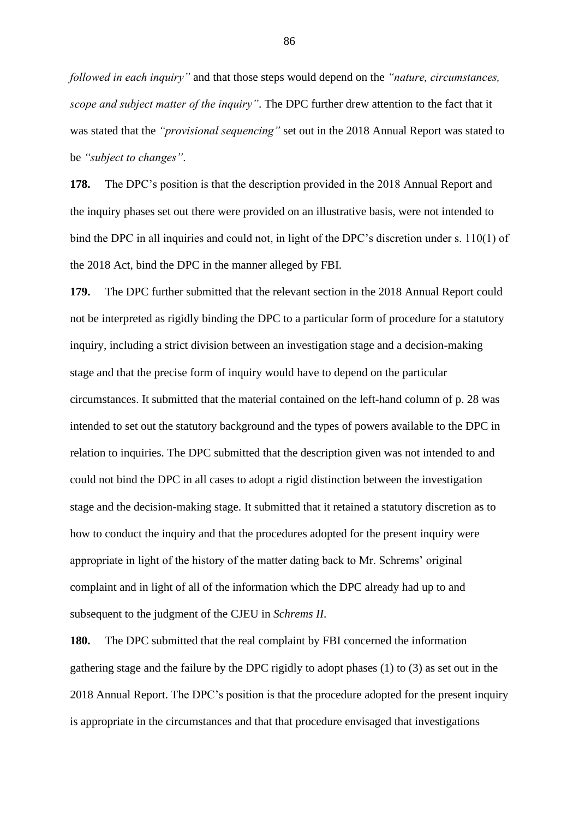*followed in each inquiry"* and that those steps would depend on the *"nature, circumstances, scope and subject matter of the inquiry"*. The DPC further drew attention to the fact that it was stated that the *"provisional sequencing"* set out in the 2018 Annual Report was stated to be *"subject to changes"*.

**178.** The DPC's position is that the description provided in the 2018 Annual Report and the inquiry phases set out there were provided on an illustrative basis, were not intended to bind the DPC in all inquiries and could not, in light of the DPC's discretion under s. 110(1) of the 2018 Act, bind the DPC in the manner alleged by FBI.

**179.** The DPC further submitted that the relevant section in the 2018 Annual Report could not be interpreted as rigidly binding the DPC to a particular form of procedure for a statutory inquiry, including a strict division between an investigation stage and a decision-making stage and that the precise form of inquiry would have to depend on the particular circumstances. It submitted that the material contained on the left-hand column of p. 28 was intended to set out the statutory background and the types of powers available to the DPC in relation to inquiries. The DPC submitted that the description given was not intended to and could not bind the DPC in all cases to adopt a rigid distinction between the investigation stage and the decision-making stage. It submitted that it retained a statutory discretion as to how to conduct the inquiry and that the procedures adopted for the present inquiry were appropriate in light of the history of the matter dating back to Mr. Schrems' original complaint and in light of all of the information which the DPC already had up to and subsequent to the judgment of the CJEU in *Schrems II*.

**180.** The DPC submitted that the real complaint by FBI concerned the information gathering stage and the failure by the DPC rigidly to adopt phases (1) to (3) as set out in the 2018 Annual Report. The DPC's position is that the procedure adopted for the present inquiry is appropriate in the circumstances and that that procedure envisaged that investigations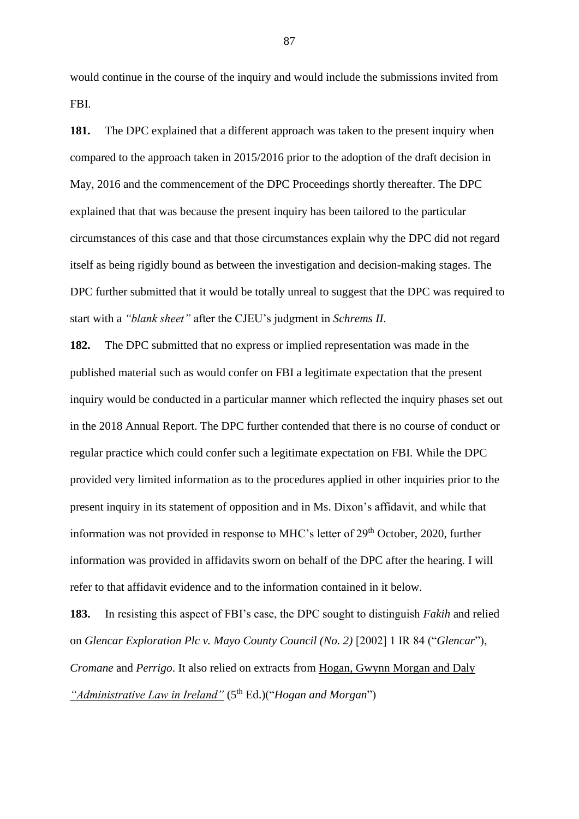would continue in the course of the inquiry and would include the submissions invited from FBI.

**181.** The DPC explained that a different approach was taken to the present inquiry when compared to the approach taken in 2015/2016 prior to the adoption of the draft decision in May, 2016 and the commencement of the DPC Proceedings shortly thereafter. The DPC explained that that was because the present inquiry has been tailored to the particular circumstances of this case and that those circumstances explain why the DPC did not regard itself as being rigidly bound as between the investigation and decision-making stages. The DPC further submitted that it would be totally unreal to suggest that the DPC was required to start with a *"blank sheet"* after the CJEU's judgment in *Schrems II*.

**182.** The DPC submitted that no express or implied representation was made in the published material such as would confer on FBI a legitimate expectation that the present inquiry would be conducted in a particular manner which reflected the inquiry phases set out in the 2018 Annual Report. The DPC further contended that there is no course of conduct or regular practice which could confer such a legitimate expectation on FBI. While the DPC provided very limited information as to the procedures applied in other inquiries prior to the present inquiry in its statement of opposition and in Ms. Dixon's affidavit, and while that information was not provided in response to MHC's letter of 29<sup>th</sup> October, 2020, further information was provided in affidavits sworn on behalf of the DPC after the hearing. I will refer to that affidavit evidence and to the information contained in it below.

**183.** In resisting this aspect of FBI's case, the DPC sought to distinguish *Fakih* and relied on *Glencar Exploration Plc v. Mayo County Council (No. 2)* [2002] 1 IR 84 ("*Glencar*"), *Cromane* and *Perrigo*. It also relied on extracts from Hogan, Gwynn Morgan and Daly *"Administrative Law in Ireland"* (5<sup>th</sup> Ed.)("*Hogan and Morgan*")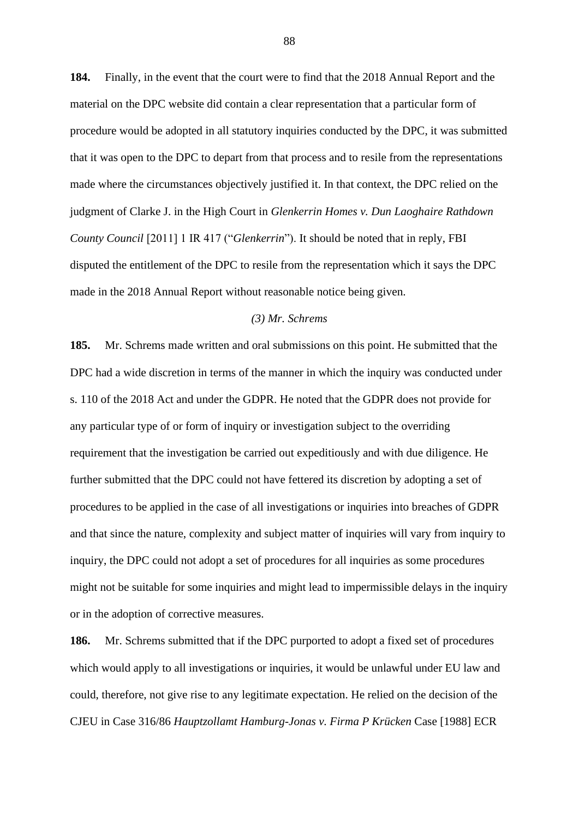**184.** Finally, in the event that the court were to find that the 2018 Annual Report and the material on the DPC website did contain a clear representation that a particular form of procedure would be adopted in all statutory inquiries conducted by the DPC, it was submitted that it was open to the DPC to depart from that process and to resile from the representations made where the circumstances objectively justified it. In that context, the DPC relied on the judgment of Clarke J. in the High Court in *Glenkerrin Homes v. Dun Laoghaire Rathdown County Council* [2011] 1 IR 417 ("*Glenkerrin*"). It should be noted that in reply, FBI disputed the entitlement of the DPC to resile from the representation which it says the DPC made in the 2018 Annual Report without reasonable notice being given.

### *(3) Mr. Schrems*

**185.** Mr. Schrems made written and oral submissions on this point. He submitted that the DPC had a wide discretion in terms of the manner in which the inquiry was conducted under s. 110 of the 2018 Act and under the GDPR. He noted that the GDPR does not provide for any particular type of or form of inquiry or investigation subject to the overriding requirement that the investigation be carried out expeditiously and with due diligence. He further submitted that the DPC could not have fettered its discretion by adopting a set of procedures to be applied in the case of all investigations or inquiries into breaches of GDPR and that since the nature, complexity and subject matter of inquiries will vary from inquiry to inquiry, the DPC could not adopt a set of procedures for all inquiries as some procedures might not be suitable for some inquiries and might lead to impermissible delays in the inquiry or in the adoption of corrective measures.

**186.** Mr. Schrems submitted that if the DPC purported to adopt a fixed set of procedures which would apply to all investigations or inquiries, it would be unlawful under EU law and could, therefore, not give rise to any legitimate expectation. He relied on the decision of the CJEU in Case 316/86 *Hauptzollamt Hamburg-Jonas v. Firma P Krücken* Case [1988] ECR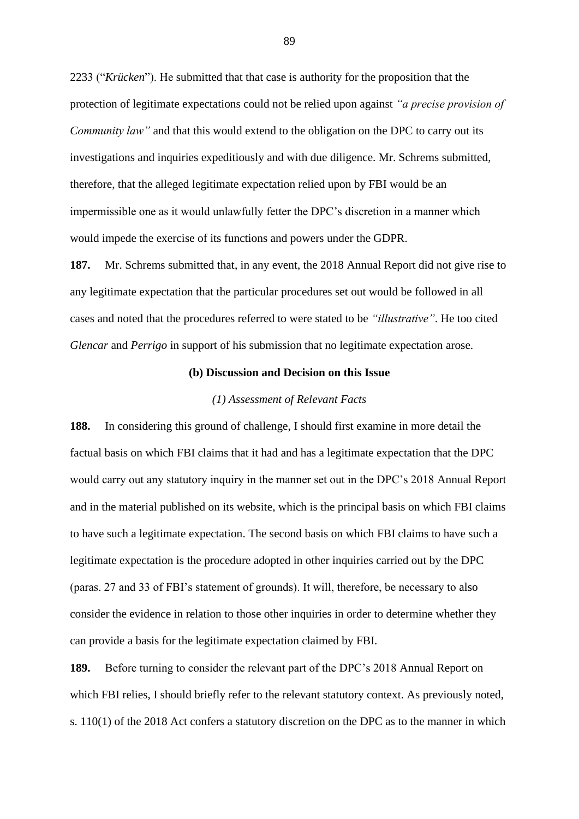2233 ("*Krücken*"). He submitted that that case is authority for the proposition that the protection of legitimate expectations could not be relied upon against *"a precise provision of Community law"* and that this would extend to the obligation on the DPC to carry out its investigations and inquiries expeditiously and with due diligence. Mr. Schrems submitted, therefore, that the alleged legitimate expectation relied upon by FBI would be an impermissible one as it would unlawfully fetter the DPC's discretion in a manner which would impede the exercise of its functions and powers under the GDPR.

**187.** Mr. Schrems submitted that, in any event, the 2018 Annual Report did not give rise to any legitimate expectation that the particular procedures set out would be followed in all cases and noted that the procedures referred to were stated to be *"illustrative"*. He too cited *Glencar* and *Perrigo* in support of his submission that no legitimate expectation arose.

#### **(b) Discussion and Decision on this Issue**

### *(1) Assessment of Relevant Facts*

**188.** In considering this ground of challenge, I should first examine in more detail the factual basis on which FBI claims that it had and has a legitimate expectation that the DPC would carry out any statutory inquiry in the manner set out in the DPC's 2018 Annual Report and in the material published on its website, which is the principal basis on which FBI claims to have such a legitimate expectation. The second basis on which FBI claims to have such a legitimate expectation is the procedure adopted in other inquiries carried out by the DPC (paras. 27 and 33 of FBI's statement of grounds). It will, therefore, be necessary to also consider the evidence in relation to those other inquiries in order to determine whether they can provide a basis for the legitimate expectation claimed by FBI.

**189.** Before turning to consider the relevant part of the DPC's 2018 Annual Report on which FBI relies, I should briefly refer to the relevant statutory context. As previously noted, s. 110(1) of the 2018 Act confers a statutory discretion on the DPC as to the manner in which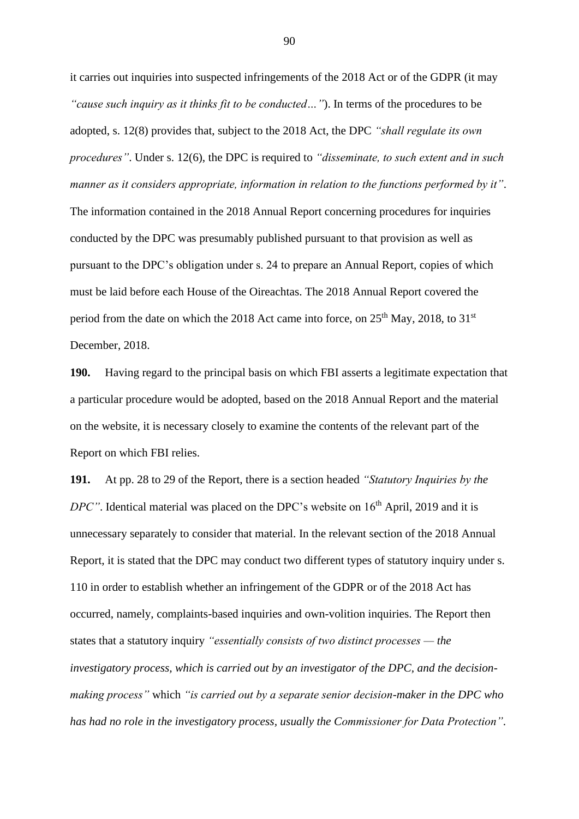it carries out inquiries into suspected infringements of the 2018 Act or of the GDPR (it may *"cause such inquiry as it thinks fit to be conducted…"*). In terms of the procedures to be adopted, s. 12(8) provides that, subject to the 2018 Act, the DPC *"shall regulate its own procedures"*. Under s. 12(6), the DPC is required to *"disseminate, to such extent and in such manner as it considers appropriate, information in relation to the functions performed by it"*. The information contained in the 2018 Annual Report concerning procedures for inquiries conducted by the DPC was presumably published pursuant to that provision as well as pursuant to the DPC's obligation under s. 24 to prepare an Annual Report, copies of which must be laid before each House of the Oireachtas. The 2018 Annual Report covered the period from the date on which the 2018 Act came into force, on  $25<sup>th</sup>$  May, 2018, to 31<sup>st</sup> December, 2018.

**190.** Having regard to the principal basis on which FBI asserts a legitimate expectation that a particular procedure would be adopted, based on the 2018 Annual Report and the material on the website, it is necessary closely to examine the contents of the relevant part of the Report on which FBI relies.

**191.** At pp. 28 to 29 of the Report, there is a section headed *"Statutory Inquiries by the DPC"*. Identical material was placed on the DPC's website on 16<sup>th</sup> April, 2019 and it is unnecessary separately to consider that material. In the relevant section of the 2018 Annual Report, it is stated that the DPC may conduct two different types of statutory inquiry under s. 110 in order to establish whether an infringement of the GDPR or of the 2018 Act has occurred, namely, complaints-based inquiries and own-volition inquiries. The Report then states that a statutory inquiry *"essentially consists of two distinct processes — the investigatory process, which is carried out by an investigator of the DPC, and the decisionmaking process"* which *"is carried out by a separate senior decision-maker in the DPC who has had no role in the investigatory process, usually the Commissioner for Data Protection"*.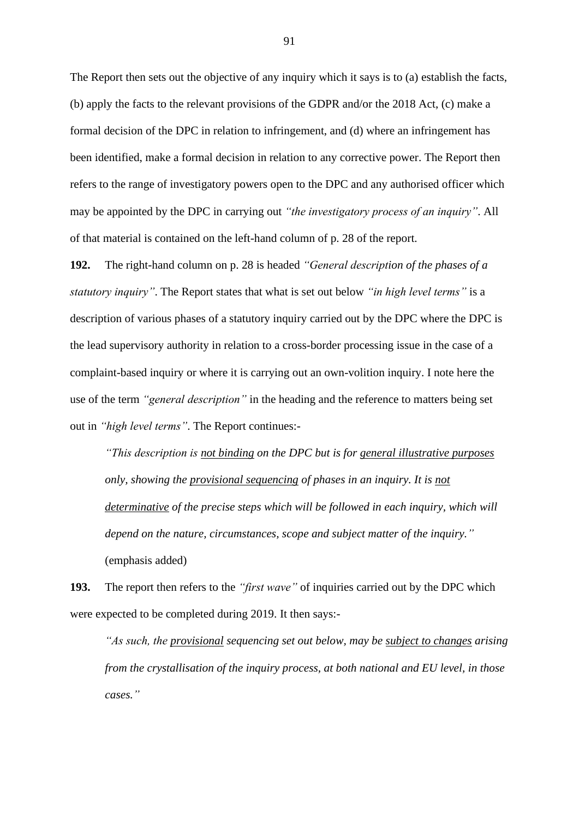The Report then sets out the objective of any inquiry which it says is to (a) establish the facts, (b) apply the facts to the relevant provisions of the GDPR and/or the 2018 Act, (c) make a formal decision of the DPC in relation to infringement, and (d) where an infringement has been identified, make a formal decision in relation to any corrective power. The Report then refers to the range of investigatory powers open to the DPC and any authorised officer which may be appointed by the DPC in carrying out *"the investigatory process of an inquiry"*. All of that material is contained on the left-hand column of p. 28 of the report.

**192.** The right-hand column on p. 28 is headed *"General description of the phases of a statutory inquiry"*. The Report states that what is set out below *"in high level terms"* is a description of various phases of a statutory inquiry carried out by the DPC where the DPC is the lead supervisory authority in relation to a cross-border processing issue in the case of a complaint-based inquiry or where it is carrying out an own-volition inquiry. I note here the use of the term *"general description"* in the heading and the reference to matters being set out in *"high level terms"*. The Report continues:-

*"This description is not binding on the DPC but is for general illustrative purposes only, showing the provisional sequencing of phases in an inquiry. It is not determinative of the precise steps which will be followed in each inquiry, which will depend on the nature, circumstances, scope and subject matter of the inquiry."* (emphasis added)

**193.** The report then refers to the *"first wave"* of inquiries carried out by the DPC which were expected to be completed during 2019. It then says:-

*"As such, the provisional sequencing set out below, may be subject to changes arising from the crystallisation of the inquiry process, at both national and EU level, in those cases."*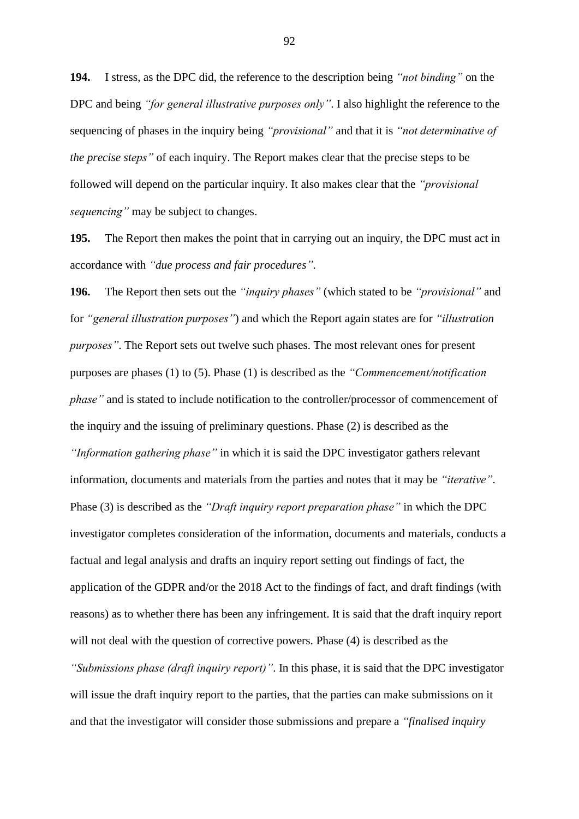**194.** I stress, as the DPC did, the reference to the description being *"not binding"* on the DPC and being *"for general illustrative purposes only"*. I also highlight the reference to the sequencing of phases in the inquiry being *"provisional"* and that it is *"not determinative of the precise steps"* of each inquiry. The Report makes clear that the precise steps to be followed will depend on the particular inquiry. It also makes clear that the *"provisional sequencing"* may be subject to changes.

**195.** The Report then makes the point that in carrying out an inquiry, the DPC must act in accordance with *"due process and fair procedures"*.

**196.** The Report then sets out the *"inquiry phases"* (which stated to be *"provisional"* and for *"general illustration purposes"*) and which the Report again states are for *"illustration purposes"*. The Report sets out twelve such phases. The most relevant ones for present purposes are phases (1) to (5). Phase (1) is described as the *"Commencement/notification phase*" and is stated to include notification to the controller/processor of commencement of the inquiry and the issuing of preliminary questions. Phase (2) is described as the *"Information gathering phase"* in which it is said the DPC investigator gathers relevant information, documents and materials from the parties and notes that it may be *"iterative"*. Phase (3) is described as the *"Draft inquiry report preparation phase"* in which the DPC investigator completes consideration of the information, documents and materials, conducts a factual and legal analysis and drafts an inquiry report setting out findings of fact, the application of the GDPR and/or the 2018 Act to the findings of fact, and draft findings (with reasons) as to whether there has been any infringement. It is said that the draft inquiry report will not deal with the question of corrective powers. Phase (4) is described as the *"Submissions phase (draft inquiry report)"*. In this phase, it is said that the DPC investigator

will issue the draft inquiry report to the parties, that the parties can make submissions on it and that the investigator will consider those submissions and prepare a *"finalised inquiry*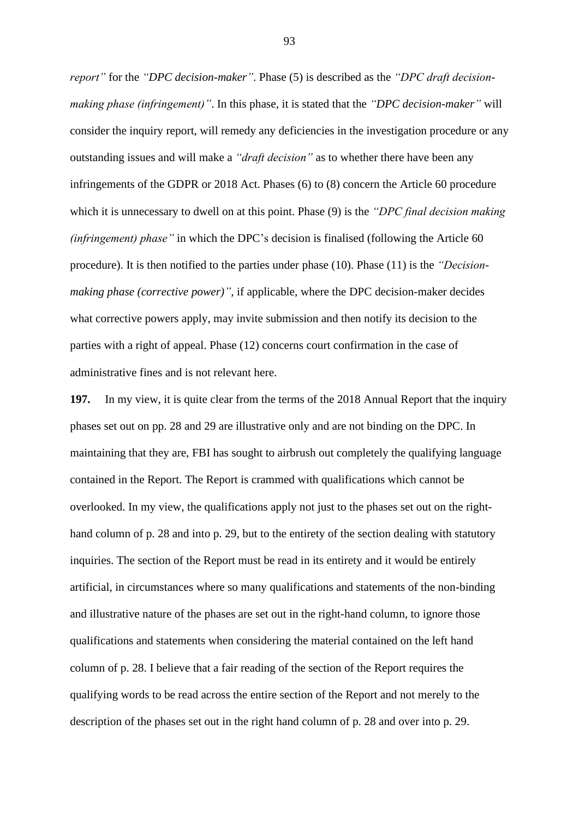*report"* for the *"DPC decision-maker"*. Phase (5) is described as the *"DPC draft decisionmaking phase (infringement)"*. In this phase, it is stated that the *"DPC decision-maker"* will consider the inquiry report, will remedy any deficiencies in the investigation procedure or any outstanding issues and will make a *"draft decision"* as to whether there have been any infringements of the GDPR or 2018 Act. Phases (6) to (8) concern the Article 60 procedure which it is unnecessary to dwell on at this point. Phase (9) is the *"DPC final decision making (infringement) phase"* in which the DPC's decision is finalised (following the Article 60 procedure). It is then notified to the parties under phase (10). Phase (11) is the *"Decisionmaking phase (corrective power)"*, if applicable, where the DPC decision-maker decides what corrective powers apply, may invite submission and then notify its decision to the parties with a right of appeal. Phase (12) concerns court confirmation in the case of administrative fines and is not relevant here.

**197.** In my view, it is quite clear from the terms of the 2018 Annual Report that the inquiry phases set out on pp. 28 and 29 are illustrative only and are not binding on the DPC. In maintaining that they are, FBI has sought to airbrush out completely the qualifying language contained in the Report. The Report is crammed with qualifications which cannot be overlooked. In my view, the qualifications apply not just to the phases set out on the righthand column of p. 28 and into p. 29, but to the entirety of the section dealing with statutory inquiries. The section of the Report must be read in its entirety and it would be entirely artificial, in circumstances where so many qualifications and statements of the non-binding and illustrative nature of the phases are set out in the right-hand column, to ignore those qualifications and statements when considering the material contained on the left hand column of p. 28. I believe that a fair reading of the section of the Report requires the qualifying words to be read across the entire section of the Report and not merely to the description of the phases set out in the right hand column of p. 28 and over into p. 29.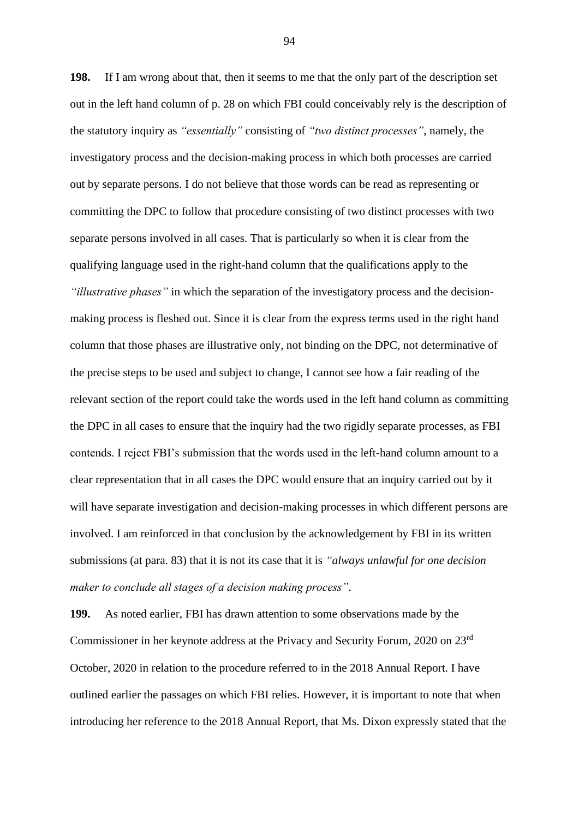**198.** If I am wrong about that, then it seems to me that the only part of the description set out in the left hand column of p. 28 on which FBI could conceivably rely is the description of the statutory inquiry as *"essentially"* consisting of *"two distinct processes"*, namely, the investigatory process and the decision-making process in which both processes are carried out by separate persons. I do not believe that those words can be read as representing or committing the DPC to follow that procedure consisting of two distinct processes with two separate persons involved in all cases. That is particularly so when it is clear from the qualifying language used in the right-hand column that the qualifications apply to the *"illustrative phases"* in which the separation of the investigatory process and the decisionmaking process is fleshed out. Since it is clear from the express terms used in the right hand column that those phases are illustrative only, not binding on the DPC, not determinative of the precise steps to be used and subject to change, I cannot see how a fair reading of the relevant section of the report could take the words used in the left hand column as committing the DPC in all cases to ensure that the inquiry had the two rigidly separate processes, as FBI contends. I reject FBI's submission that the words used in the left-hand column amount to a clear representation that in all cases the DPC would ensure that an inquiry carried out by it will have separate investigation and decision-making processes in which different persons are involved. I am reinforced in that conclusion by the acknowledgement by FBI in its written submissions (at para. 83) that it is not its case that it is *"always unlawful for one decision maker to conclude all stages of a decision making process"*.

**199.** As noted earlier, FBI has drawn attention to some observations made by the Commissioner in her keynote address at the Privacy and Security Forum, 2020 on 23rd October, 2020 in relation to the procedure referred to in the 2018 Annual Report. I have outlined earlier the passages on which FBI relies. However, it is important to note that when introducing her reference to the 2018 Annual Report, that Ms. Dixon expressly stated that the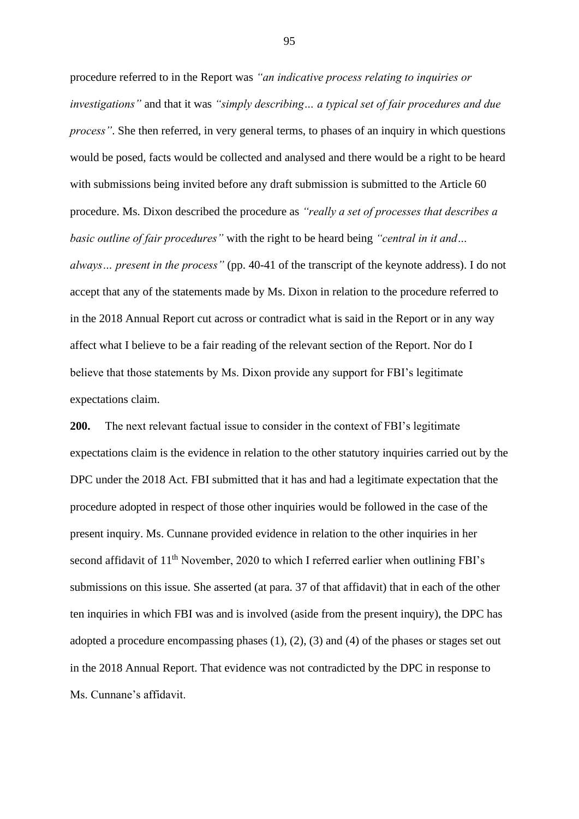procedure referred to in the Report was *"an indicative process relating to inquiries or investigations"* and that it was *"simply describing… a typical set of fair procedures and due process"*. She then referred, in very general terms, to phases of an inquiry in which questions would be posed, facts would be collected and analysed and there would be a right to be heard with submissions being invited before any draft submission is submitted to the Article 60 procedure. Ms. Dixon described the procedure as *"really a set of processes that describes a basic outline of fair procedures"* with the right to be heard being *"central in it and… always… present in the process"* (pp. 40-41 of the transcript of the keynote address). I do not accept that any of the statements made by Ms. Dixon in relation to the procedure referred to in the 2018 Annual Report cut across or contradict what is said in the Report or in any way affect what I believe to be a fair reading of the relevant section of the Report. Nor do I believe that those statements by Ms. Dixon provide any support for FBI's legitimate expectations claim.

**200.** The next relevant factual issue to consider in the context of FBI's legitimate expectations claim is the evidence in relation to the other statutory inquiries carried out by the DPC under the 2018 Act. FBI submitted that it has and had a legitimate expectation that the procedure adopted in respect of those other inquiries would be followed in the case of the present inquiry. Ms. Cunnane provided evidence in relation to the other inquiries in her second affidavit of 11<sup>th</sup> November, 2020 to which I referred earlier when outlining FBI's submissions on this issue. She asserted (at para. 37 of that affidavit) that in each of the other ten inquiries in which FBI was and is involved (aside from the present inquiry), the DPC has adopted a procedure encompassing phases  $(1)$ ,  $(2)$ ,  $(3)$  and  $(4)$  of the phases or stages set out in the 2018 Annual Report. That evidence was not contradicted by the DPC in response to Ms. Cunnane's affidavit.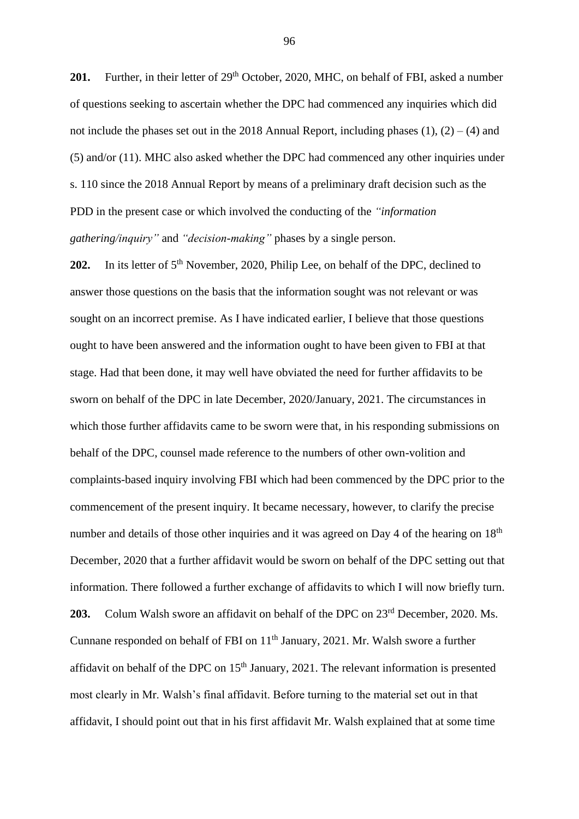201. Further, in their letter of 29<sup>th</sup> October, 2020, MHC, on behalf of FBI, asked a number of questions seeking to ascertain whether the DPC had commenced any inquiries which did not include the phases set out in the 2018 Annual Report, including phases  $(1)$ ,  $(2) - (4)$  and (5) and/or (11). MHC also asked whether the DPC had commenced any other inquiries under s. 110 since the 2018 Annual Report by means of a preliminary draft decision such as the PDD in the present case or which involved the conducting of the *"information gathering/inquiry"* and *"decision-making"* phases by a single person.

202. In its letter of 5<sup>th</sup> November, 2020, Philip Lee, on behalf of the DPC, declined to answer those questions on the basis that the information sought was not relevant or was sought on an incorrect premise. As I have indicated earlier, I believe that those questions ought to have been answered and the information ought to have been given to FBI at that stage. Had that been done, it may well have obviated the need for further affidavits to be sworn on behalf of the DPC in late December, 2020/January, 2021. The circumstances in which those further affidavits came to be sworn were that, in his responding submissions on behalf of the DPC, counsel made reference to the numbers of other own-volition and complaints-based inquiry involving FBI which had been commenced by the DPC prior to the commencement of the present inquiry. It became necessary, however, to clarify the precise number and details of those other inquiries and it was agreed on Day 4 of the hearing on 18<sup>th</sup> December, 2020 that a further affidavit would be sworn on behalf of the DPC setting out that information. There followed a further exchange of affidavits to which I will now briefly turn. 203. Colum Walsh swore an affidavit on behalf of the DPC on 23<sup>rd</sup> December, 2020. Ms. Cunnane responded on behalf of FBI on 11<sup>th</sup> January, 2021. Mr. Walsh swore a further affidavit on behalf of the DPC on  $15<sup>th</sup>$  January, 2021. The relevant information is presented most clearly in Mr. Walsh's final affidavit. Before turning to the material set out in that affidavit, I should point out that in his first affidavit Mr. Walsh explained that at some time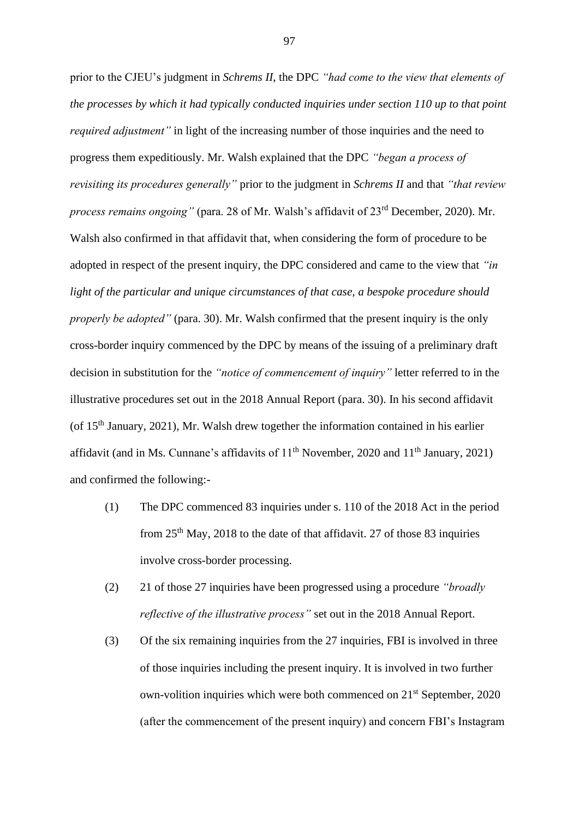prior to the CJEU's judgment in *Schrems II*, the DPC *"had come to the view that elements of the processes by which it had typically conducted inquiries under section 110 up to that point required adjustment*" in light of the increasing number of those inquiries and the need to progress them expeditiously. Mr. Walsh explained that the DPC *"began a process of revisiting its procedures generally"* prior to the judgment in *Schrems II* and that *"that review process remains ongoing"* (para. 28 of Mr. Walsh's affidavit of 23rd December, 2020). Mr. Walsh also confirmed in that affidavit that, when considering the form of procedure to be adopted in respect of the present inquiry, the DPC considered and came to the view that *"in light of the particular and unique circumstances of that case, a bespoke procedure should properly be adopted"* (para. 30). Mr. Walsh confirmed that the present inquiry is the only cross-border inquiry commenced by the DPC by means of the issuing of a preliminary draft decision in substitution for the *"notice of commencement of inquiry"* letter referred to in the illustrative procedures set out in the 2018 Annual Report (para. 30). In his second affidavit (of 15th January, 2021), Mr. Walsh drew together the information contained in his earlier affidavit (and in Ms. Cunnane's affidavits of  $11<sup>th</sup>$  November, 2020 and  $11<sup>th</sup>$  January, 2021) and confirmed the following:-

- (1) The DPC commenced 83 inquiries under s. 110 of the 2018 Act in the period from 25th May, 2018 to the date of that affidavit. 27 of those 83 inquiries involve cross-border processing.
- (2) 21 of those 27 inquiries have been progressed using a procedure *"broadly reflective of the illustrative process"* set out in the 2018 Annual Report.
- (3) Of the six remaining inquiries from the 27 inquiries, FBI is involved in three of those inquiries including the present inquiry. It is involved in two further own-volition inquiries which were both commenced on 21st September, 2020 (after the commencement of the present inquiry) and concern FBI's Instagram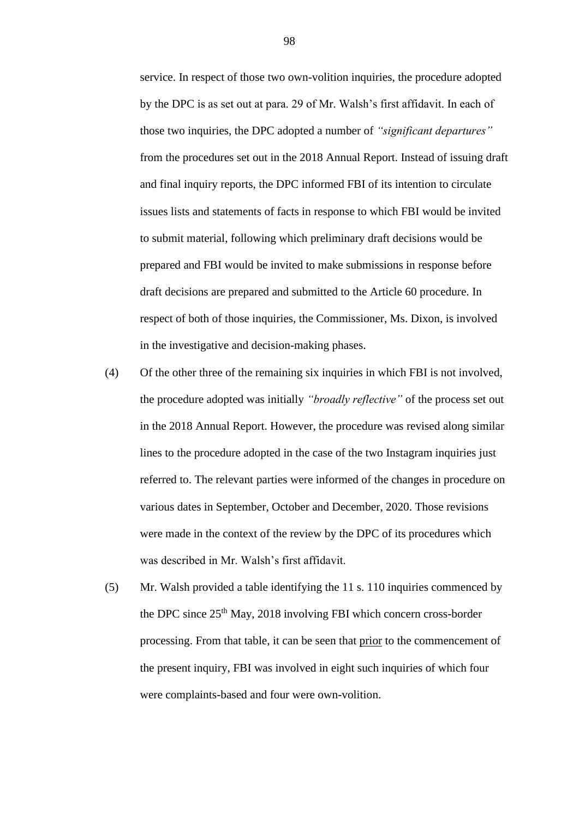service. In respect of those two own-volition inquiries, the procedure adopted by the DPC is as set out at para. 29 of Mr. Walsh's first affidavit. In each of those two inquiries, the DPC adopted a number of *"significant departures"* from the procedures set out in the 2018 Annual Report. Instead of issuing draft and final inquiry reports, the DPC informed FBI of its intention to circulate issues lists and statements of facts in response to which FBI would be invited to submit material, following which preliminary draft decisions would be prepared and FBI would be invited to make submissions in response before draft decisions are prepared and submitted to the Article 60 procedure. In respect of both of those inquiries, the Commissioner, Ms. Dixon, is involved in the investigative and decision-making phases.

- (4) Of the other three of the remaining six inquiries in which FBI is not involved, the procedure adopted was initially *"broadly reflective"* of the process set out in the 2018 Annual Report. However, the procedure was revised along similar lines to the procedure adopted in the case of the two Instagram inquiries just referred to. The relevant parties were informed of the changes in procedure on various dates in September, October and December, 2020. Those revisions were made in the context of the review by the DPC of its procedures which was described in Mr. Walsh's first affidavit.
- (5) Mr. Walsh provided a table identifying the 11 s. 110 inquiries commenced by the DPC since 25th May, 2018 involving FBI which concern cross-border processing. From that table, it can be seen that prior to the commencement of the present inquiry, FBI was involved in eight such inquiries of which four were complaints-based and four were own-volition.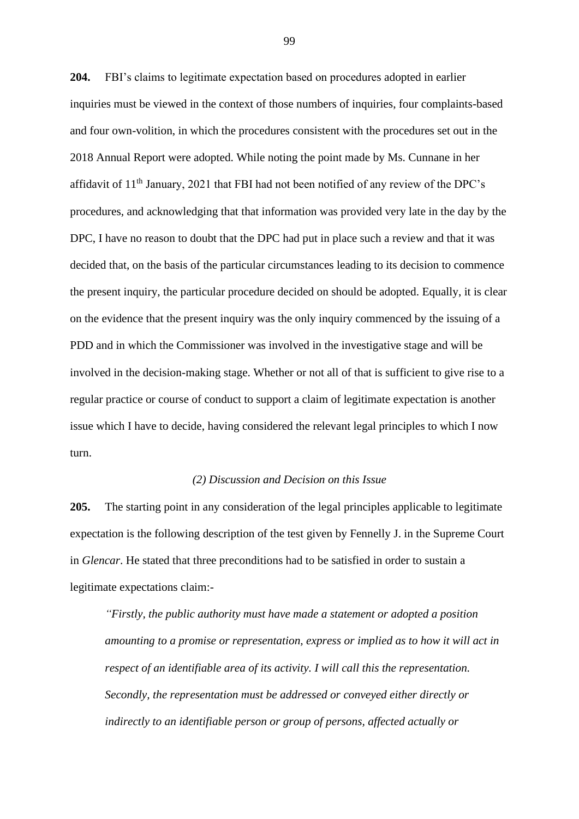**204.** FBI's claims to legitimate expectation based on procedures adopted in earlier inquiries must be viewed in the context of those numbers of inquiries, four complaints-based and four own-volition, in which the procedures consistent with the procedures set out in the 2018 Annual Report were adopted. While noting the point made by Ms. Cunnane in her affidavit of 11<sup>th</sup> January, 2021 that FBI had not been notified of any review of the DPC's procedures, and acknowledging that that information was provided very late in the day by the DPC, I have no reason to doubt that the DPC had put in place such a review and that it was decided that, on the basis of the particular circumstances leading to its decision to commence the present inquiry, the particular procedure decided on should be adopted. Equally, it is clear on the evidence that the present inquiry was the only inquiry commenced by the issuing of a PDD and in which the Commissioner was involved in the investigative stage and will be involved in the decision-making stage. Whether or not all of that is sufficient to give rise to a regular practice or course of conduct to support a claim of legitimate expectation is another issue which I have to decide, having considered the relevant legal principles to which I now turn.

#### *(2) Discussion and Decision on this Issue*

**205.** The starting point in any consideration of the legal principles applicable to legitimate expectation is the following description of the test given by Fennelly J. in the Supreme Court in *Glencar*. He stated that three preconditions had to be satisfied in order to sustain a legitimate expectations claim:-

*"Firstly, the public authority must have made a statement or adopted a position amounting to a promise or representation, express or implied as to how it will act in respect of an identifiable area of its activity. I will call this the representation. Secondly, the representation must be addressed or conveyed either directly or indirectly to an identifiable person or group of persons, affected actually or*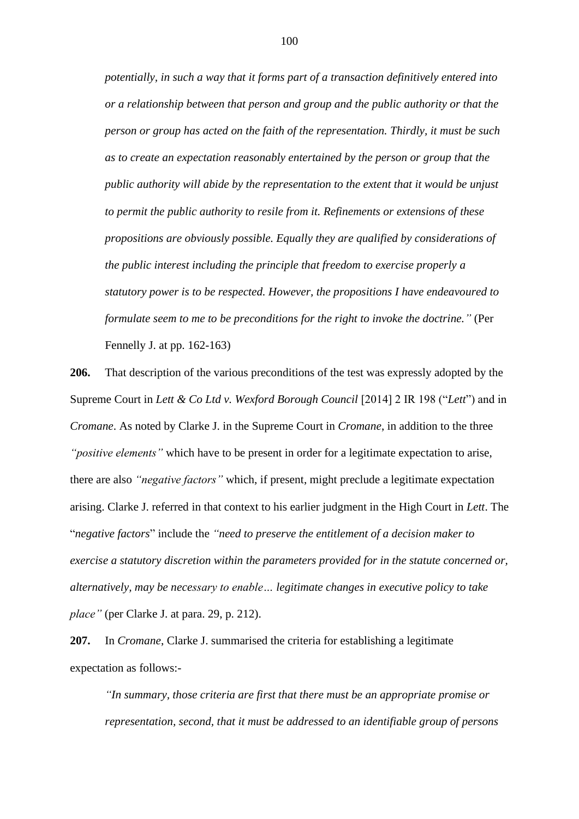*potentially, in such a way that it forms part of a transaction definitively entered into or a relationship between that person and group and the public authority or that the person or group has acted on the faith of the representation. Thirdly, it must be such as to create an expectation reasonably entertained by the person or group that the public authority will abide by the representation to the extent that it would be unjust to permit the public authority to resile from it. Refinements or extensions of these propositions are obviously possible. Equally they are qualified by considerations of the public interest including the principle that freedom to exercise properly a statutory power is to be respected. However, the propositions I have endeavoured to formulate seem to me to be preconditions for the right to invoke the doctrine."* (Per Fennelly J. at pp. 162-163)

**206.** That description of the various preconditions of the test was expressly adopted by the Supreme Court in *Lett & Co Ltd v. Wexford Borough Council* [2014] 2 IR 198 ("*Lett*") and in *Cromane*. As noted by Clarke J. in the Supreme Court in *Cromane*, in addition to the three *"positive elements"* which have to be present in order for a legitimate expectation to arise, there are also *"negative factors"* which, if present, might preclude a legitimate expectation arising. Clarke J. referred in that context to his earlier judgment in the High Court in *Lett*. The "*negative factors*" include the *"need to preserve the entitlement of a decision maker to exercise a statutory discretion within the parameters provided for in the statute concerned or, alternatively, may be necessary to enable… legitimate changes in executive policy to take place"* (per Clarke J. at para. 29, p. 212).

**207.** In *Cromane*, Clarke J. summarised the criteria for establishing a legitimate expectation as follows:-

*"In summary, those criteria are first that there must be an appropriate promise or representation, second, that it must be addressed to an identifiable group of persons*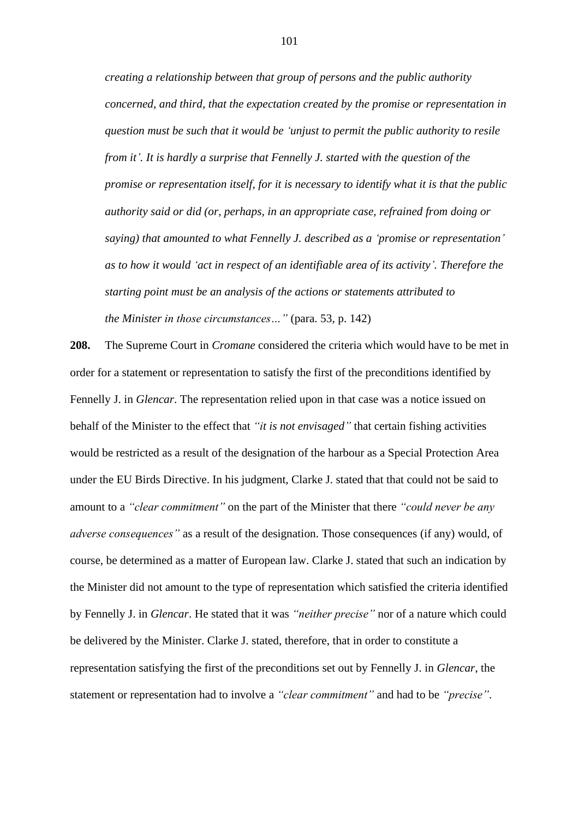*creating a relationship between that group of persons and the public authority concerned, and third, that the expectation created by the promise or representation in question must be such that it would be 'unjust to permit the public authority to resile from it'. It is hardly a surprise that Fennelly J. started with the question of the promise or representation itself, for it is necessary to identify what it is that the public authority said or did (or, perhaps, in an appropriate case, refrained from doing or saying) that amounted to what Fennelly J. described as a 'promise or representation' as to how it would 'act in respect of an identifiable area of its activity'. Therefore the starting point must be an analysis of the actions or statements attributed to the Minister in those circumstances…"* (para. 53, p. 142)

**208.** The Supreme Court in *Cromane* considered the criteria which would have to be met in order for a statement or representation to satisfy the first of the preconditions identified by Fennelly J. in *Glencar*. The representation relied upon in that case was a notice issued on behalf of the Minister to the effect that *"it is not envisaged"* that certain fishing activities would be restricted as a result of the designation of the harbour as a Special Protection Area under the EU Birds Directive. In his judgment, Clarke J. stated that that could not be said to amount to a *"clear commitment"* on the part of the Minister that there *"could never be any adverse consequences"* as a result of the designation. Those consequences (if any) would, of course, be determined as a matter of European law. Clarke J. stated that such an indication by the Minister did not amount to the type of representation which satisfied the criteria identified by Fennelly J. in *Glencar*. He stated that it was *"neither precise"* nor of a nature which could be delivered by the Minister. Clarke J. stated, therefore, that in order to constitute a representation satisfying the first of the preconditions set out by Fennelly J. in *Glencar*, the statement or representation had to involve a *"clear commitment"* and had to be *"precise"*.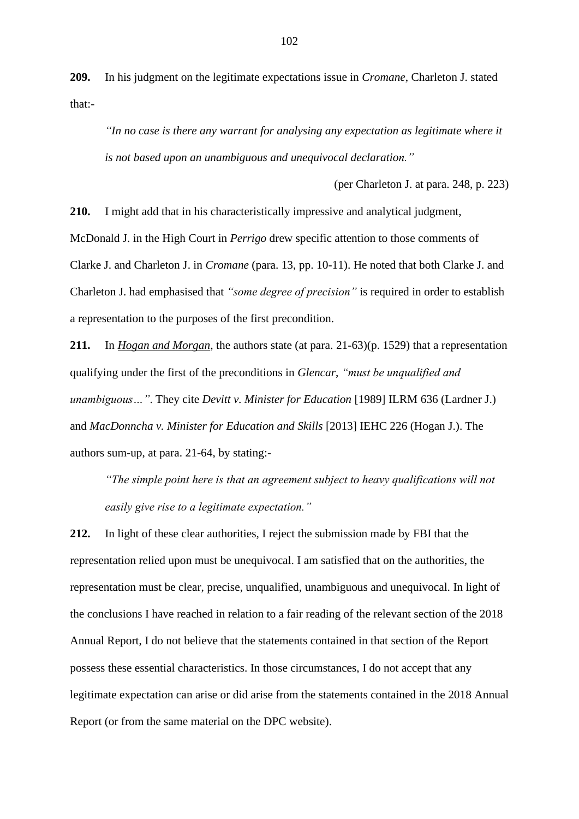**209.** In his judgment on the legitimate expectations issue in *Cromane*, Charleton J. stated that:-

*"In no case is there any warrant for analysing any expectation as legitimate where it is not based upon an unambiguous and unequivocal declaration."*

(per Charleton J. at para. 248, p. 223)

**210.** I might add that in his characteristically impressive and analytical judgment, McDonald J. in the High Court in *Perrigo* drew specific attention to those comments of Clarke J. and Charleton J. in *Cromane* (para. 13, pp. 10-11). He noted that both Clarke J. and Charleton J. had emphasised that *"some degree of precision"* is required in order to establish a representation to the purposes of the first precondition.

**211.** In *Hogan and Morgan*, the authors state (at para. 21-63)(p. 1529) that a representation qualifying under the first of the preconditions in *Glencar*, *"must be unqualified and unambiguous…"*. They cite *Devitt v. Minister for Education* [1989] ILRM 636 (Lardner J.) and *MacDonncha v. Minister for Education and Skills* [2013] IEHC 226 (Hogan J.). The authors sum-up, at para. 21-64, by stating:-

*"The simple point here is that an agreement subject to heavy qualifications will not easily give rise to a legitimate expectation."*

**212.** In light of these clear authorities, I reject the submission made by FBI that the representation relied upon must be unequivocal. I am satisfied that on the authorities, the representation must be clear, precise, unqualified, unambiguous and unequivocal. In light of the conclusions I have reached in relation to a fair reading of the relevant section of the 2018 Annual Report, I do not believe that the statements contained in that section of the Report possess these essential characteristics. In those circumstances, I do not accept that any legitimate expectation can arise or did arise from the statements contained in the 2018 Annual Report (or from the same material on the DPC website).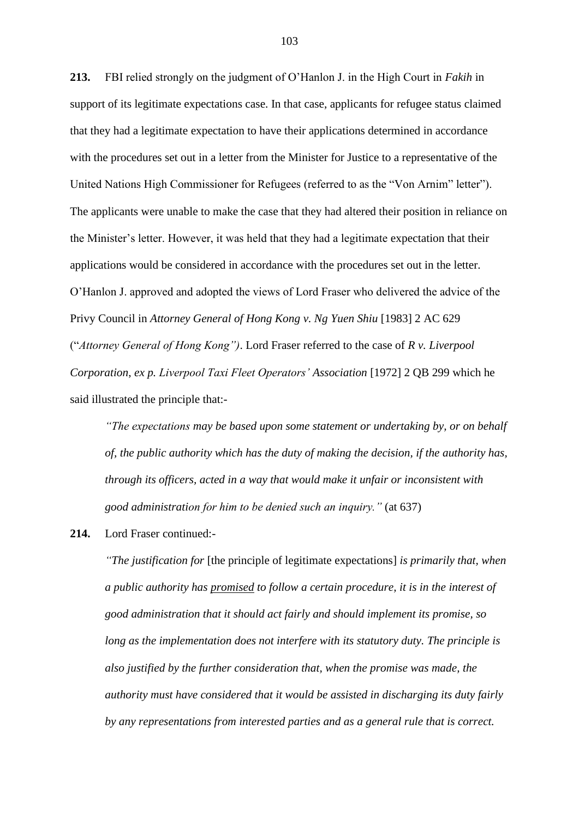**213.** FBI relied strongly on the judgment of O'Hanlon J. in the High Court in *Fakih* in support of its legitimate expectations case. In that case, applicants for refugee status claimed that they had a legitimate expectation to have their applications determined in accordance with the procedures set out in a letter from the Minister for Justice to a representative of the United Nations High Commissioner for Refugees (referred to as the "Von Arnim" letter"). The applicants were unable to make the case that they had altered their position in reliance on the Minister's letter. However, it was held that they had a legitimate expectation that their applications would be considered in accordance with the procedures set out in the letter. O'Hanlon J. approved and adopted the views of Lord Fraser who delivered the advice of the Privy Council in *Attorney General of Hong Kong v. Ng Yuen Shiu* [1983] 2 AC 629 ("*Attorney General of Hong Kong")*. Lord Fraser referred to the case of *R v. Liverpool Corporation*, *ex p. Liverpool Taxi Fleet Operators' Association* [1972] 2 QB 299 which he said illustrated the principle that:-

*"The expectations may be based upon some statement or undertaking by, or on behalf of, the public authority which has the duty of making the decision, if the authority has, through its officers, acted in a way that would make it unfair or inconsistent with good administration for him to be denied such an inquiry."* (at 637)

#### **214.** Lord Fraser continued:-

*"The justification for* [the principle of legitimate expectations] *is primarily that, when a public authority has promised to follow a certain procedure, it is in the interest of good administration that it should act fairly and should implement its promise, so long as the implementation does not interfere with its statutory duty. The principle is also justified by the further consideration that, when the promise was made, the authority must have considered that it would be assisted in discharging its duty fairly by any representations from interested parties and as a general rule that is correct.*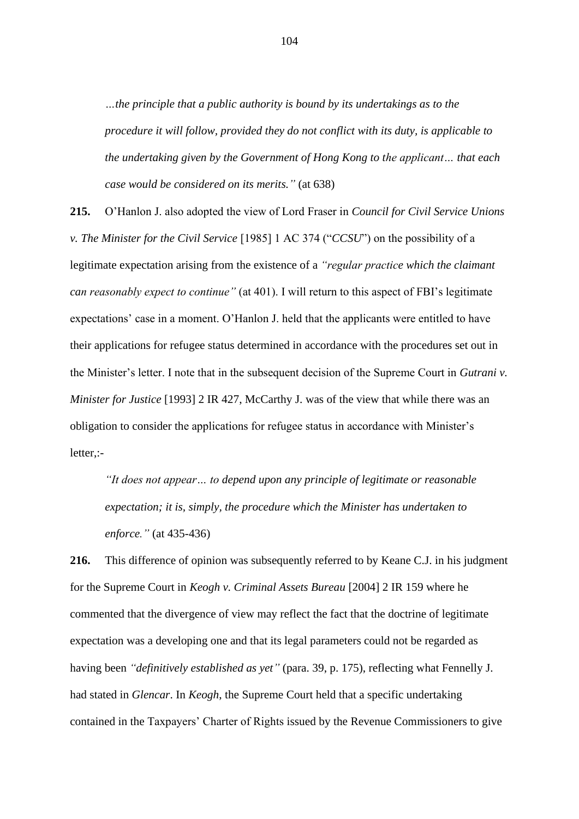*…the principle that a public authority is bound by its undertakings as to the procedure it will follow, provided they do not conflict with its duty, is applicable to the undertaking given by the Government of Hong Kong to the applicant… that each case would be considered on its merits."* (at 638)

**215.** O'Hanlon J. also adopted the view of Lord Fraser in *Council for Civil Service Unions v. The Minister for the Civil Service* [1985] 1 AC 374 ("*CCSU*") on the possibility of a legitimate expectation arising from the existence of a *"regular practice which the claimant can reasonably expect to continue"* (at 401). I will return to this aspect of FBI's legitimate expectations' case in a moment. O'Hanlon J. held that the applicants were entitled to have their applications for refugee status determined in accordance with the procedures set out in the Minister's letter. I note that in the subsequent decision of the Supreme Court in *Gutrani v. Minister for Justice* [1993] 2 IR 427, McCarthy J. was of the view that while there was an obligation to consider the applications for refugee status in accordance with Minister's letter,:-

*"It does not appear… to depend upon any principle of legitimate or reasonable expectation; it is, simply, the procedure which the Minister has undertaken to enforce."* (at 435-436)

**216.** This difference of opinion was subsequently referred to by Keane C.J. in his judgment for the Supreme Court in *Keogh v. Criminal Assets Bureau* [2004] 2 IR 159 where he commented that the divergence of view may reflect the fact that the doctrine of legitimate expectation was a developing one and that its legal parameters could not be regarded as having been *"definitively established as yet"* (para. 39, p. 175), reflecting what Fennelly J. had stated in *Glencar*. In *Keogh*, the Supreme Court held that a specific undertaking contained in the Taxpayers' Charter of Rights issued by the Revenue Commissioners to give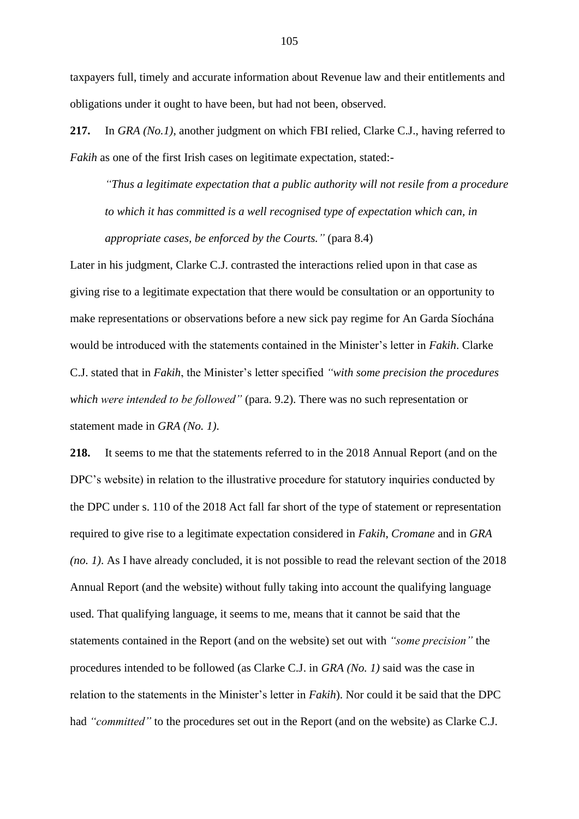taxpayers full, timely and accurate information about Revenue law and their entitlements and obligations under it ought to have been, but had not been, observed.

**217.** In *GRA (No.1)*, another judgment on which FBI relied, Clarke C.J., having referred to *Fakih* as one of the first Irish cases on legitimate expectation, stated:-

*"Thus a legitimate expectation that a public authority will not resile from a procedure to which it has committed is a well recognised type of expectation which can, in appropriate cases, be enforced by the Courts."* (para 8.4)

Later in his judgment, Clarke C.J. contrasted the interactions relied upon in that case as giving rise to a legitimate expectation that there would be consultation or an opportunity to make representations or observations before a new sick pay regime for An Garda Síochána would be introduced with the statements contained in the Minister's letter in *Fakih*. Clarke C.J. stated that in *Fakih*, the Minister's letter specified *"with some precision the procedures which were intended to be followed"* (para. 9.2). There was no such representation or statement made in *GRA (No. 1)*.

**218.** It seems to me that the statements referred to in the 2018 Annual Report (and on the DPC's website) in relation to the illustrative procedure for statutory inquiries conducted by the DPC under s. 110 of the 2018 Act fall far short of the type of statement or representation required to give rise to a legitimate expectation considered in *Fakih*, *Cromane* and in *GRA (no. 1)*. As I have already concluded, it is not possible to read the relevant section of the 2018 Annual Report (and the website) without fully taking into account the qualifying language used. That qualifying language, it seems to me, means that it cannot be said that the statements contained in the Report (and on the website) set out with *"some precision"* the procedures intended to be followed (as Clarke C.J. in *GRA (No. 1)* said was the case in relation to the statements in the Minister's letter in *Fakih*). Nor could it be said that the DPC had *"committed"* to the procedures set out in the Report (and on the website) as Clarke C.J.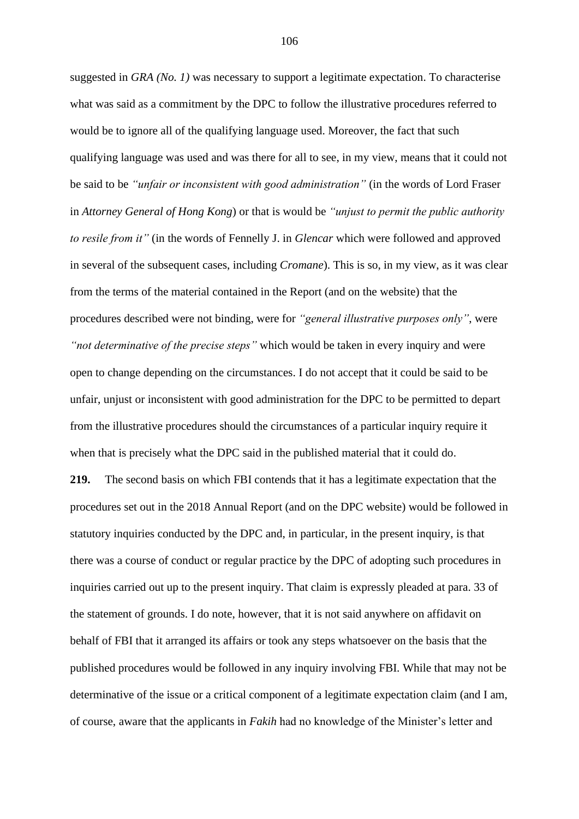suggested in *GRA (No. 1)* was necessary to support a legitimate expectation. To characterise what was said as a commitment by the DPC to follow the illustrative procedures referred to would be to ignore all of the qualifying language used. Moreover, the fact that such qualifying language was used and was there for all to see, in my view, means that it could not be said to be *"unfair or inconsistent with good administration"* (in the words of Lord Fraser in *Attorney General of Hong Kong*) or that is would be *"unjust to permit the public authority to resile from it"* (in the words of Fennelly J. in *Glencar* which were followed and approved in several of the subsequent cases, including *Cromane*). This is so, in my view, as it was clear from the terms of the material contained in the Report (and on the website) that the procedures described were not binding, were for *"general illustrative purposes only"*, were *"not determinative of the precise steps"* which would be taken in every inquiry and were open to change depending on the circumstances. I do not accept that it could be said to be unfair, unjust or inconsistent with good administration for the DPC to be permitted to depart from the illustrative procedures should the circumstances of a particular inquiry require it when that is precisely what the DPC said in the published material that it could do. **219.** The second basis on which FBI contends that it has a legitimate expectation that the procedures set out in the 2018 Annual Report (and on the DPC website) would be followed in statutory inquiries conducted by the DPC and, in particular, in the present inquiry, is that there was a course of conduct or regular practice by the DPC of adopting such procedures in inquiries carried out up to the present inquiry. That claim is expressly pleaded at para. 33 of the statement of grounds. I do note, however, that it is not said anywhere on affidavit on behalf of FBI that it arranged its affairs or took any steps whatsoever on the basis that the

published procedures would be followed in any inquiry involving FBI. While that may not be determinative of the issue or a critical component of a legitimate expectation claim (and I am, of course, aware that the applicants in *Fakih* had no knowledge of the Minister's letter and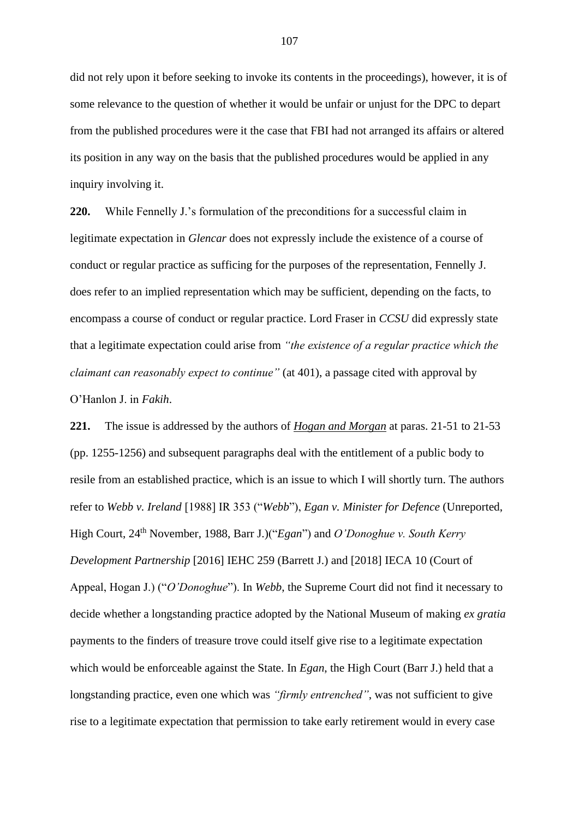did not rely upon it before seeking to invoke its contents in the proceedings), however, it is of some relevance to the question of whether it would be unfair or unjust for the DPC to depart from the published procedures were it the case that FBI had not arranged its affairs or altered its position in any way on the basis that the published procedures would be applied in any inquiry involving it.

**220.** While Fennelly J.'s formulation of the preconditions for a successful claim in legitimate expectation in *Glencar* does not expressly include the existence of a course of conduct or regular practice as sufficing for the purposes of the representation, Fennelly J. does refer to an implied representation which may be sufficient, depending on the facts, to encompass a course of conduct or regular practice. Lord Fraser in *CCSU* did expressly state that a legitimate expectation could arise from *"the existence of a regular practice which the claimant can reasonably expect to continue"* (at 401), a passage cited with approval by O'Hanlon J. in *Fakih*.

**221.** The issue is addressed by the authors of *Hogan and Morgan* at paras. 21-51 to 21-53 (pp. 1255-1256) and subsequent paragraphs deal with the entitlement of a public body to resile from an established practice, which is an issue to which I will shortly turn. The authors refer to *Webb v. Ireland* [1988] IR 353 ("*Webb*"), *Egan v. Minister for Defence* (Unreported, High Court, 24th November, 1988, Barr J.)("*Egan*") and *O'Donoghue v. South Kerry Development Partnership* [2016] IEHC 259 (Barrett J.) and [2018] IECA 10 (Court of Appeal, Hogan J.) ("*O'Donoghue*"). In *Webb*, the Supreme Court did not find it necessary to decide whether a longstanding practice adopted by the National Museum of making *ex gratia* payments to the finders of treasure trove could itself give rise to a legitimate expectation which would be enforceable against the State. In *Egan*, the High Court (Barr J.) held that a longstanding practice, even one which was *"firmly entrenched"*, was not sufficient to give rise to a legitimate expectation that permission to take early retirement would in every case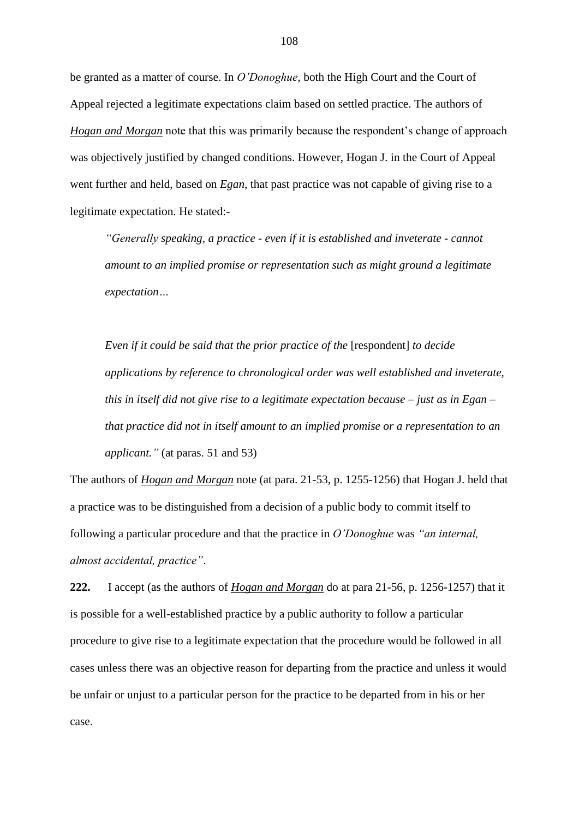be granted as a matter of course. In *O'Donoghue*, both the High Court and the Court of Appeal rejected a legitimate expectations claim based on settled practice. The authors of *Hogan and Morgan* note that this was primarily because the respondent's change of approach was objectively justified by changed conditions. However, Hogan J. in the Court of Appeal went further and held, based on *Egan*, that past practice was not capable of giving rise to a legitimate expectation. He stated:-

*"Generally speaking, a practice - even if it is established and inveterate - cannot amount to an implied promise or representation such as might ground a legitimate expectation…* 

*Even if it could be said that the prior practice of the [respondent] to decide applications by reference to chronological order was well established and inveterate, this in itself did not give rise to a legitimate expectation because – just as in Egan – that practice did not in itself amount to an implied promise or a representation to an applicant."* (at paras. 51 and 53)

The authors of *Hogan and Morgan* note (at para. 21-53, p. 1255-1256) that Hogan J. held that a practice was to be distinguished from a decision of a public body to commit itself to following a particular procedure and that the practice in *O'Donoghue* was *"an internal, almost accidental, practice"*.

**222.** I accept (as the authors of *Hogan and Morgan* do at para 21-56, p. 1256-1257) that it is possible for a well-established practice by a public authority to follow a particular procedure to give rise to a legitimate expectation that the procedure would be followed in all cases unless there was an objective reason for departing from the practice and unless it would be unfair or unjust to a particular person for the practice to be departed from in his or her case.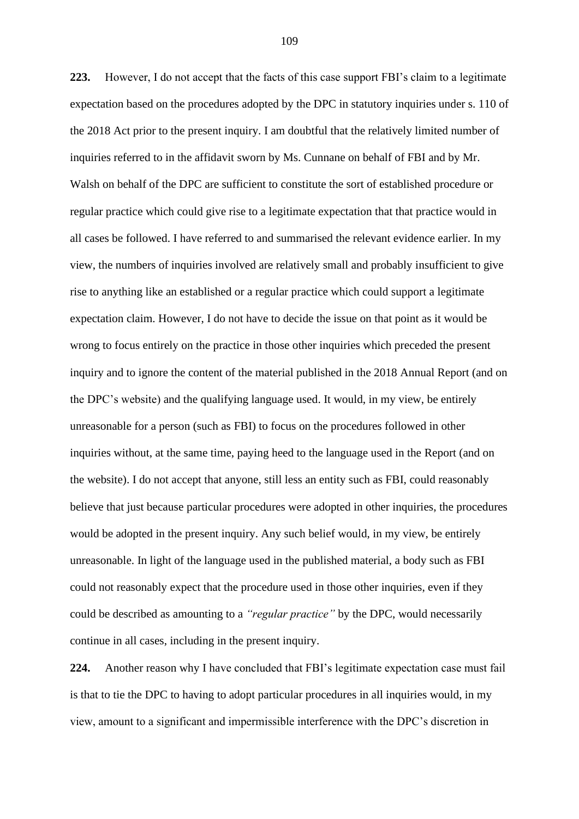**223.** However, I do not accept that the facts of this case support FBI's claim to a legitimate expectation based on the procedures adopted by the DPC in statutory inquiries under s. 110 of the 2018 Act prior to the present inquiry. I am doubtful that the relatively limited number of inquiries referred to in the affidavit sworn by Ms. Cunnane on behalf of FBI and by Mr. Walsh on behalf of the DPC are sufficient to constitute the sort of established procedure or regular practice which could give rise to a legitimate expectation that that practice would in all cases be followed. I have referred to and summarised the relevant evidence earlier. In my view, the numbers of inquiries involved are relatively small and probably insufficient to give rise to anything like an established or a regular practice which could support a legitimate expectation claim. However, I do not have to decide the issue on that point as it would be wrong to focus entirely on the practice in those other inquiries which preceded the present inquiry and to ignore the content of the material published in the 2018 Annual Report (and on the DPC's website) and the qualifying language used. It would, in my view, be entirely unreasonable for a person (such as FBI) to focus on the procedures followed in other inquiries without, at the same time, paying heed to the language used in the Report (and on the website). I do not accept that anyone, still less an entity such as FBI, could reasonably believe that just because particular procedures were adopted in other inquiries, the procedures would be adopted in the present inquiry. Any such belief would, in my view, be entirely unreasonable. In light of the language used in the published material, a body such as FBI could not reasonably expect that the procedure used in those other inquiries, even if they could be described as amounting to a *"regular practice"* by the DPC, would necessarily continue in all cases, including in the present inquiry.

**224.** Another reason why I have concluded that FBI's legitimate expectation case must fail is that to tie the DPC to having to adopt particular procedures in all inquiries would, in my view, amount to a significant and impermissible interference with the DPC's discretion in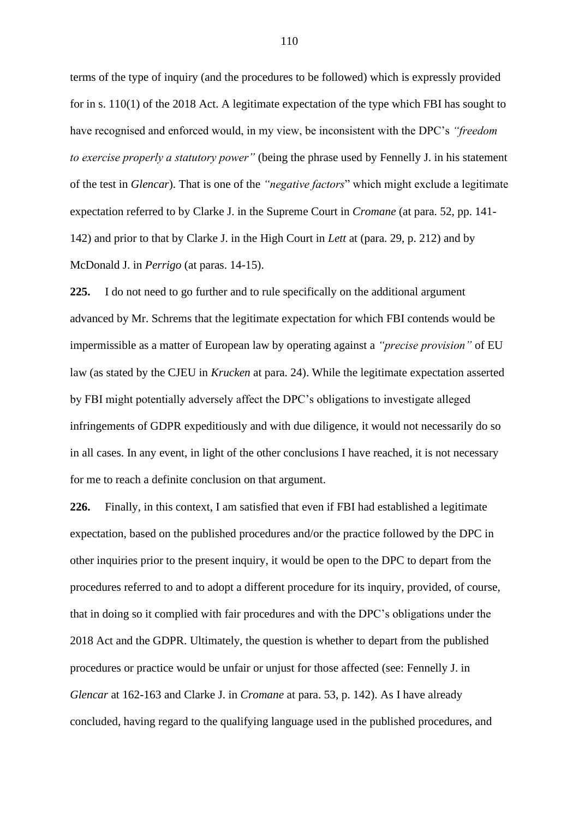terms of the type of inquiry (and the procedures to be followed) which is expressly provided for in s. 110(1) of the 2018 Act. A legitimate expectation of the type which FBI has sought to have recognised and enforced would, in my view, be inconsistent with the DPC's *"freedom to exercise properly a statutory power"* (being the phrase used by Fennelly J. in his statement of the test in *Glencar*). That is one of the *"negative factors*" which might exclude a legitimate expectation referred to by Clarke J. in the Supreme Court in *Cromane* (at para. 52, pp. 141- 142) and prior to that by Clarke J. in the High Court in *Lett* at (para. 29, p. 212) and by McDonald J. in *Perrigo* (at paras. 14-15).

**225.** I do not need to go further and to rule specifically on the additional argument advanced by Mr. Schrems that the legitimate expectation for which FBI contends would be impermissible as a matter of European law by operating against a *"precise provision"* of EU law (as stated by the CJEU in *Krucken* at para. 24). While the legitimate expectation asserted by FBI might potentially adversely affect the DPC's obligations to investigate alleged infringements of GDPR expeditiously and with due diligence, it would not necessarily do so in all cases. In any event, in light of the other conclusions I have reached, it is not necessary for me to reach a definite conclusion on that argument.

**226.** Finally, in this context, I am satisfied that even if FBI had established a legitimate expectation, based on the published procedures and/or the practice followed by the DPC in other inquiries prior to the present inquiry, it would be open to the DPC to depart from the procedures referred to and to adopt a different procedure for its inquiry, provided, of course, that in doing so it complied with fair procedures and with the DPC's obligations under the 2018 Act and the GDPR. Ultimately, the question is whether to depart from the published procedures or practice would be unfair or unjust for those affected (see: Fennelly J. in *Glencar* at 162-163 and Clarke J. in *Cromane* at para. 53, p. 142). As I have already concluded, having regard to the qualifying language used in the published procedures, and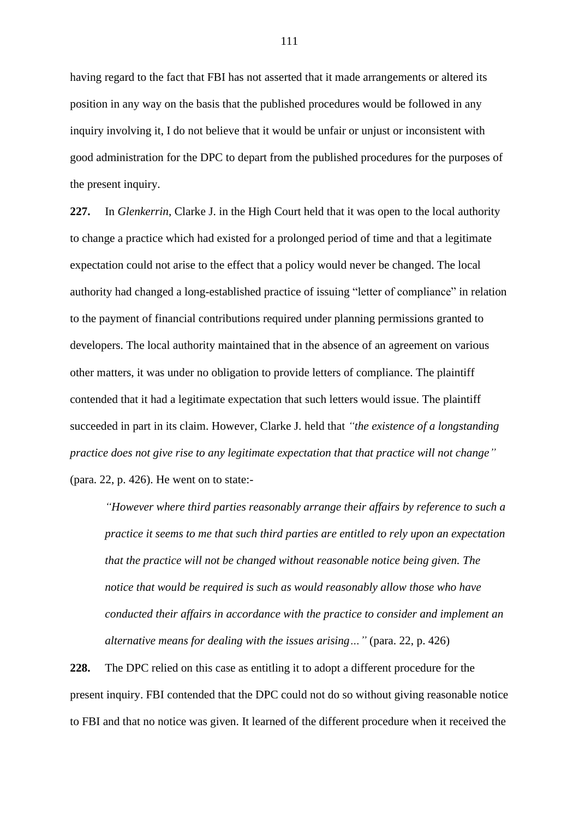having regard to the fact that FBI has not asserted that it made arrangements or altered its position in any way on the basis that the published procedures would be followed in any inquiry involving it, I do not believe that it would be unfair or unjust or inconsistent with good administration for the DPC to depart from the published procedures for the purposes of the present inquiry.

**227.** In *Glenkerrin*, Clarke J. in the High Court held that it was open to the local authority to change a practice which had existed for a prolonged period of time and that a legitimate expectation could not arise to the effect that a policy would never be changed. The local authority had changed a long-established practice of issuing "letter of compliance" in relation to the payment of financial contributions required under planning permissions granted to developers. The local authority maintained that in the absence of an agreement on various other matters, it was under no obligation to provide letters of compliance. The plaintiff contended that it had a legitimate expectation that such letters would issue. The plaintiff succeeded in part in its claim. However, Clarke J. held that *"the existence of a longstanding practice does not give rise to any legitimate expectation that that practice will not change"* (para. 22, p. 426). He went on to state:-

*"However where third parties reasonably arrange their affairs by reference to such a practice it seems to me that such third parties are entitled to rely upon an expectation that the practice will not be changed without reasonable notice being given. The notice that would be required is such as would reasonably allow those who have conducted their affairs in accordance with the practice to consider and implement an alternative means for dealing with the issues arising…"* (para. 22, p. 426)

**228.** The DPC relied on this case as entitling it to adopt a different procedure for the present inquiry. FBI contended that the DPC could not do so without giving reasonable notice to FBI and that no notice was given. It learned of the different procedure when it received the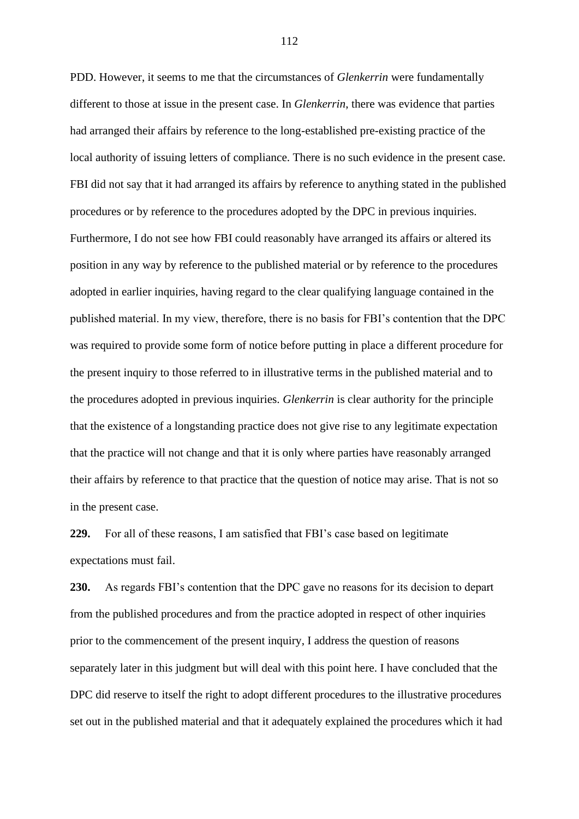PDD. However, it seems to me that the circumstances of *Glenkerrin* were fundamentally different to those at issue in the present case. In *Glenkerrin*, there was evidence that parties had arranged their affairs by reference to the long-established pre-existing practice of the local authority of issuing letters of compliance. There is no such evidence in the present case. FBI did not say that it had arranged its affairs by reference to anything stated in the published procedures or by reference to the procedures adopted by the DPC in previous inquiries. Furthermore, I do not see how FBI could reasonably have arranged its affairs or altered its position in any way by reference to the published material or by reference to the procedures adopted in earlier inquiries, having regard to the clear qualifying language contained in the published material. In my view, therefore, there is no basis for FBI's contention that the DPC was required to provide some form of notice before putting in place a different procedure for the present inquiry to those referred to in illustrative terms in the published material and to the procedures adopted in previous inquiries. *Glenkerrin* is clear authority for the principle that the existence of a longstanding practice does not give rise to any legitimate expectation that the practice will not change and that it is only where parties have reasonably arranged their affairs by reference to that practice that the question of notice may arise. That is not so in the present case.

**229.** For all of these reasons, I am satisfied that FBI's case based on legitimate expectations must fail.

**230.** As regards FBI's contention that the DPC gave no reasons for its decision to depart from the published procedures and from the practice adopted in respect of other inquiries prior to the commencement of the present inquiry, I address the question of reasons separately later in this judgment but will deal with this point here. I have concluded that the DPC did reserve to itself the right to adopt different procedures to the illustrative procedures set out in the published material and that it adequately explained the procedures which it had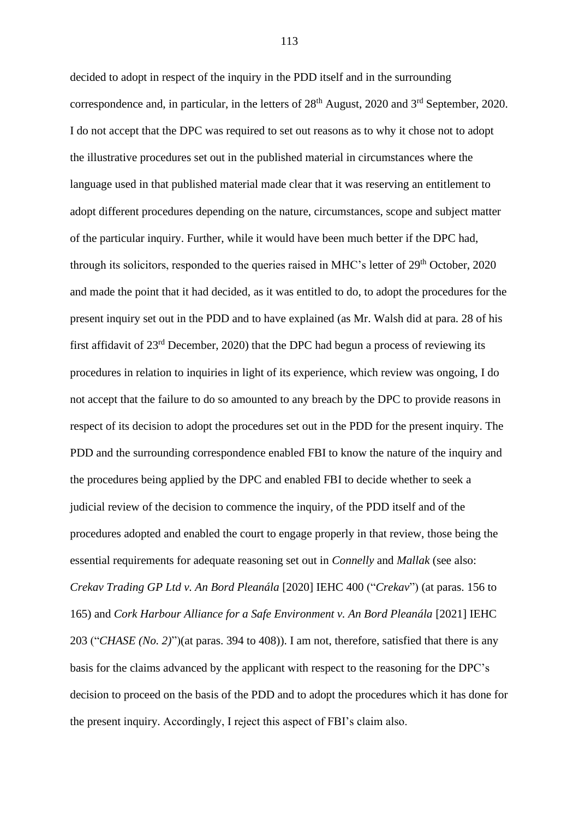decided to adopt in respect of the inquiry in the PDD itself and in the surrounding correspondence and, in particular, in the letters of  $28<sup>th</sup>$  August, 2020 and  $3<sup>rd</sup>$  September, 2020. I do not accept that the DPC was required to set out reasons as to why it chose not to adopt the illustrative procedures set out in the published material in circumstances where the language used in that published material made clear that it was reserving an entitlement to adopt different procedures depending on the nature, circumstances, scope and subject matter of the particular inquiry. Further, while it would have been much better if the DPC had, through its solicitors, responded to the queries raised in MHC's letter of  $29<sup>th</sup>$  October, 2020 and made the point that it had decided, as it was entitled to do, to adopt the procedures for the present inquiry set out in the PDD and to have explained (as Mr. Walsh did at para. 28 of his first affidavit of 23rd December, 2020) that the DPC had begun a process of reviewing its procedures in relation to inquiries in light of its experience, which review was ongoing, I do not accept that the failure to do so amounted to any breach by the DPC to provide reasons in respect of its decision to adopt the procedures set out in the PDD for the present inquiry. The PDD and the surrounding correspondence enabled FBI to know the nature of the inquiry and the procedures being applied by the DPC and enabled FBI to decide whether to seek a judicial review of the decision to commence the inquiry, of the PDD itself and of the procedures adopted and enabled the court to engage properly in that review, those being the essential requirements for adequate reasoning set out in *Connelly* and *Mallak* (see also: *Crekav Trading GP Ltd v. An Bord Pleanála* [2020] IEHC 400 ("*Crekav*") (at paras. 156 to 165) and *Cork Harbour Alliance for a Safe Environment v. An Bord Pleanála* [2021] IEHC 203 ("*CHASE (No. 2)*")(at paras. 394 to 408)). I am not, therefore, satisfied that there is any basis for the claims advanced by the applicant with respect to the reasoning for the DPC's decision to proceed on the basis of the PDD and to adopt the procedures which it has done for the present inquiry. Accordingly, I reject this aspect of FBI's claim also.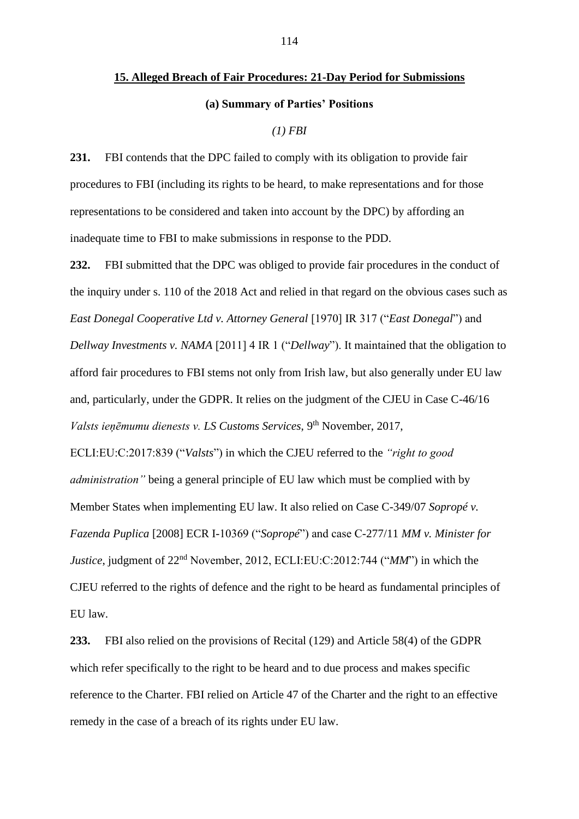# **15. Alleged Breach of Fair Procedures: 21-Day Period for Submissions (a) Summary of Parties' Positions**

## *(1) FBI*

**231.** FBI contends that the DPC failed to comply with its obligation to provide fair procedures to FBI (including its rights to be heard, to make representations and for those representations to be considered and taken into account by the DPC) by affording an inadequate time to FBI to make submissions in response to the PDD.

**232.** FBI submitted that the DPC was obliged to provide fair procedures in the conduct of the inquiry under s. 110 of the 2018 Act and relied in that regard on the obvious cases such as *East Donegal Cooperative Ltd v. Attorney General* [1970] IR 317 ("*East Donegal*") and *Dellway Investments v. NAMA* [2011] 4 IR 1 ("*Dellway*"). It maintained that the obligation to afford fair procedures to FBI stems not only from Irish law, but also generally under EU law and, particularly, under the GDPR. It relies on the judgment of the CJEU in Case C-46/16 *Valsts ieņēmumu dienests v. LS Customs Services*, 9th November, 2017, ECLI:EU:C:2017:839 ("*Valsts*") in which the CJEU referred to the *"right to good administration"* being a general principle of EU law which must be complied with by Member States when implementing EU law. It also relied on Case C-349/07 *Sopropé v. Fazenda Puplica* [2008] ECR I-10369 ("*Sopropé*") and case C-277/11 *MM v. Minister for Justice*, judgment of 22<sup>nd</sup> November, 2012, ECLI:EU:C:2012:744 ("*MM*") in which the CJEU referred to the rights of defence and the right to be heard as fundamental principles of EU law.

**233.** FBI also relied on the provisions of Recital (129) and Article 58(4) of the GDPR which refer specifically to the right to be heard and to due process and makes specific reference to the Charter. FBI relied on Article 47 of the Charter and the right to an effective remedy in the case of a breach of its rights under EU law.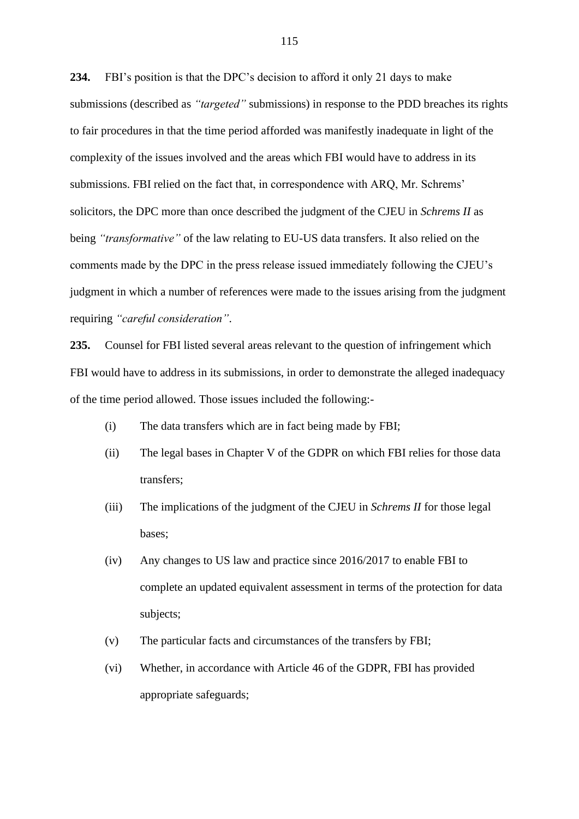**234.** FBI's position is that the DPC's decision to afford it only 21 days to make submissions (described as *"targeted"* submissions) in response to the PDD breaches its rights to fair procedures in that the time period afforded was manifestly inadequate in light of the complexity of the issues involved and the areas which FBI would have to address in its submissions. FBI relied on the fact that, in correspondence with ARQ, Mr. Schrems' solicitors, the DPC more than once described the judgment of the CJEU in *Schrems II* as being *"transformative"* of the law relating to EU-US data transfers. It also relied on the comments made by the DPC in the press release issued immediately following the CJEU's judgment in which a number of references were made to the issues arising from the judgment requiring *"careful consideration"*.

**235.** Counsel for FBI listed several areas relevant to the question of infringement which FBI would have to address in its submissions, in order to demonstrate the alleged inadequacy of the time period allowed. Those issues included the following:-

- (i) The data transfers which are in fact being made by FBI;
- (ii) The legal bases in Chapter V of the GDPR on which FBI relies for those data transfers;
- (iii) The implications of the judgment of the CJEU in *Schrems II* for those legal bases;
- (iv) Any changes to US law and practice since 2016/2017 to enable FBI to complete an updated equivalent assessment in terms of the protection for data subjects;
- (v) The particular facts and circumstances of the transfers by FBI;
- (vi) Whether, in accordance with Article 46 of the GDPR, FBI has provided appropriate safeguards;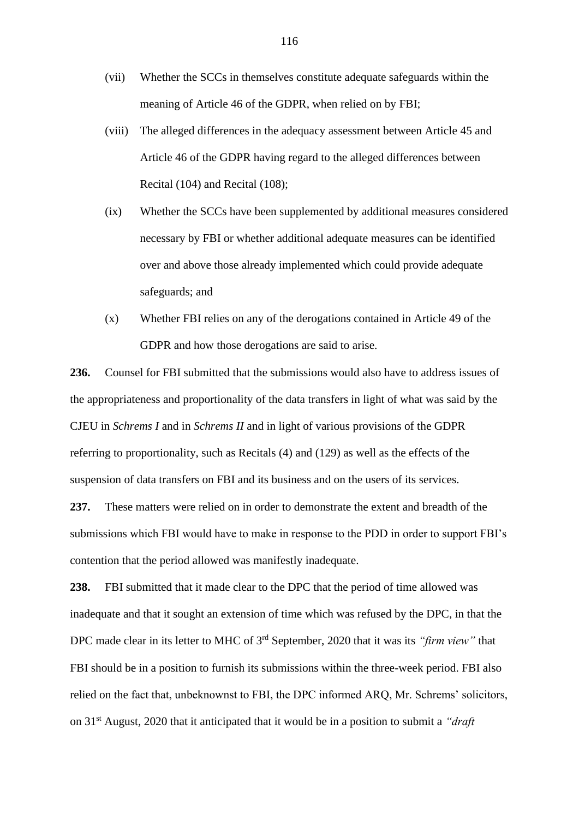- (vii) Whether the SCCs in themselves constitute adequate safeguards within the meaning of Article 46 of the GDPR, when relied on by FBI;
- (viii) The alleged differences in the adequacy assessment between Article 45 and Article 46 of the GDPR having regard to the alleged differences between Recital (104) and Recital (108);
- (ix) Whether the SCCs have been supplemented by additional measures considered necessary by FBI or whether additional adequate measures can be identified over and above those already implemented which could provide adequate safeguards; and
- (x) Whether FBI relies on any of the derogations contained in Article 49 of the GDPR and how those derogations are said to arise.

**236.** Counsel for FBI submitted that the submissions would also have to address issues of the appropriateness and proportionality of the data transfers in light of what was said by the CJEU in *Schrems I* and in *Schrems II* and in light of various provisions of the GDPR referring to proportionality, such as Recitals (4) and (129) as well as the effects of the suspension of data transfers on FBI and its business and on the users of its services.

**237.** These matters were relied on in order to demonstrate the extent and breadth of the submissions which FBI would have to make in response to the PDD in order to support FBI's contention that the period allowed was manifestly inadequate.

**238.** FBI submitted that it made clear to the DPC that the period of time allowed was inadequate and that it sought an extension of time which was refused by the DPC, in that the DPC made clear in its letter to MHC of 3rd September, 2020 that it was its *"firm view"* that FBI should be in a position to furnish its submissions within the three-week period. FBI also relied on the fact that, unbeknownst to FBI, the DPC informed ARQ, Mr. Schrems' solicitors, on 31st August, 2020 that it anticipated that it would be in a position to submit a *"draft*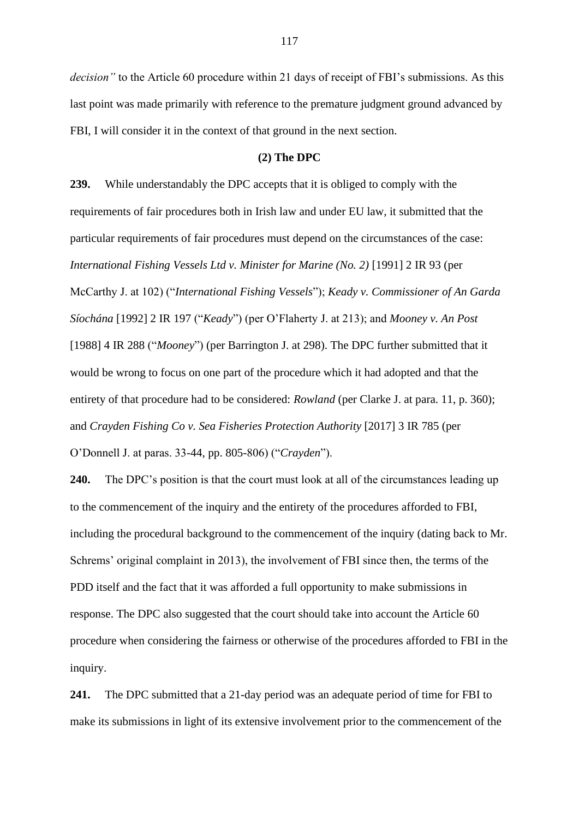*decision"* to the Article 60 procedure within 21 days of receipt of FBI's submissions. As this last point was made primarily with reference to the premature judgment ground advanced by FBI, I will consider it in the context of that ground in the next section.

# **(2) The DPC**

**239.** While understandably the DPC accepts that it is obliged to comply with the requirements of fair procedures both in Irish law and under EU law, it submitted that the particular requirements of fair procedures must depend on the circumstances of the case: *International Fishing Vessels Ltd v. Minister for Marine (No. 2)* [1991] 2 IR 93 (per McCarthy J. at 102) ("*International Fishing Vessels*"); *Keady v. Commissioner of An Garda Síochána* [1992] 2 IR 197 ("*Keady*") (per O'Flaherty J. at 213); and *Mooney v. An Post*  [1988] 4 IR 288 ("*Mooney*") (per Barrington J. at 298). The DPC further submitted that it would be wrong to focus on one part of the procedure which it had adopted and that the entirety of that procedure had to be considered: *Rowland* (per Clarke J. at para. 11, p. 360); and *Crayden Fishing Co v. Sea Fisheries Protection Authority* [2017] 3 IR 785 (per O'Donnell J. at paras. 33-44, pp. 805-806) ("*Crayden*").

**240.** The DPC's position is that the court must look at all of the circumstances leading up to the commencement of the inquiry and the entirety of the procedures afforded to FBI, including the procedural background to the commencement of the inquiry (dating back to Mr. Schrems' original complaint in 2013), the involvement of FBI since then, the terms of the PDD itself and the fact that it was afforded a full opportunity to make submissions in response. The DPC also suggested that the court should take into account the Article 60 procedure when considering the fairness or otherwise of the procedures afforded to FBI in the inquiry.

**241.** The DPC submitted that a 21-day period was an adequate period of time for FBI to make its submissions in light of its extensive involvement prior to the commencement of the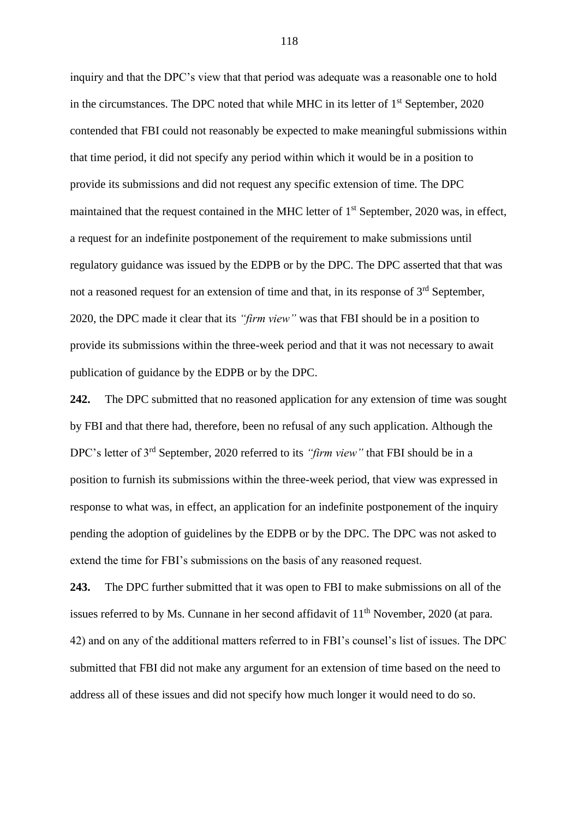inquiry and that the DPC's view that that period was adequate was a reasonable one to hold in the circumstances. The DPC noted that while MHC in its letter of  $1<sup>st</sup>$  September, 2020 contended that FBI could not reasonably be expected to make meaningful submissions within that time period, it did not specify any period within which it would be in a position to provide its submissions and did not request any specific extension of time. The DPC maintained that the request contained in the MHC letter of  $1<sup>st</sup>$  September, 2020 was, in effect, a request for an indefinite postponement of the requirement to make submissions until regulatory guidance was issued by the EDPB or by the DPC. The DPC asserted that that was not a reasoned request for an extension of time and that, in its response of  $3<sup>rd</sup>$  September, 2020, the DPC made it clear that its *"firm view"* was that FBI should be in a position to provide its submissions within the three-week period and that it was not necessary to await publication of guidance by the EDPB or by the DPC.

**242.** The DPC submitted that no reasoned application for any extension of time was sought by FBI and that there had, therefore, been no refusal of any such application. Although the DPC's letter of 3rd September, 2020 referred to its *"firm view"* that FBI should be in a position to furnish its submissions within the three-week period, that view was expressed in response to what was, in effect, an application for an indefinite postponement of the inquiry pending the adoption of guidelines by the EDPB or by the DPC. The DPC was not asked to extend the time for FBI's submissions on the basis of any reasoned request.

**243.** The DPC further submitted that it was open to FBI to make submissions on all of the issues referred to by Ms. Cunnane in her second affidavit of  $11<sup>th</sup>$  November, 2020 (at para. 42) and on any of the additional matters referred to in FBI's counsel's list of issues. The DPC submitted that FBI did not make any argument for an extension of time based on the need to address all of these issues and did not specify how much longer it would need to do so.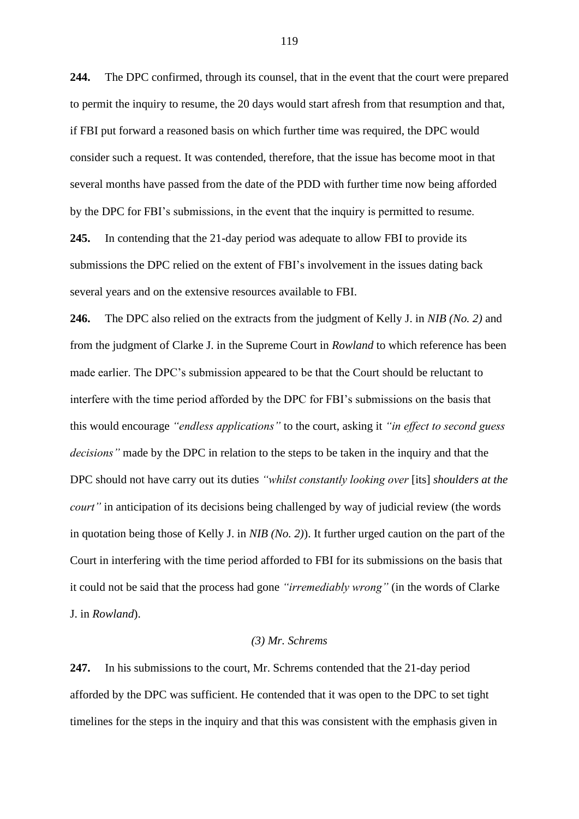**244.** The DPC confirmed, through its counsel, that in the event that the court were prepared to permit the inquiry to resume, the 20 days would start afresh from that resumption and that, if FBI put forward a reasoned basis on which further time was required, the DPC would consider such a request. It was contended, therefore, that the issue has become moot in that several months have passed from the date of the PDD with further time now being afforded by the DPC for FBI's submissions, in the event that the inquiry is permitted to resume.

**245.** In contending that the 21-day period was adequate to allow FBI to provide its submissions the DPC relied on the extent of FBI's involvement in the issues dating back several years and on the extensive resources available to FBI.

**246.** The DPC also relied on the extracts from the judgment of Kelly J. in *NIB (No. 2)* and from the judgment of Clarke J. in the Supreme Court in *Rowland* to which reference has been made earlier. The DPC's submission appeared to be that the Court should be reluctant to interfere with the time period afforded by the DPC for FBI's submissions on the basis that this would encourage *"endless applications"* to the court, asking it *"in effect to second guess decisions"* made by the DPC in relation to the steps to be taken in the inquiry and that the DPC should not have carry out its duties *"whilst constantly looking over* [its] *shoulders at the court*" in anticipation of its decisions being challenged by way of judicial review (the words in quotation being those of Kelly J. in *NIB (No. 2)*). It further urged caution on the part of the Court in interfering with the time period afforded to FBI for its submissions on the basis that it could not be said that the process had gone *"irremediably wrong"* (in the words of Clarke J. in *Rowland*).

## *(3) Mr. Schrems*

**247.** In his submissions to the court, Mr. Schrems contended that the 21-day period afforded by the DPC was sufficient. He contended that it was open to the DPC to set tight timelines for the steps in the inquiry and that this was consistent with the emphasis given in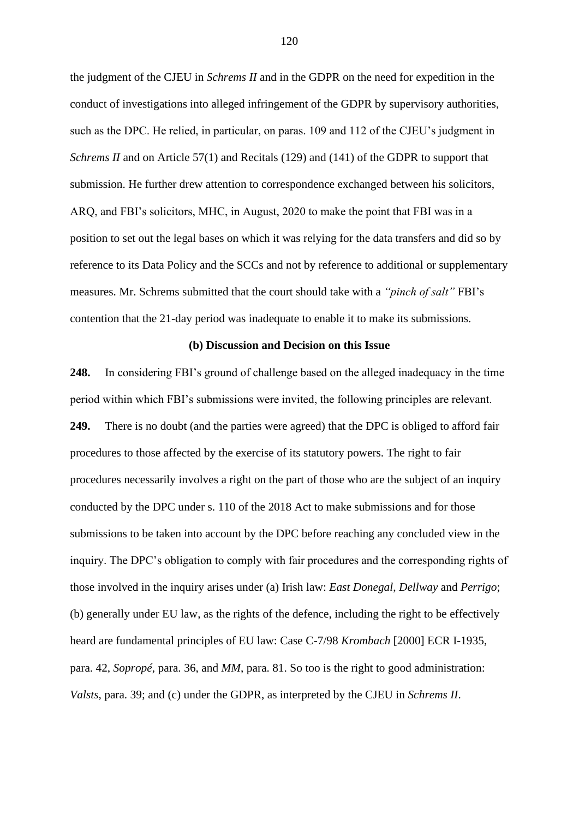the judgment of the CJEU in *Schrems II* and in the GDPR on the need for expedition in the conduct of investigations into alleged infringement of the GDPR by supervisory authorities, such as the DPC. He relied, in particular, on paras. 109 and 112 of the CJEU's judgment in *Schrems II* and on Article 57(1) and Recitals (129) and (141) of the GDPR to support that submission. He further drew attention to correspondence exchanged between his solicitors, ARQ, and FBI's solicitors, MHC, in August, 2020 to make the point that FBI was in a position to set out the legal bases on which it was relying for the data transfers and did so by reference to its Data Policy and the SCCs and not by reference to additional or supplementary measures. Mr. Schrems submitted that the court should take with a *"pinch of salt"* FBI's contention that the 21-day period was inadequate to enable it to make its submissions.

### **(b) Discussion and Decision on this Issue**

**248.** In considering FBI's ground of challenge based on the alleged inadequacy in the time period within which FBI's submissions were invited, the following principles are relevant. **249.** There is no doubt (and the parties were agreed) that the DPC is obliged to afford fair procedures to those affected by the exercise of its statutory powers. The right to fair procedures necessarily involves a right on the part of those who are the subject of an inquiry conducted by the DPC under s. 110 of the 2018 Act to make submissions and for those submissions to be taken into account by the DPC before reaching any concluded view in the inquiry. The DPC's obligation to comply with fair procedures and the corresponding rights of those involved in the inquiry arises under (a) Irish law: *East Donegal*, *Dellway* and *Perrigo*; (b) generally under EU law, as the rights of the defence, including the right to be effectively heard are fundamental principles of EU law: Case C-7/98 *Krombach* [2000] ECR I-1935, para. 42, *Sopropé*, para. 36, and *MM*, para. 81. So too is the right to good administration: *Valsts*, para. 39; and (c) under the GDPR, as interpreted by the CJEU in *Schrems II*.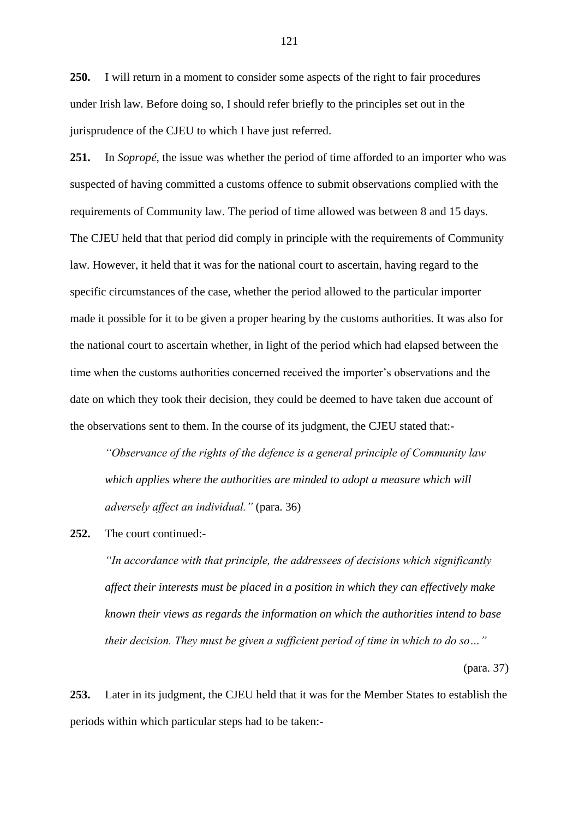**250.** I will return in a moment to consider some aspects of the right to fair procedures under Irish law. Before doing so, I should refer briefly to the principles set out in the jurisprudence of the CJEU to which I have just referred.

**251.** In *Sopropé*, the issue was whether the period of time afforded to an importer who was suspected of having committed a customs offence to submit observations complied with the requirements of Community law. The period of time allowed was between 8 and 15 days. The CJEU held that that period did comply in principle with the requirements of Community law. However, it held that it was for the national court to ascertain, having regard to the specific circumstances of the case, whether the period allowed to the particular importer made it possible for it to be given a proper hearing by the customs authorities. It was also for the national court to ascertain whether, in light of the period which had elapsed between the time when the customs authorities concerned received the importer's observations and the date on which they took their decision, they could be deemed to have taken due account of the observations sent to them. In the course of its judgment, the CJEU stated that:-

*"Observance of the rights of the defence is a general principle of Community law which applies where the authorities are minded to adopt a measure which will adversely affect an individual."* (para. 36)

**252.** The court continued:-

*"In accordance with that principle, the addressees of decisions which significantly affect their interests must be placed in a position in which they can effectively make known their views as regards the information on which the authorities intend to base their decision. They must be given a sufficient period of time in which to do so…"*

(para. 37)

**253.** Later in its judgment, the CJEU held that it was for the Member States to establish the periods within which particular steps had to be taken:-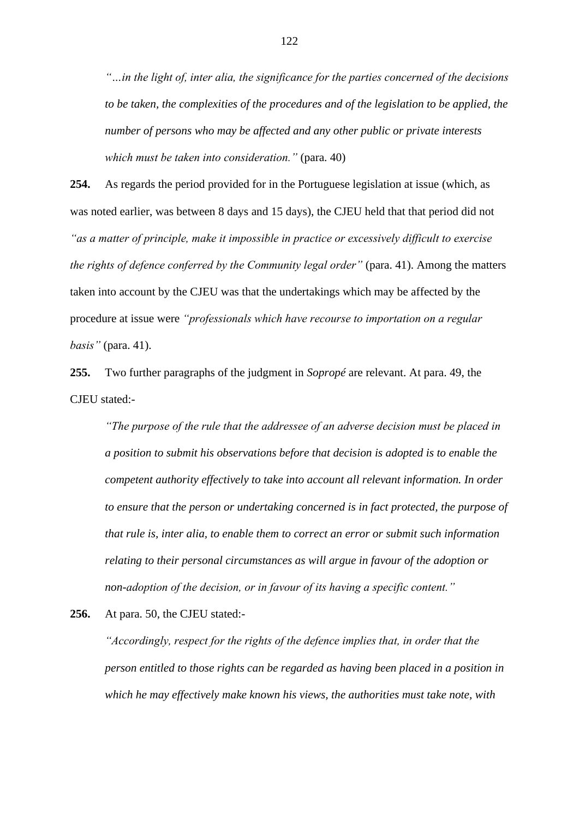*"…in the light of, inter alia, the significance for the parties concerned of the decisions to be taken, the complexities of the procedures and of the legislation to be applied, the number of persons who may be affected and any other public or private interests which must be taken into consideration."* (para. 40)

**254.** As regards the period provided for in the Portuguese legislation at issue (which, as was noted earlier, was between 8 days and 15 days), the CJEU held that that period did not *"as a matter of principle, make it impossible in practice or excessively difficult to exercise the rights of defence conferred by the Community legal order"* (para. 41). Among the matters taken into account by the CJEU was that the undertakings which may be affected by the procedure at issue were *"professionals which have recourse to importation on a regular basis"* (para. 41).

**255.** Two further paragraphs of the judgment in *Sopropé* are relevant. At para. 49, the CJEU stated:-

*"The purpose of the rule that the addressee of an adverse decision must be placed in a position to submit his observations before that decision is adopted is to enable the competent authority effectively to take into account all relevant information. In order to ensure that the person or undertaking concerned is in fact protected, the purpose of that rule is, inter alia, to enable them to correct an error or submit such information relating to their personal circumstances as will argue in favour of the adoption or non-adoption of the decision, or in favour of its having a specific content."*

**256.** At para. 50, the CJEU stated:-

*"Accordingly, respect for the rights of the defence implies that, in order that the person entitled to those rights can be regarded as having been placed in a position in which he may effectively make known his views, the authorities must take note, with*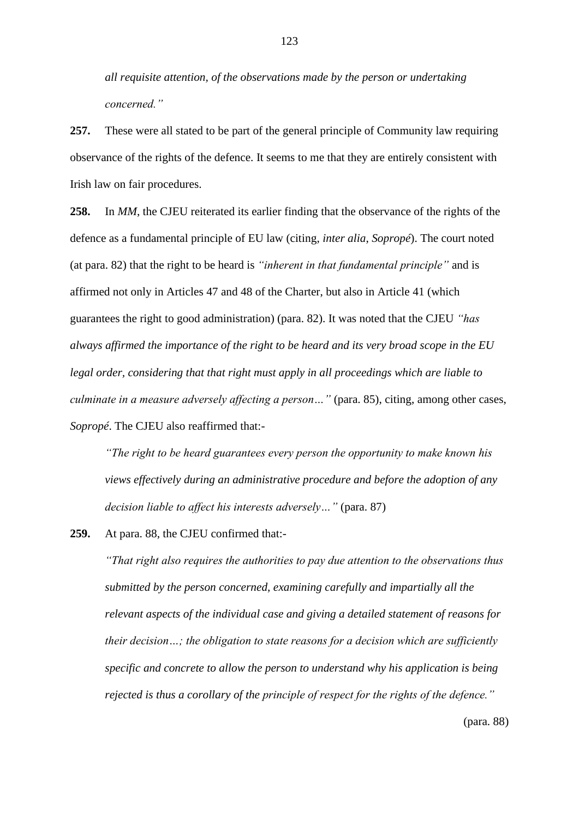*all requisite attention, of the observations made by the person or undertaking concerned."*

**257.** These were all stated to be part of the general principle of Community law requiring observance of the rights of the defence. It seems to me that they are entirely consistent with Irish law on fair procedures.

**258.** In *MM*, the CJEU reiterated its earlier finding that the observance of the rights of the defence as a fundamental principle of EU law (citing, *inter alia*, *Sopropé*). The court noted (at para. 82) that the right to be heard is *"inherent in that fundamental principle"* and is affirmed not only in Articles 47 and 48 of the Charter, but also in Article 41 (which guarantees the right to good administration) (para. 82). It was noted that the CJEU *"has always affirmed the importance of the right to be heard and its very broad scope in the EU legal order, considering that that right must apply in all proceedings which are liable to culminate in a measure adversely affecting a person…"* (para. 85), citing, among other cases, *Sopropé*. The CJEU also reaffirmed that:-

*"The right to be heard guarantees every person the opportunity to make known his views effectively during an administrative procedure and before the adoption of any decision liable to affect his interests adversely…"* (para. 87)

**259.** At para. 88, the CJEU confirmed that:-

*"That right also requires the authorities to pay due attention to the observations thus submitted by the person concerned, examining carefully and impartially all the relevant aspects of the individual case and giving a detailed statement of reasons for their decision…; the obligation to state reasons for a decision which are sufficiently specific and concrete to allow the person to understand why his application is being rejected is thus a corollary of the principle of respect for the rights of the defence."*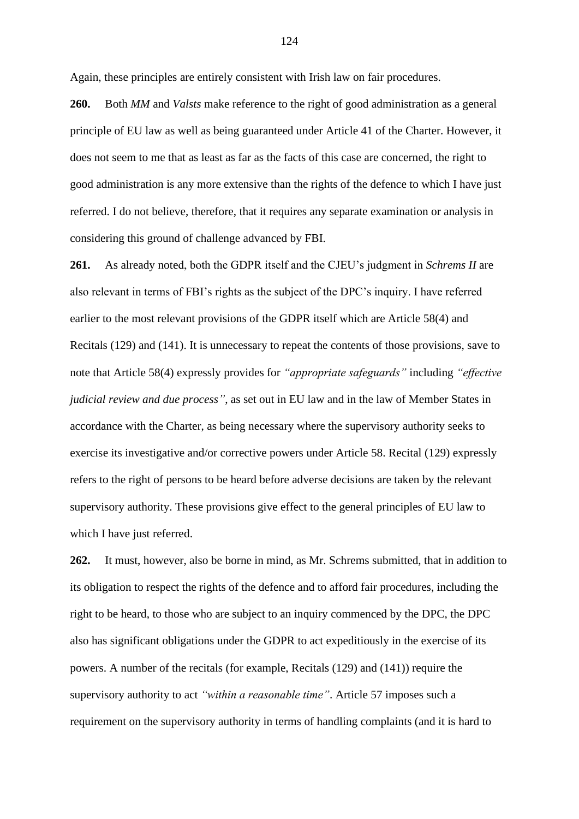Again, these principles are entirely consistent with Irish law on fair procedures.

**260.** Both *MM* and *Valsts* make reference to the right of good administration as a general principle of EU law as well as being guaranteed under Article 41 of the Charter. However, it does not seem to me that as least as far as the facts of this case are concerned, the right to good administration is any more extensive than the rights of the defence to which I have just referred. I do not believe, therefore, that it requires any separate examination or analysis in considering this ground of challenge advanced by FBI.

**261.** As already noted, both the GDPR itself and the CJEU's judgment in *Schrems II* are also relevant in terms of FBI's rights as the subject of the DPC's inquiry. I have referred earlier to the most relevant provisions of the GDPR itself which are Article 58(4) and Recitals (129) and (141). It is unnecessary to repeat the contents of those provisions, save to note that Article 58(4) expressly provides for *"appropriate safeguards"* including *"effective judicial review and due process"*, as set out in EU law and in the law of Member States in accordance with the Charter, as being necessary where the supervisory authority seeks to exercise its investigative and/or corrective powers under Article 58. Recital (129) expressly refers to the right of persons to be heard before adverse decisions are taken by the relevant supervisory authority. These provisions give effect to the general principles of EU law to which I have just referred.

**262.** It must, however, also be borne in mind, as Mr. Schrems submitted, that in addition to its obligation to respect the rights of the defence and to afford fair procedures, including the right to be heard, to those who are subject to an inquiry commenced by the DPC, the DPC also has significant obligations under the GDPR to act expeditiously in the exercise of its powers. A number of the recitals (for example, Recitals (129) and (141)) require the supervisory authority to act *"within a reasonable time"*. Article 57 imposes such a requirement on the supervisory authority in terms of handling complaints (and it is hard to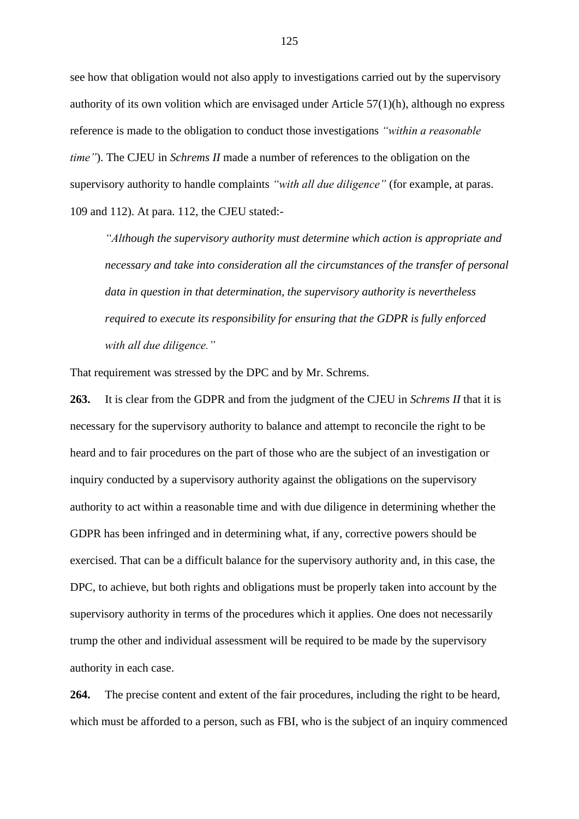see how that obligation would not also apply to investigations carried out by the supervisory authority of its own volition which are envisaged under Article 57(1)(h), although no express reference is made to the obligation to conduct those investigations *"within a reasonable time"*). The CJEU in *Schrems II* made a number of references to the obligation on the supervisory authority to handle complaints *"with all due diligence"* (for example, at paras. 109 and 112). At para. 112, the CJEU stated:-

*"Although the supervisory authority must determine which action is appropriate and necessary and take into consideration all the circumstances of the transfer of personal data in question in that determination, the supervisory authority is nevertheless required to execute its responsibility for ensuring that the GDPR is fully enforced with all due diligence."*

That requirement was stressed by the DPC and by Mr. Schrems.

**263.** It is clear from the GDPR and from the judgment of the CJEU in *Schrems II* that it is necessary for the supervisory authority to balance and attempt to reconcile the right to be heard and to fair procedures on the part of those who are the subject of an investigation or inquiry conducted by a supervisory authority against the obligations on the supervisory authority to act within a reasonable time and with due diligence in determining whether the GDPR has been infringed and in determining what, if any, corrective powers should be exercised. That can be a difficult balance for the supervisory authority and, in this case, the DPC, to achieve, but both rights and obligations must be properly taken into account by the supervisory authority in terms of the procedures which it applies. One does not necessarily trump the other and individual assessment will be required to be made by the supervisory authority in each case.

**264.** The precise content and extent of the fair procedures, including the right to be heard, which must be afforded to a person, such as FBI, who is the subject of an inquiry commenced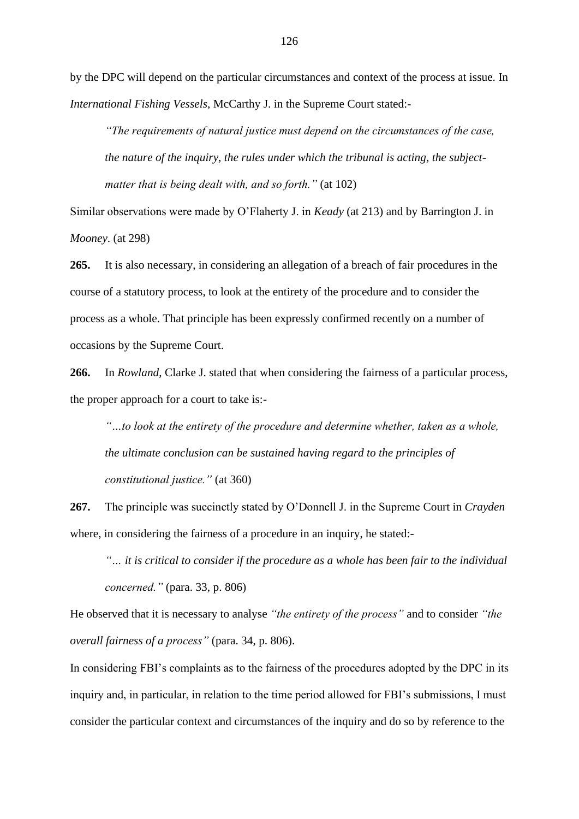by the DPC will depend on the particular circumstances and context of the process at issue. In *International Fishing Vessels*, McCarthy J. in the Supreme Court stated:-

*"The requirements of natural justice must depend on the circumstances of the case, the nature of the inquiry, the rules under which the tribunal is acting, the subjectmatter that is being dealt with, and so forth."* (at 102)

Similar observations were made by O'Flaherty J. in *Keady* (at 213) and by Barrington J. in *Mooney*. (at 298)

**265.** It is also necessary, in considering an allegation of a breach of fair procedures in the course of a statutory process, to look at the entirety of the procedure and to consider the process as a whole. That principle has been expressly confirmed recently on a number of occasions by the Supreme Court.

**266.** In *Rowland*, Clarke J. stated that when considering the fairness of a particular process, the proper approach for a court to take is:-

*"…to look at the entirety of the procedure and determine whether, taken as a whole, the ultimate conclusion can be sustained having regard to the principles of constitutional justice."* (at 360)

**267.** The principle was succinctly stated by O'Donnell J. in the Supreme Court in *Crayden* where, in considering the fairness of a procedure in an inquiry, he stated:-

*"… it is critical to consider if the procedure as a whole has been fair to the individual concerned."* (para. 33, p. 806)

He observed that it is necessary to analyse *"the entirety of the process"* and to consider *"the overall fairness of a process"* (para. 34, p. 806).

In considering FBI's complaints as to the fairness of the procedures adopted by the DPC in its inquiry and, in particular, in relation to the time period allowed for FBI's submissions, I must consider the particular context and circumstances of the inquiry and do so by reference to the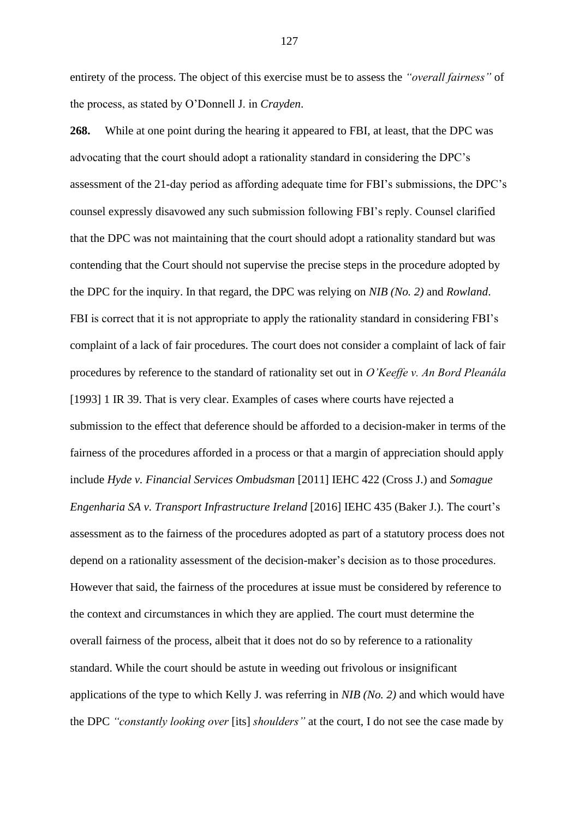entirety of the process. The object of this exercise must be to assess the *"overall fairness"* of the process, as stated by O'Donnell J. in *Crayden*.

**268.** While at one point during the hearing it appeared to FBI, at least, that the DPC was advocating that the court should adopt a rationality standard in considering the DPC's assessment of the 21-day period as affording adequate time for FBI's submissions, the DPC's counsel expressly disavowed any such submission following FBI's reply. Counsel clarified that the DPC was not maintaining that the court should adopt a rationality standard but was contending that the Court should not supervise the precise steps in the procedure adopted by the DPC for the inquiry. In that regard, the DPC was relying on *NIB (No. 2)* and *Rowland*. FBI is correct that it is not appropriate to apply the rationality standard in considering FBI's complaint of a lack of fair procedures. The court does not consider a complaint of lack of fair procedures by reference to the standard of rationality set out in *O'Keeffe v. An Bord Pleanála* [1993] 1 IR 39. That is very clear. Examples of cases where courts have rejected a submission to the effect that deference should be afforded to a decision-maker in terms of the fairness of the procedures afforded in a process or that a margin of appreciation should apply include *Hyde v. Financial Services Ombudsman* [2011] IEHC 422 (Cross J.) and *Somague Engenharia SA v. Transport Infrastructure Ireland* [2016] IEHC 435 (Baker J.). The court's assessment as to the fairness of the procedures adopted as part of a statutory process does not depend on a rationality assessment of the decision-maker's decision as to those procedures. However that said, the fairness of the procedures at issue must be considered by reference to the context and circumstances in which they are applied. The court must determine the overall fairness of the process, albeit that it does not do so by reference to a rationality standard. While the court should be astute in weeding out frivolous or insignificant applications of the type to which Kelly J. was referring in *NIB (No. 2)* and which would have the DPC *"constantly looking over* [its] *shoulders"* at the court, I do not see the case made by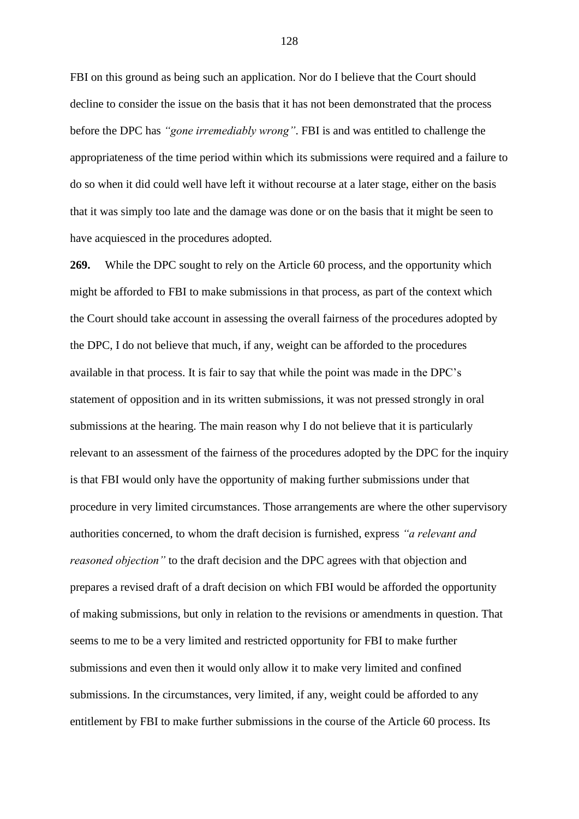FBI on this ground as being such an application. Nor do I believe that the Court should decline to consider the issue on the basis that it has not been demonstrated that the process before the DPC has *"gone irremediably wrong"*. FBI is and was entitled to challenge the appropriateness of the time period within which its submissions were required and a failure to do so when it did could well have left it without recourse at a later stage, either on the basis that it was simply too late and the damage was done or on the basis that it might be seen to have acquiesced in the procedures adopted.

**269.** While the DPC sought to rely on the Article 60 process, and the opportunity which might be afforded to FBI to make submissions in that process, as part of the context which the Court should take account in assessing the overall fairness of the procedures adopted by the DPC, I do not believe that much, if any, weight can be afforded to the procedures available in that process. It is fair to say that while the point was made in the DPC's statement of opposition and in its written submissions, it was not pressed strongly in oral submissions at the hearing. The main reason why I do not believe that it is particularly relevant to an assessment of the fairness of the procedures adopted by the DPC for the inquiry is that FBI would only have the opportunity of making further submissions under that procedure in very limited circumstances. Those arrangements are where the other supervisory authorities concerned, to whom the draft decision is furnished, express *"a relevant and reasoned objection*" to the draft decision and the DPC agrees with that objection and prepares a revised draft of a draft decision on which FBI would be afforded the opportunity of making submissions, but only in relation to the revisions or amendments in question. That seems to me to be a very limited and restricted opportunity for FBI to make further submissions and even then it would only allow it to make very limited and confined submissions. In the circumstances, very limited, if any, weight could be afforded to any entitlement by FBI to make further submissions in the course of the Article 60 process. Its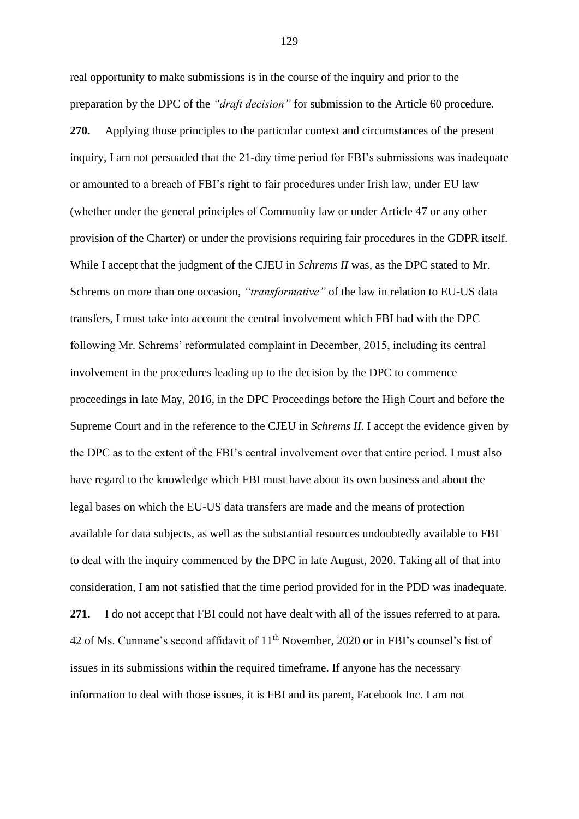real opportunity to make submissions is in the course of the inquiry and prior to the preparation by the DPC of the *"draft decision"* for submission to the Article 60 procedure. **270.** Applying those principles to the particular context and circumstances of the present inquiry, I am not persuaded that the 21-day time period for FBI's submissions was inadequate or amounted to a breach of FBI's right to fair procedures under Irish law, under EU law (whether under the general principles of Community law or under Article 47 or any other provision of the Charter) or under the provisions requiring fair procedures in the GDPR itself. While I accept that the judgment of the CJEU in *Schrems II* was, as the DPC stated to Mr. Schrems on more than one occasion, *"transformative"* of the law in relation to EU-US data transfers, I must take into account the central involvement which FBI had with the DPC following Mr. Schrems' reformulated complaint in December, 2015, including its central involvement in the procedures leading up to the decision by the DPC to commence proceedings in late May, 2016, in the DPC Proceedings before the High Court and before the Supreme Court and in the reference to the CJEU in *Schrems II*. I accept the evidence given by the DPC as to the extent of the FBI's central involvement over that entire period. I must also have regard to the knowledge which FBI must have about its own business and about the legal bases on which the EU-US data transfers are made and the means of protection available for data subjects, as well as the substantial resources undoubtedly available to FBI to deal with the inquiry commenced by the DPC in late August, 2020. Taking all of that into consideration, I am not satisfied that the time period provided for in the PDD was inadequate. **271.** I do not accept that FBI could not have dealt with all of the issues referred to at para. 42 of Ms. Cunnane's second affidavit of 11<sup>th</sup> November, 2020 or in FBI's counsel's list of issues in its submissions within the required timeframe. If anyone has the necessary information to deal with those issues, it is FBI and its parent, Facebook Inc. I am not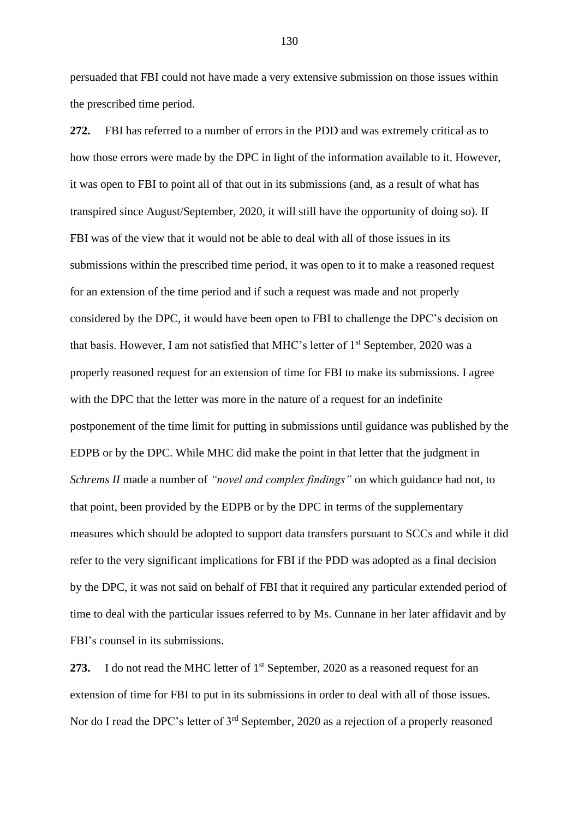persuaded that FBI could not have made a very extensive submission on those issues within the prescribed time period.

**272.** FBI has referred to a number of errors in the PDD and was extremely critical as to how those errors were made by the DPC in light of the information available to it. However, it was open to FBI to point all of that out in its submissions (and, as a result of what has transpired since August/September, 2020, it will still have the opportunity of doing so). If FBI was of the view that it would not be able to deal with all of those issues in its submissions within the prescribed time period, it was open to it to make a reasoned request for an extension of the time period and if such a request was made and not properly considered by the DPC, it would have been open to FBI to challenge the DPC's decision on that basis. However, I am not satisfied that MHC's letter of 1<sup>st</sup> September, 2020 was a properly reasoned request for an extension of time for FBI to make its submissions. I agree with the DPC that the letter was more in the nature of a request for an indefinite postponement of the time limit for putting in submissions until guidance was published by the EDPB or by the DPC. While MHC did make the point in that letter that the judgment in *Schrems II* made a number of *"novel and complex findings"* on which guidance had not, to that point, been provided by the EDPB or by the DPC in terms of the supplementary measures which should be adopted to support data transfers pursuant to SCCs and while it did refer to the very significant implications for FBI if the PDD was adopted as a final decision by the DPC, it was not said on behalf of FBI that it required any particular extended period of time to deal with the particular issues referred to by Ms. Cunnane in her later affidavit and by FBI's counsel in its submissions.

273. I do not read the MHC letter of 1<sup>st</sup> September, 2020 as a reasoned request for an extension of time for FBI to put in its submissions in order to deal with all of those issues. Nor do I read the DPC's letter of 3<sup>rd</sup> September, 2020 as a rejection of a properly reasoned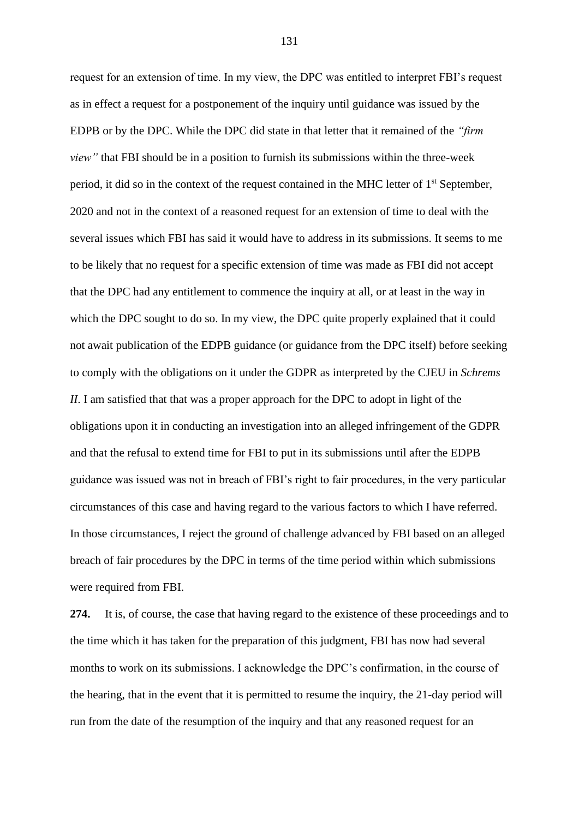request for an extension of time. In my view, the DPC was entitled to interpret FBI's request as in effect a request for a postponement of the inquiry until guidance was issued by the EDPB or by the DPC. While the DPC did state in that letter that it remained of the *"firm view"* that FBI should be in a position to furnish its submissions within the three-week period, it did so in the context of the request contained in the MHC letter of  $1<sup>st</sup>$  September, 2020 and not in the context of a reasoned request for an extension of time to deal with the several issues which FBI has said it would have to address in its submissions. It seems to me to be likely that no request for a specific extension of time was made as FBI did not accept that the DPC had any entitlement to commence the inquiry at all, or at least in the way in which the DPC sought to do so. In my view, the DPC quite properly explained that it could not await publication of the EDPB guidance (or guidance from the DPC itself) before seeking to comply with the obligations on it under the GDPR as interpreted by the CJEU in *Schrems II*. I am satisfied that that was a proper approach for the DPC to adopt in light of the obligations upon it in conducting an investigation into an alleged infringement of the GDPR and that the refusal to extend time for FBI to put in its submissions until after the EDPB guidance was issued was not in breach of FBI's right to fair procedures, in the very particular circumstances of this case and having regard to the various factors to which I have referred. In those circumstances, I reject the ground of challenge advanced by FBI based on an alleged breach of fair procedures by the DPC in terms of the time period within which submissions were required from FBI.

**274.** It is, of course, the case that having regard to the existence of these proceedings and to the time which it has taken for the preparation of this judgment, FBI has now had several months to work on its submissions. I acknowledge the DPC's confirmation, in the course of the hearing, that in the event that it is permitted to resume the inquiry, the 21-day period will run from the date of the resumption of the inquiry and that any reasoned request for an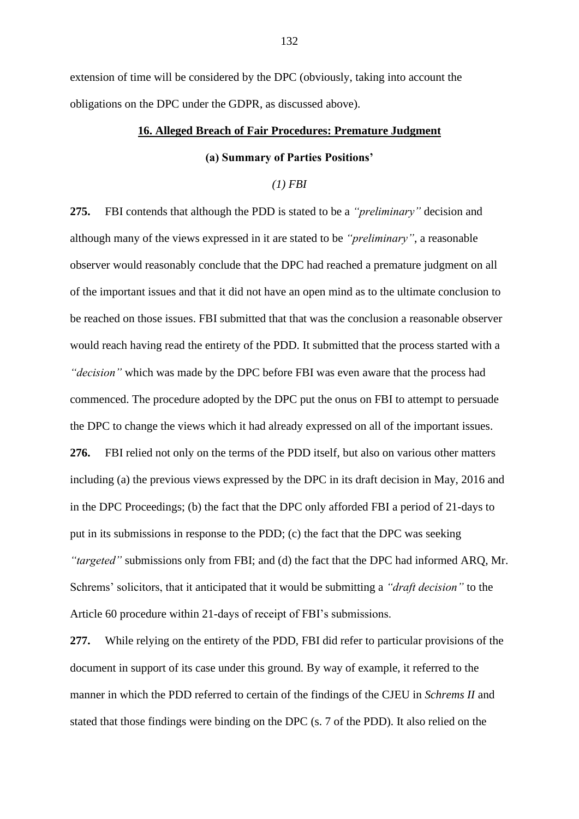extension of time will be considered by the DPC (obviously, taking into account the obligations on the DPC under the GDPR, as discussed above).

# **16. Alleged Breach of Fair Procedures: Premature Judgment**

# **(a) Summary of Parties Positions'**

## *(1) FBI*

**275.** FBI contends that although the PDD is stated to be a *"preliminary"* decision and although many of the views expressed in it are stated to be *"preliminary"*, a reasonable observer would reasonably conclude that the DPC had reached a premature judgment on all of the important issues and that it did not have an open mind as to the ultimate conclusion to be reached on those issues. FBI submitted that that was the conclusion a reasonable observer would reach having read the entirety of the PDD. It submitted that the process started with a *"decision"* which was made by the DPC before FBI was even aware that the process had commenced. The procedure adopted by the DPC put the onus on FBI to attempt to persuade the DPC to change the views which it had already expressed on all of the important issues. **276.** FBI relied not only on the terms of the PDD itself, but also on various other matters including (a) the previous views expressed by the DPC in its draft decision in May, 2016 and in the DPC Proceedings; (b) the fact that the DPC only afforded FBI a period of 21-days to put in its submissions in response to the PDD; (c) the fact that the DPC was seeking *"targeted"* submissions only from FBI; and (d) the fact that the DPC had informed ARQ, Mr. Schrems' solicitors, that it anticipated that it would be submitting a *"draft decision"* to the Article 60 procedure within 21-days of receipt of FBI's submissions.

**277.** While relying on the entirety of the PDD, FBI did refer to particular provisions of the document in support of its case under this ground. By way of example, it referred to the manner in which the PDD referred to certain of the findings of the CJEU in *Schrems II* and stated that those findings were binding on the DPC (s. 7 of the PDD). It also relied on the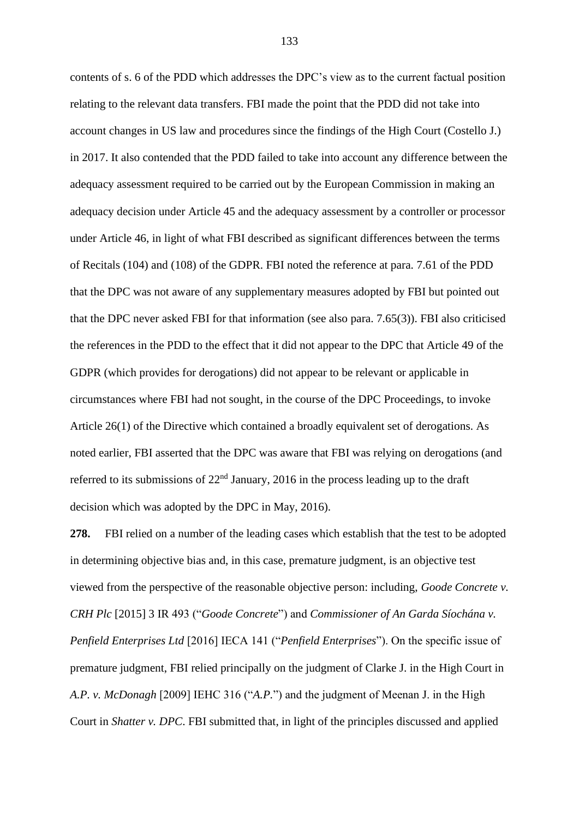contents of s. 6 of the PDD which addresses the DPC's view as to the current factual position relating to the relevant data transfers. FBI made the point that the PDD did not take into account changes in US law and procedures since the findings of the High Court (Costello J.) in 2017. It also contended that the PDD failed to take into account any difference between the adequacy assessment required to be carried out by the European Commission in making an adequacy decision under Article 45 and the adequacy assessment by a controller or processor under Article 46, in light of what FBI described as significant differences between the terms of Recitals (104) and (108) of the GDPR. FBI noted the reference at para. 7.61 of the PDD that the DPC was not aware of any supplementary measures adopted by FBI but pointed out that the DPC never asked FBI for that information (see also para. 7.65(3)). FBI also criticised the references in the PDD to the effect that it did not appear to the DPC that Article 49 of the GDPR (which provides for derogations) did not appear to be relevant or applicable in circumstances where FBI had not sought, in the course of the DPC Proceedings, to invoke Article 26(1) of the Directive which contained a broadly equivalent set of derogations. As noted earlier, FBI asserted that the DPC was aware that FBI was relying on derogations (and referred to its submissions of 22nd January, 2016 in the process leading up to the draft decision which was adopted by the DPC in May, 2016).

**278.** FBI relied on a number of the leading cases which establish that the test to be adopted in determining objective bias and, in this case, premature judgment, is an objective test viewed from the perspective of the reasonable objective person: including, *Goode Concrete v. CRH Plc* [2015] 3 IR 493 ("*Goode Concrete*") and *Commissioner of An Garda Síochána v. Penfield Enterprises Ltd* [2016] IECA 141 ("*Penfield Enterprises*"). On the specific issue of premature judgment, FBI relied principally on the judgment of Clarke J. in the High Court in *A.P. v. McDonagh* [2009] IEHC 316 ("*A.P.*") and the judgment of Meenan J. in the High Court in *Shatter v. DPC*. FBI submitted that, in light of the principles discussed and applied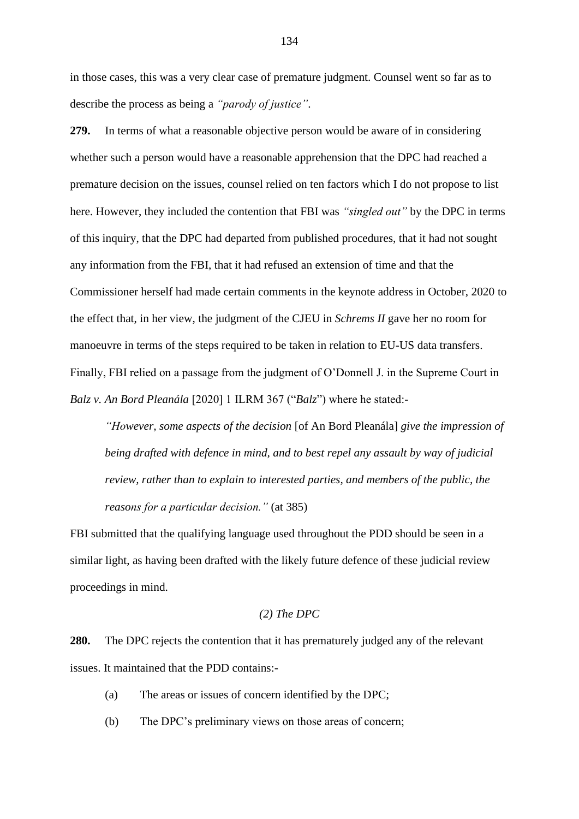in those cases, this was a very clear case of premature judgment. Counsel went so far as to describe the process as being a *"parody of justice"*.

**279.** In terms of what a reasonable objective person would be aware of in considering whether such a person would have a reasonable apprehension that the DPC had reached a premature decision on the issues, counsel relied on ten factors which I do not propose to list here. However, they included the contention that FBI was *"singled out"* by the DPC in terms of this inquiry, that the DPC had departed from published procedures, that it had not sought any information from the FBI, that it had refused an extension of time and that the Commissioner herself had made certain comments in the keynote address in October, 2020 to the effect that, in her view, the judgment of the CJEU in *Schrems II* gave her no room for manoeuvre in terms of the steps required to be taken in relation to EU-US data transfers. Finally, FBI relied on a passage from the judgment of O'Donnell J. in the Supreme Court in *Balz v. An Bord Pleanála* [2020] 1 ILRM 367 ("*Balz*") where he stated:-

*"However, some aspects of the decision* [of An Bord Pleanála] *give the impression of being drafted with defence in mind, and to best repel any assault by way of judicial review, rather than to explain to interested parties, and members of the public, the reasons for a particular decision."* (at 385)

FBI submitted that the qualifying language used throughout the PDD should be seen in a similar light, as having been drafted with the likely future defence of these judicial review proceedings in mind.

# *(2) The DPC*

**280.** The DPC rejects the contention that it has prematurely judged any of the relevant issues. It maintained that the PDD contains:-

- (a) The areas or issues of concern identified by the DPC;
- (b) The DPC's preliminary views on those areas of concern;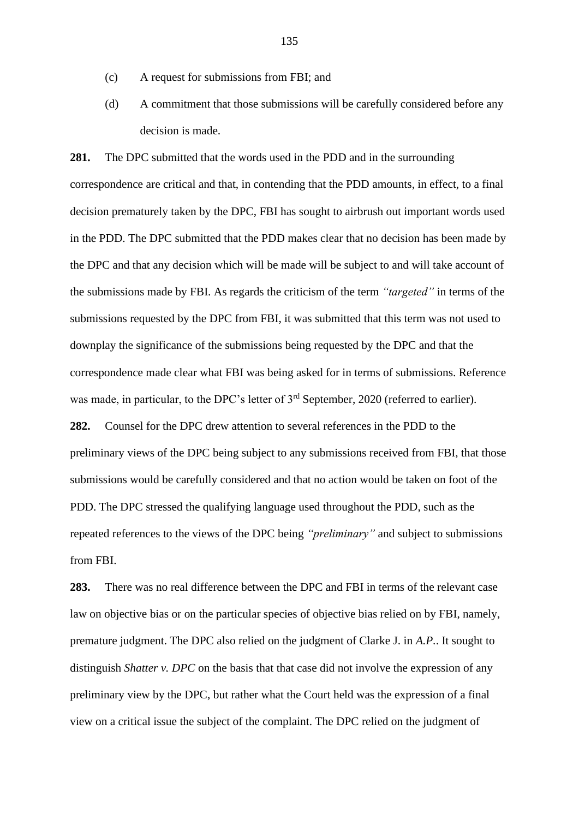- (c) A request for submissions from FBI; and
- (d) A commitment that those submissions will be carefully considered before any decision is made.

**281.** The DPC submitted that the words used in the PDD and in the surrounding correspondence are critical and that, in contending that the PDD amounts, in effect, to a final decision prematurely taken by the DPC, FBI has sought to airbrush out important words used in the PDD. The DPC submitted that the PDD makes clear that no decision has been made by the DPC and that any decision which will be made will be subject to and will take account of the submissions made by FBI. As regards the criticism of the term *"targeted"* in terms of the submissions requested by the DPC from FBI, it was submitted that this term was not used to downplay the significance of the submissions being requested by the DPC and that the correspondence made clear what FBI was being asked for in terms of submissions. Reference was made, in particular, to the DPC's letter of 3<sup>rd</sup> September, 2020 (referred to earlier).

**282.** Counsel for the DPC drew attention to several references in the PDD to the preliminary views of the DPC being subject to any submissions received from FBI, that those submissions would be carefully considered and that no action would be taken on foot of the PDD. The DPC stressed the qualifying language used throughout the PDD, such as the repeated references to the views of the DPC being *"preliminary"* and subject to submissions from FBI.

**283.** There was no real difference between the DPC and FBI in terms of the relevant case law on objective bias or on the particular species of objective bias relied on by FBI, namely, premature judgment. The DPC also relied on the judgment of Clarke J. in *A.P.*. It sought to distinguish *Shatter v. DPC* on the basis that that case did not involve the expression of any preliminary view by the DPC, but rather what the Court held was the expression of a final view on a critical issue the subject of the complaint. The DPC relied on the judgment of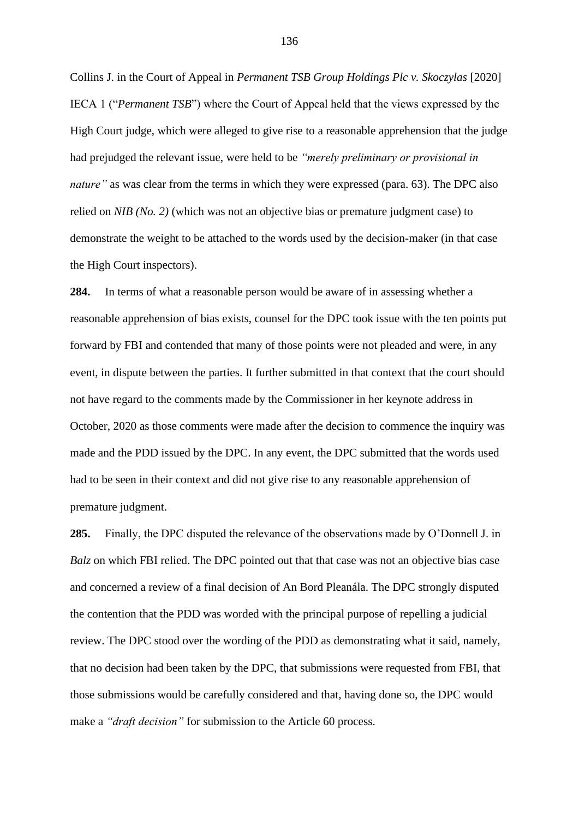Collins J. in the Court of Appeal in *Permanent TSB Group Holdings Plc v. Skoczylas* [2020] IECA 1 ("*Permanent TSB*") where the Court of Appeal held that the views expressed by the High Court judge, which were alleged to give rise to a reasonable apprehension that the judge had prejudged the relevant issue, were held to be *"merely preliminary or provisional in nature"* as was clear from the terms in which they were expressed (para. 63). The DPC also relied on *NIB (No. 2)* (which was not an objective bias or premature judgment case) to demonstrate the weight to be attached to the words used by the decision-maker (in that case the High Court inspectors).

**284.** In terms of what a reasonable person would be aware of in assessing whether a reasonable apprehension of bias exists, counsel for the DPC took issue with the ten points put forward by FBI and contended that many of those points were not pleaded and were, in any event, in dispute between the parties. It further submitted in that context that the court should not have regard to the comments made by the Commissioner in her keynote address in October, 2020 as those comments were made after the decision to commence the inquiry was made and the PDD issued by the DPC. In any event, the DPC submitted that the words used had to be seen in their context and did not give rise to any reasonable apprehension of premature judgment.

**285.** Finally, the DPC disputed the relevance of the observations made by O'Donnell J. in *Balz* on which FBI relied. The DPC pointed out that that case was not an objective bias case and concerned a review of a final decision of An Bord Pleanála. The DPC strongly disputed the contention that the PDD was worded with the principal purpose of repelling a judicial review. The DPC stood over the wording of the PDD as demonstrating what it said, namely, that no decision had been taken by the DPC, that submissions were requested from FBI, that those submissions would be carefully considered and that, having done so, the DPC would make a *"draft decision"* for submission to the Article 60 process.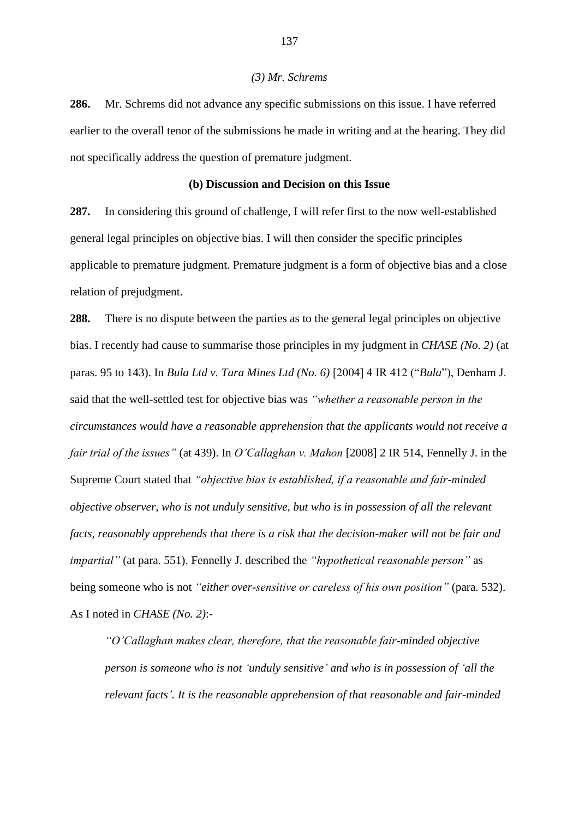## *(3) Mr. Schrems*

**286.** Mr. Schrems did not advance any specific submissions on this issue. I have referred earlier to the overall tenor of the submissions he made in writing and at the hearing. They did not specifically address the question of premature judgment.

## **(b) Discussion and Decision on this Issue**

**287.** In considering this ground of challenge, I will refer first to the now well-established general legal principles on objective bias. I will then consider the specific principles applicable to premature judgment. Premature judgment is a form of objective bias and a close relation of prejudgment.

**288.** There is no dispute between the parties as to the general legal principles on objective bias. I recently had cause to summarise those principles in my judgment in *CHASE (No. 2)* (at paras. 95 to 143). In *Bula Ltd v. Tara Mines Ltd (No. 6)* [2004] 4 IR 412 ("*Bula*"), Denham J. said that the well-settled test for objective bias was *"whether a reasonable person in the circumstances would have a reasonable apprehension that the applicants would not receive a fair trial of the issues"* (at 439). In *O'Callaghan v. Mahon* [2008] 2 IR 514, Fennelly J. in the Supreme Court stated that *"objective bias is established, if a reasonable and fair-minded objective observer, who is not unduly sensitive, but who is in possession of all the relevant facts, reasonably apprehends that there is a risk that the decision-maker will not be fair and impartial"* (at para. 551). Fennelly J. described the *"hypothetical reasonable person"* as being someone who is not *"either over-sensitive or careless of his own position"* (para. 532). As I noted in *CHASE (No. 2)*:-

*"O'Callaghan makes clear, therefore, that the reasonable fair-minded objective person is someone who is not 'unduly sensitive' and who is in possession of 'all the relevant facts'. It is the reasonable apprehension of that reasonable and fair-minded*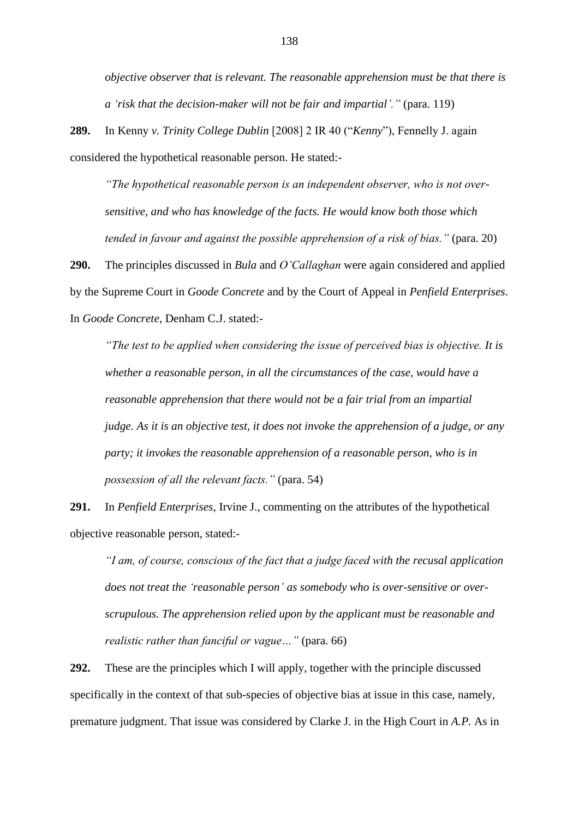*objective observer that is relevant. The reasonable apprehension must be that there is a 'risk that the decision-maker will not be fair and impartial'."* (para. 119)

**289.** In Kenny *v. Trinity College Dublin* [2008] 2 IR 40 ("*Kenny*"), Fennelly J. again considered the hypothetical reasonable person. He stated:-

*"The hypothetical reasonable person is an independent observer, who is not oversensitive, and who has knowledge of the facts. He would know both those which tended in favour and against the possible apprehension of a risk of bias."* (para. 20)

**290.** The principles discussed in *Bula* and *O'Callaghan* were again considered and applied by the Supreme Court in *Goode Concrete* and by the Court of Appeal in *Penfield Enterprises*. In *Goode Concrete*, Denham C.J. stated:-

*"The test to be applied when considering the issue of perceived bias is objective. It is whether a reasonable person, in all the circumstances of the case, would have a reasonable apprehension that there would not be a fair trial from an impartial judge. As it is an objective test, it does not invoke the apprehension of a judge, or any party; it invokes the reasonable apprehension of a reasonable person, who is in possession of all the relevant facts."* (para. 54)

**291.** In *Penfield Enterprises*, Irvine J., commenting on the attributes of the hypothetical objective reasonable person, stated:-

*"I am, of course, conscious of the fact that a judge faced with the recusal application does not treat the 'reasonable person' as somebody who is over-sensitive or overscrupulous. The apprehension relied upon by the applicant must be reasonable and realistic rather than fanciful or vague…"* (para. 66)

**292.** These are the principles which I will apply, together with the principle discussed specifically in the context of that sub-species of objective bias at issue in this case, namely, premature judgment. That issue was considered by Clarke J. in the High Court in *A.P.* As in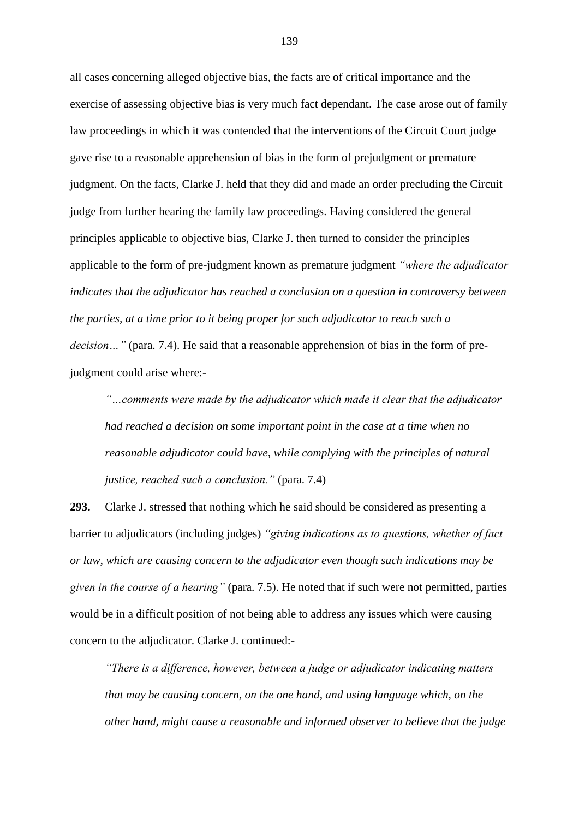all cases concerning alleged objective bias, the facts are of critical importance and the exercise of assessing objective bias is very much fact dependant. The case arose out of family law proceedings in which it was contended that the interventions of the Circuit Court judge gave rise to a reasonable apprehension of bias in the form of prejudgment or premature judgment. On the facts, Clarke J. held that they did and made an order precluding the Circuit judge from further hearing the family law proceedings. Having considered the general principles applicable to objective bias, Clarke J. then turned to consider the principles applicable to the form of pre-judgment known as premature judgment *"where the adjudicator indicates that the adjudicator has reached a conclusion on a question in controversy between the parties, at a time prior to it being proper for such adjudicator to reach such a decision…"* (para. 7.4). He said that a reasonable apprehension of bias in the form of prejudgment could arise where:-

*"…comments were made by the adjudicator which made it clear that the adjudicator had reached a decision on some important point in the case at a time when no reasonable adjudicator could have, while complying with the principles of natural justice, reached such a conclusion."* (para. 7.4)

**293.** Clarke J. stressed that nothing which he said should be considered as presenting a barrier to adjudicators (including judges) *"giving indications as to questions, whether of fact or law, which are causing concern to the adjudicator even though such indications may be given in the course of a hearing"* (para. 7.5). He noted that if such were not permitted, parties would be in a difficult position of not being able to address any issues which were causing concern to the adjudicator. Clarke J. continued:-

*"There is a difference, however, between a judge or adjudicator indicating matters that may be causing concern, on the one hand, and using language which, on the other hand, might cause a reasonable and informed observer to believe that the judge*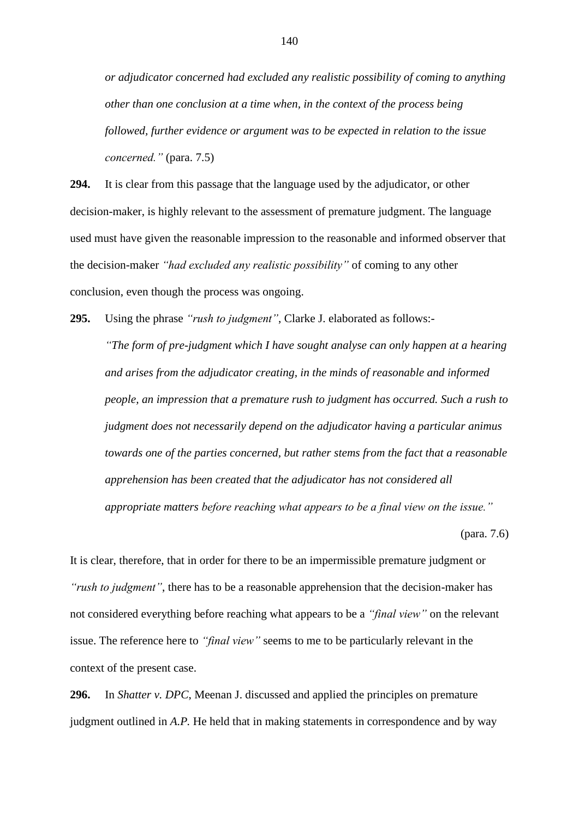*or adjudicator concerned had excluded any realistic possibility of coming to anything other than one conclusion at a time when, in the context of the process being followed, further evidence or argument was to be expected in relation to the issue concerned."* (para. 7.5)

**294.** It is clear from this passage that the language used by the adjudicator, or other decision-maker, is highly relevant to the assessment of premature judgment. The language used must have given the reasonable impression to the reasonable and informed observer that the decision-maker *"had excluded any realistic possibility"* of coming to any other conclusion, even though the process was ongoing.

**295.** Using the phrase *"rush to judgment"*, Clarke J. elaborated as follows:-

*"The form of pre-judgment which I have sought analyse can only happen at a hearing and arises from the adjudicator creating, in the minds of reasonable and informed people, an impression that a premature rush to judgment has occurred. Such a rush to judgment does not necessarily depend on the adjudicator having a particular animus towards one of the parties concerned, but rather stems from the fact that a reasonable apprehension has been created that the adjudicator has not considered all appropriate matters before reaching what appears to be a final view on the issue."*

(para. 7.6)

It is clear, therefore, that in order for there to be an impermissible premature judgment or *"rush to judgment"*, there has to be a reasonable apprehension that the decision-maker has not considered everything before reaching what appears to be a *"final view"* on the relevant issue. The reference here to *"final view"* seems to me to be particularly relevant in the context of the present case.

**296.** In *Shatter v. DPC*, Meenan J. discussed and applied the principles on premature judgment outlined in *A.P.* He held that in making statements in correspondence and by way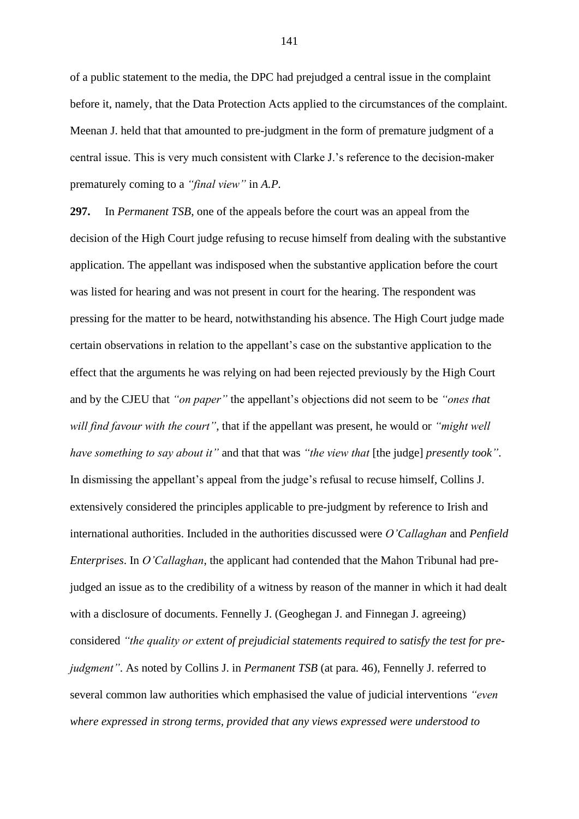of a public statement to the media, the DPC had prejudged a central issue in the complaint before it, namely, that the Data Protection Acts applied to the circumstances of the complaint. Meenan J. held that that amounted to pre-judgment in the form of premature judgment of a central issue. This is very much consistent with Clarke J.'s reference to the decision-maker prematurely coming to a *"final view"* in *A.P.*

**297.** In *Permanent TSB*, one of the appeals before the court was an appeal from the decision of the High Court judge refusing to recuse himself from dealing with the substantive application. The appellant was indisposed when the substantive application before the court was listed for hearing and was not present in court for the hearing. The respondent was pressing for the matter to be heard, notwithstanding his absence. The High Court judge made certain observations in relation to the appellant's case on the substantive application to the effect that the arguments he was relying on had been rejected previously by the High Court and by the CJEU that *"on paper"* the appellant's objections did not seem to be *"ones that will find favour with the court"*, that if the appellant was present, he would or *"might well have something to say about it"* and that that was *"the view that* [the judge] *presently took"*. In dismissing the appellant's appeal from the judge's refusal to recuse himself, Collins J. extensively considered the principles applicable to pre-judgment by reference to Irish and international authorities. Included in the authorities discussed were *O'Callaghan* and *Penfield Enterprises*. In *O'Callaghan*, the applicant had contended that the Mahon Tribunal had prejudged an issue as to the credibility of a witness by reason of the manner in which it had dealt with a disclosure of documents. Fennelly J. (Geoghegan J. and Finnegan J. agreeing) considered *"the quality or extent of prejudicial statements required to satisfy the test for prejudgment"*. As noted by Collins J. in *Permanent TSB* (at para. 46), Fennelly J. referred to several common law authorities which emphasised the value of judicial interventions *"even where expressed in strong terms, provided that any views expressed were understood to*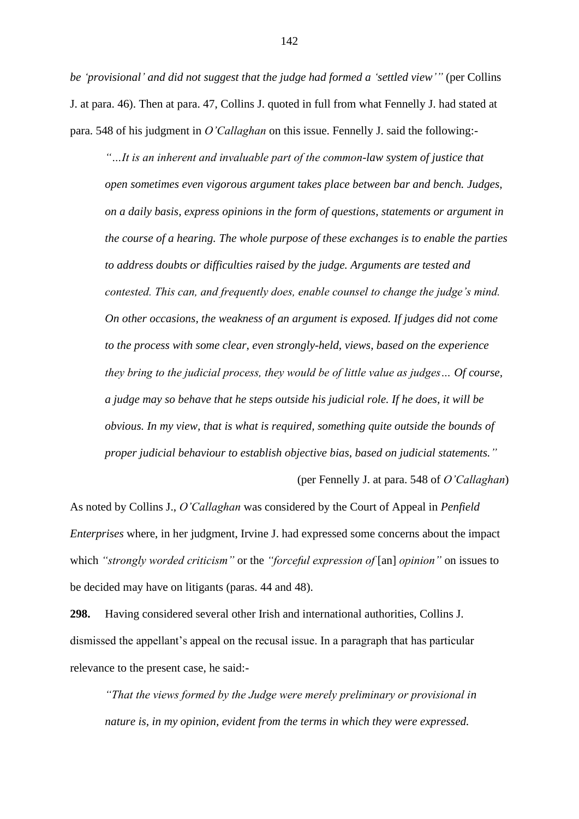*be 'provisional' and did not suggest that the judge had formed a 'settled view'"* (per Collins J. at para. 46). Then at para. 47, Collins J. quoted in full from what Fennelly J. had stated at para. 548 of his judgment in *O'Callaghan* on this issue. Fennelly J. said the following:-

*"…It is an inherent and invaluable part of the common-law system of justice that open sometimes even vigorous argument takes place between bar and bench. Judges, on a daily basis, express opinions in the form of questions, statements or argument in the course of a hearing. The whole purpose of these exchanges is to enable the parties to address doubts or difficulties raised by the judge. Arguments are tested and contested. This can, and frequently does, enable counsel to change the judge's mind. On other occasions, the weakness of an argument is exposed. If judges did not come to the process with some clear, even strongly-held, views, based on the experience they bring to the judicial process, they would be of little value as judges… Of course, a judge may so behave that he steps outside his judicial role. If he does, it will be obvious. In my view, that is what is required, something quite outside the bounds of proper judicial behaviour to establish objective bias, based on judicial statements."*

(per Fennelly J. at para. 548 of *O'Callaghan*)

As noted by Collins J., *O'Callaghan* was considered by the Court of Appeal in *Penfield Enterprises* where, in her judgment, Irvine J. had expressed some concerns about the impact which *"strongly worded criticism"* or the *"forceful expression of* [an] *opinion"* on issues to be decided may have on litigants (paras. 44 and 48).

**298.** Having considered several other Irish and international authorities, Collins J. dismissed the appellant's appeal on the recusal issue. In a paragraph that has particular relevance to the present case, he said:-

*"That the views formed by the Judge were merely preliminary or provisional in nature is, in my opinion, evident from the terms in which they were expressed.*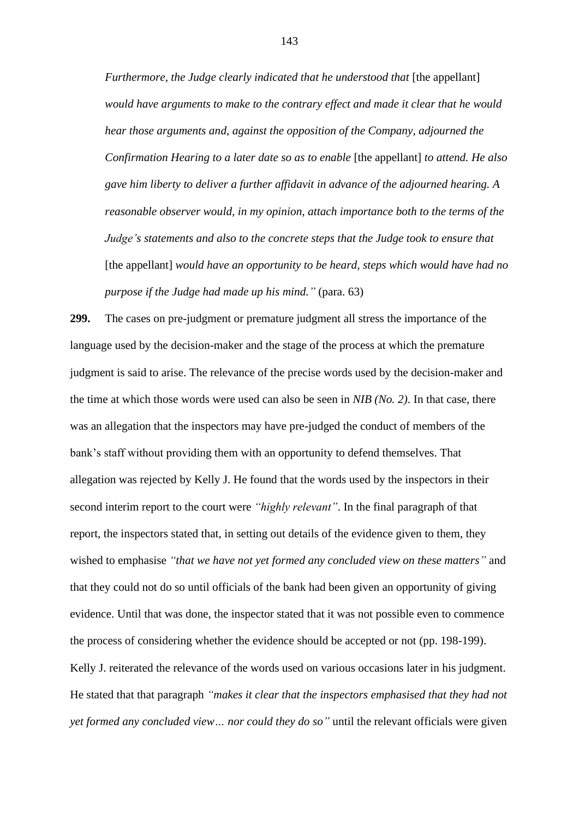*Furthermore, the Judge clearly indicated that he understood that* [the appellant] *would have arguments to make to the contrary effect and made it clear that he would hear those arguments and, against the opposition of the Company, adjourned the Confirmation Hearing to a later date so as to enable* [the appellant] *to attend. He also gave him liberty to deliver a further affidavit in advance of the adjourned hearing. A reasonable observer would, in my opinion, attach importance both to the terms of the Judge's statements and also to the concrete steps that the Judge took to ensure that*  [the appellant] *would have an opportunity to be heard, steps which would have had no purpose if the Judge had made up his mind."* (para. 63)

**299.** The cases on pre-judgment or premature judgment all stress the importance of the language used by the decision-maker and the stage of the process at which the premature judgment is said to arise. The relevance of the precise words used by the decision-maker and the time at which those words were used can also be seen in *NIB (No. 2)*. In that case, there was an allegation that the inspectors may have pre-judged the conduct of members of the bank's staff without providing them with an opportunity to defend themselves. That allegation was rejected by Kelly J. He found that the words used by the inspectors in their second interim report to the court were *"highly relevant"*. In the final paragraph of that report, the inspectors stated that, in setting out details of the evidence given to them, they wished to emphasise *"that we have not yet formed any concluded view on these matters"* and that they could not do so until officials of the bank had been given an opportunity of giving evidence. Until that was done, the inspector stated that it was not possible even to commence the process of considering whether the evidence should be accepted or not (pp. 198-199). Kelly J. reiterated the relevance of the words used on various occasions later in his judgment. He stated that that paragraph *"makes it clear that the inspectors emphasised that they had not yet formed any concluded view… nor could they do so"* until the relevant officials were given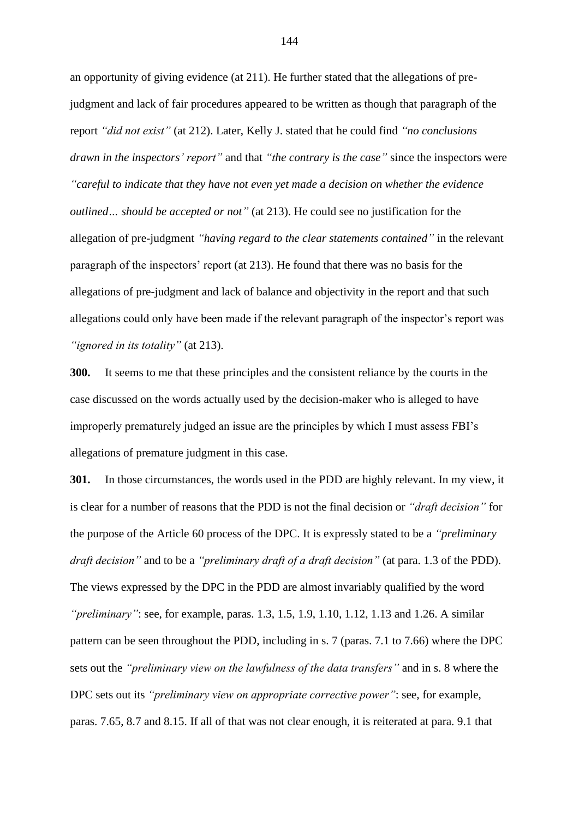an opportunity of giving evidence (at 211). He further stated that the allegations of prejudgment and lack of fair procedures appeared to be written as though that paragraph of the report *"did not exist"* (at 212). Later, Kelly J. stated that he could find *"no conclusions drawn in the inspectors' report"* and that *"the contrary is the case"* since the inspectors were *"careful to indicate that they have not even yet made a decision on whether the evidence outlined… should be accepted or not"* (at 213). He could see no justification for the allegation of pre-judgment *"having regard to the clear statements contained"* in the relevant paragraph of the inspectors' report (at 213). He found that there was no basis for the allegations of pre-judgment and lack of balance and objectivity in the report and that such allegations could only have been made if the relevant paragraph of the inspector's report was *"ignored in its totality"* (at 213).

**300.** It seems to me that these principles and the consistent reliance by the courts in the case discussed on the words actually used by the decision-maker who is alleged to have improperly prematurely judged an issue are the principles by which I must assess FBI's allegations of premature judgment in this case.

**301.** In those circumstances, the words used in the PDD are highly relevant. In my view, it is clear for a number of reasons that the PDD is not the final decision or *"draft decision"* for the purpose of the Article 60 process of the DPC. It is expressly stated to be a *"preliminary draft decision"* and to be a *"preliminary draft of a draft decision"* (at para. 1.3 of the PDD). The views expressed by the DPC in the PDD are almost invariably qualified by the word *"preliminary"*: see, for example, paras. 1.3, 1.5, 1.9, 1.10, 1.12, 1.13 and 1.26. A similar pattern can be seen throughout the PDD, including in s. 7 (paras. 7.1 to 7.66) where the DPC sets out the *"preliminary view on the lawfulness of the data transfers"* and in s. 8 where the DPC sets out its *"preliminary view on appropriate corrective power"*: see, for example, paras. 7.65, 8.7 and 8.15. If all of that was not clear enough, it is reiterated at para. 9.1 that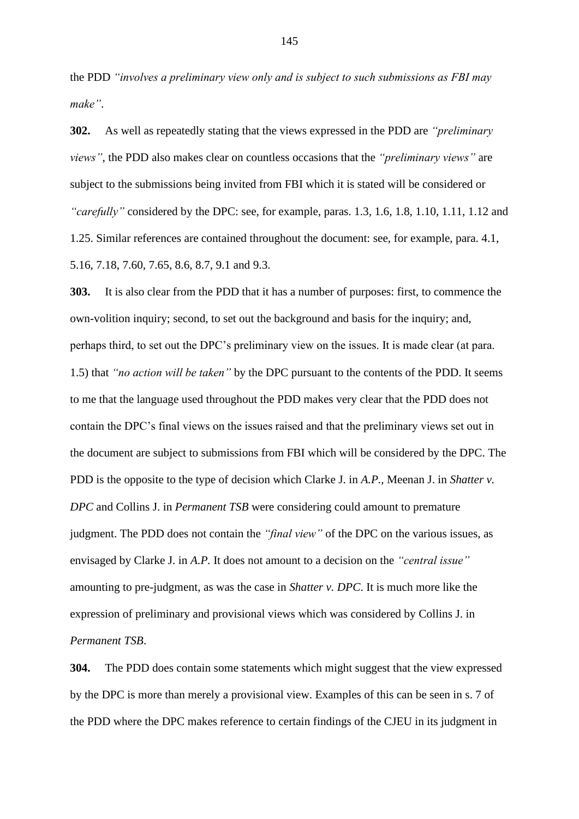the PDD *"involves a preliminary view only and is subject to such submissions as FBI may make"*.

**302.** As well as repeatedly stating that the views expressed in the PDD are *"preliminary views"*, the PDD also makes clear on countless occasions that the *"preliminary views"* are subject to the submissions being invited from FBI which it is stated will be considered or *"carefully"* considered by the DPC: see, for example, paras. 1.3, 1.6, 1.8, 1.10, 1.11, 1.12 and 1.25. Similar references are contained throughout the document: see, for example, para. 4.1, 5.16, 7.18, 7.60, 7.65, 8.6, 8.7, 9.1 and 9.3.

**303.** It is also clear from the PDD that it has a number of purposes: first, to commence the own-volition inquiry; second, to set out the background and basis for the inquiry; and, perhaps third, to set out the DPC's preliminary view on the issues. It is made clear (at para. 1.5) that *"no action will be taken"* by the DPC pursuant to the contents of the PDD. It seems to me that the language used throughout the PDD makes very clear that the PDD does not contain the DPC's final views on the issues raised and that the preliminary views set out in the document are subject to submissions from FBI which will be considered by the DPC. The PDD is the opposite to the type of decision which Clarke J. in *A.P.*, Meenan J. in *Shatter v. DPC* and Collins J. in *Permanent TSB* were considering could amount to premature judgment. The PDD does not contain the *"final view"* of the DPC on the various issues, as envisaged by Clarke J. in *A.P.* It does not amount to a decision on the *"central issue"* amounting to pre-judgment, as was the case in *Shatter v. DPC*. It is much more like the expression of preliminary and provisional views which was considered by Collins J. in *Permanent TSB*.

**304.** The PDD does contain some statements which might suggest that the view expressed by the DPC is more than merely a provisional view. Examples of this can be seen in s. 7 of the PDD where the DPC makes reference to certain findings of the CJEU in its judgment in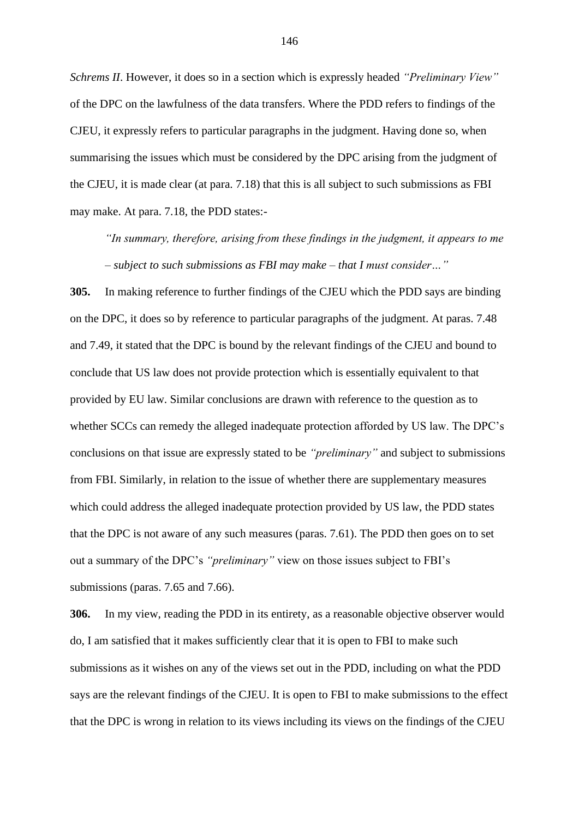*Schrems II*. However, it does so in a section which is expressly headed *"Preliminary View"* of the DPC on the lawfulness of the data transfers. Where the PDD refers to findings of the CJEU, it expressly refers to particular paragraphs in the judgment. Having done so, when summarising the issues which must be considered by the DPC arising from the judgment of the CJEU, it is made clear (at para. 7.18) that this is all subject to such submissions as FBI may make. At para. 7.18, the PDD states:-

*"In summary, therefore, arising from these findings in the judgment, it appears to me – subject to such submissions as FBI may make – that I must consider…"*

**305.** In making reference to further findings of the CJEU which the PDD says are binding on the DPC, it does so by reference to particular paragraphs of the judgment. At paras. 7.48 and 7.49, it stated that the DPC is bound by the relevant findings of the CJEU and bound to conclude that US law does not provide protection which is essentially equivalent to that provided by EU law. Similar conclusions are drawn with reference to the question as to whether SCCs can remedy the alleged inadequate protection afforded by US law. The DPC's conclusions on that issue are expressly stated to be *"preliminary"* and subject to submissions from FBI. Similarly, in relation to the issue of whether there are supplementary measures which could address the alleged inadequate protection provided by US law, the PDD states that the DPC is not aware of any such measures (paras. 7.61). The PDD then goes on to set out a summary of the DPC's *"preliminary"* view on those issues subject to FBI's submissions (paras. 7.65 and 7.66).

**306.** In my view, reading the PDD in its entirety, as a reasonable objective observer would do, I am satisfied that it makes sufficiently clear that it is open to FBI to make such submissions as it wishes on any of the views set out in the PDD, including on what the PDD says are the relevant findings of the CJEU. It is open to FBI to make submissions to the effect that the DPC is wrong in relation to its views including its views on the findings of the CJEU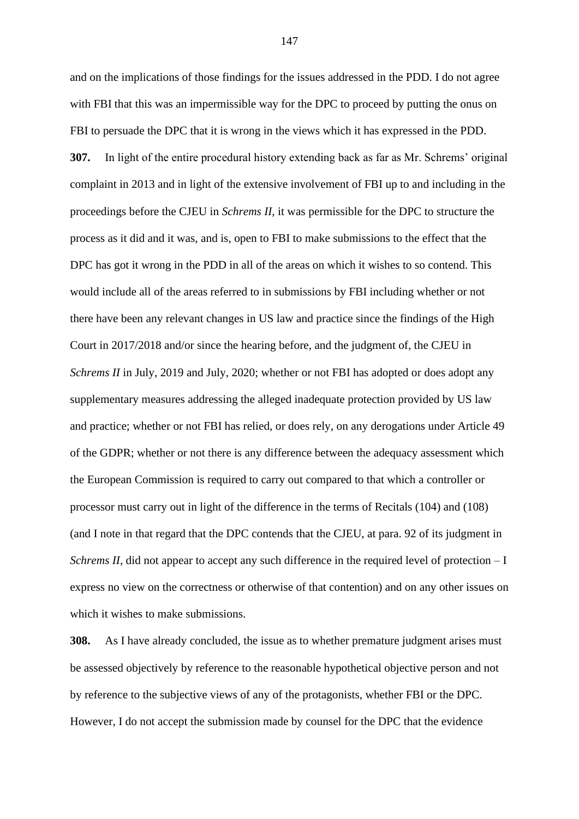and on the implications of those findings for the issues addressed in the PDD. I do not agree with FBI that this was an impermissible way for the DPC to proceed by putting the onus on FBI to persuade the DPC that it is wrong in the views which it has expressed in the PDD. **307.** In light of the entire procedural history extending back as far as Mr. Schrems' original complaint in 2013 and in light of the extensive involvement of FBI up to and including in the proceedings before the CJEU in *Schrems II*, it was permissible for the DPC to structure the process as it did and it was, and is, open to FBI to make submissions to the effect that the DPC has got it wrong in the PDD in all of the areas on which it wishes to so contend. This would include all of the areas referred to in submissions by FBI including whether or not there have been any relevant changes in US law and practice since the findings of the High Court in 2017/2018 and/or since the hearing before, and the judgment of, the CJEU in *Schrems II* in July, 2019 and July, 2020; whether or not FBI has adopted or does adopt any supplementary measures addressing the alleged inadequate protection provided by US law and practice; whether or not FBI has relied, or does rely, on any derogations under Article 49 of the GDPR; whether or not there is any difference between the adequacy assessment which the European Commission is required to carry out compared to that which a controller or processor must carry out in light of the difference in the terms of Recitals (104) and (108) (and I note in that regard that the DPC contends that the CJEU, at para. 92 of its judgment in *Schrems II*, did not appear to accept any such difference in the required level of protection – I express no view on the correctness or otherwise of that contention) and on any other issues on which it wishes to make submissions.

**308.** As I have already concluded, the issue as to whether premature judgment arises must be assessed objectively by reference to the reasonable hypothetical objective person and not by reference to the subjective views of any of the protagonists, whether FBI or the DPC. However, I do not accept the submission made by counsel for the DPC that the evidence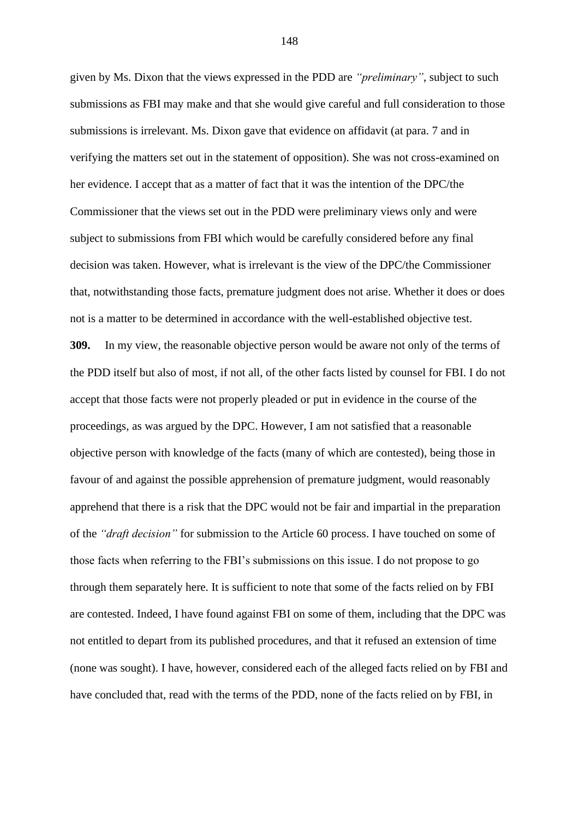given by Ms. Dixon that the views expressed in the PDD are *"preliminary"*, subject to such submissions as FBI may make and that she would give careful and full consideration to those submissions is irrelevant. Ms. Dixon gave that evidence on affidavit (at para. 7 and in verifying the matters set out in the statement of opposition). She was not cross-examined on her evidence. I accept that as a matter of fact that it was the intention of the DPC/the Commissioner that the views set out in the PDD were preliminary views only and were subject to submissions from FBI which would be carefully considered before any final decision was taken. However, what is irrelevant is the view of the DPC/the Commissioner that, notwithstanding those facts, premature judgment does not arise. Whether it does or does not is a matter to be determined in accordance with the well-established objective test. **309.** In my view, the reasonable objective person would be aware not only of the terms of the PDD itself but also of most, if not all, of the other facts listed by counsel for FBI. I do not accept that those facts were not properly pleaded or put in evidence in the course of the proceedings, as was argued by the DPC. However, I am not satisfied that a reasonable objective person with knowledge of the facts (many of which are contested), being those in favour of and against the possible apprehension of premature judgment, would reasonably apprehend that there is a risk that the DPC would not be fair and impartial in the preparation of the *"draft decision"* for submission to the Article 60 process. I have touched on some of those facts when referring to the FBI's submissions on this issue. I do not propose to go through them separately here. It is sufficient to note that some of the facts relied on by FBI are contested. Indeed, I have found against FBI on some of them, including that the DPC was not entitled to depart from its published procedures, and that it refused an extension of time (none was sought). I have, however, considered each of the alleged facts relied on by FBI and have concluded that, read with the terms of the PDD, none of the facts relied on by FBI, in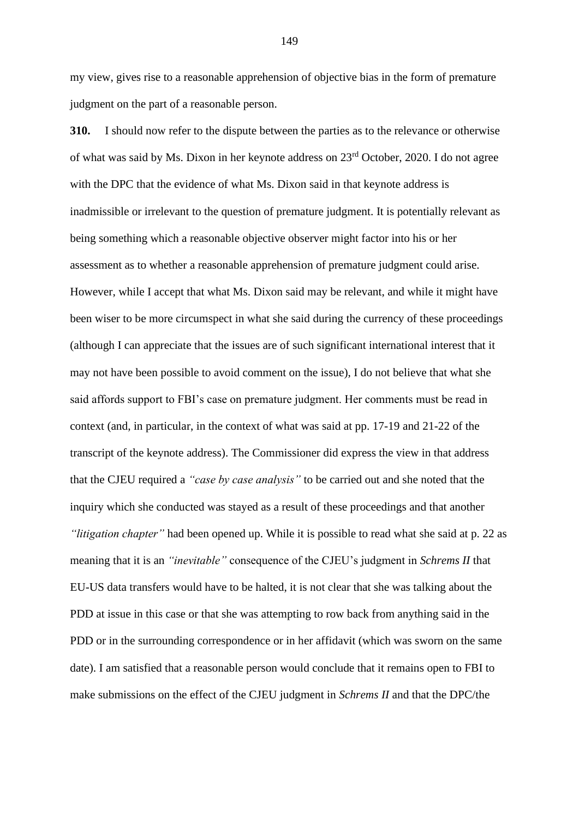my view, gives rise to a reasonable apprehension of objective bias in the form of premature judgment on the part of a reasonable person.

**310.** I should now refer to the dispute between the parties as to the relevance or otherwise of what was said by Ms. Dixon in her keynote address on 23rd October, 2020. I do not agree with the DPC that the evidence of what Ms. Dixon said in that keynote address is inadmissible or irrelevant to the question of premature judgment. It is potentially relevant as being something which a reasonable objective observer might factor into his or her assessment as to whether a reasonable apprehension of premature judgment could arise. However, while I accept that what Ms. Dixon said may be relevant, and while it might have been wiser to be more circumspect in what she said during the currency of these proceedings (although I can appreciate that the issues are of such significant international interest that it may not have been possible to avoid comment on the issue), I do not believe that what she said affords support to FBI's case on premature judgment. Her comments must be read in context (and, in particular, in the context of what was said at pp. 17-19 and 21-22 of the transcript of the keynote address). The Commissioner did express the view in that address that the CJEU required a *"case by case analysis"* to be carried out and she noted that the inquiry which she conducted was stayed as a result of these proceedings and that another *"litigation chapter"* had been opened up. While it is possible to read what she said at p. 22 as meaning that it is an *"inevitable"* consequence of the CJEU's judgment in *Schrems II* that EU-US data transfers would have to be halted, it is not clear that she was talking about the PDD at issue in this case or that she was attempting to row back from anything said in the PDD or in the surrounding correspondence or in her affidavit (which was sworn on the same date). I am satisfied that a reasonable person would conclude that it remains open to FBI to make submissions on the effect of the CJEU judgment in *Schrems II* and that the DPC/the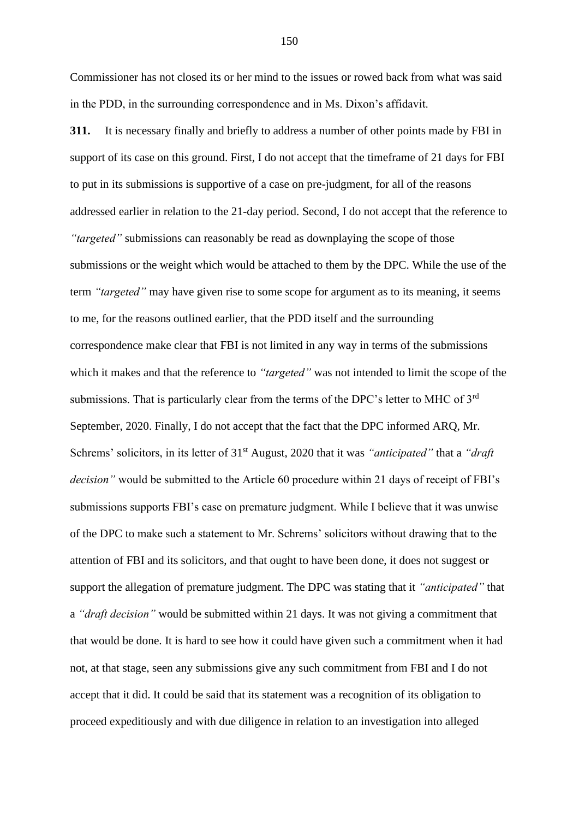Commissioner has not closed its or her mind to the issues or rowed back from what was said in the PDD, in the surrounding correspondence and in Ms. Dixon's affidavit.

**311.** It is necessary finally and briefly to address a number of other points made by FBI in support of its case on this ground. First, I do not accept that the timeframe of 21 days for FBI to put in its submissions is supportive of a case on pre-judgment, for all of the reasons addressed earlier in relation to the 21-day period. Second, I do not accept that the reference to *"targeted"* submissions can reasonably be read as downplaying the scope of those submissions or the weight which would be attached to them by the DPC. While the use of the term *"targeted"* may have given rise to some scope for argument as to its meaning, it seems to me, for the reasons outlined earlier, that the PDD itself and the surrounding correspondence make clear that FBI is not limited in any way in terms of the submissions which it makes and that the reference to *"targeted"* was not intended to limit the scope of the submissions. That is particularly clear from the terms of the DPC's letter to MHC of 3<sup>rd</sup> September, 2020. Finally, I do not accept that the fact that the DPC informed ARQ, Mr. Schrems' solicitors, in its letter of 31<sup>st</sup> August, 2020 that it was *"anticipated"* that a *"draft decision"* would be submitted to the Article 60 procedure within 21 days of receipt of FBI's submissions supports FBI's case on premature judgment. While I believe that it was unwise of the DPC to make such a statement to Mr. Schrems' solicitors without drawing that to the attention of FBI and its solicitors, and that ought to have been done, it does not suggest or support the allegation of premature judgment. The DPC was stating that it *"anticipated"* that a *"draft decision"* would be submitted within 21 days. It was not giving a commitment that that would be done. It is hard to see how it could have given such a commitment when it had not, at that stage, seen any submissions give any such commitment from FBI and I do not accept that it did. It could be said that its statement was a recognition of its obligation to proceed expeditiously and with due diligence in relation to an investigation into alleged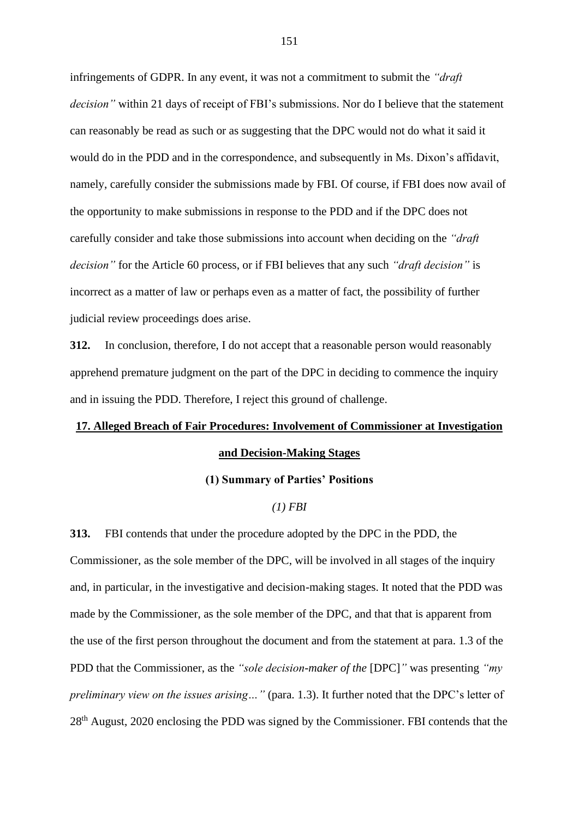infringements of GDPR. In any event, it was not a commitment to submit the *"draft decision"* within 21 days of receipt of FBI's submissions. Nor do I believe that the statement can reasonably be read as such or as suggesting that the DPC would not do what it said it would do in the PDD and in the correspondence, and subsequently in Ms. Dixon's affidavit, namely, carefully consider the submissions made by FBI. Of course, if FBI does now avail of the opportunity to make submissions in response to the PDD and if the DPC does not carefully consider and take those submissions into account when deciding on the *"draft decision"* for the Article 60 process, or if FBI believes that any such *"draft decision"* is incorrect as a matter of law or perhaps even as a matter of fact, the possibility of further judicial review proceedings does arise.

**312.** In conclusion, therefore, I do not accept that a reasonable person would reasonably apprehend premature judgment on the part of the DPC in deciding to commence the inquiry and in issuing the PDD. Therefore, I reject this ground of challenge.

## **17. Alleged Breach of Fair Procedures: Involvement of Commissioner at Investigation and Decision-Making Stages**

## **(1) Summary of Parties' Positions**

### *(1) FBI*

**313.** FBI contends that under the procedure adopted by the DPC in the PDD, the Commissioner, as the sole member of the DPC, will be involved in all stages of the inquiry and, in particular, in the investigative and decision-making stages. It noted that the PDD was made by the Commissioner, as the sole member of the DPC, and that that is apparent from the use of the first person throughout the document and from the statement at para. 1.3 of the PDD that the Commissioner, as the *"sole decision-maker of the* [DPC]*"* was presenting *"my preliminary view on the issues arising…"* (para. 1.3). It further noted that the DPC's letter of 28th August, 2020 enclosing the PDD was signed by the Commissioner. FBI contends that the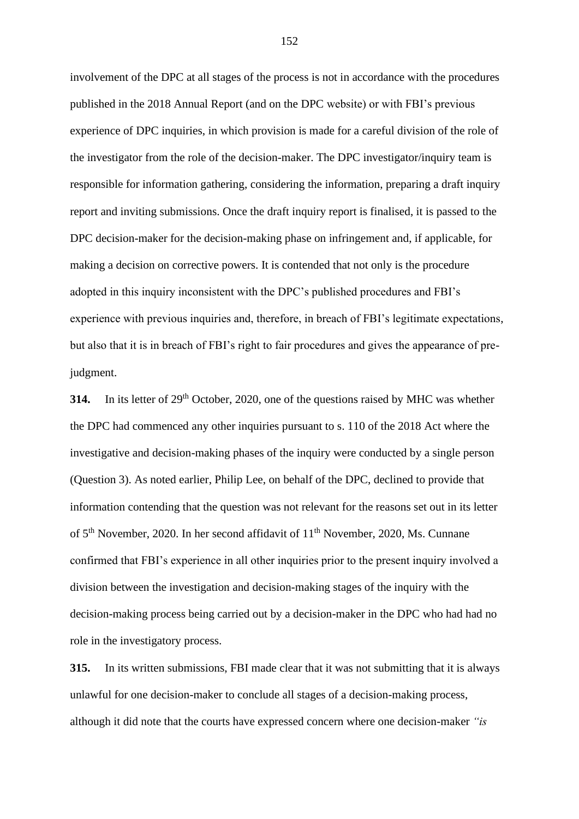involvement of the DPC at all stages of the process is not in accordance with the procedures published in the 2018 Annual Report (and on the DPC website) or with FBI's previous experience of DPC inquiries, in which provision is made for a careful division of the role of the investigator from the role of the decision-maker. The DPC investigator/inquiry team is responsible for information gathering, considering the information, preparing a draft inquiry report and inviting submissions. Once the draft inquiry report is finalised, it is passed to the DPC decision-maker for the decision-making phase on infringement and, if applicable, for making a decision on corrective powers. It is contended that not only is the procedure adopted in this inquiry inconsistent with the DPC's published procedures and FBI's experience with previous inquiries and, therefore, in breach of FBI's legitimate expectations, but also that it is in breach of FBI's right to fair procedures and gives the appearance of prejudgment.

**314.** In its letter of 29<sup>th</sup> October, 2020, one of the questions raised by MHC was whether the DPC had commenced any other inquiries pursuant to s. 110 of the 2018 Act where the investigative and decision-making phases of the inquiry were conducted by a single person (Question 3). As noted earlier, Philip Lee, on behalf of the DPC, declined to provide that information contending that the question was not relevant for the reasons set out in its letter of 5<sup>th</sup> November, 2020. In her second affidavit of 11<sup>th</sup> November, 2020, Ms. Cunnane confirmed that FBI's experience in all other inquiries prior to the present inquiry involved a division between the investigation and decision-making stages of the inquiry with the decision-making process being carried out by a decision-maker in the DPC who had had no role in the investigatory process.

**315.** In its written submissions, FBI made clear that it was not submitting that it is always unlawful for one decision-maker to conclude all stages of a decision-making process, although it did note that the courts have expressed concern where one decision-maker *"is*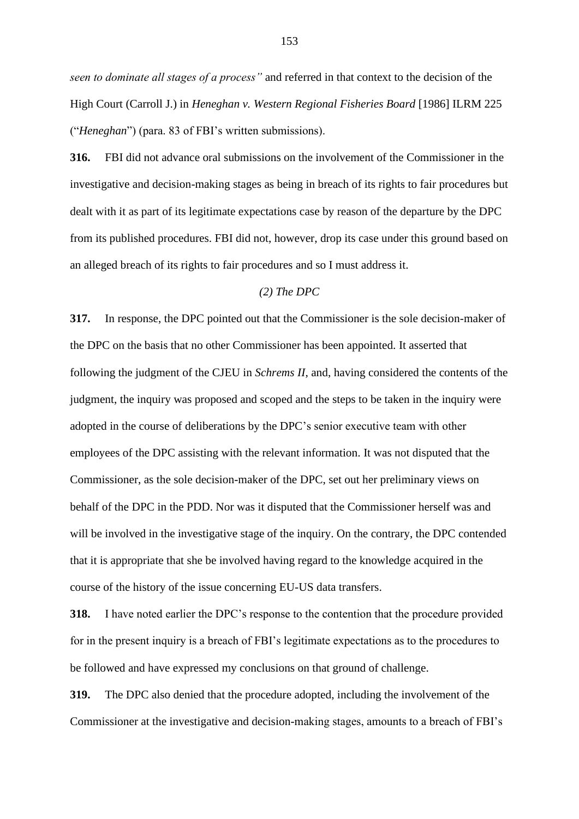*seen to dominate all stages of a process"* and referred in that context to the decision of the High Court (Carroll J.) in *Heneghan v. Western Regional Fisheries Board* [1986] ILRM 225 ("*Heneghan*") (para. 83 of FBI's written submissions).

**316.** FBI did not advance oral submissions on the involvement of the Commissioner in the investigative and decision-making stages as being in breach of its rights to fair procedures but dealt with it as part of its legitimate expectations case by reason of the departure by the DPC from its published procedures. FBI did not, however, drop its case under this ground based on an alleged breach of its rights to fair procedures and so I must address it.

## *(2) The DPC*

**317.** In response, the DPC pointed out that the Commissioner is the sole decision-maker of the DPC on the basis that no other Commissioner has been appointed. It asserted that following the judgment of the CJEU in *Schrems II*, and, having considered the contents of the judgment, the inquiry was proposed and scoped and the steps to be taken in the inquiry were adopted in the course of deliberations by the DPC's senior executive team with other employees of the DPC assisting with the relevant information. It was not disputed that the Commissioner, as the sole decision-maker of the DPC, set out her preliminary views on behalf of the DPC in the PDD. Nor was it disputed that the Commissioner herself was and will be involved in the investigative stage of the inquiry. On the contrary, the DPC contended that it is appropriate that she be involved having regard to the knowledge acquired in the course of the history of the issue concerning EU-US data transfers.

**318.** I have noted earlier the DPC's response to the contention that the procedure provided for in the present inquiry is a breach of FBI's legitimate expectations as to the procedures to be followed and have expressed my conclusions on that ground of challenge.

**319.** The DPC also denied that the procedure adopted, including the involvement of the Commissioner at the investigative and decision-making stages, amounts to a breach of FBI's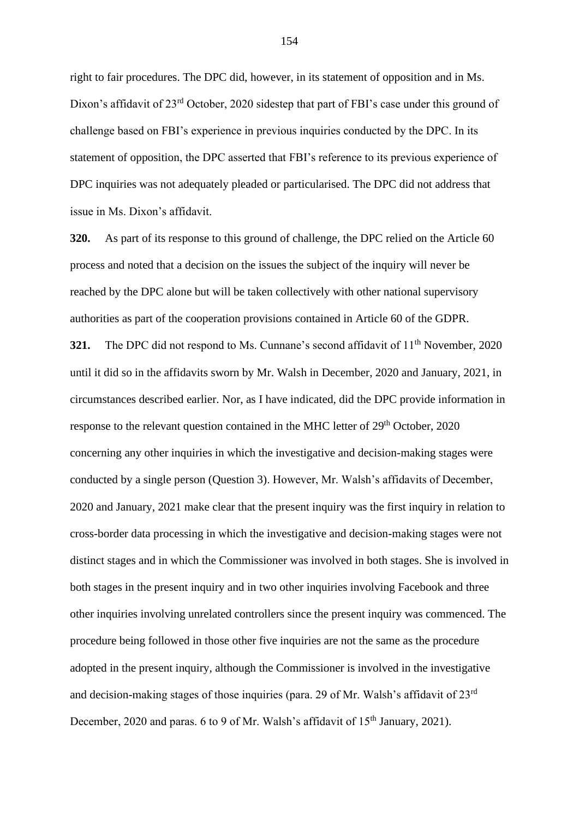right to fair procedures. The DPC did, however, in its statement of opposition and in Ms. Dixon's affidavit of 23<sup>rd</sup> October, 2020 sidestep that part of FBI's case under this ground of challenge based on FBI's experience in previous inquiries conducted by the DPC. In its statement of opposition, the DPC asserted that FBI's reference to its previous experience of DPC inquiries was not adequately pleaded or particularised. The DPC did not address that issue in Ms. Dixon's affidavit.

**320.** As part of its response to this ground of challenge, the DPC relied on the Article 60 process and noted that a decision on the issues the subject of the inquiry will never be reached by the DPC alone but will be taken collectively with other national supervisory authorities as part of the cooperation provisions contained in Article 60 of the GDPR. **321.** The DPC did not respond to Ms. Cunnane's second affidavit of 11<sup>th</sup> November, 2020 until it did so in the affidavits sworn by Mr. Walsh in December, 2020 and January, 2021, in circumstances described earlier. Nor, as I have indicated, did the DPC provide information in response to the relevant question contained in the MHC letter of 29<sup>th</sup> October, 2020 concerning any other inquiries in which the investigative and decision-making stages were conducted by a single person (Question 3). However, Mr. Walsh's affidavits of December, 2020 and January, 2021 make clear that the present inquiry was the first inquiry in relation to cross-border data processing in which the investigative and decision-making stages were not distinct stages and in which the Commissioner was involved in both stages. She is involved in both stages in the present inquiry and in two other inquiries involving Facebook and three other inquiries involving unrelated controllers since the present inquiry was commenced. The procedure being followed in those other five inquiries are not the same as the procedure adopted in the present inquiry, although the Commissioner is involved in the investigative and decision-making stages of those inquiries (para. 29 of Mr. Walsh's affidavit of 23rd December, 2020 and paras. 6 to 9 of Mr. Walsh's affidavit of 15<sup>th</sup> January, 2021).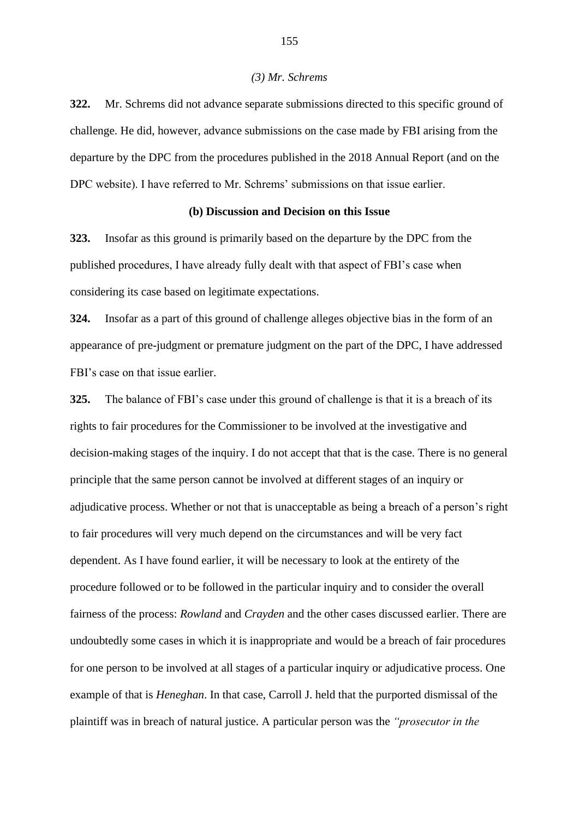#### *(3) Mr. Schrems*

**322.** Mr. Schrems did not advance separate submissions directed to this specific ground of challenge. He did, however, advance submissions on the case made by FBI arising from the departure by the DPC from the procedures published in the 2018 Annual Report (and on the DPC website). I have referred to Mr. Schrems' submissions on that issue earlier.

### **(b) Discussion and Decision on this Issue**

**323.** Insofar as this ground is primarily based on the departure by the DPC from the published procedures, I have already fully dealt with that aspect of FBI's case when considering its case based on legitimate expectations.

**324.** Insofar as a part of this ground of challenge alleges objective bias in the form of an appearance of pre-judgment or premature judgment on the part of the DPC, I have addressed FBI's case on that issue earlier.

**325.** The balance of FBI's case under this ground of challenge is that it is a breach of its rights to fair procedures for the Commissioner to be involved at the investigative and decision-making stages of the inquiry. I do not accept that that is the case. There is no general principle that the same person cannot be involved at different stages of an inquiry or adjudicative process. Whether or not that is unacceptable as being a breach of a person's right to fair procedures will very much depend on the circumstances and will be very fact dependent. As I have found earlier, it will be necessary to look at the entirety of the procedure followed or to be followed in the particular inquiry and to consider the overall fairness of the process: *Rowland* and *Crayden* and the other cases discussed earlier. There are undoubtedly some cases in which it is inappropriate and would be a breach of fair procedures for one person to be involved at all stages of a particular inquiry or adjudicative process. One example of that is *Heneghan*. In that case, Carroll J. held that the purported dismissal of the plaintiff was in breach of natural justice. A particular person was the *"prosecutor in the*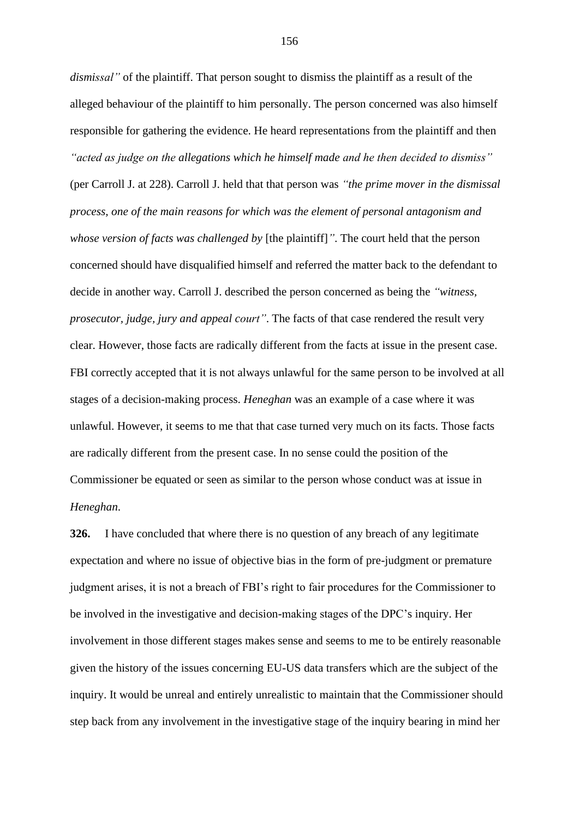*dismissal"* of the plaintiff. That person sought to dismiss the plaintiff as a result of the alleged behaviour of the plaintiff to him personally. The person concerned was also himself responsible for gathering the evidence. He heard representations from the plaintiff and then *"acted as judge on the allegations which he himself made and he then decided to dismiss"* (per Carroll J. at 228). Carroll J. held that that person was *"the prime mover in the dismissal process, one of the main reasons for which was the element of personal antagonism and whose version of facts was challenged by* [the plaintiff]*"*. The court held that the person concerned should have disqualified himself and referred the matter back to the defendant to decide in another way. Carroll J. described the person concerned as being the *"witness, prosecutor, judge, jury and appeal court"*. The facts of that case rendered the result very clear. However, those facts are radically different from the facts at issue in the present case. FBI correctly accepted that it is not always unlawful for the same person to be involved at all

unlawful. However, it seems to me that that case turned very much on its facts. Those facts are radically different from the present case. In no sense could the position of the Commissioner be equated or seen as similar to the person whose conduct was at issue in *Heneghan*.

stages of a decision-making process. *Heneghan* was an example of a case where it was

**326.** I have concluded that where there is no question of any breach of any legitimate expectation and where no issue of objective bias in the form of pre-judgment or premature judgment arises, it is not a breach of FBI's right to fair procedures for the Commissioner to be involved in the investigative and decision-making stages of the DPC's inquiry. Her involvement in those different stages makes sense and seems to me to be entirely reasonable given the history of the issues concerning EU-US data transfers which are the subject of the inquiry. It would be unreal and entirely unrealistic to maintain that the Commissioner should step back from any involvement in the investigative stage of the inquiry bearing in mind her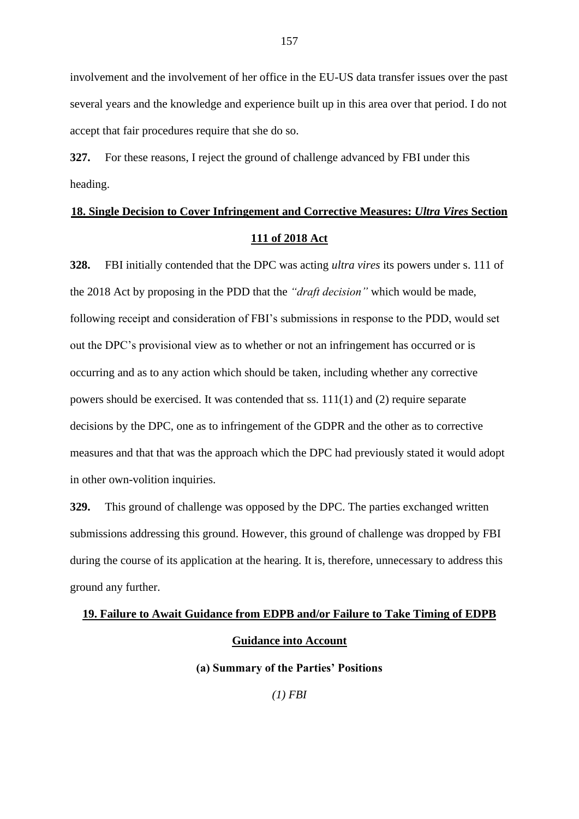involvement and the involvement of her office in the EU-US data transfer issues over the past several years and the knowledge and experience built up in this area over that period. I do not accept that fair procedures require that she do so.

**327.** For these reasons, I reject the ground of challenge advanced by FBI under this heading.

# **18. Single Decision to Cover Infringement and Corrective Measures:** *Ultra Vires* **Section 111 of 2018 Act**

**328.** FBI initially contended that the DPC was acting *ultra vires* its powers under s. 111 of the 2018 Act by proposing in the PDD that the *"draft decision"* which would be made, following receipt and consideration of FBI's submissions in response to the PDD, would set out the DPC's provisional view as to whether or not an infringement has occurred or is occurring and as to any action which should be taken, including whether any corrective powers should be exercised. It was contended that ss. 111(1) and (2) require separate decisions by the DPC, one as to infringement of the GDPR and the other as to corrective measures and that that was the approach which the DPC had previously stated it would adopt in other own-volition inquiries.

**329.** This ground of challenge was opposed by the DPC. The parties exchanged written submissions addressing this ground. However, this ground of challenge was dropped by FBI during the course of its application at the hearing. It is, therefore, unnecessary to address this ground any further.

# **19. Failure to Await Guidance from EDPB and/or Failure to Take Timing of EDPB Guidance into Account**

**(a) Summary of the Parties' Positions**

*(1) FBI*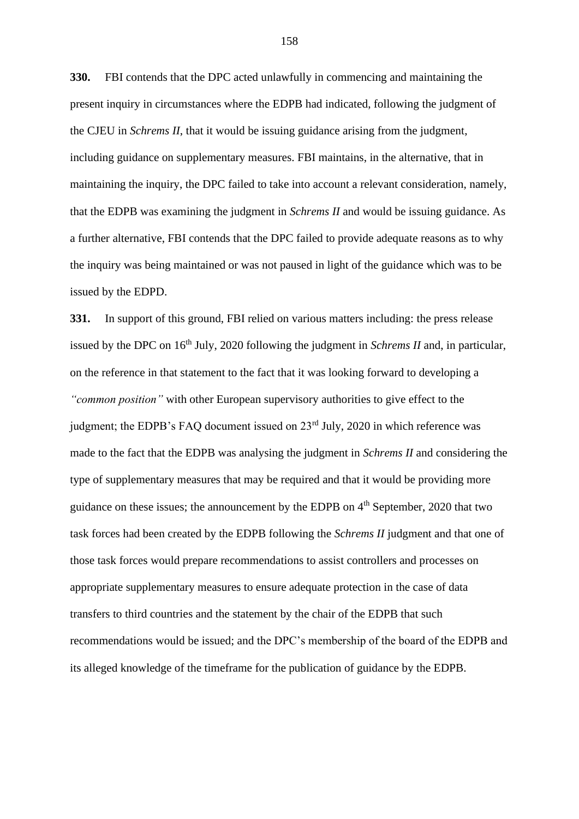**330.** FBI contends that the DPC acted unlawfully in commencing and maintaining the present inquiry in circumstances where the EDPB had indicated, following the judgment of the CJEU in *Schrems II*, that it would be issuing guidance arising from the judgment, including guidance on supplementary measures. FBI maintains, in the alternative, that in maintaining the inquiry, the DPC failed to take into account a relevant consideration, namely, that the EDPB was examining the judgment in *Schrems II* and would be issuing guidance. As a further alternative, FBI contends that the DPC failed to provide adequate reasons as to why the inquiry was being maintained or was not paused in light of the guidance which was to be issued by the EDPD.

**331.** In support of this ground, FBI relied on various matters including: the press release issued by the DPC on 16<sup>th</sup> July, 2020 following the judgment in *Schrems II* and, in particular, on the reference in that statement to the fact that it was looking forward to developing a *"common position"* with other European supervisory authorities to give effect to the judgment; the EDPB's FAQ document issued on 23<sup>rd</sup> July, 2020 in which reference was made to the fact that the EDPB was analysing the judgment in *Schrems II* and considering the type of supplementary measures that may be required and that it would be providing more guidance on these issues; the announcement by the EDPB on 4th September, 2020 that two task forces had been created by the EDPB following the *Schrems II* judgment and that one of those task forces would prepare recommendations to assist controllers and processes on appropriate supplementary measures to ensure adequate protection in the case of data transfers to third countries and the statement by the chair of the EDPB that such recommendations would be issued; and the DPC's membership of the board of the EDPB and its alleged knowledge of the timeframe for the publication of guidance by the EDPB.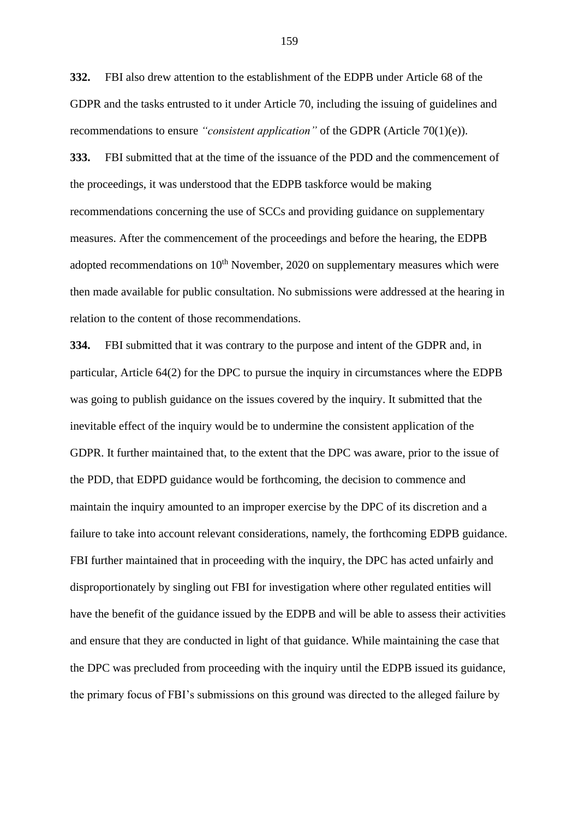**332.** FBI also drew attention to the establishment of the EDPB under Article 68 of the GDPR and the tasks entrusted to it under Article 70, including the issuing of guidelines and recommendations to ensure *"consistent application"* of the GDPR (Article 70(1)(e)).

**333.** FBI submitted that at the time of the issuance of the PDD and the commencement of the proceedings, it was understood that the EDPB taskforce would be making recommendations concerning the use of SCCs and providing guidance on supplementary measures. After the commencement of the proceedings and before the hearing, the EDPB adopted recommendations on  $10<sup>th</sup>$  November, 2020 on supplementary measures which were then made available for public consultation. No submissions were addressed at the hearing in relation to the content of those recommendations.

**334.** FBI submitted that it was contrary to the purpose and intent of the GDPR and, in particular, Article 64(2) for the DPC to pursue the inquiry in circumstances where the EDPB was going to publish guidance on the issues covered by the inquiry. It submitted that the inevitable effect of the inquiry would be to undermine the consistent application of the GDPR. It further maintained that, to the extent that the DPC was aware, prior to the issue of the PDD, that EDPD guidance would be forthcoming, the decision to commence and maintain the inquiry amounted to an improper exercise by the DPC of its discretion and a failure to take into account relevant considerations, namely, the forthcoming EDPB guidance. FBI further maintained that in proceeding with the inquiry, the DPC has acted unfairly and disproportionately by singling out FBI for investigation where other regulated entities will have the benefit of the guidance issued by the EDPB and will be able to assess their activities and ensure that they are conducted in light of that guidance. While maintaining the case that the DPC was precluded from proceeding with the inquiry until the EDPB issued its guidance, the primary focus of FBI's submissions on this ground was directed to the alleged failure by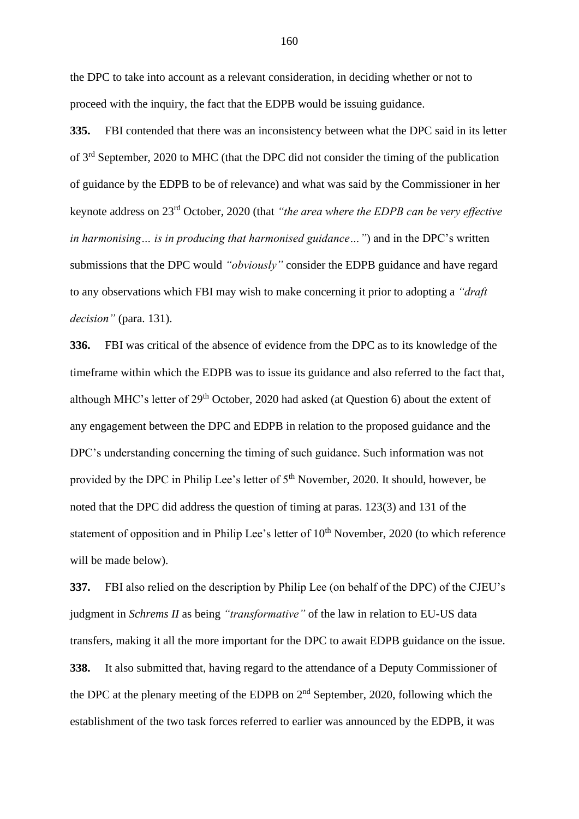the DPC to take into account as a relevant consideration, in deciding whether or not to proceed with the inquiry, the fact that the EDPB would be issuing guidance.

**335.** FBI contended that there was an inconsistency between what the DPC said in its letter of 3rd September, 2020 to MHC (that the DPC did not consider the timing of the publication of guidance by the EDPB to be of relevance) and what was said by the Commissioner in her keynote address on 23rd October, 2020 (that *"the area where the EDPB can be very effective in harmonising… is in producing that harmonised guidance…"*) and in the DPC's written submissions that the DPC would *"obviously"* consider the EDPB guidance and have regard to any observations which FBI may wish to make concerning it prior to adopting a *"draft decision"* (para. 131).

**336.** FBI was critical of the absence of evidence from the DPC as to its knowledge of the timeframe within which the EDPB was to issue its guidance and also referred to the fact that, although MHC's letter of 29<sup>th</sup> October, 2020 had asked (at Question 6) about the extent of any engagement between the DPC and EDPB in relation to the proposed guidance and the DPC's understanding concerning the timing of such guidance. Such information was not provided by the DPC in Philip Lee's letter of 5<sup>th</sup> November, 2020. It should, however, be noted that the DPC did address the question of timing at paras. 123(3) and 131 of the statement of opposition and in Philip Lee's letter of 10<sup>th</sup> November, 2020 (to which reference will be made below).

**337.** FBI also relied on the description by Philip Lee (on behalf of the DPC) of the CJEU's judgment in *Schrems II* as being *"transformative"* of the law in relation to EU-US data transfers, making it all the more important for the DPC to await EDPB guidance on the issue. **338.** It also submitted that, having regard to the attendance of a Deputy Commissioner of the DPC at the plenary meeting of the EDPB on 2nd September, 2020, following which the establishment of the two task forces referred to earlier was announced by the EDPB, it was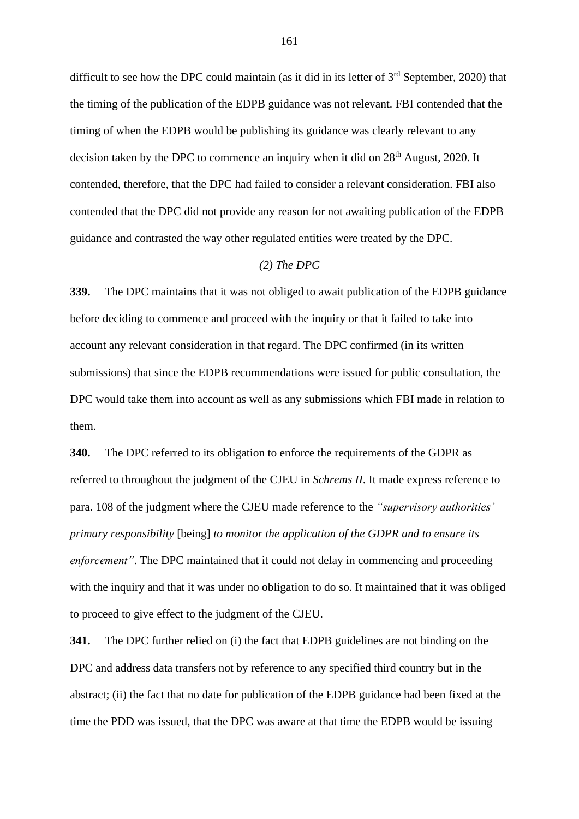difficult to see how the DPC could maintain (as it did in its letter of  $3<sup>rd</sup>$  September, 2020) that the timing of the publication of the EDPB guidance was not relevant. FBI contended that the timing of when the EDPB would be publishing its guidance was clearly relevant to any decision taken by the DPC to commence an inquiry when it did on 28<sup>th</sup> August, 2020. It contended, therefore, that the DPC had failed to consider a relevant consideration. FBI also contended that the DPC did not provide any reason for not awaiting publication of the EDPB guidance and contrasted the way other regulated entities were treated by the DPC.

## *(2) The DPC*

**339.** The DPC maintains that it was not obliged to await publication of the EDPB guidance before deciding to commence and proceed with the inquiry or that it failed to take into account any relevant consideration in that regard. The DPC confirmed (in its written submissions) that since the EDPB recommendations were issued for public consultation, the DPC would take them into account as well as any submissions which FBI made in relation to them.

**340.** The DPC referred to its obligation to enforce the requirements of the GDPR as referred to throughout the judgment of the CJEU in *Schrems II*. It made express reference to para. 108 of the judgment where the CJEU made reference to the *"supervisory authorities' primary responsibility* [being] *to monitor the application of the GDPR and to ensure its enforcement"*. The DPC maintained that it could not delay in commencing and proceeding with the inquiry and that it was under no obligation to do so. It maintained that it was obliged to proceed to give effect to the judgment of the CJEU.

**341.** The DPC further relied on (i) the fact that EDPB guidelines are not binding on the DPC and address data transfers not by reference to any specified third country but in the abstract; (ii) the fact that no date for publication of the EDPB guidance had been fixed at the time the PDD was issued, that the DPC was aware at that time the EDPB would be issuing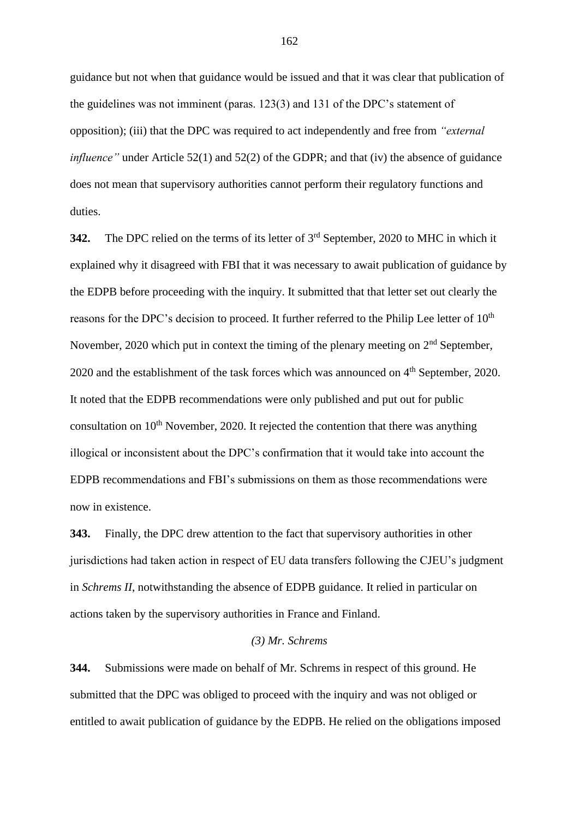guidance but not when that guidance would be issued and that it was clear that publication of the guidelines was not imminent (paras. 123(3) and 131 of the DPC's statement of opposition); (iii) that the DPC was required to act independently and free from *"external influence*" under Article 52(1) and 52(2) of the GDPR; and that (iv) the absence of guidance does not mean that supervisory authorities cannot perform their regulatory functions and duties.

**342.** The DPC relied on the terms of its letter of 3rd September, 2020 to MHC in which it explained why it disagreed with FBI that it was necessary to await publication of guidance by the EDPB before proceeding with the inquiry. It submitted that that letter set out clearly the reasons for the DPC's decision to proceed. It further referred to the Philip Lee letter of 10<sup>th</sup> November, 2020 which put in context the timing of the plenary meeting on  $2<sup>nd</sup>$  September, 2020 and the establishment of the task forces which was announced on 4<sup>th</sup> September, 2020. It noted that the EDPB recommendations were only published and put out for public consultation on  $10<sup>th</sup>$  November, 2020. It rejected the contention that there was anything illogical or inconsistent about the DPC's confirmation that it would take into account the EDPB recommendations and FBI's submissions on them as those recommendations were now in existence.

**343.** Finally, the DPC drew attention to the fact that supervisory authorities in other jurisdictions had taken action in respect of EU data transfers following the CJEU's judgment in *Schrems II*, notwithstanding the absence of EDPB guidance. It relied in particular on actions taken by the supervisory authorities in France and Finland.

### *(3) Mr. Schrems*

**344.** Submissions were made on behalf of Mr. Schrems in respect of this ground. He submitted that the DPC was obliged to proceed with the inquiry and was not obliged or entitled to await publication of guidance by the EDPB. He relied on the obligations imposed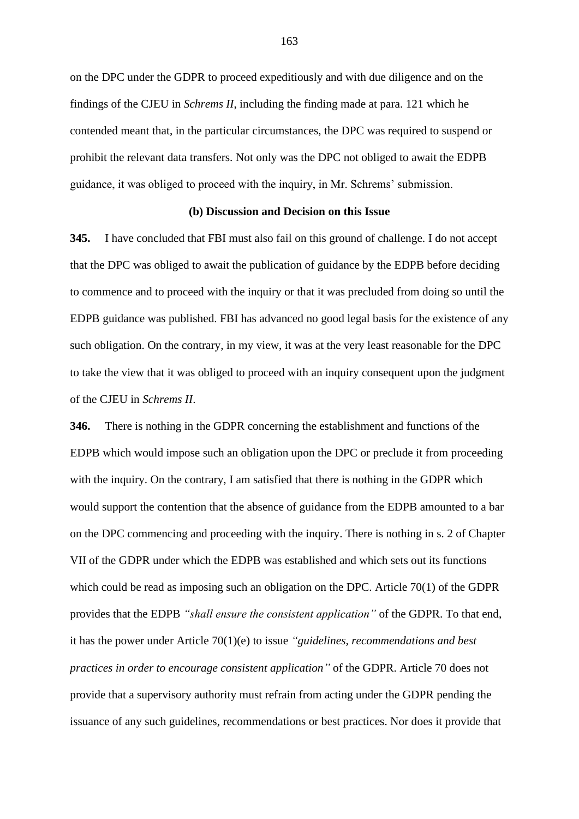on the DPC under the GDPR to proceed expeditiously and with due diligence and on the findings of the CJEU in *Schrems II*, including the finding made at para. 121 which he contended meant that, in the particular circumstances, the DPC was required to suspend or prohibit the relevant data transfers. Not only was the DPC not obliged to await the EDPB guidance, it was obliged to proceed with the inquiry, in Mr. Schrems' submission.

### **(b) Discussion and Decision on this Issue**

**345.** I have concluded that FBI must also fail on this ground of challenge. I do not accept that the DPC was obliged to await the publication of guidance by the EDPB before deciding to commence and to proceed with the inquiry or that it was precluded from doing so until the EDPB guidance was published. FBI has advanced no good legal basis for the existence of any such obligation. On the contrary, in my view, it was at the very least reasonable for the DPC to take the view that it was obliged to proceed with an inquiry consequent upon the judgment of the CJEU in *Schrems II*.

**346.** There is nothing in the GDPR concerning the establishment and functions of the EDPB which would impose such an obligation upon the DPC or preclude it from proceeding with the inquiry. On the contrary, I am satisfied that there is nothing in the GDPR which would support the contention that the absence of guidance from the EDPB amounted to a bar on the DPC commencing and proceeding with the inquiry. There is nothing in s. 2 of Chapter VII of the GDPR under which the EDPB was established and which sets out its functions which could be read as imposing such an obligation on the DPC. Article 70(1) of the GDPR provides that the EDPB *"shall ensure the consistent application"* of the GDPR. To that end, it has the power under Article 70(1)(e) to issue *"guidelines, recommendations and best practices in order to encourage consistent application"* of the GDPR. Article 70 does not provide that a supervisory authority must refrain from acting under the GDPR pending the issuance of any such guidelines, recommendations or best practices. Nor does it provide that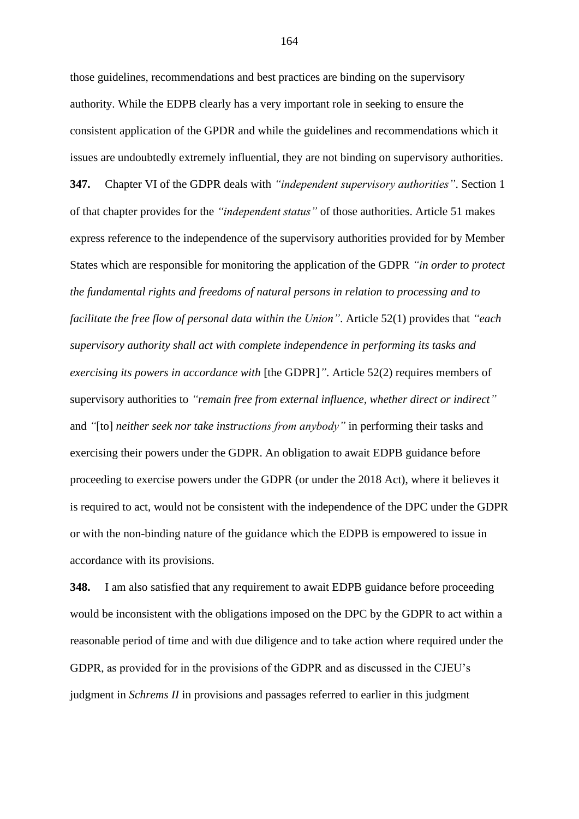those guidelines, recommendations and best practices are binding on the supervisory authority. While the EDPB clearly has a very important role in seeking to ensure the consistent application of the GPDR and while the guidelines and recommendations which it issues are undoubtedly extremely influential, they are not binding on supervisory authorities. **347.** Chapter VI of the GDPR deals with *"independent supervisory authorities"*. Section 1 of that chapter provides for the *"independent status"* of those authorities. Article 51 makes express reference to the independence of the supervisory authorities provided for by Member States which are responsible for monitoring the application of the GDPR *"in order to protect the fundamental rights and freedoms of natural persons in relation to processing and to facilitate the free flow of personal data within the Union"*. Article 52(1) provides that *"each supervisory authority shall act with complete independence in performing its tasks and exercising its powers in accordance with* [the GDPR]*"*. Article 52(2) requires members of supervisory authorities to *"remain free from external influence, whether direct or indirect"* and *"*[to] *neither seek nor take instructions from anybody"* in performing their tasks and exercising their powers under the GDPR. An obligation to await EDPB guidance before proceeding to exercise powers under the GDPR (or under the 2018 Act), where it believes it is required to act, would not be consistent with the independence of the DPC under the GDPR or with the non-binding nature of the guidance which the EDPB is empowered to issue in accordance with its provisions.

**348.** I am also satisfied that any requirement to await EDPB guidance before proceeding would be inconsistent with the obligations imposed on the DPC by the GDPR to act within a reasonable period of time and with due diligence and to take action where required under the GDPR, as provided for in the provisions of the GDPR and as discussed in the CJEU's judgment in *Schrems II* in provisions and passages referred to earlier in this judgment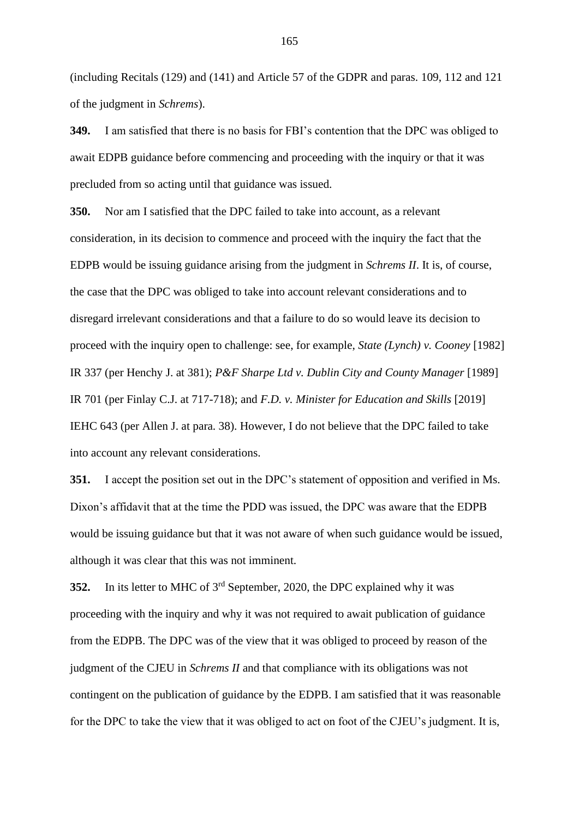(including Recitals (129) and (141) and Article 57 of the GDPR and paras. 109, 112 and 121 of the judgment in *Schrems*).

**349.** I am satisfied that there is no basis for FBI's contention that the DPC was obliged to await EDPB guidance before commencing and proceeding with the inquiry or that it was precluded from so acting until that guidance was issued.

**350.** Nor am I satisfied that the DPC failed to take into account, as a relevant consideration, in its decision to commence and proceed with the inquiry the fact that the EDPB would be issuing guidance arising from the judgment in *Schrems II*. It is, of course, the case that the DPC was obliged to take into account relevant considerations and to disregard irrelevant considerations and that a failure to do so would leave its decision to proceed with the inquiry open to challenge: see, for example, *State (Lynch) v. Cooney* [1982] IR 337 (per Henchy J. at 381); *P&F Sharpe Ltd v. Dublin City and County Manager* [1989] IR 701 (per Finlay C.J. at 717-718); and *F.D. v. Minister for Education and Skills* [2019] IEHC 643 (per Allen J. at para. 38). However, I do not believe that the DPC failed to take into account any relevant considerations.

**351.** I accept the position set out in the DPC's statement of opposition and verified in Ms. Dixon's affidavit that at the time the PDD was issued, the DPC was aware that the EDPB would be issuing guidance but that it was not aware of when such guidance would be issued, although it was clear that this was not imminent.

**352.** In its letter to MHC of 3rd September, 2020, the DPC explained why it was proceeding with the inquiry and why it was not required to await publication of guidance from the EDPB. The DPC was of the view that it was obliged to proceed by reason of the judgment of the CJEU in *Schrems II* and that compliance with its obligations was not contingent on the publication of guidance by the EDPB. I am satisfied that it was reasonable for the DPC to take the view that it was obliged to act on foot of the CJEU's judgment. It is,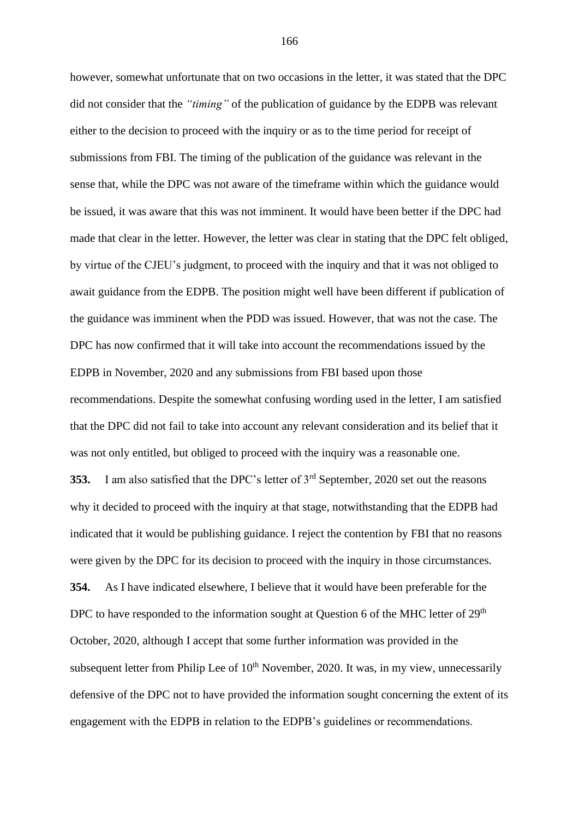however, somewhat unfortunate that on two occasions in the letter, it was stated that the DPC did not consider that the *"timing"* of the publication of guidance by the EDPB was relevant either to the decision to proceed with the inquiry or as to the time period for receipt of submissions from FBI. The timing of the publication of the guidance was relevant in the sense that, while the DPC was not aware of the timeframe within which the guidance would be issued, it was aware that this was not imminent. It would have been better if the DPC had made that clear in the letter. However, the letter was clear in stating that the DPC felt obliged, by virtue of the CJEU's judgment, to proceed with the inquiry and that it was not obliged to await guidance from the EDPB. The position might well have been different if publication of the guidance was imminent when the PDD was issued. However, that was not the case. The DPC has now confirmed that it will take into account the recommendations issued by the EDPB in November, 2020 and any submissions from FBI based upon those recommendations. Despite the somewhat confusing wording used in the letter, I am satisfied that the DPC did not fail to take into account any relevant consideration and its belief that it was not only entitled, but obliged to proceed with the inquiry was a reasonable one. **353.** I am also satisfied that the DPC's letter of 3rd September, 2020 set out the reasons why it decided to proceed with the inquiry at that stage, notwithstanding that the EDPB had indicated that it would be publishing guidance. I reject the contention by FBI that no reasons were given by the DPC for its decision to proceed with the inquiry in those circumstances. **354.** As I have indicated elsewhere, I believe that it would have been preferable for the DPC to have responded to the information sought at Question 6 of the MHC letter of  $29<sup>th</sup>$ October, 2020, although I accept that some further information was provided in the subsequent letter from Philip Lee of  $10<sup>th</sup>$  November, 2020. It was, in my view, unnecessarily defensive of the DPC not to have provided the information sought concerning the extent of its engagement with the EDPB in relation to the EDPB's guidelines or recommendations.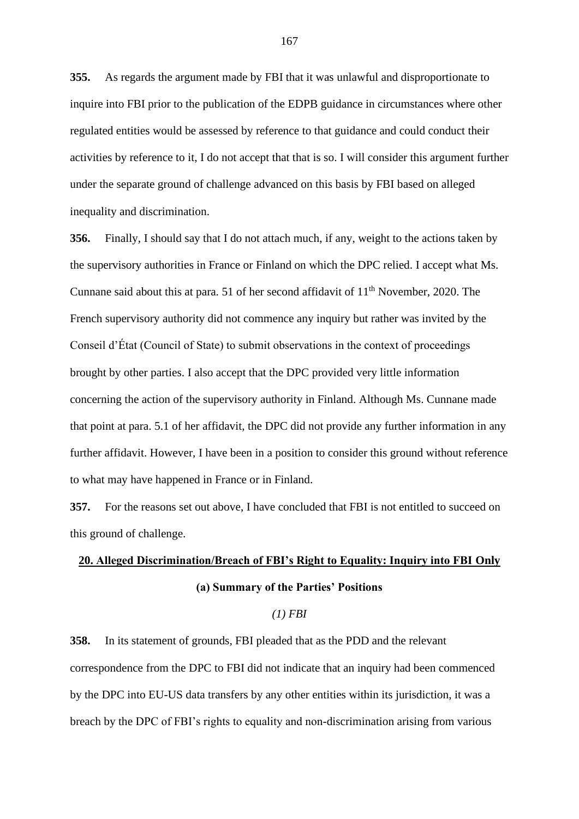**355.** As regards the argument made by FBI that it was unlawful and disproportionate to inquire into FBI prior to the publication of the EDPB guidance in circumstances where other regulated entities would be assessed by reference to that guidance and could conduct their activities by reference to it, I do not accept that that is so. I will consider this argument further under the separate ground of challenge advanced on this basis by FBI based on alleged inequality and discrimination.

**356.** Finally, I should say that I do not attach much, if any, weight to the actions taken by the supervisory authorities in France or Finland on which the DPC relied. I accept what Ms. Cunnane said about this at para. 51 of her second affidavit of  $11<sup>th</sup>$  November, 2020. The French supervisory authority did not commence any inquiry but rather was invited by the Conseil d'État (Council of State) to submit observations in the context of proceedings brought by other parties. I also accept that the DPC provided very little information concerning the action of the supervisory authority in Finland. Although Ms. Cunnane made that point at para. 5.1 of her affidavit, the DPC did not provide any further information in any further affidavit. However, I have been in a position to consider this ground without reference to what may have happened in France or in Finland.

**357.** For the reasons set out above, I have concluded that FBI is not entitled to succeed on this ground of challenge.

# **20. Alleged Discrimination/Breach of FBI's Right to Equality: Inquiry into FBI Only (a) Summary of the Parties' Positions**

## *(1) FBI*

**358.** In its statement of grounds, FBI pleaded that as the PDD and the relevant correspondence from the DPC to FBI did not indicate that an inquiry had been commenced by the DPC into EU-US data transfers by any other entities within its jurisdiction, it was a breach by the DPC of FBI's rights to equality and non-discrimination arising from various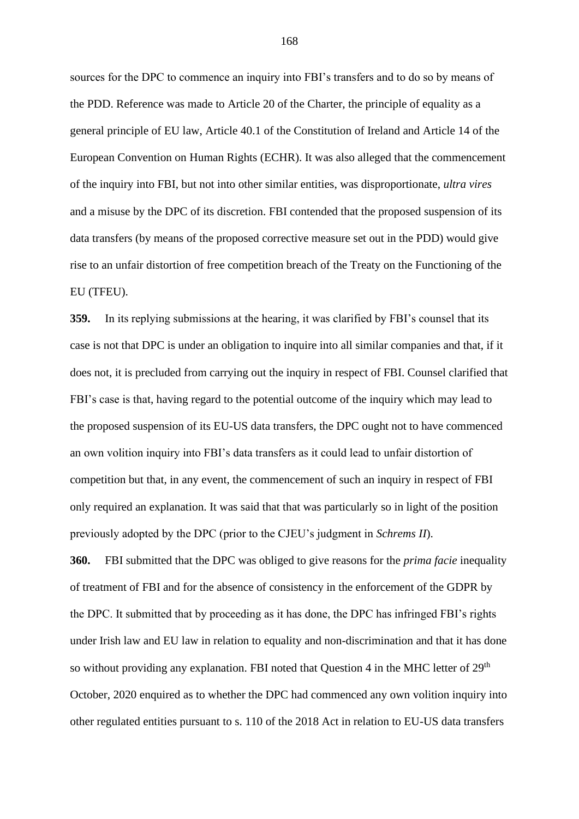sources for the DPC to commence an inquiry into FBI's transfers and to do so by means of the PDD. Reference was made to Article 20 of the Charter, the principle of equality as a general principle of EU law, Article 40.1 of the Constitution of Ireland and Article 14 of the European Convention on Human Rights (ECHR). It was also alleged that the commencement of the inquiry into FBI, but not into other similar entities, was disproportionate, *ultra vires* and a misuse by the DPC of its discretion. FBI contended that the proposed suspension of its data transfers (by means of the proposed corrective measure set out in the PDD) would give rise to an unfair distortion of free competition breach of the Treaty on the Functioning of the EU (TFEU).

**359.** In its replying submissions at the hearing, it was clarified by FBI's counsel that its case is not that DPC is under an obligation to inquire into all similar companies and that, if it does not, it is precluded from carrying out the inquiry in respect of FBI. Counsel clarified that FBI's case is that, having regard to the potential outcome of the inquiry which may lead to the proposed suspension of its EU-US data transfers, the DPC ought not to have commenced an own volition inquiry into FBI's data transfers as it could lead to unfair distortion of competition but that, in any event, the commencement of such an inquiry in respect of FBI only required an explanation. It was said that that was particularly so in light of the position previously adopted by the DPC (prior to the CJEU's judgment in *Schrems II*).

**360.** FBI submitted that the DPC was obliged to give reasons for the *prima facie* inequality of treatment of FBI and for the absence of consistency in the enforcement of the GDPR by the DPC. It submitted that by proceeding as it has done, the DPC has infringed FBI's rights under Irish law and EU law in relation to equality and non-discrimination and that it has done so without providing any explanation. FBI noted that Question 4 in the MHC letter of  $29<sup>th</sup>$ October, 2020 enquired as to whether the DPC had commenced any own volition inquiry into other regulated entities pursuant to s. 110 of the 2018 Act in relation to EU-US data transfers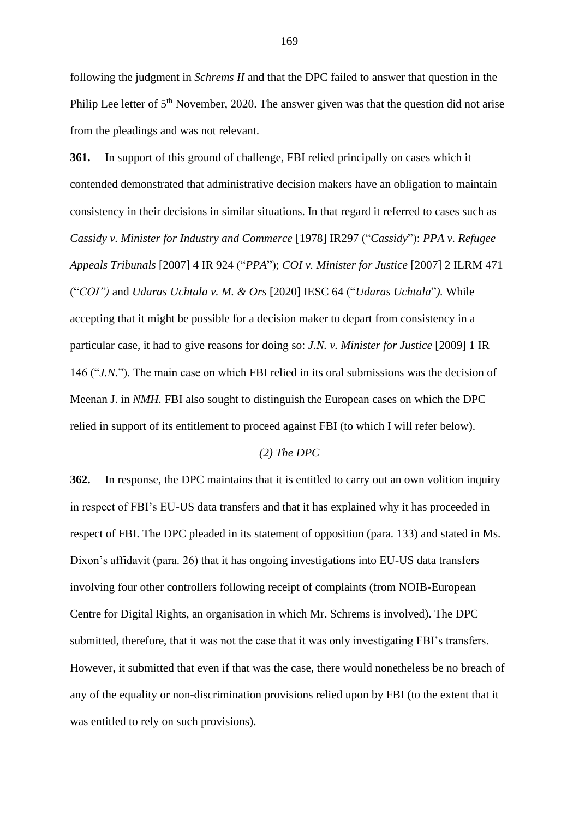following the judgment in *Schrems II* and that the DPC failed to answer that question in the Philip Lee letter of  $5<sup>th</sup>$  November, 2020. The answer given was that the question did not arise from the pleadings and was not relevant.

**361.** In support of this ground of challenge, FBI relied principally on cases which it contended demonstrated that administrative decision makers have an obligation to maintain consistency in their decisions in similar situations. In that regard it referred to cases such as *Cassidy v. Minister for Industry and Commerce* [1978] IR297 ("*Cassidy*"): *PPA v. Refugee Appeals Tribunals* [2007] 4 IR 924 ("*PPA*"); *COI v. Minister for Justice* [2007] 2 ILRM 471 ("*COI")* and *Udaras Uchtala v. M. & Ors* [2020] IESC 64 ("*Udaras Uchtala*"*).* While accepting that it might be possible for a decision maker to depart from consistency in a particular case, it had to give reasons for doing so: *J.N. v. Minister for Justice* [2009] 1 IR 146 ("*J.N.*"). The main case on which FBI relied in its oral submissions was the decision of Meenan J. in *NMH.* FBI also sought to distinguish the European cases on which the DPC relied in support of its entitlement to proceed against FBI (to which I will refer below).

#### *(2) The DPC*

**362.** In response, the DPC maintains that it is entitled to carry out an own volition inquiry in respect of FBI's EU-US data transfers and that it has explained why it has proceeded in respect of FBI. The DPC pleaded in its statement of opposition (para. 133) and stated in Ms. Dixon's affidavit (para. 26) that it has ongoing investigations into EU-US data transfers involving four other controllers following receipt of complaints (from NOIB-European Centre for Digital Rights, an organisation in which Mr. Schrems is involved). The DPC submitted, therefore, that it was not the case that it was only investigating FBI's transfers. However, it submitted that even if that was the case, there would nonetheless be no breach of any of the equality or non-discrimination provisions relied upon by FBI (to the extent that it was entitled to rely on such provisions).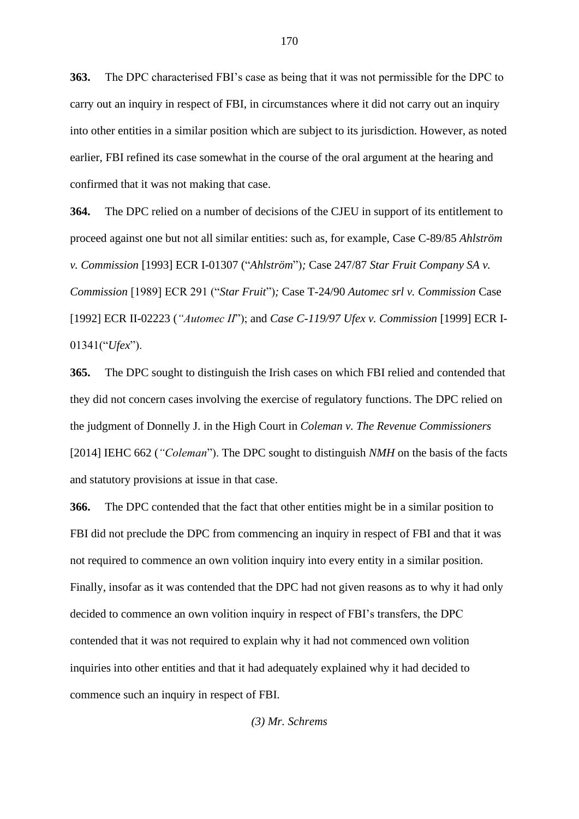**363.** The DPC characterised FBI's case as being that it was not permissible for the DPC to carry out an inquiry in respect of FBI, in circumstances where it did not carry out an inquiry into other entities in a similar position which are subject to its jurisdiction. However, as noted earlier, FBI refined its case somewhat in the course of the oral argument at the hearing and confirmed that it was not making that case.

**364.** The DPC relied on a number of decisions of the CJEU in support of its entitlement to proceed against one but not all similar entities: such as, for example, Case C-89/85 *Ahlström v. Commission* [1993] ECR I-01307 ("*Ahlström*")*;* Case 247/87 *Star Fruit Company SA v. Commission* [1989] ECR 291 ("*Star Fruit*")*;* Case T-24/90 *Automec srl v. Commission* Case [1992] ECR II-02223 (*"Automec II*"); and *Case C-119/97 Ufex v. Commission* [1999] ECR I-01341("*Ufex*").

**365.** The DPC sought to distinguish the Irish cases on which FBI relied and contended that they did not concern cases involving the exercise of regulatory functions. The DPC relied on the judgment of Donnelly J. in the High Court in *Coleman v. The Revenue Commissioners*  [2014] IEHC 662 (*"Coleman*"). The DPC sought to distinguish *NMH* on the basis of the facts and statutory provisions at issue in that case.

**366.** The DPC contended that the fact that other entities might be in a similar position to FBI did not preclude the DPC from commencing an inquiry in respect of FBI and that it was not required to commence an own volition inquiry into every entity in a similar position. Finally, insofar as it was contended that the DPC had not given reasons as to why it had only decided to commence an own volition inquiry in respect of FBI's transfers, the DPC contended that it was not required to explain why it had not commenced own volition inquiries into other entities and that it had adequately explained why it had decided to commence such an inquiry in respect of FBI.

*(3) Mr. Schrems*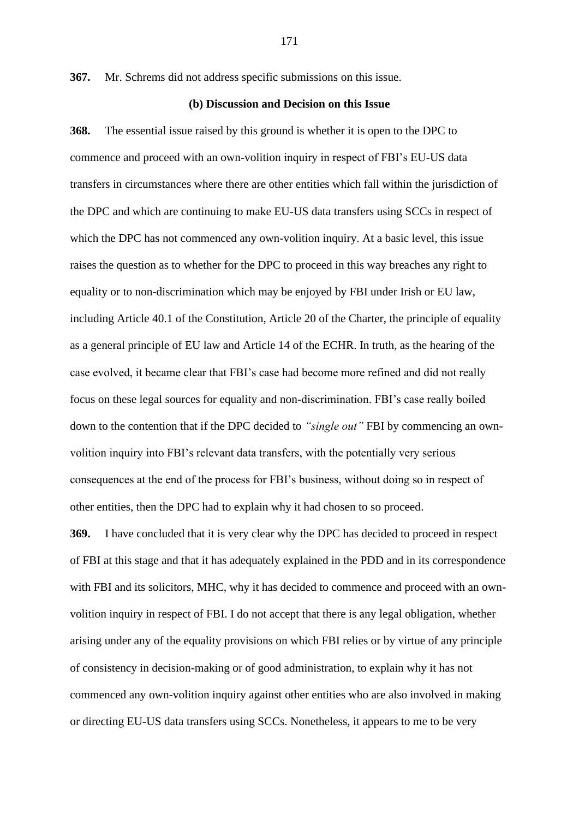**367.** Mr. Schrems did not address specific submissions on this issue.

### **(b) Discussion and Decision on this Issue**

**368.** The essential issue raised by this ground is whether it is open to the DPC to commence and proceed with an own-volition inquiry in respect of FBI's EU-US data transfers in circumstances where there are other entities which fall within the jurisdiction of the DPC and which are continuing to make EU-US data transfers using SCCs in respect of which the DPC has not commenced any own-volition inquiry. At a basic level, this issue raises the question as to whether for the DPC to proceed in this way breaches any right to equality or to non-discrimination which may be enjoyed by FBI under Irish or EU law, including Article 40.1 of the Constitution, Article 20 of the Charter, the principle of equality as a general principle of EU law and Article 14 of the ECHR. In truth, as the hearing of the case evolved, it became clear that FBI's case had become more refined and did not really focus on these legal sources for equality and non-discrimination. FBI's case really boiled down to the contention that if the DPC decided to *"single out"* FBI by commencing an ownvolition inquiry into FBI's relevant data transfers, with the potentially very serious consequences at the end of the process for FBI's business, without doing so in respect of other entities, then the DPC had to explain why it had chosen to so proceed.

**369.** I have concluded that it is very clear why the DPC has decided to proceed in respect of FBI at this stage and that it has adequately explained in the PDD and in its correspondence with FBI and its solicitors, MHC, why it has decided to commence and proceed with an ownvolition inquiry in respect of FBI. I do not accept that there is any legal obligation, whether arising under any of the equality provisions on which FBI relies or by virtue of any principle of consistency in decision-making or of good administration, to explain why it has not commenced any own-volition inquiry against other entities who are also involved in making or directing EU-US data transfers using SCCs. Nonetheless, it appears to me to be very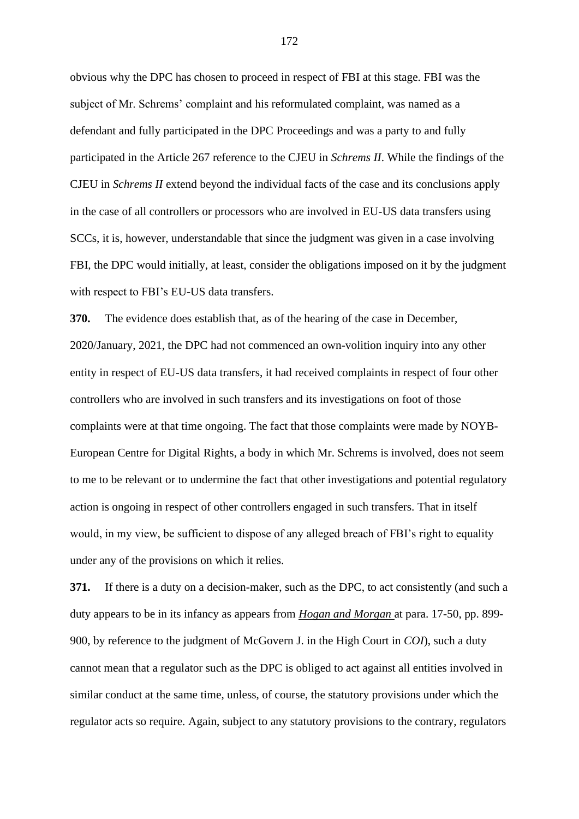obvious why the DPC has chosen to proceed in respect of FBI at this stage. FBI was the subject of Mr. Schrems' complaint and his reformulated complaint, was named as a defendant and fully participated in the DPC Proceedings and was a party to and fully participated in the Article 267 reference to the CJEU in *Schrems II*. While the findings of the CJEU in *Schrems II* extend beyond the individual facts of the case and its conclusions apply in the case of all controllers or processors who are involved in EU-US data transfers using SCCs, it is, however, understandable that since the judgment was given in a case involving FBI, the DPC would initially, at least, consider the obligations imposed on it by the judgment with respect to FBI's EU-US data transfers.

**370.** The evidence does establish that, as of the hearing of the case in December, 2020/January, 2021, the DPC had not commenced an own-volition inquiry into any other entity in respect of EU-US data transfers, it had received complaints in respect of four other controllers who are involved in such transfers and its investigations on foot of those complaints were at that time ongoing. The fact that those complaints were made by NOYB-European Centre for Digital Rights, a body in which Mr. Schrems is involved, does not seem to me to be relevant or to undermine the fact that other investigations and potential regulatory action is ongoing in respect of other controllers engaged in such transfers. That in itself would, in my view, be sufficient to dispose of any alleged breach of FBI's right to equality under any of the provisions on which it relies.

**371.** If there is a duty on a decision-maker, such as the DPC, to act consistently (and such a duty appears to be in its infancy as appears from *Hogan and Morgan* at para. 17-50, pp. 899- 900, by reference to the judgment of McGovern J. in the High Court in *COI*), such a duty cannot mean that a regulator such as the DPC is obliged to act against all entities involved in similar conduct at the same time, unless, of course, the statutory provisions under which the regulator acts so require. Again, subject to any statutory provisions to the contrary, regulators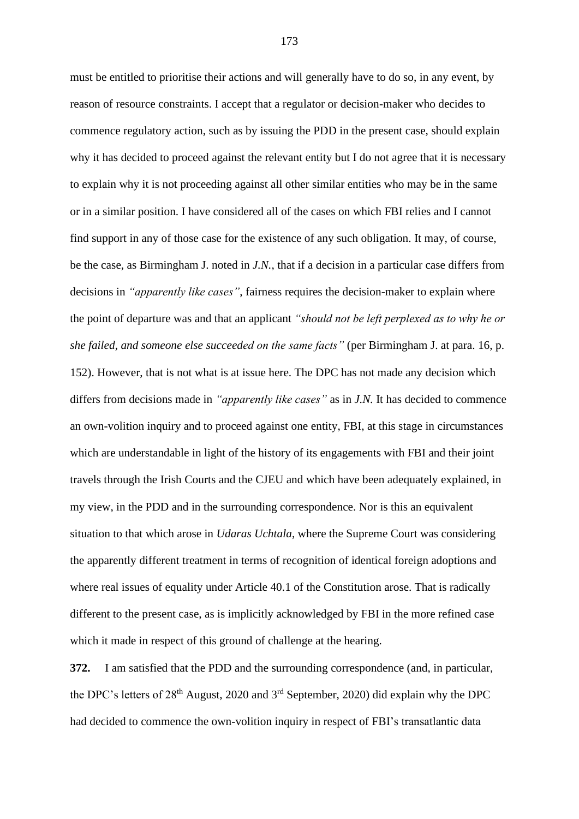must be entitled to prioritise their actions and will generally have to do so, in any event, by reason of resource constraints. I accept that a regulator or decision-maker who decides to commence regulatory action, such as by issuing the PDD in the present case, should explain why it has decided to proceed against the relevant entity but I do not agree that it is necessary to explain why it is not proceeding against all other similar entities who may be in the same or in a similar position. I have considered all of the cases on which FBI relies and I cannot find support in any of those case for the existence of any such obligation. It may, of course, be the case, as Birmingham J. noted in *J.N.*, that if a decision in a particular case differs from decisions in *"apparently like cases"*, fairness requires the decision-maker to explain where the point of departure was and that an applicant *"should not be left perplexed as to why he or she failed, and someone else succeeded on the same facts"* (per Birmingham J. at para. 16, p. 152). However, that is not what is at issue here. The DPC has not made any decision which differs from decisions made in *"apparently like cases"* as in *J.N.* It has decided to commence an own-volition inquiry and to proceed against one entity, FBI, at this stage in circumstances which are understandable in light of the history of its engagements with FBI and their joint travels through the Irish Courts and the CJEU and which have been adequately explained, in my view, in the PDD and in the surrounding correspondence. Nor is this an equivalent situation to that which arose in *Udaras Uchtala*, where the Supreme Court was considering the apparently different treatment in terms of recognition of identical foreign adoptions and where real issues of equality under Article 40.1 of the Constitution arose. That is radically different to the present case, as is implicitly acknowledged by FBI in the more refined case which it made in respect of this ground of challenge at the hearing.

**372.** I am satisfied that the PDD and the surrounding correspondence (and, in particular, the DPC's letters of  $28<sup>th</sup>$  August, 2020 and  $3<sup>rd</sup>$  September, 2020) did explain why the DPC had decided to commence the own-volition inquiry in respect of FBI's transatlantic data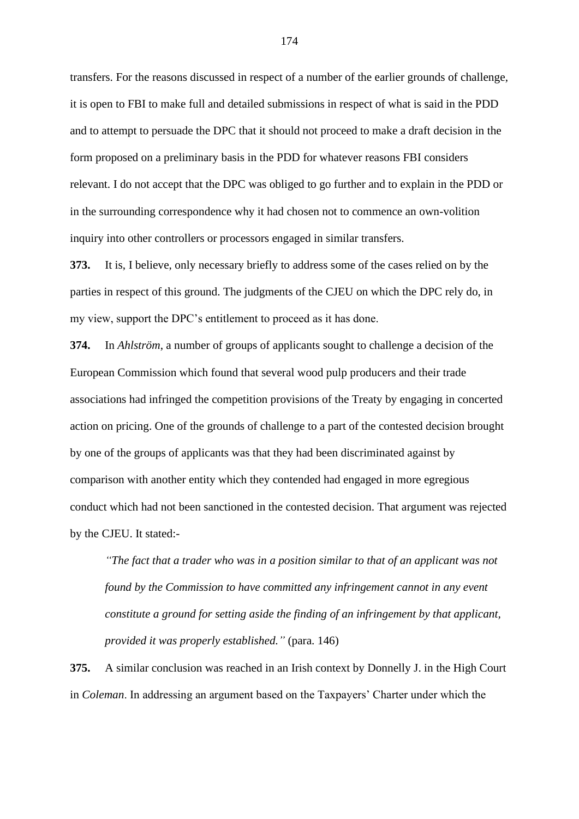transfers. For the reasons discussed in respect of a number of the earlier grounds of challenge, it is open to FBI to make full and detailed submissions in respect of what is said in the PDD and to attempt to persuade the DPC that it should not proceed to make a draft decision in the form proposed on a preliminary basis in the PDD for whatever reasons FBI considers relevant. I do not accept that the DPC was obliged to go further and to explain in the PDD or in the surrounding correspondence why it had chosen not to commence an own-volition inquiry into other controllers or processors engaged in similar transfers.

**373.** It is, I believe, only necessary briefly to address some of the cases relied on by the parties in respect of this ground. The judgments of the CJEU on which the DPC rely do, in my view, support the DPC's entitlement to proceed as it has done.

**374.** In *Ahlström*, a number of groups of applicants sought to challenge a decision of the European Commission which found that several wood pulp producers and their trade associations had infringed the competition provisions of the Treaty by engaging in concerted action on pricing. One of the grounds of challenge to a part of the contested decision brought by one of the groups of applicants was that they had been discriminated against by comparison with another entity which they contended had engaged in more egregious conduct which had not been sanctioned in the contested decision. That argument was rejected by the CJEU. It stated:-

*"The fact that a trader who was in a position similar to that of an applicant was not found by the Commission to have committed any infringement cannot in any event constitute a ground for setting aside the finding of an infringement by that applicant, provided it was properly established."* (para. 146)

**375.** A similar conclusion was reached in an Irish context by Donnelly J. in the High Court in *Coleman*. In addressing an argument based on the Taxpayers' Charter under which the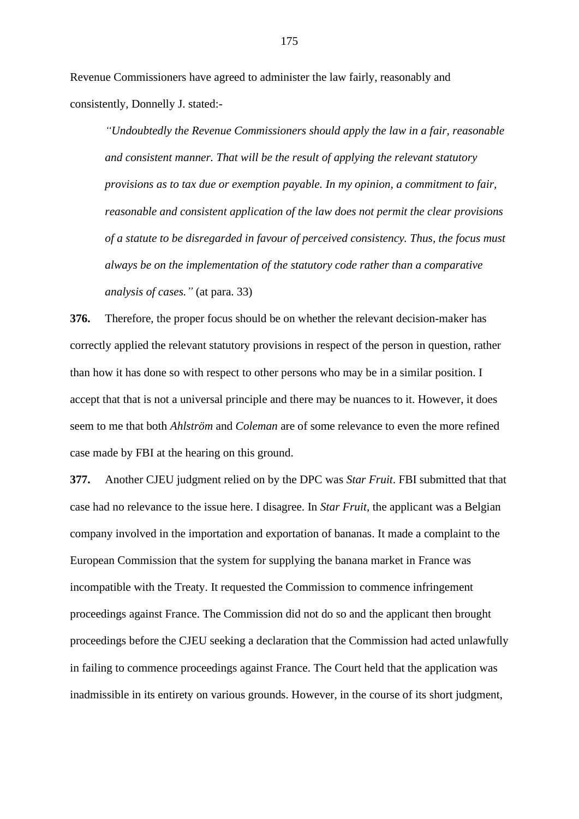Revenue Commissioners have agreed to administer the law fairly, reasonably and consistently, Donnelly J. stated:-

*"Undoubtedly the Revenue Commissioners should apply the law in a fair, reasonable and consistent manner. That will be the result of applying the relevant statutory provisions as to tax due or exemption payable. In my opinion, a commitment to fair, reasonable and consistent application of the law does not permit the clear provisions of a statute to be disregarded in favour of perceived consistency. Thus, the focus must always be on the implementation of the statutory code rather than a comparative analysis of cases."* (at para. 33)

**376.** Therefore, the proper focus should be on whether the relevant decision-maker has correctly applied the relevant statutory provisions in respect of the person in question, rather than how it has done so with respect to other persons who may be in a similar position. I accept that that is not a universal principle and there may be nuances to it. However, it does seem to me that both *Ahlström* and *Coleman* are of some relevance to even the more refined case made by FBI at the hearing on this ground.

**377.** Another CJEU judgment relied on by the DPC was *Star Fruit*. FBI submitted that that case had no relevance to the issue here. I disagree. In *Star Fruit*, the applicant was a Belgian company involved in the importation and exportation of bananas. It made a complaint to the European Commission that the system for supplying the banana market in France was incompatible with the Treaty. It requested the Commission to commence infringement proceedings against France. The Commission did not do so and the applicant then brought proceedings before the CJEU seeking a declaration that the Commission had acted unlawfully in failing to commence proceedings against France. The Court held that the application was inadmissible in its entirety on various grounds. However, in the course of its short judgment,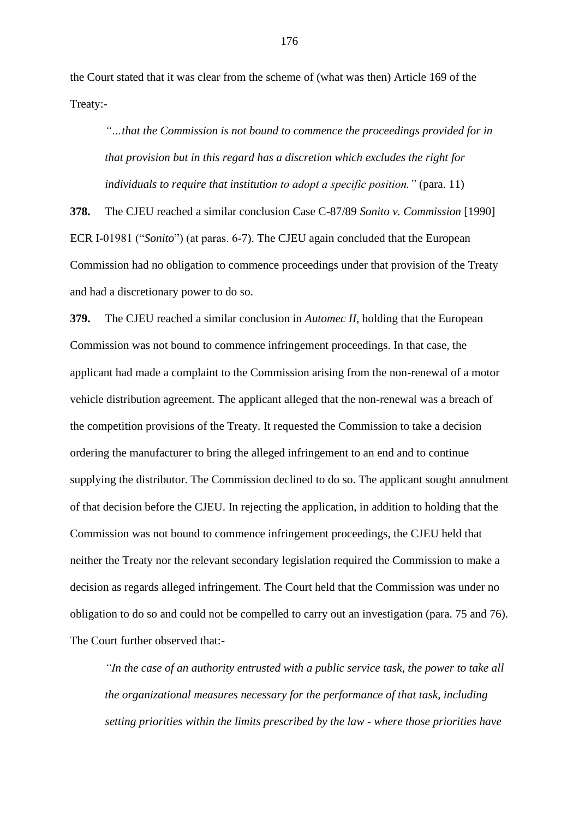the Court stated that it was clear from the scheme of (what was then) Article 169 of the Treaty:-

*"…that the Commission is not bound to commence the proceedings provided for in that provision but in this regard has a discretion which excludes the right for individuals to require that institution to adopt a specific position."* (para. 11)

**378.** The CJEU reached a similar conclusion Case C-87/89 *Sonito v. Commission* [1990] ECR I-01981 ("*Sonito*") (at paras. 6-7). The CJEU again concluded that the European Commission had no obligation to commence proceedings under that provision of the Treaty and had a discretionary power to do so.

**379.** The CJEU reached a similar conclusion in *Automec II,* holding that the European Commission was not bound to commence infringement proceedings. In that case, the applicant had made a complaint to the Commission arising from the non-renewal of a motor vehicle distribution agreement. The applicant alleged that the non-renewal was a breach of the competition provisions of the Treaty. It requested the Commission to take a decision ordering the manufacturer to bring the alleged infringement to an end and to continue supplying the distributor. The Commission declined to do so. The applicant sought annulment of that decision before the CJEU. In rejecting the application, in addition to holding that the Commission was not bound to commence infringement proceedings, the CJEU held that neither the Treaty nor the relevant secondary legislation required the Commission to make a decision as regards alleged infringement. The Court held that the Commission was under no obligation to do so and could not be compelled to carry out an investigation (para. 75 and 76). The Court further observed that:-

*"In the case of an authority entrusted with a public service task, the power to take all the organizational measures necessary for the performance of that task, including setting priorities within the limits prescribed by the law - where those priorities have*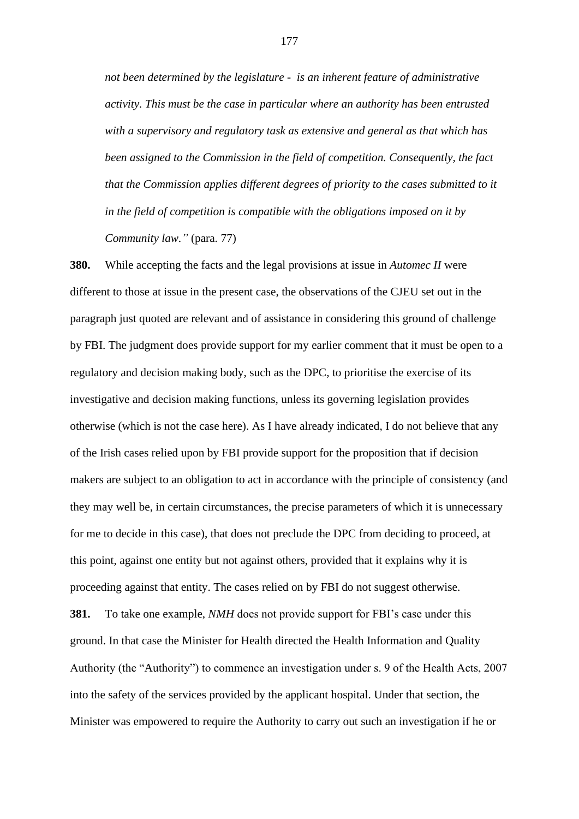*not been determined by the legislature - is an inherent feature of administrative activity. This must be the case in particular where an authority has been entrusted with a supervisory and regulatory task as extensive and general as that which has been assigned to the Commission in the field of competition. Consequently, the fact that the Commission applies different degrees of priority to the cases submitted to it in the field of competition is compatible with the obligations imposed on it by Community law."* (para. 77)

**380.** While accepting the facts and the legal provisions at issue in *Automec II* were different to those at issue in the present case, the observations of the CJEU set out in the paragraph just quoted are relevant and of assistance in considering this ground of challenge by FBI. The judgment does provide support for my earlier comment that it must be open to a regulatory and decision making body, such as the DPC, to prioritise the exercise of its investigative and decision making functions, unless its governing legislation provides otherwise (which is not the case here). As I have already indicated, I do not believe that any of the Irish cases relied upon by FBI provide support for the proposition that if decision makers are subject to an obligation to act in accordance with the principle of consistency (and they may well be, in certain circumstances, the precise parameters of which it is unnecessary for me to decide in this case), that does not preclude the DPC from deciding to proceed, at this point, against one entity but not against others, provided that it explains why it is proceeding against that entity. The cases relied on by FBI do not suggest otherwise. **381.** To take one example, *NMH* does not provide support for FBI's case under this ground. In that case the Minister for Health directed the Health Information and Quality Authority (the "Authority") to commence an investigation under s. 9 of the Health Acts, 2007

Minister was empowered to require the Authority to carry out such an investigation if he or

into the safety of the services provided by the applicant hospital. Under that section, the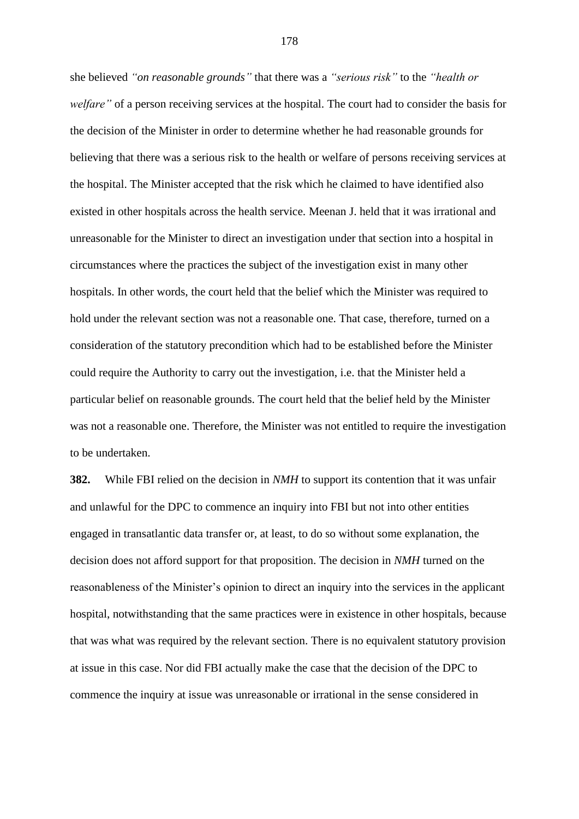she believed *"on reasonable grounds"* that there was a *"serious risk"* to the *"health or welfare"* of a person receiving services at the hospital. The court had to consider the basis for the decision of the Minister in order to determine whether he had reasonable grounds for believing that there was a serious risk to the health or welfare of persons receiving services at the hospital. The Minister accepted that the risk which he claimed to have identified also existed in other hospitals across the health service. Meenan J. held that it was irrational and unreasonable for the Minister to direct an investigation under that section into a hospital in circumstances where the practices the subject of the investigation exist in many other hospitals. In other words, the court held that the belief which the Minister was required to hold under the relevant section was not a reasonable one. That case, therefore, turned on a consideration of the statutory precondition which had to be established before the Minister could require the Authority to carry out the investigation, i.e. that the Minister held a particular belief on reasonable grounds. The court held that the belief held by the Minister was not a reasonable one. Therefore, the Minister was not entitled to require the investigation to be undertaken.

**382.** While FBI relied on the decision in *NMH* to support its contention that it was unfair and unlawful for the DPC to commence an inquiry into FBI but not into other entities engaged in transatlantic data transfer or, at least, to do so without some explanation, the decision does not afford support for that proposition. The decision in *NMH* turned on the reasonableness of the Minister's opinion to direct an inquiry into the services in the applicant hospital, notwithstanding that the same practices were in existence in other hospitals, because that was what was required by the relevant section. There is no equivalent statutory provision at issue in this case. Nor did FBI actually make the case that the decision of the DPC to commence the inquiry at issue was unreasonable or irrational in the sense considered in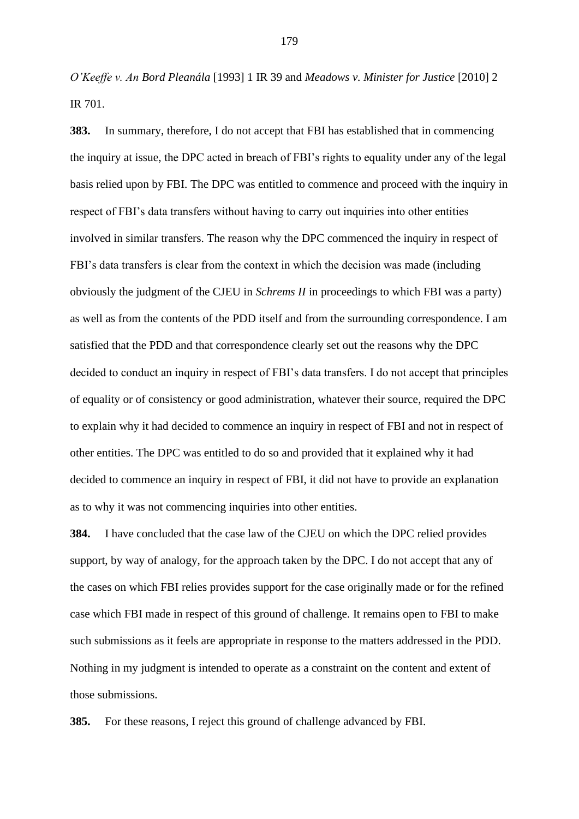*O'Keeffe v. An Bord Pleanála* [1993] 1 IR 39 and *Meadows v. Minister for Justice* [2010] 2 IR 701.

**383.** In summary, therefore, I do not accept that FBI has established that in commencing the inquiry at issue, the DPC acted in breach of FBI's rights to equality under any of the legal basis relied upon by FBI. The DPC was entitled to commence and proceed with the inquiry in respect of FBI's data transfers without having to carry out inquiries into other entities involved in similar transfers. The reason why the DPC commenced the inquiry in respect of FBI's data transfers is clear from the context in which the decision was made (including obviously the judgment of the CJEU in *Schrems II* in proceedings to which FBI was a party) as well as from the contents of the PDD itself and from the surrounding correspondence. I am satisfied that the PDD and that correspondence clearly set out the reasons why the DPC decided to conduct an inquiry in respect of FBI's data transfers. I do not accept that principles of equality or of consistency or good administration, whatever their source, required the DPC to explain why it had decided to commence an inquiry in respect of FBI and not in respect of other entities. The DPC was entitled to do so and provided that it explained why it had decided to commence an inquiry in respect of FBI, it did not have to provide an explanation as to why it was not commencing inquiries into other entities.

**384.** I have concluded that the case law of the CJEU on which the DPC relied provides support, by way of analogy, for the approach taken by the DPC. I do not accept that any of the cases on which FBI relies provides support for the case originally made or for the refined case which FBI made in respect of this ground of challenge. It remains open to FBI to make such submissions as it feels are appropriate in response to the matters addressed in the PDD. Nothing in my judgment is intended to operate as a constraint on the content and extent of those submissions.

**385.** For these reasons, I reject this ground of challenge advanced by FBI.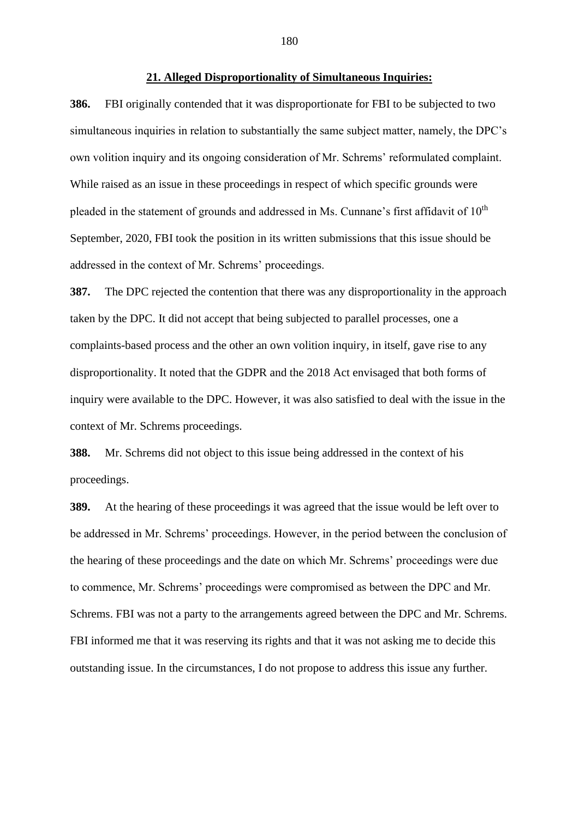#### **21. Alleged Disproportionality of Simultaneous Inquiries:**

**386.** FBI originally contended that it was disproportionate for FBI to be subjected to two simultaneous inquiries in relation to substantially the same subject matter, namely, the DPC's own volition inquiry and its ongoing consideration of Mr. Schrems' reformulated complaint. While raised as an issue in these proceedings in respect of which specific grounds were pleaded in the statement of grounds and addressed in Ms. Cunnane's first affidavit of  $10<sup>th</sup>$ September, 2020, FBI took the position in its written submissions that this issue should be addressed in the context of Mr. Schrems' proceedings.

**387.** The DPC rejected the contention that there was any disproportionality in the approach taken by the DPC. It did not accept that being subjected to parallel processes, one a complaints-based process and the other an own volition inquiry, in itself, gave rise to any disproportionality. It noted that the GDPR and the 2018 Act envisaged that both forms of inquiry were available to the DPC. However, it was also satisfied to deal with the issue in the context of Mr. Schrems proceedings.

**388.** Mr. Schrems did not object to this issue being addressed in the context of his proceedings.

**389.** At the hearing of these proceedings it was agreed that the issue would be left over to be addressed in Mr. Schrems' proceedings. However, in the period between the conclusion of the hearing of these proceedings and the date on which Mr. Schrems' proceedings were due to commence, Mr. Schrems' proceedings were compromised as between the DPC and Mr. Schrems. FBI was not a party to the arrangements agreed between the DPC and Mr. Schrems. FBI informed me that it was reserving its rights and that it was not asking me to decide this outstanding issue. In the circumstances, I do not propose to address this issue any further.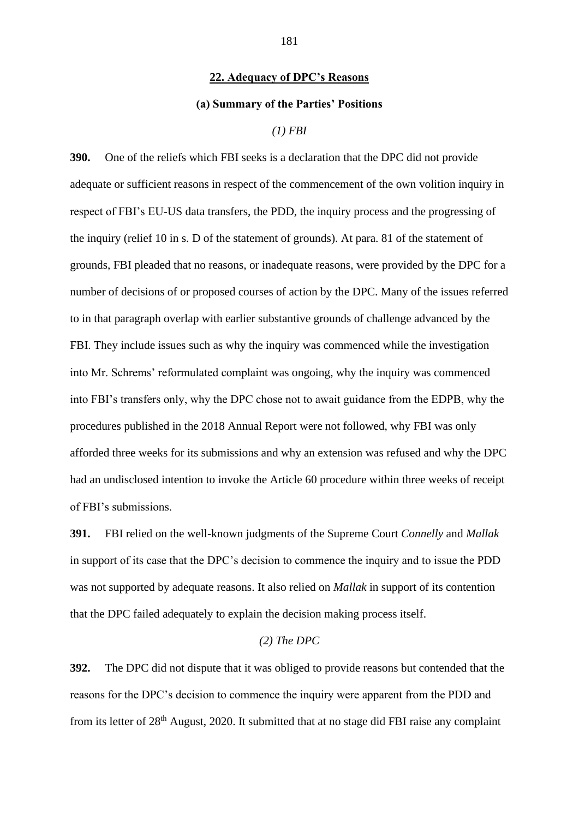### **22. Adequacy of DPC's Reasons**

### **(a) Summary of the Parties' Positions**

# *(1) FBI*

**390.** One of the reliefs which FBI seeks is a declaration that the DPC did not provide adequate or sufficient reasons in respect of the commencement of the own volition inquiry in respect of FBI's EU-US data transfers, the PDD, the inquiry process and the progressing of the inquiry (relief 10 in s. D of the statement of grounds). At para. 81 of the statement of grounds, FBI pleaded that no reasons, or inadequate reasons, were provided by the DPC for a number of decisions of or proposed courses of action by the DPC. Many of the issues referred to in that paragraph overlap with earlier substantive grounds of challenge advanced by the FBI. They include issues such as why the inquiry was commenced while the investigation into Mr. Schrems' reformulated complaint was ongoing, why the inquiry was commenced into FBI's transfers only, why the DPC chose not to await guidance from the EDPB, why the procedures published in the 2018 Annual Report were not followed, why FBI was only afforded three weeks for its submissions and why an extension was refused and why the DPC had an undisclosed intention to invoke the Article 60 procedure within three weeks of receipt of FBI's submissions.

**391.** FBI relied on the well-known judgments of the Supreme Court *Connelly* and *Mallak* in support of its case that the DPC's decision to commence the inquiry and to issue the PDD was not supported by adequate reasons. It also relied on *Mallak* in support of its contention that the DPC failed adequately to explain the decision making process itself.

## *(2) The DPC*

**392.** The DPC did not dispute that it was obliged to provide reasons but contended that the reasons for the DPC's decision to commence the inquiry were apparent from the PDD and from its letter of 28<sup>th</sup> August, 2020. It submitted that at no stage did FBI raise any complaint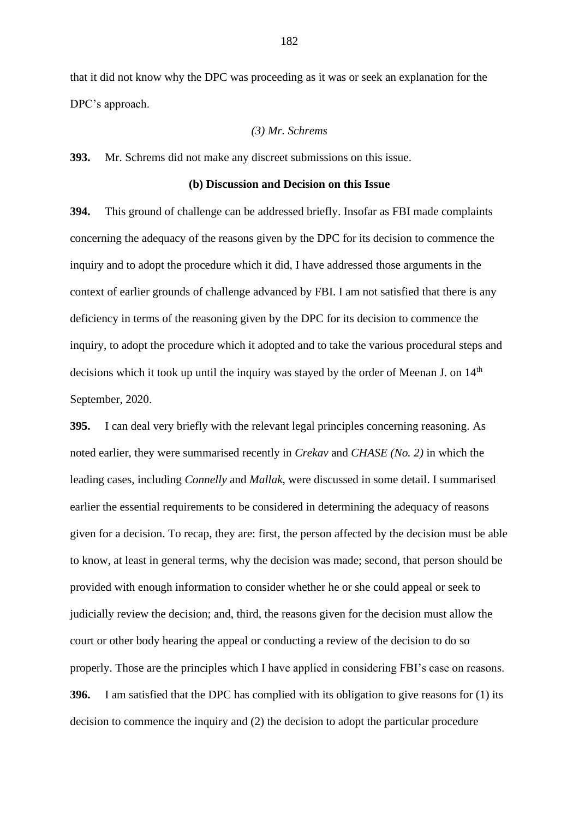that it did not know why the DPC was proceeding as it was or seek an explanation for the DPC's approach.

### *(3) Mr. Schrems*

**393.** Mr. Schrems did not make any discreet submissions on this issue.

### **(b) Discussion and Decision on this Issue**

**394.** This ground of challenge can be addressed briefly. Insofar as FBI made complaints concerning the adequacy of the reasons given by the DPC for its decision to commence the inquiry and to adopt the procedure which it did, I have addressed those arguments in the context of earlier grounds of challenge advanced by FBI. I am not satisfied that there is any deficiency in terms of the reasoning given by the DPC for its decision to commence the inquiry, to adopt the procedure which it adopted and to take the various procedural steps and decisions which it took up until the inquiry was stayed by the order of Meenan J. on 14<sup>th</sup> September, 2020.

**395.** I can deal very briefly with the relevant legal principles concerning reasoning. As noted earlier, they were summarised recently in *Crekav* and *CHASE (No. 2)* in which the leading cases, including *Connelly* and *Mallak*, were discussed in some detail. I summarised earlier the essential requirements to be considered in determining the adequacy of reasons given for a decision. To recap, they are: first, the person affected by the decision must be able to know, at least in general terms, why the decision was made; second, that person should be provided with enough information to consider whether he or she could appeal or seek to judicially review the decision; and, third, the reasons given for the decision must allow the court or other body hearing the appeal or conducting a review of the decision to do so properly. Those are the principles which I have applied in considering FBI's case on reasons. **396.** I am satisfied that the DPC has complied with its obligation to give reasons for (1) its decision to commence the inquiry and (2) the decision to adopt the particular procedure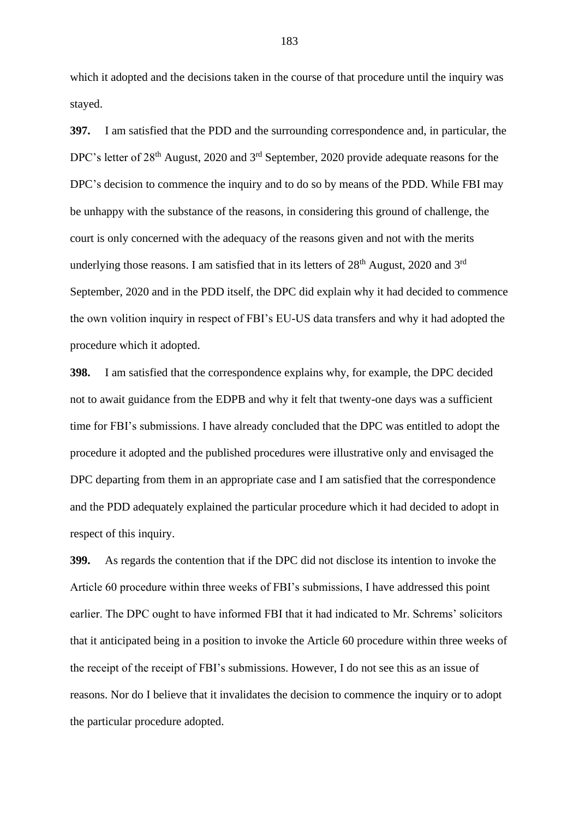which it adopted and the decisions taken in the course of that procedure until the inquiry was stayed.

**397.** I am satisfied that the PDD and the surrounding correspondence and, in particular, the DPC's letter of 28<sup>th</sup> August, 2020 and 3<sup>rd</sup> September, 2020 provide adequate reasons for the DPC's decision to commence the inquiry and to do so by means of the PDD. While FBI may be unhappy with the substance of the reasons, in considering this ground of challenge, the court is only concerned with the adequacy of the reasons given and not with the merits underlying those reasons. I am satisfied that in its letters of  $28<sup>th</sup>$  August, 2020 and  $3<sup>rd</sup>$ September, 2020 and in the PDD itself, the DPC did explain why it had decided to commence the own volition inquiry in respect of FBI's EU-US data transfers and why it had adopted the procedure which it adopted.

**398.** I am satisfied that the correspondence explains why, for example, the DPC decided not to await guidance from the EDPB and why it felt that twenty-one days was a sufficient time for FBI's submissions. I have already concluded that the DPC was entitled to adopt the procedure it adopted and the published procedures were illustrative only and envisaged the DPC departing from them in an appropriate case and I am satisfied that the correspondence and the PDD adequately explained the particular procedure which it had decided to adopt in respect of this inquiry.

**399.** As regards the contention that if the DPC did not disclose its intention to invoke the Article 60 procedure within three weeks of FBI's submissions, I have addressed this point earlier. The DPC ought to have informed FBI that it had indicated to Mr. Schrems' solicitors that it anticipated being in a position to invoke the Article 60 procedure within three weeks of the receipt of the receipt of FBI's submissions. However, I do not see this as an issue of reasons. Nor do I believe that it invalidates the decision to commence the inquiry or to adopt the particular procedure adopted.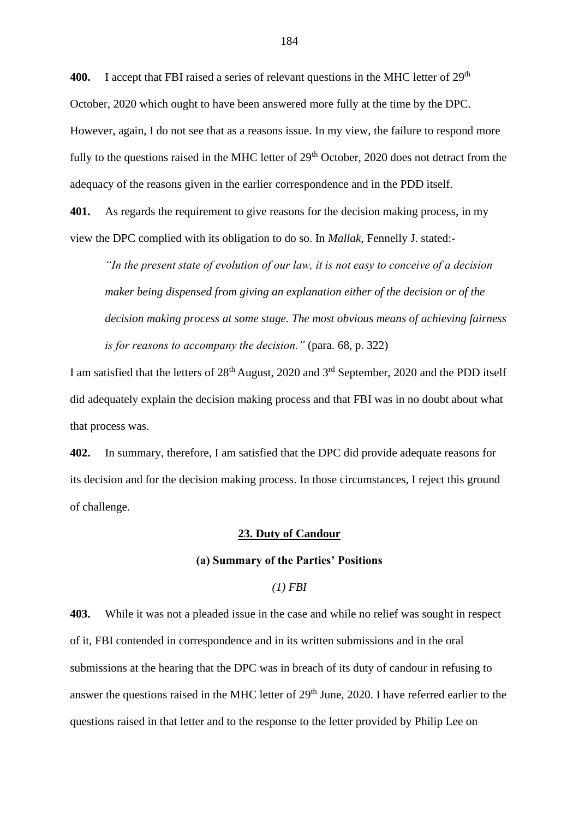400. I accept that FBI raised a series of relevant questions in the MHC letter of 29<sup>th</sup> October, 2020 which ought to have been answered more fully at the time by the DPC. However, again, I do not see that as a reasons issue. In my view, the failure to respond more fully to the questions raised in the MHC letter of 29<sup>th</sup> October, 2020 does not detract from the adequacy of the reasons given in the earlier correspondence and in the PDD itself.

**401.** As regards the requirement to give reasons for the decision making process, in my view the DPC complied with its obligation to do so. In *Mallak*, Fennelly J. stated:-

*"In the present state of evolution of our law, it is not easy to conceive of a decision maker being dispensed from giving an explanation either of the decision or of the decision making process at some stage. The most obvious means of achieving fairness is for reasons to accompany the decision."* (para. 68, p. 322)

I am satisfied that the letters of 28<sup>th</sup> August, 2020 and 3<sup>rd</sup> September, 2020 and the PDD itself did adequately explain the decision making process and that FBI was in no doubt about what that process was.

**402.** In summary, therefore, I am satisfied that the DPC did provide adequate reasons for its decision and for the decision making process. In those circumstances, I reject this ground of challenge.

## **23. Duty of Candour**

# **(a) Summary of the Parties' Positions**

# *(1) FBI*

**403.** While it was not a pleaded issue in the case and while no relief was sought in respect of it, FBI contended in correspondence and in its written submissions and in the oral submissions at the hearing that the DPC was in breach of its duty of candour in refusing to answer the questions raised in the MHC letter of 29<sup>th</sup> June, 2020. I have referred earlier to the questions raised in that letter and to the response to the letter provided by Philip Lee on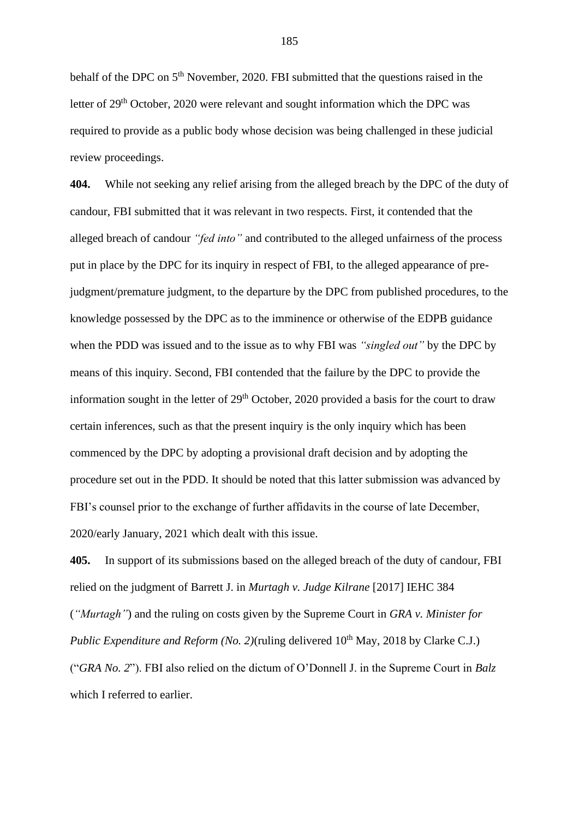behalf of the DPC on 5<sup>th</sup> November, 2020. FBI submitted that the questions raised in the letter of 29<sup>th</sup> October, 2020 were relevant and sought information which the DPC was required to provide as a public body whose decision was being challenged in these judicial review proceedings.

**404.** While not seeking any relief arising from the alleged breach by the DPC of the duty of candour, FBI submitted that it was relevant in two respects. First, it contended that the alleged breach of candour *"fed into"* and contributed to the alleged unfairness of the process put in place by the DPC for its inquiry in respect of FBI, to the alleged appearance of prejudgment/premature judgment, to the departure by the DPC from published procedures, to the knowledge possessed by the DPC as to the imminence or otherwise of the EDPB guidance when the PDD was issued and to the issue as to why FBI was *"singled out"* by the DPC by means of this inquiry. Second, FBI contended that the failure by the DPC to provide the information sought in the letter of  $29<sup>th</sup>$  October, 2020 provided a basis for the court to draw certain inferences, such as that the present inquiry is the only inquiry which has been commenced by the DPC by adopting a provisional draft decision and by adopting the procedure set out in the PDD. It should be noted that this latter submission was advanced by FBI's counsel prior to the exchange of further affidavits in the course of late December, 2020/early January, 2021 which dealt with this issue.

**405.** In support of its submissions based on the alleged breach of the duty of candour, FBI relied on the judgment of Barrett J. in *Murtagh v. Judge Kilrane* [2017] IEHC 384 (*"Murtagh"*) and the ruling on costs given by the Supreme Court in *GRA v. Minister for Public Expenditure and Reform (No. 2)*(ruling delivered 10<sup>th</sup> May, 2018 by Clarke C.J.) ("*GRA No. 2*"). FBI also relied on the dictum of O'Donnell J. in the Supreme Court in *Balz* which I referred to earlier.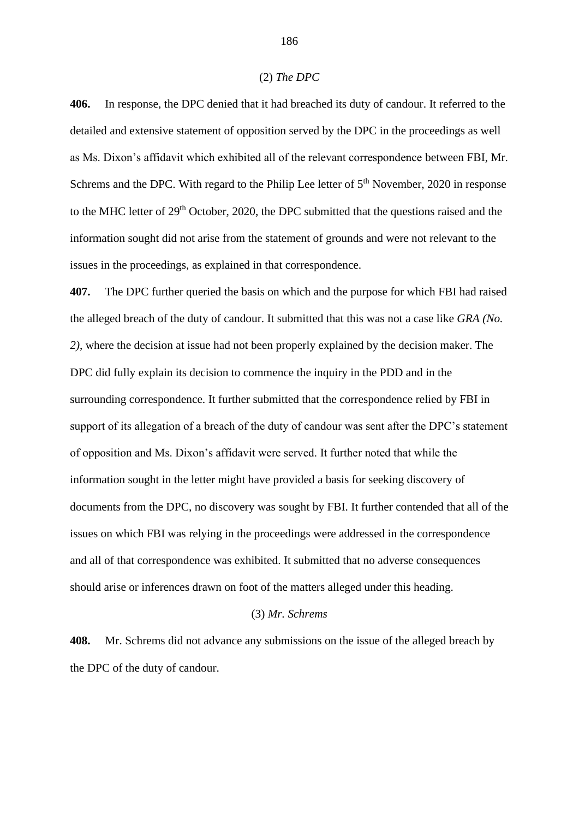#### (2) *The DPC*

**406.** In response, the DPC denied that it had breached its duty of candour. It referred to the detailed and extensive statement of opposition served by the DPC in the proceedings as well as Ms. Dixon's affidavit which exhibited all of the relevant correspondence between FBI, Mr. Schrems and the DPC. With regard to the Philip Lee letter of  $5<sup>th</sup>$  November, 2020 in response to the MHC letter of 29<sup>th</sup> October, 2020, the DPC submitted that the questions raised and the information sought did not arise from the statement of grounds and were not relevant to the issues in the proceedings, as explained in that correspondence.

**407.** The DPC further queried the basis on which and the purpose for which FBI had raised the alleged breach of the duty of candour. It submitted that this was not a case like *GRA (No. 2)*, where the decision at issue had not been properly explained by the decision maker. The DPC did fully explain its decision to commence the inquiry in the PDD and in the surrounding correspondence. It further submitted that the correspondence relied by FBI in support of its allegation of a breach of the duty of candour was sent after the DPC's statement of opposition and Ms. Dixon's affidavit were served. It further noted that while the information sought in the letter might have provided a basis for seeking discovery of documents from the DPC, no discovery was sought by FBI. It further contended that all of the issues on which FBI was relying in the proceedings were addressed in the correspondence and all of that correspondence was exhibited. It submitted that no adverse consequences should arise or inferences drawn on foot of the matters alleged under this heading.

### (3) *Mr. Schrems*

**408.** Mr. Schrems did not advance any submissions on the issue of the alleged breach by the DPC of the duty of candour.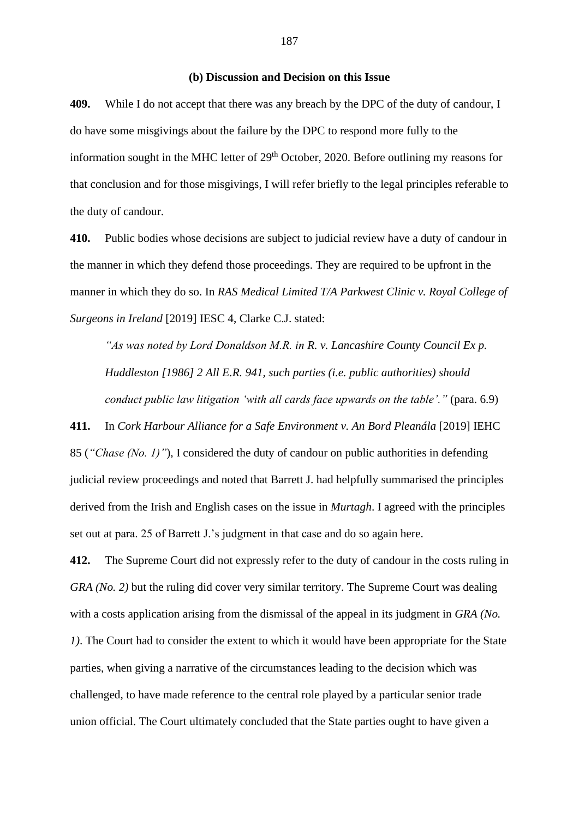### **(b) Discussion and Decision on this Issue**

**409.** While I do not accept that there was any breach by the DPC of the duty of candour, I do have some misgivings about the failure by the DPC to respond more fully to the information sought in the MHC letter of  $29<sup>th</sup>$  October, 2020. Before outlining my reasons for that conclusion and for those misgivings, I will refer briefly to the legal principles referable to the duty of candour.

**410.** Public bodies whose decisions are subject to judicial review have a duty of candour in the manner in which they defend those proceedings. They are required to be upfront in the manner in which they do so. In *RAS Medical Limited T/A Parkwest Clinic v. Royal College of Surgeons in Ireland* [2019] IESC 4, Clarke C.J. stated:

*"As was noted by Lord Donaldson M.R. in R. v. Lancashire County Council Ex p. Huddleston [1986] 2 All E.R. 941, such parties (i.e. public authorities) should conduct public law litigation 'with all cards face upwards on the table'."* (para. 6.9)

**411.** In *Cork Harbour Alliance for a Safe Environment v. An Bord Pleanála* [2019] IEHC 85 (*"Chase (No. 1)"*), I considered the duty of candour on public authorities in defending judicial review proceedings and noted that Barrett J. had helpfully summarised the principles derived from the Irish and English cases on the issue in *Murtagh*. I agreed with the principles set out at para. 25 of Barrett J.'s judgment in that case and do so again here.

**412.** The Supreme Court did not expressly refer to the duty of candour in the costs ruling in *GRA (No. 2)* but the ruling did cover very similar territory. The Supreme Court was dealing with a costs application arising from the dismissal of the appeal in its judgment in *GRA (No. 1)*. The Court had to consider the extent to which it would have been appropriate for the State parties, when giving a narrative of the circumstances leading to the decision which was challenged, to have made reference to the central role played by a particular senior trade union official. The Court ultimately concluded that the State parties ought to have given a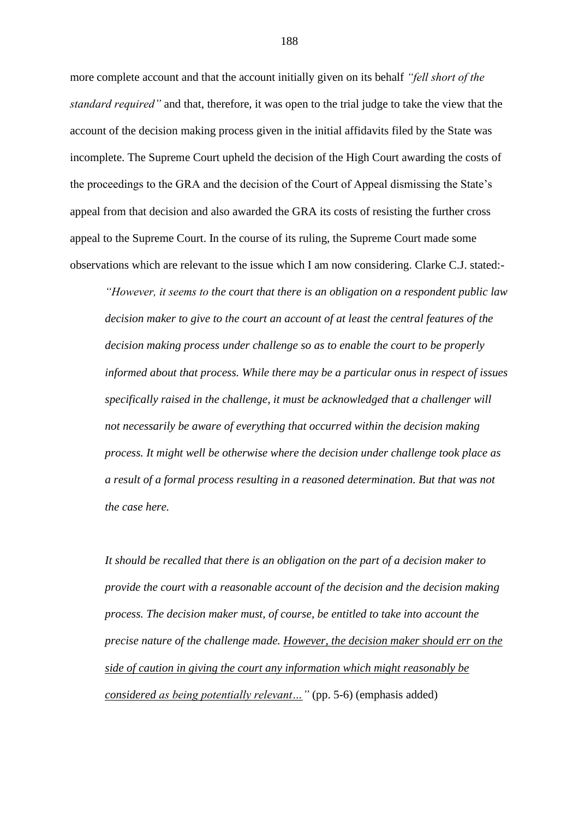more complete account and that the account initially given on its behalf *"fell short of the standard required"* and that, therefore, it was open to the trial judge to take the view that the account of the decision making process given in the initial affidavits filed by the State was incomplete. The Supreme Court upheld the decision of the High Court awarding the costs of the proceedings to the GRA and the decision of the Court of Appeal dismissing the State's appeal from that decision and also awarded the GRA its costs of resisting the further cross appeal to the Supreme Court. In the course of its ruling, the Supreme Court made some observations which are relevant to the issue which I am now considering. Clarke C.J. stated:-

*"However, it seems to the court that there is an obligation on a respondent public law decision maker to give to the court an account of at least the central features of the decision making process under challenge so as to enable the court to be properly informed about that process. While there may be a particular onus in respect of issues specifically raised in the challenge, it must be acknowledged that a challenger will not necessarily be aware of everything that occurred within the decision making process. It might well be otherwise where the decision under challenge took place as a result of a formal process resulting in a reasoned determination. But that was not the case here.*

*It should be recalled that there is an obligation on the part of a decision maker to provide the court with a reasonable account of the decision and the decision making process. The decision maker must, of course, be entitled to take into account the precise nature of the challenge made. However, the decision maker should err on the side of caution in giving the court any information which might reasonably be considered as being potentially relevant…"* (pp. 5-6) (emphasis added)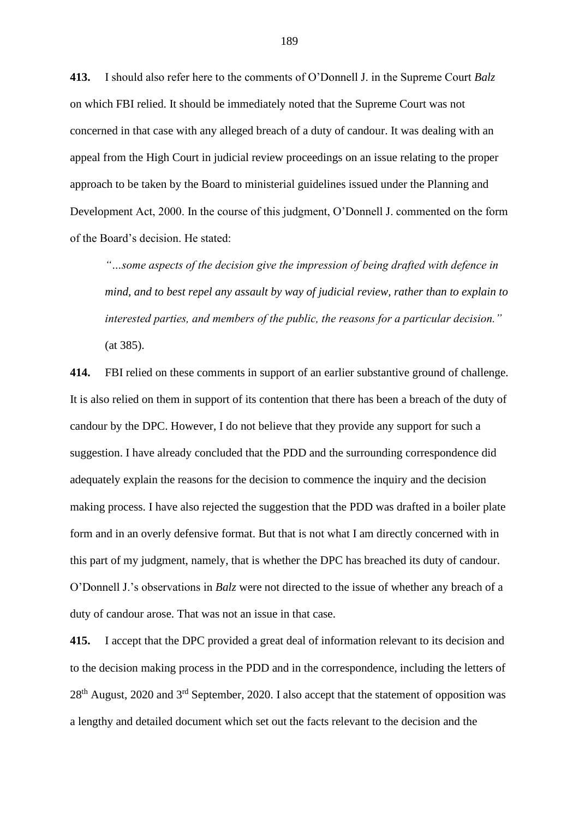**413.** I should also refer here to the comments of O'Donnell J. in the Supreme Court *Balz* on which FBI relied. It should be immediately noted that the Supreme Court was not concerned in that case with any alleged breach of a duty of candour. It was dealing with an appeal from the High Court in judicial review proceedings on an issue relating to the proper approach to be taken by the Board to ministerial guidelines issued under the Planning and Development Act, 2000. In the course of this judgment, O'Donnell J. commented on the form of the Board's decision. He stated:

*"…some aspects of the decision give the impression of being drafted with defence in mind, and to best repel any assault by way of judicial review, rather than to explain to interested parties, and members of the public, the reasons for a particular decision."*  (at 385).

**414.** FBI relied on these comments in support of an earlier substantive ground of challenge. It is also relied on them in support of its contention that there has been a breach of the duty of candour by the DPC. However, I do not believe that they provide any support for such a suggestion. I have already concluded that the PDD and the surrounding correspondence did adequately explain the reasons for the decision to commence the inquiry and the decision making process. I have also rejected the suggestion that the PDD was drafted in a boiler plate form and in an overly defensive format. But that is not what I am directly concerned with in this part of my judgment, namely, that is whether the DPC has breached its duty of candour. O'Donnell J.'s observations in *Balz* were not directed to the issue of whether any breach of a duty of candour arose. That was not an issue in that case.

**415.** I accept that the DPC provided a great deal of information relevant to its decision and to the decision making process in the PDD and in the correspondence, including the letters of  $28<sup>th</sup>$  August, 2020 and  $3<sup>rd</sup>$  September, 2020. I also accept that the statement of opposition was a lengthy and detailed document which set out the facts relevant to the decision and the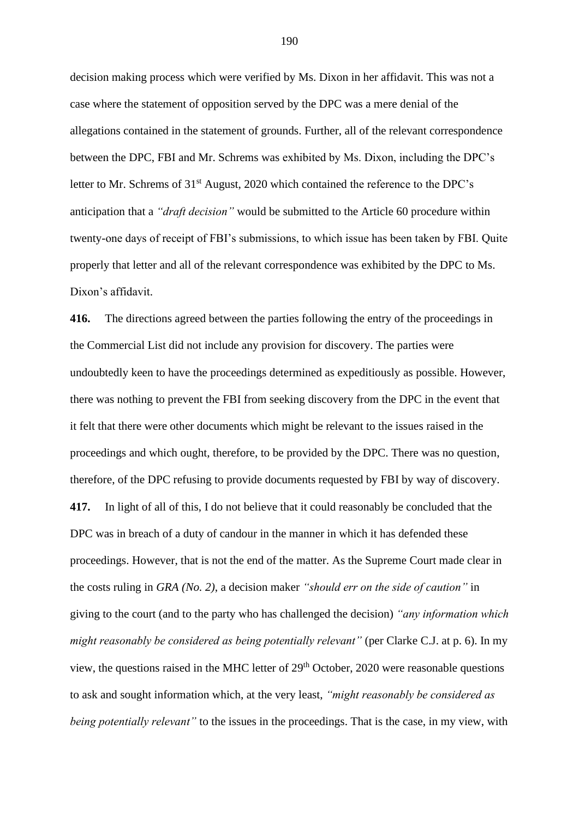decision making process which were verified by Ms. Dixon in her affidavit. This was not a case where the statement of opposition served by the DPC was a mere denial of the allegations contained in the statement of grounds. Further, all of the relevant correspondence between the DPC, FBI and Mr. Schrems was exhibited by Ms. Dixon, including the DPC's letter to Mr. Schrems of 31<sup>st</sup> August, 2020 which contained the reference to the DPC's anticipation that a *"draft decision"* would be submitted to the Article 60 procedure within twenty-one days of receipt of FBI's submissions, to which issue has been taken by FBI. Quite properly that letter and all of the relevant correspondence was exhibited by the DPC to Ms. Dixon's affidavit.

**416.** The directions agreed between the parties following the entry of the proceedings in the Commercial List did not include any provision for discovery. The parties were undoubtedly keen to have the proceedings determined as expeditiously as possible. However, there was nothing to prevent the FBI from seeking discovery from the DPC in the event that it felt that there were other documents which might be relevant to the issues raised in the proceedings and which ought, therefore, to be provided by the DPC. There was no question, therefore, of the DPC refusing to provide documents requested by FBI by way of discovery. **417.** In light of all of this, I do not believe that it could reasonably be concluded that the DPC was in breach of a duty of candour in the manner in which it has defended these proceedings. However, that is not the end of the matter. As the Supreme Court made clear in the costs ruling in *GRA (No. 2)*, a decision maker *"should err on the side of caution"* in giving to the court (and to the party who has challenged the decision) *"any information which might reasonably be considered as being potentially relevant"* (per Clarke C.J. at p. 6). In my view, the questions raised in the MHC letter of 29<sup>th</sup> October, 2020 were reasonable questions to ask and sought information which, at the very least, *"might reasonably be considered as being potentially relevant"* to the issues in the proceedings. That is the case, in my view, with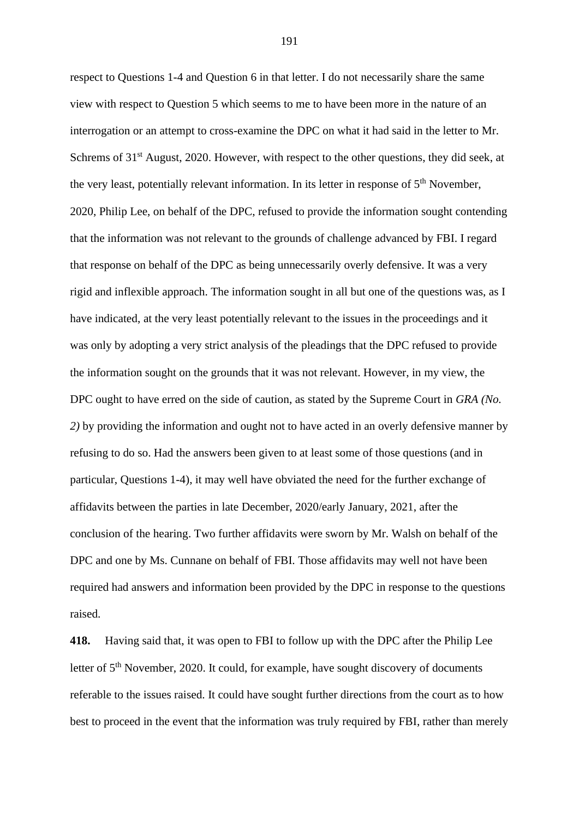respect to Questions 1-4 and Question 6 in that letter. I do not necessarily share the same view with respect to Question 5 which seems to me to have been more in the nature of an interrogation or an attempt to cross-examine the DPC on what it had said in the letter to Mr. Schrems of 31<sup>st</sup> August, 2020. However, with respect to the other questions, they did seek, at the very least, potentially relevant information. In its letter in response of  $5<sup>th</sup>$  November, 2020, Philip Lee, on behalf of the DPC, refused to provide the information sought contending that the information was not relevant to the grounds of challenge advanced by FBI. I regard that response on behalf of the DPC as being unnecessarily overly defensive. It was a very rigid and inflexible approach. The information sought in all but one of the questions was, as I have indicated, at the very least potentially relevant to the issues in the proceedings and it was only by adopting a very strict analysis of the pleadings that the DPC refused to provide the information sought on the grounds that it was not relevant. However, in my view, the DPC ought to have erred on the side of caution, as stated by the Supreme Court in *GRA (No. 2)* by providing the information and ought not to have acted in an overly defensive manner by refusing to do so. Had the answers been given to at least some of those questions (and in particular, Questions 1-4), it may well have obviated the need for the further exchange of affidavits between the parties in late December, 2020/early January, 2021, after the conclusion of the hearing. Two further affidavits were sworn by Mr. Walsh on behalf of the DPC and one by Ms. Cunnane on behalf of FBI. Those affidavits may well not have been required had answers and information been provided by the DPC in response to the questions raised.

**418.** Having said that, it was open to FBI to follow up with the DPC after the Philip Lee letter of 5<sup>th</sup> November, 2020. It could, for example, have sought discovery of documents referable to the issues raised. It could have sought further directions from the court as to how best to proceed in the event that the information was truly required by FBI, rather than merely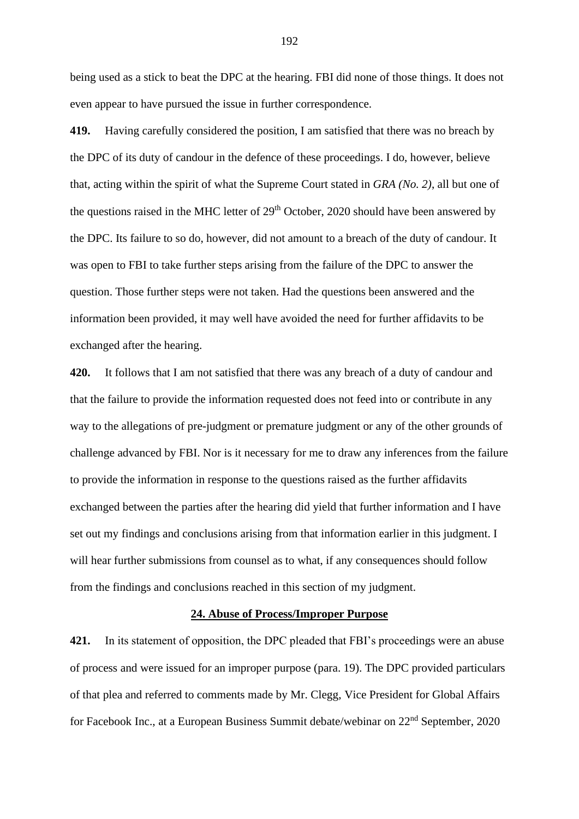being used as a stick to beat the DPC at the hearing. FBI did none of those things. It does not even appear to have pursued the issue in further correspondence.

**419.** Having carefully considered the position, I am satisfied that there was no breach by the DPC of its duty of candour in the defence of these proceedings. I do, however, believe that, acting within the spirit of what the Supreme Court stated in *GRA (No. 2)*, all but one of the questions raised in the MHC letter of  $29<sup>th</sup>$  October, 2020 should have been answered by the DPC. Its failure to so do, however, did not amount to a breach of the duty of candour. It was open to FBI to take further steps arising from the failure of the DPC to answer the question. Those further steps were not taken. Had the questions been answered and the information been provided, it may well have avoided the need for further affidavits to be exchanged after the hearing.

**420.** It follows that I am not satisfied that there was any breach of a duty of candour and that the failure to provide the information requested does not feed into or contribute in any way to the allegations of pre-judgment or premature judgment or any of the other grounds of challenge advanced by FBI. Nor is it necessary for me to draw any inferences from the failure to provide the information in response to the questions raised as the further affidavits exchanged between the parties after the hearing did yield that further information and I have set out my findings and conclusions arising from that information earlier in this judgment. I will hear further submissions from counsel as to what, if any consequences should follow from the findings and conclusions reached in this section of my judgment.

# **24. Abuse of Process/Improper Purpose**

**421.** In its statement of opposition, the DPC pleaded that FBI's proceedings were an abuse of process and were issued for an improper purpose (para. 19). The DPC provided particulars of that plea and referred to comments made by Mr. Clegg, Vice President for Global Affairs for Facebook Inc., at a European Business Summit debate/webinar on 22nd September, 2020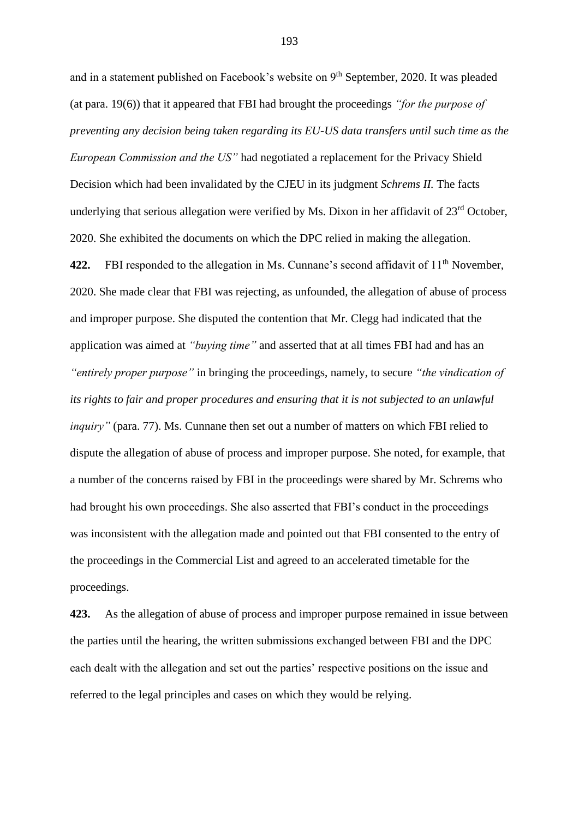and in a statement published on Facebook's website on 9<sup>th</sup> September, 2020. It was pleaded (at para. 19(6)) that it appeared that FBI had brought the proceedings *"for the purpose of preventing any decision being taken regarding its EU-US data transfers until such time as the European Commission and the US"* had negotiated a replacement for the Privacy Shield Decision which had been invalidated by the CJEU in its judgment *Schrems II.* The facts underlying that serious allegation were verified by Ms. Dixon in her affidavit of 23rd October, 2020. She exhibited the documents on which the DPC relied in making the allegation. **422.** FBI responded to the allegation in Ms. Cunnane's second affidavit of 11<sup>th</sup> November, 2020. She made clear that FBI was rejecting, as unfounded, the allegation of abuse of process and improper purpose. She disputed the contention that Mr. Clegg had indicated that the application was aimed at *"buying time"* and asserted that at all times FBI had and has an *"entirely proper purpose"* in bringing the proceedings, namely, to secure *"the vindication of its rights to fair and proper procedures and ensuring that it is not subjected to an unlawful inquiry"* (para. 77). Ms. Cunnane then set out a number of matters on which FBI relied to dispute the allegation of abuse of process and improper purpose. She noted, for example, that a number of the concerns raised by FBI in the proceedings were shared by Mr. Schrems who had brought his own proceedings. She also asserted that FBI's conduct in the proceedings was inconsistent with the allegation made and pointed out that FBI consented to the entry of the proceedings in the Commercial List and agreed to an accelerated timetable for the proceedings.

**423.** As the allegation of abuse of process and improper purpose remained in issue between the parties until the hearing, the written submissions exchanged between FBI and the DPC each dealt with the allegation and set out the parties' respective positions on the issue and referred to the legal principles and cases on which they would be relying.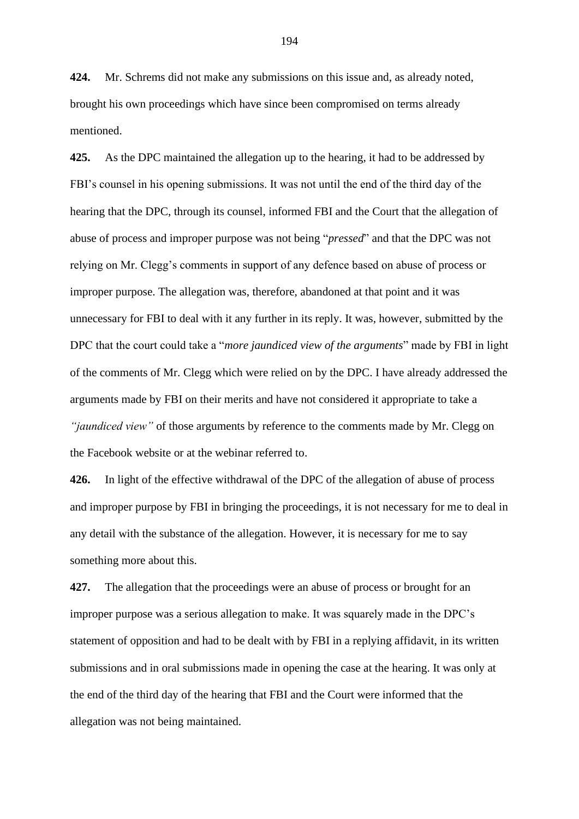**424.** Mr. Schrems did not make any submissions on this issue and, as already noted, brought his own proceedings which have since been compromised on terms already mentioned.

**425.** As the DPC maintained the allegation up to the hearing, it had to be addressed by FBI's counsel in his opening submissions. It was not until the end of the third day of the hearing that the DPC, through its counsel, informed FBI and the Court that the allegation of abuse of process and improper purpose was not being "*pressed*" and that the DPC was not relying on Mr. Clegg's comments in support of any defence based on abuse of process or improper purpose. The allegation was, therefore, abandoned at that point and it was unnecessary for FBI to deal with it any further in its reply. It was, however, submitted by the DPC that the court could take a "*more jaundiced view of the arguments*" made by FBI in light of the comments of Mr. Clegg which were relied on by the DPC. I have already addressed the arguments made by FBI on their merits and have not considered it appropriate to take a *"jaundiced view"* of those arguments by reference to the comments made by Mr. Clegg on the Facebook website or at the webinar referred to.

**426.** In light of the effective withdrawal of the DPC of the allegation of abuse of process and improper purpose by FBI in bringing the proceedings, it is not necessary for me to deal in any detail with the substance of the allegation. However, it is necessary for me to say something more about this.

**427.** The allegation that the proceedings were an abuse of process or brought for an improper purpose was a serious allegation to make. It was squarely made in the DPC's statement of opposition and had to be dealt with by FBI in a replying affidavit, in its written submissions and in oral submissions made in opening the case at the hearing. It was only at the end of the third day of the hearing that FBI and the Court were informed that the allegation was not being maintained.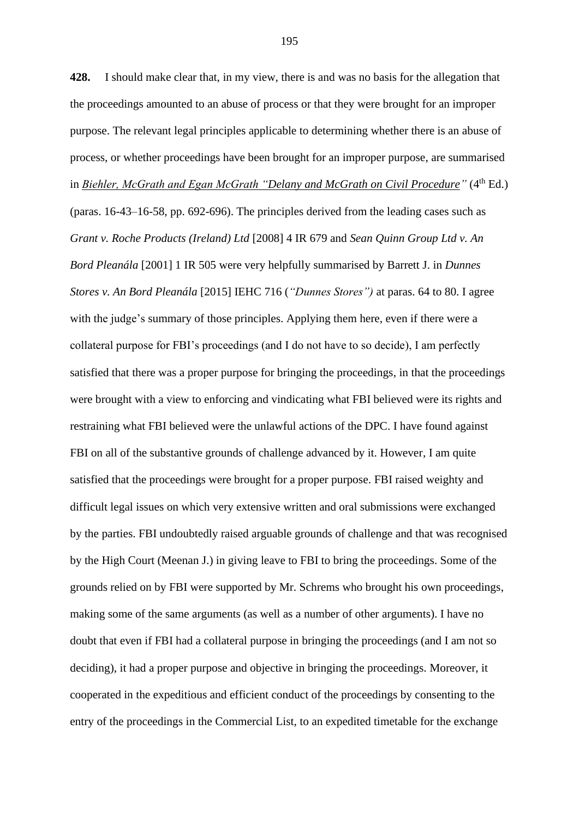**428.** I should make clear that, in my view, there is and was no basis for the allegation that the proceedings amounted to an abuse of process or that they were brought for an improper purpose. The relevant legal principles applicable to determining whether there is an abuse of process, or whether proceedings have been brought for an improper purpose, are summarised in *Biehler, McGrath and Egan McGrath "Delany and McGrath on Civil Procedure"* (4<sup>th</sup> Ed.)

(paras. 16-43–16-58, pp. 692-696). The principles derived from the leading cases such as *Grant v. Roche Products (Ireland) Ltd* [2008] 4 IR 679 and *Sean Quinn Group Ltd v. An Bord Pleanála* [2001] 1 IR 505 were very helpfully summarised by Barrett J. in *Dunnes Stores v. An Bord Pleanála* [2015] IEHC 716 (*"Dunnes Stores")* at paras. 64 to 80. I agree with the judge's summary of those principles. Applying them here, even if there were a collateral purpose for FBI's proceedings (and I do not have to so decide), I am perfectly satisfied that there was a proper purpose for bringing the proceedings, in that the proceedings were brought with a view to enforcing and vindicating what FBI believed were its rights and restraining what FBI believed were the unlawful actions of the DPC. I have found against FBI on all of the substantive grounds of challenge advanced by it. However, I am quite satisfied that the proceedings were brought for a proper purpose. FBI raised weighty and difficult legal issues on which very extensive written and oral submissions were exchanged by the parties. FBI undoubtedly raised arguable grounds of challenge and that was recognised by the High Court (Meenan J.) in giving leave to FBI to bring the proceedings. Some of the grounds relied on by FBI were supported by Mr. Schrems who brought his own proceedings, making some of the same arguments (as well as a number of other arguments). I have no doubt that even if FBI had a collateral purpose in bringing the proceedings (and I am not so deciding), it had a proper purpose and objective in bringing the proceedings. Moreover, it cooperated in the expeditious and efficient conduct of the proceedings by consenting to the entry of the proceedings in the Commercial List, to an expedited timetable for the exchange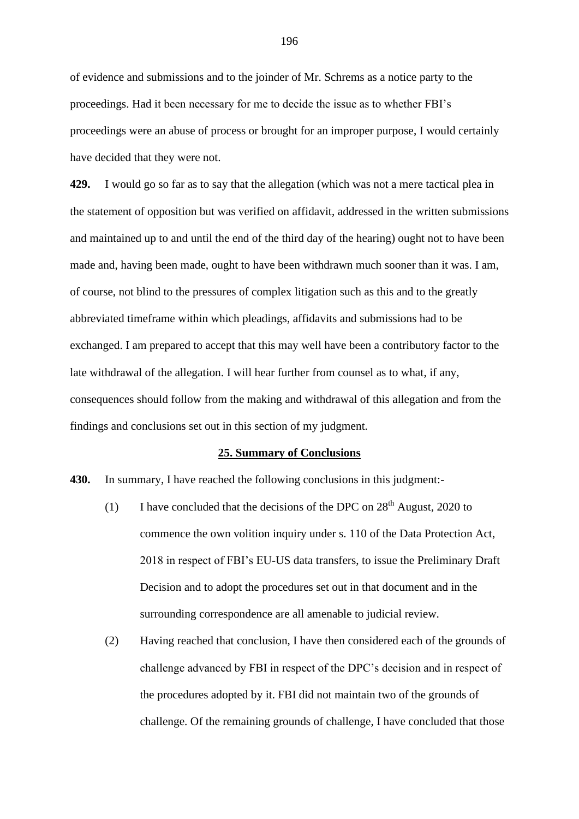of evidence and submissions and to the joinder of Mr. Schrems as a notice party to the proceedings. Had it been necessary for me to decide the issue as to whether FBI's proceedings were an abuse of process or brought for an improper purpose, I would certainly have decided that they were not.

**429.** I would go so far as to say that the allegation (which was not a mere tactical plea in the statement of opposition but was verified on affidavit, addressed in the written submissions and maintained up to and until the end of the third day of the hearing) ought not to have been made and, having been made, ought to have been withdrawn much sooner than it was. I am, of course, not blind to the pressures of complex litigation such as this and to the greatly abbreviated timeframe within which pleadings, affidavits and submissions had to be exchanged. I am prepared to accept that this may well have been a contributory factor to the late withdrawal of the allegation. I will hear further from counsel as to what, if any, consequences should follow from the making and withdrawal of this allegation and from the findings and conclusions set out in this section of my judgment.

### **25. Summary of Conclusions**

**430.** In summary, I have reached the following conclusions in this judgment:-

- (1) I have concluded that the decisions of the DPC on  $28<sup>th</sup>$  August, 2020 to commence the own volition inquiry under s. 110 of the Data Protection Act, 2018 in respect of FBI's EU-US data transfers, to issue the Preliminary Draft Decision and to adopt the procedures set out in that document and in the surrounding correspondence are all amenable to judicial review.
- (2) Having reached that conclusion, I have then considered each of the grounds of challenge advanced by FBI in respect of the DPC's decision and in respect of the procedures adopted by it. FBI did not maintain two of the grounds of challenge. Of the remaining grounds of challenge, I have concluded that those